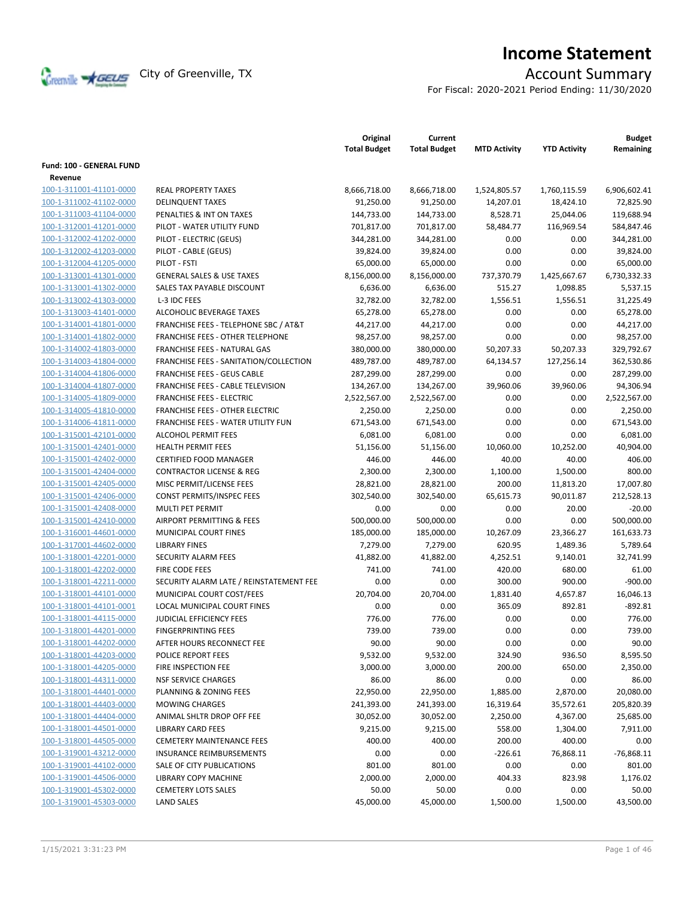

# **Income Statement**

For Fiscal: 2020-2021 Period Ending: 11/30/2020

|                          |                                                  | Original<br><b>Total Budget</b> | Current<br><b>Total Budget</b> | <b>MTD Activity</b> | <b>YTD Activity</b> | <b>Budget</b><br>Remaining |
|--------------------------|--------------------------------------------------|---------------------------------|--------------------------------|---------------------|---------------------|----------------------------|
| Fund: 100 - GENERAL FUND |                                                  |                                 |                                |                     |                     |                            |
| Revenue                  |                                                  |                                 |                                |                     |                     |                            |
| 100-1-311001-41101-0000  | <b>REAL PROPERTY TAXES</b>                       | 8,666,718.00                    | 8,666,718.00                   | 1,524,805.57        | 1,760,115.59        | 6,906,602.41               |
| 100-1-311002-41102-0000  | <b>DELINQUENT TAXES</b>                          | 91,250.00                       | 91,250.00                      | 14,207.01           | 18,424.10           | 72,825.90                  |
| 100-1-311003-41104-0000  | PENALTIES & INT ON TAXES                         | 144,733.00                      | 144,733.00                     | 8,528.71            | 25,044.06           | 119,688.94                 |
| 100-1-312001-41201-0000  | PILOT - WATER UTILITY FUND                       | 701,817.00                      | 701,817.00                     | 58,484.77           | 116,969.54          | 584,847.46                 |
| 100-1-312002-41202-0000  | PILOT - ELECTRIC (GEUS)                          | 344,281.00                      | 344,281.00                     | 0.00                | 0.00                | 344,281.00                 |
| 100-1-312002-41203-0000  | PILOT - CABLE (GEUS)                             | 39,824.00                       | 39,824.00                      | 0.00                | 0.00                | 39,824.00                  |
| 100-1-312004-41205-0000  | PILOT - FSTI                                     | 65,000.00                       | 65,000.00                      | 0.00                | 0.00                | 65,000.00                  |
| 100-1-313001-41301-0000  | <b>GENERAL SALES &amp; USE TAXES</b>             | 8,156,000.00                    | 8,156,000.00                   | 737,370.79          | 1,425,667.67        | 6,730,332.33               |
| 100-1-313001-41302-0000  | SALES TAX PAYABLE DISCOUNT                       | 6,636.00                        | 6,636.00                       | 515.27              | 1,098.85            | 5,537.15                   |
| 100-1-313002-41303-0000  | L-3 IDC FEES                                     | 32,782.00                       | 32,782.00                      | 1,556.51            | 1,556.51            | 31,225.49                  |
| 100-1-313003-41401-0000  | ALCOHOLIC BEVERAGE TAXES                         | 65,278.00                       | 65,278.00                      | 0.00                | 0.00                | 65,278.00                  |
| 100-1-314001-41801-0000  | <b>FRANCHISE FEES - TELEPHONE SBC / AT&amp;T</b> | 44,217.00                       | 44,217.00                      | 0.00                | 0.00                | 44,217.00                  |
| 100-1-314001-41802-0000  | <b>FRANCHISE FEES - OTHER TELEPHONE</b>          | 98,257.00                       | 98,257.00                      | 0.00                | 0.00                | 98,257.00                  |
| 100-1-314002-41803-0000  | FRANCHISE FEES - NATURAL GAS                     | 380,000.00                      | 380,000.00                     | 50,207.33           | 50,207.33           | 329,792.67                 |
| 100-1-314003-41804-0000  | FRANCHISE FEES - SANITATION/COLLECTION           | 489,787.00                      | 489,787.00                     | 64,134.57           | 127,256.14          | 362,530.86                 |
| 100-1-314004-41806-0000  | <b>FRANCHISE FEES - GEUS CABLE</b>               | 287,299.00                      | 287,299.00                     | 0.00                | 0.00                | 287,299.00                 |
| 100-1-314004-41807-0000  | FRANCHISE FEES - CABLE TELEVISION                | 134,267.00                      | 134,267.00                     | 39,960.06           | 39,960.06           | 94,306.94                  |
| 100-1-314005-41809-0000  | <b>FRANCHISE FEES - ELECTRIC</b>                 | 2,522,567.00                    | 2,522,567.00                   | 0.00                | 0.00                | 2,522,567.00               |
| 100-1-314005-41810-0000  | <b>FRANCHISE FEES - OTHER ELECTRIC</b>           | 2,250.00                        | 2,250.00                       | 0.00                | 0.00                | 2,250.00                   |
| 100-1-314006-41811-0000  | FRANCHISE FEES - WATER UTILITY FUN               | 671,543.00                      | 671,543.00                     | 0.00                | 0.00                | 671,543.00                 |
| 100-1-315001-42101-0000  | <b>ALCOHOL PERMIT FEES</b>                       | 6,081.00                        | 6,081.00                       | 0.00                | 0.00                | 6,081.00                   |
| 100-1-315001-42401-0000  | <b>HEALTH PERMIT FEES</b>                        | 51,156.00                       | 51,156.00                      | 10,060.00           | 10,252.00           | 40,904.00                  |
| 100-1-315001-42402-0000  | <b>CERTIFIED FOOD MANAGER</b>                    | 446.00                          | 446.00                         | 40.00               | 40.00               | 406.00                     |
| 100-1-315001-42404-0000  | <b>CONTRACTOR LICENSE &amp; REG</b>              | 2,300.00                        | 2,300.00                       | 1,100.00            | 1,500.00            | 800.00                     |
| 100-1-315001-42405-0000  | MISC PERMIT/LICENSE FEES                         | 28,821.00                       | 28,821.00                      | 200.00              | 11,813.20           | 17,007.80                  |
| 100-1-315001-42406-0000  | CONST PERMITS/INSPEC FEES                        | 302,540.00                      | 302,540.00                     | 65,615.73           | 90,011.87           | 212,528.13                 |
| 100-1-315001-42408-0000  | MULTI PET PERMIT                                 | 0.00                            | 0.00                           | 0.00                | 20.00               | $-20.00$                   |
| 100-1-315001-42410-0000  | AIRPORT PERMITTING & FEES                        | 500,000.00                      | 500,000.00                     | 0.00                | 0.00                | 500,000.00                 |
| 100-1-316001-44601-0000  | MUNICIPAL COURT FINES                            | 185,000.00                      | 185,000.00                     | 10,267.09           | 23,366.27           | 161,633.73                 |
| 100-1-317001-44602-0000  | <b>LIBRARY FINES</b>                             | 7,279.00                        | 7,279.00                       | 620.95              | 1,489.36            | 5,789.64                   |
| 100-1-318001-42201-0000  | SECURITY ALARM FEES                              | 41,882.00                       | 41,882.00                      | 4,252.51            | 9,140.01            | 32,741.99                  |
| 100-1-318001-42202-0000  | <b>FIRE CODE FEES</b>                            | 741.00                          | 741.00                         | 420.00              | 680.00              | 61.00                      |
| 100-1-318001-42211-0000  | SECURITY ALARM LATE / REINSTATEMENT FEE          | 0.00                            | 0.00                           | 300.00              | 900.00              | $-900.00$                  |
| 100-1-318001-44101-0000  | MUNICIPAL COURT COST/FEES                        | 20,704.00                       | 20,704.00                      | 1,831.40            | 4,657.87            | 16,046.13                  |
| 100-1-318001-44101-0001  | LOCAL MUNICIPAL COURT FINES                      | 0.00                            | 0.00                           | 365.09              | 892.81              | $-892.81$                  |
| 100-1-318001-44115-0000  | <b>JUDICIAL EFFICIENCY FEES</b>                  | 776.00                          | 776.00                         | 0.00                | 0.00                | 776.00                     |
| 100-1-318001-44201-0000  | <b>FINGERPRINTING FEES</b>                       | 739.00                          | 739.00                         | 0.00                | 0.00                | 739.00                     |
| 100-1-318001-44202-0000  | AFTER HOURS RECONNECT FEE                        | 90.00                           | 90.00                          | 0.00                | 0.00                | 90.00                      |
| 100-1-318001-44203-0000  | POLICE REPORT FEES                               | 9,532.00                        | 9,532.00                       | 324.90              | 936.50              | 8,595.50                   |
| 100-1-318001-44205-0000  | FIRE INSPECTION FEE                              | 3,000.00                        | 3,000.00                       | 200.00              | 650.00              | 2,350.00                   |
| 100-1-318001-44311-0000  | <b>NSF SERVICE CHARGES</b>                       | 86.00                           | 86.00                          | 0.00                | 0.00                | 86.00                      |
| 100-1-318001-44401-0000  | PLANNING & ZONING FEES                           | 22,950.00                       | 22,950.00                      | 1,885.00            | 2,870.00            | 20,080.00                  |
| 100-1-318001-44403-0000  | <b>MOWING CHARGES</b>                            | 241,393.00                      | 241,393.00                     | 16,319.64           | 35,572.61           | 205,820.39                 |
| 100-1-318001-44404-0000  | ANIMAL SHLTR DROP OFF FEE                        | 30,052.00                       | 30,052.00                      | 2,250.00            | 4,367.00            | 25,685.00                  |
| 100-1-318001-44501-0000  | <b>LIBRARY CARD FEES</b>                         | 9,215.00                        | 9,215.00                       | 558.00              | 1,304.00            | 7,911.00                   |
| 100-1-318001-44505-0000  | <b>CEMETERY MAINTENANCE FEES</b>                 | 400.00                          | 400.00                         | 200.00              | 400.00              | 0.00                       |
| 100-1-319001-43212-0000  | <b>INSURANCE REIMBURSEMENTS</b>                  | 0.00                            | 0.00                           | $-226.61$           | 76,868.11           | $-76,868.11$               |
| 100-1-319001-44102-0000  | SALE OF CITY PUBLICATIONS                        | 801.00                          | 801.00                         | 0.00                | 0.00                | 801.00                     |
| 100-1-319001-44506-0000  | LIBRARY COPY MACHINE                             | 2,000.00                        | 2,000.00                       | 404.33              | 823.98              | 1,176.02                   |
| 100-1-319001-45302-0000  | <b>CEMETERY LOTS SALES</b>                       | 50.00                           | 50.00                          | 0.00                | 0.00                | 50.00                      |
| 100-1-319001-45303-0000  | <b>LAND SALES</b>                                | 45,000.00                       | 45,000.00                      | 1,500.00            | 1,500.00            | 43,500.00                  |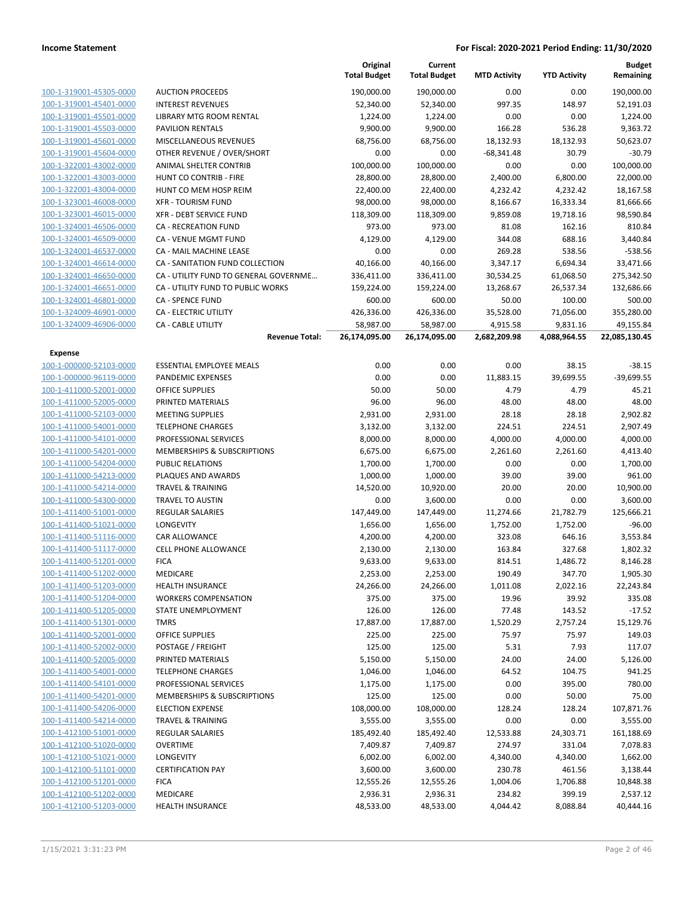|                                                    |                                               | Original<br><b>Total Budget</b> | Current<br><b>Total Budget</b> | <b>MTD Activity</b> | <b>YTD Activity</b> | <b>Budget</b><br>Remaining |
|----------------------------------------------------|-----------------------------------------------|---------------------------------|--------------------------------|---------------------|---------------------|----------------------------|
| 100-1-319001-45305-0000                            | <b>AUCTION PROCEEDS</b>                       | 190,000.00                      | 190,000.00                     | 0.00                | 0.00                | 190,000.00                 |
| 100-1-319001-45401-0000                            | <b>INTEREST REVENUES</b>                      | 52,340.00                       | 52,340.00                      | 997.35              | 148.97              | 52,191.03                  |
| 100-1-319001-45501-0000                            | LIBRARY MTG ROOM RENTAL                       | 1,224.00                        | 1,224.00                       | 0.00                | 0.00                | 1,224.00                   |
| 100-1-319001-45503-0000                            | <b>PAVILION RENTALS</b>                       | 9,900.00                        | 9,900.00                       | 166.28              | 536.28              | 9,363.72                   |
| 100-1-319001-45601-0000                            | MISCELLANEOUS REVENUES                        | 68,756.00                       | 68,756.00                      | 18,132.93           | 18,132.93           | 50,623.07                  |
| 100-1-319001-45604-0000                            | OTHER REVENUE / OVER/SHORT                    | 0.00                            | 0.00                           | $-68,341.48$        | 30.79               | $-30.79$                   |
| 100-1-322001-43002-0000                            | ANIMAL SHELTER CONTRIB                        | 100,000.00                      | 100,000.00                     | 0.00                | 0.00                | 100,000.00                 |
| 100-1-322001-43003-0000                            | <b>HUNT CO CONTRIB - FIRE</b>                 | 28,800.00                       | 28,800.00                      | 2,400.00            | 6,800.00            | 22,000.00                  |
| 100-1-322001-43004-0000                            | HUNT CO MEM HOSP REIM                         | 22,400.00                       | 22,400.00                      | 4,232.42            | 4,232.42            | 18,167.58                  |
| 100-1-323001-46008-0000                            | <b>XFR - TOURISM FUND</b>                     | 98,000.00                       | 98,000.00                      | 8,166.67            | 16,333.34           | 81,666.66                  |
| 100-1-323001-46015-0000                            | <b>XFR - DEBT SERVICE FUND</b>                | 118,309.00                      | 118,309.00                     | 9,859.08            | 19,718.16           | 98,590.84                  |
| 100-1-324001-46506-0000                            | <b>CA - RECREATION FUND</b>                   | 973.00                          | 973.00                         | 81.08               | 162.16              | 810.84                     |
| 100-1-324001-46509-0000                            | CA - VENUE MGMT FUND                          | 4,129.00                        | 4,129.00                       | 344.08              | 688.16              | 3,440.84                   |
| 100-1-324001-46537-0000                            | CA - MAIL MACHINE LEASE                       | 0.00                            | 0.00                           | 269.28              | 538.56              | $-538.56$                  |
| 100-1-324001-46614-0000                            | CA - SANITATION FUND COLLECTION               | 40,166.00                       | 40,166.00                      | 3,347.17            | 6,694.34            | 33,471.66                  |
| 100-1-324001-46650-0000                            | CA - UTILITY FUND TO GENERAL GOVERNME         | 336,411.00                      | 336,411.00                     | 30,534.25           | 61,068.50           | 275,342.50                 |
| 100-1-324001-46651-0000                            | CA - UTILITY FUND TO PUBLIC WORKS             | 159,224.00                      | 159,224.00                     | 13,268.67           | 26,537.34           | 132,686.66                 |
| 100-1-324001-46801-0000                            | <b>CA - SPENCE FUND</b>                       | 600.00                          | 600.00                         | 50.00               | 100.00              | 500.00                     |
| 100-1-324009-46901-0000                            | CA - ELECTRIC UTILITY                         | 426,336.00                      | 426,336.00                     | 35,528.00           | 71,056.00           | 355,280.00                 |
| 100-1-324009-46906-0000                            | CA - CABLE UTILITY                            | 58,987.00                       | 58,987.00                      | 4,915.58            | 9,831.16            | 49,155.84                  |
|                                                    | <b>Revenue Total:</b>                         | 26,174,095.00                   | 26,174,095.00                  | 2,682,209.98        | 4,088,964.55        | 22,085,130.45              |
| Expense                                            |                                               |                                 |                                |                     |                     |                            |
| 100-1-000000-52103-0000                            | <b>ESSENTIAL EMPLOYEE MEALS</b>               | 0.00                            | 0.00                           | 0.00                | 38.15               | $-38.15$                   |
| 100-1-000000-96119-0000                            | PANDEMIC EXPENSES                             | 0.00                            | 0.00                           | 11,883.15           | 39,699.55           | $-39,699.55$               |
| 100-1-411000-52001-0000                            | <b>OFFICE SUPPLIES</b>                        | 50.00                           | 50.00                          | 4.79                | 4.79                | 45.21                      |
| 100-1-411000-52005-0000                            | PRINTED MATERIALS                             | 96.00                           | 96.00                          | 48.00               | 48.00               | 48.00                      |
| 100-1-411000-52103-0000                            | <b>MEETING SUPPLIES</b>                       | 2,931.00                        | 2,931.00                       | 28.18               | 28.18               | 2,902.82                   |
| 100-1-411000-54001-0000                            | <b>TELEPHONE CHARGES</b>                      | 3,132.00                        | 3,132.00                       | 224.51              | 224.51              | 2,907.49                   |
| 100-1-411000-54101-0000                            | PROFESSIONAL SERVICES                         | 8,000.00                        | 8,000.00                       | 4,000.00            | 4,000.00            | 4,000.00                   |
| 100-1-411000-54201-0000                            | MEMBERSHIPS & SUBSCRIPTIONS                   | 6,675.00                        | 6,675.00                       | 2,261.60            | 2,261.60            | 4,413.40                   |
| 100-1-411000-54204-0000                            | PUBLIC RELATIONS                              | 1,700.00                        | 1,700.00                       | 0.00                | 0.00                | 1,700.00                   |
| 100-1-411000-54213-0000                            | PLAQUES AND AWARDS                            | 1,000.00                        | 1,000.00                       | 39.00               | 39.00               | 961.00                     |
| 100-1-411000-54214-0000                            | <b>TRAVEL &amp; TRAINING</b>                  | 14,520.00                       | 10,920.00                      | 20.00               | 20.00               | 10,900.00                  |
| 100-1-411000-54300-0000                            | <b>TRAVEL TO AUSTIN</b>                       | 0.00                            | 3,600.00                       | 0.00                | 0.00                | 3,600.00                   |
| 100-1-411400-51001-0000                            | <b>REGULAR SALARIES</b>                       | 147,449.00                      | 147,449.00                     | 11,274.66           | 21,782.79           | 125,666.21                 |
| 100-1-411400-51021-0000                            | LONGEVITY                                     | 1,656.00                        | 1,656.00                       | 1,752.00            | 1,752.00            | $-96.00$                   |
| 100-1-411400-51116-0000                            | CAR ALLOWANCE                                 | 4,200.00                        | 4,200.00                       | 323.08              | 646.16              | 3,553.84                   |
| 100-1-411400-51117-0000                            | <b>CELL PHONE ALLOWANCE</b>                   | 2,130.00                        | 2,130.00                       | 163.84              | 327.68              | 1,802.32                   |
| 100-1-411400-51201-0000                            | <b>FICA</b>                                   | 9,633.00                        | 9,633.00                       | 814.51              | 1,486.72            | 8,146.28                   |
| 100-1-411400-51202-0000                            | MEDICARE                                      | 2,253.00                        | 2,253.00                       | 190.49              | 347.70              | 1,905.30                   |
| 100-1-411400-51203-0000                            | <b>HEALTH INSURANCE</b>                       | 24,266.00                       | 24,266.00                      | 1,011.08            | 2,022.16            | 22,243.84                  |
| 100-1-411400-51204-0000                            | <b>WORKERS COMPENSATION</b>                   | 375.00                          | 375.00                         | 19.96               | 39.92               | 335.08                     |
| 100-1-411400-51205-0000                            | STATE UNEMPLOYMENT                            | 126.00                          | 126.00                         | 77.48               | 143.52              | $-17.52$                   |
| 100-1-411400-51301-0000                            | <b>TMRS</b>                                   | 17,887.00                       | 17,887.00                      | 1,520.29            | 2,757.24            | 15,129.76                  |
| 100-1-411400-52001-0000                            | <b>OFFICE SUPPLIES</b>                        | 225.00                          | 225.00                         | 75.97               | 75.97               | 149.03                     |
| 100-1-411400-52002-0000<br>100-1-411400-52005-0000 | POSTAGE / FREIGHT                             | 125.00                          | 125.00                         | 5.31                | 7.93                | 117.07<br>5,126.00         |
| 100-1-411400-54001-0000                            | PRINTED MATERIALS<br><b>TELEPHONE CHARGES</b> | 5,150.00<br>1,046.00            | 5,150.00                       | 24.00<br>64.52      | 24.00<br>104.75     | 941.25                     |
| 100-1-411400-54101-0000                            | PROFESSIONAL SERVICES                         |                                 | 1,046.00                       | 0.00                | 395.00              | 780.00                     |
| 100-1-411400-54201-0000                            | MEMBERSHIPS & SUBSCRIPTIONS                   | 1,175.00<br>125.00              | 1,175.00<br>125.00             | 0.00                | 50.00               | 75.00                      |
| 100-1-411400-54206-0000                            | <b>ELECTION EXPENSE</b>                       |                                 |                                |                     |                     | 107,871.76                 |
| 100-1-411400-54214-0000                            | <b>TRAVEL &amp; TRAINING</b>                  | 108,000.00<br>3,555.00          | 108,000.00<br>3,555.00         | 128.24<br>0.00      | 128.24<br>0.00      | 3,555.00                   |
| 100-1-412100-51001-0000                            | REGULAR SALARIES                              | 185,492.40                      | 185,492.40                     | 12,533.88           | 24,303.71           | 161,188.69                 |
| 100-1-412100-51020-0000                            | <b>OVERTIME</b>                               | 7,409.87                        | 7,409.87                       | 274.97              | 331.04              | 7,078.83                   |
| 100-1-412100-51021-0000                            | LONGEVITY                                     | 6,002.00                        | 6,002.00                       | 4,340.00            | 4,340.00            | 1,662.00                   |
| 100-1-412100-51101-0000                            | <b>CERTIFICATION PAY</b>                      | 3,600.00                        | 3,600.00                       | 230.78              | 461.56              | 3,138.44                   |
| 100-1-412100-51201-0000                            | <b>FICA</b>                                   | 12,555.26                       | 12,555.26                      | 1,004.06            | 1,706.88            | 10,848.38                  |
| 100-1-412100-51202-0000                            | MEDICARE                                      | 2,936.31                        | 2,936.31                       | 234.82              | 399.19              | 2,537.12                   |
| 100-1-412100-51203-0000                            | <b>HEALTH INSURANCE</b>                       | 48,533.00                       | 48,533.00                      | 4,044.42            | 8,088.84            | 40,444.16                  |
|                                                    |                                               |                                 |                                |                     |                     |                            |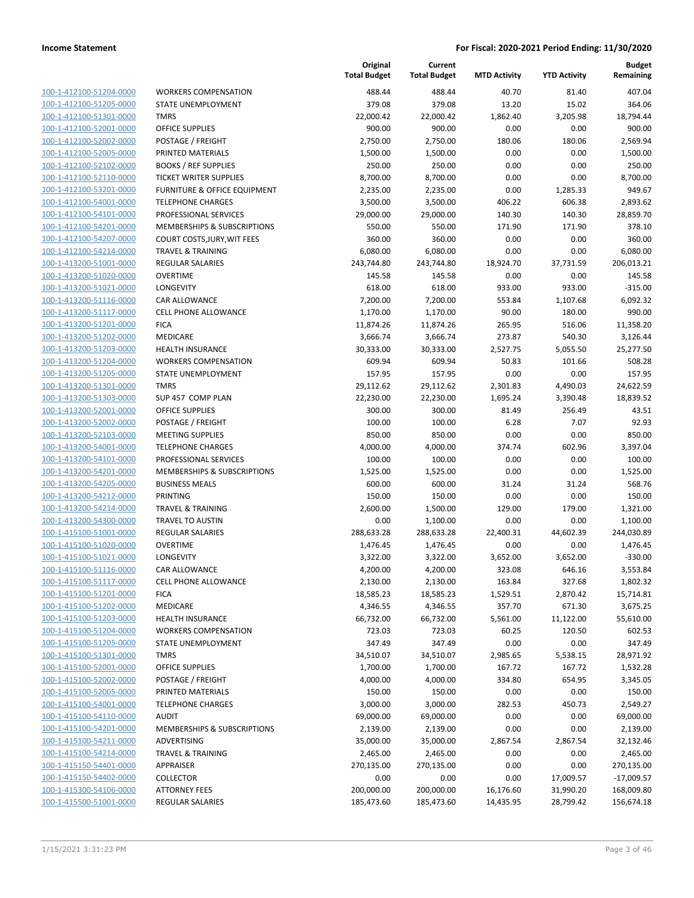**Current**

**Original**

**MTD Activity YTD Activity**

**Budget Remaining**

| 100-1-412100-51204-0000        |
|--------------------------------|
| 100-1-412100-51205-0000        |
| 100-1-412100-51301-0000        |
| 100-1-412100-52001-0000        |
| 100-1-412100-52002-0000        |
| 100-1-412100-52005-0000        |
| 100-1-412100-52102-0000        |
| 100-1-412100-52110-0000        |
|                                |
| 100-1-412100-53201-0000        |
| 100-1-412100-54001-0000        |
| 100-1-412100-54101-0000        |
| 100-1-412100-54201-0000        |
| 100-1-412100-54207-0000        |
| 100-1-412100-54214-0000        |
| 100-1-413200-51001-0000        |
| 100-1-413200-51020-0000        |
| 100-1-413200-51021-0000        |
| 100-1-413200-51116-0000        |
|                                |
| 100-1-413200-51117-0000        |
| 100-1-413200-51201-0000        |
| 100-1-413200-51202-0000        |
| 100-1-413200-51203-0000        |
| 100-1-413200-51204-0000        |
| 100-1-413200-51205-0000        |
| 100-1-413200-51301-0000        |
| 100-1-413200-51303-0000        |
| 100-1-413200-52001-0000        |
| 100-1-413200-52002-0000        |
| 100-1-413200-52103-0000        |
|                                |
| 100-1-413200-54001-0000        |
| 100-1-413200-54101-0000        |
| 100-1-413200-54201-0000        |
| 100-1-413200-54205-0000        |
| 100-1-413200-54212-0000        |
| 100-1-413200-54214-0000        |
| 100-1-413200-54300-0000        |
| 100-1-415100-51001-0000        |
| 100-1-415100-51020-0000        |
| 100-1-415100-51021-0000        |
| 100-1-415100-51116-0000        |
| 100-1-415100-51117-0000        |
|                                |
| <u>100-1-415100-51201-0000</u> |
| <u>100-1-415100-51202-0000</u> |
| <u>100-1-415100-51203-0000</u> |
| 100-1-415100-51204-0000        |
| 100-1-415100-51205-0000        |
| 100-1-415100-51301-0000        |
| <u>100-1-415100-52001-0000</u> |
| 100-1-415100-52002-0000        |
| 100-1-415100-52005-0000        |
| 100-1-415100-54001-0000        |
|                                |
| 100-1-415100-54110-0000        |
| <u>100-1-415100-54201-0000</u> |
| 100-1-415100-54211-0000        |
| <u>100-1-415100-54214-0000</u> |
| <u>100-1-415150-54401-0000</u> |
| 100-1-415150-54402-0000        |
|                                |
| <u>100-1-415300-54106-0000</u> |
| <u>100-1-415500-51001-0000</u> |

|                                                    |                                             | <b>Total Budget</b> | <b>Total Budget</b> | <b>MTD Activity</b> | <b>YTD Activity</b>  | Remaining      |
|----------------------------------------------------|---------------------------------------------|---------------------|---------------------|---------------------|----------------------|----------------|
| 100-1-412100-51204-0000                            | <b>WORKERS COMPENSATION</b>                 | 488.44              | 488.44              | 40.70               | 81.40                | 407.04         |
| 100-1-412100-51205-0000                            | STATE UNEMPLOYMENT                          | 379.08              | 379.08              | 13.20               | 15.02                | 364.06         |
| 100-1-412100-51301-0000                            | <b>TMRS</b>                                 | 22,000.42           | 22,000.42           | 1,862.40            | 3,205.98             | 18,794.44      |
| 100-1-412100-52001-0000                            | <b>OFFICE SUPPLIES</b>                      | 900.00              | 900.00              | 0.00                | 0.00                 | 900.00         |
| 100-1-412100-52002-0000                            | POSTAGE / FREIGHT                           | 2,750.00            | 2,750.00            | 180.06              | 180.06               | 2,569.94       |
| 100-1-412100-52005-0000                            | PRINTED MATERIALS                           | 1,500.00            | 1,500.00            | 0.00                | 0.00                 | 1,500.00       |
| 100-1-412100-52102-0000                            | <b>BOOKS / REF SUPPLIES</b>                 | 250.00              | 250.00              | 0.00                | 0.00                 | 250.00         |
| 100-1-412100-52110-0000                            | <b>TICKET WRITER SUPPLIES</b>               | 8,700.00            | 8,700.00            | 0.00                | 0.00                 | 8,700.00       |
| 100-1-412100-53201-0000                            | <b>FURNITURE &amp; OFFICE EQUIPMENT</b>     | 2,235.00            | 2,235.00            | 0.00                | 1,285.33             | 949.67         |
| 100-1-412100-54001-0000                            | <b>TELEPHONE CHARGES</b>                    | 3,500.00            | 3,500.00            | 406.22              | 606.38               | 2,893.62       |
| 100-1-412100-54101-0000                            | PROFESSIONAL SERVICES                       | 29,000.00           | 29,000.00           | 140.30              | 140.30               | 28,859.70      |
| 100-1-412100-54201-0000                            | MEMBERSHIPS & SUBSCRIPTIONS                 | 550.00              | 550.00              | 171.90              | 171.90               | 378.10         |
| 100-1-412100-54207-0000                            | COURT COSTS, JURY, WIT FEES                 | 360.00              | 360.00              | 0.00                | 0.00                 | 360.00         |
| 100-1-412100-54214-0000                            | <b>TRAVEL &amp; TRAINING</b>                | 6,080.00            | 6,080.00            | 0.00                | 0.00                 | 6,080.00       |
| 100-1-413200-51001-0000                            | <b>REGULAR SALARIES</b>                     | 243,744.80          | 243,744.80          | 18,924.70           | 37,731.59            | 206,013.21     |
| 100-1-413200-51020-0000                            | <b>OVERTIME</b>                             | 145.58              | 145.58              | 0.00                | 0.00                 | 145.58         |
| 100-1-413200-51021-0000                            | <b>LONGEVITY</b>                            | 618.00              | 618.00              | 933.00              | 933.00               | $-315.00$      |
| 100-1-413200-51116-0000                            | <b>CAR ALLOWANCE</b>                        | 7,200.00            | 7,200.00            | 553.84              | 1,107.68             | 6,092.32       |
| 100-1-413200-51117-0000                            | <b>CELL PHONE ALLOWANCE</b>                 | 1,170.00            | 1,170.00            | 90.00               | 180.00               | 990.00         |
| 100-1-413200-51201-0000                            | <b>FICA</b>                                 | 11,874.26           | 11,874.26           | 265.95              | 516.06               | 11,358.20      |
| 100-1-413200-51202-0000                            | MEDICARE                                    | 3,666.74            | 3,666.74            | 273.87              | 540.30               | 3,126.44       |
| 100-1-413200-51203-0000                            | HEALTH INSURANCE                            | 30,333.00           | 30,333.00           | 2,527.75            | 5,055.50             | 25,277.50      |
| 100-1-413200-51204-0000                            | <b>WORKERS COMPENSATION</b>                 | 609.94              | 609.94              | 50.83               | 101.66               | 508.28         |
| 100-1-413200-51205-0000                            | STATE UNEMPLOYMENT                          | 157.95              | 157.95              | 0.00                | 0.00                 | 157.95         |
| 100-1-413200-51301-0000                            | <b>TMRS</b>                                 | 29,112.62           | 29,112.62           | 2,301.83            | 4,490.03<br>3,390.48 | 24,622.59      |
| 100-1-413200-51303-0000                            | SUP 457 COMP PLAN                           | 22,230.00           | 22,230.00           | 1,695.24            |                      | 18,839.52      |
| 100-1-413200-52001-0000<br>100-1-413200-52002-0000 | <b>OFFICE SUPPLIES</b><br>POSTAGE / FREIGHT | 300.00<br>100.00    | 300.00<br>100.00    | 81.49<br>6.28       | 256.49<br>7.07       | 43.51<br>92.93 |
| 100-1-413200-52103-0000                            | <b>MEETING SUPPLIES</b>                     | 850.00              | 850.00              | 0.00                | 0.00                 | 850.00         |
| 100-1-413200-54001-0000                            | <b>TELEPHONE CHARGES</b>                    | 4,000.00            | 4,000.00            | 374.74              | 602.96               | 3,397.04       |
| 100-1-413200-54101-0000                            | PROFESSIONAL SERVICES                       | 100.00              | 100.00              | 0.00                | 0.00                 | 100.00         |
| 100-1-413200-54201-0000                            | MEMBERSHIPS & SUBSCRIPTIONS                 | 1,525.00            | 1,525.00            | 0.00                | 0.00                 | 1,525.00       |
| 100-1-413200-54205-0000                            | <b>BUSINESS MEALS</b>                       | 600.00              | 600.00              | 31.24               | 31.24                | 568.76         |
| 100-1-413200-54212-0000                            | PRINTING                                    | 150.00              | 150.00              | 0.00                | 0.00                 | 150.00         |
| 100-1-413200-54214-0000                            | <b>TRAVEL &amp; TRAINING</b>                | 2,600.00            | 1,500.00            | 129.00              | 179.00               | 1,321.00       |
| 100-1-413200-54300-0000                            | <b>TRAVEL TO AUSTIN</b>                     | 0.00                | 1,100.00            | 0.00                | 0.00                 | 1,100.00       |
| 100-1-415100-51001-0000                            | <b>REGULAR SALARIES</b>                     | 288,633.28          | 288,633.28          | 22,400.31           | 44,602.39            | 244,030.89     |
| 100-1-415100-51020-0000                            | <b>OVERTIME</b>                             | 1,476.45            | 1,476.45            | 0.00                | 0.00                 | 1,476.45       |
| 100-1-415100-51021-0000                            | <b>LONGEVITY</b>                            | 3,322.00            | 3,322.00            | 3,652.00            | 3,652.00             | $-330.00$      |
| 100-1-415100-51116-0000                            | CAR ALLOWANCE                               | 4,200.00            | 4,200.00            | 323.08              | 646.16               | 3,553.84       |
| 100-1-415100-51117-0000                            | CELL PHONE ALLOWANCE                        | 2,130.00            | 2,130.00            | 163.84              | 327.68               | 1,802.32       |
| 100-1-415100-51201-0000                            | <b>FICA</b>                                 | 18,585.23           | 18,585.23           | 1,529.51            | 2,870.42             | 15,714.81      |
| 100-1-415100-51202-0000                            | MEDICARE                                    | 4,346.55            | 4,346.55            | 357.70              | 671.30               | 3,675.25       |
| 100-1-415100-51203-0000                            | <b>HEALTH INSURANCE</b>                     | 66,732.00           | 66,732.00           | 5,561.00            | 11,122.00            | 55,610.00      |
| 100-1-415100-51204-0000                            | <b>WORKERS COMPENSATION</b>                 | 723.03              | 723.03              | 60.25               | 120.50               | 602.53         |
| 100-1-415100-51205-0000                            | <b>STATE UNEMPLOYMENT</b>                   | 347.49              | 347.49              | 0.00                | 0.00                 | 347.49         |
| 100-1-415100-51301-0000                            | <b>TMRS</b>                                 | 34,510.07           | 34,510.07           | 2,985.65            | 5,538.15             | 28,971.92      |
| 100-1-415100-52001-0000                            | <b>OFFICE SUPPLIES</b>                      | 1,700.00            | 1,700.00            | 167.72              | 167.72               | 1,532.28       |
| 100-1-415100-52002-0000                            | POSTAGE / FREIGHT                           | 4,000.00            | 4,000.00            | 334.80              | 654.95               | 3,345.05       |
| 100-1-415100-52005-0000                            | PRINTED MATERIALS                           | 150.00              | 150.00              | 0.00                | 0.00                 | 150.00         |
| 100-1-415100-54001-0000                            | <b>TELEPHONE CHARGES</b>                    | 3,000.00            | 3,000.00            | 282.53              | 450.73               | 2,549.27       |
| 100-1-415100-54110-0000                            | <b>AUDIT</b>                                | 69,000.00           | 69,000.00           | 0.00                | 0.00                 | 69,000.00      |
| 100-1-415100-54201-0000                            | MEMBERSHIPS & SUBSCRIPTIONS                 | 2,139.00            | 2,139.00            | 0.00                | 0.00                 | 2,139.00       |
| 100-1-415100-54211-0000                            | ADVERTISING                                 | 35,000.00           | 35,000.00           | 2,867.54            | 2,867.54             | 32,132.46      |
| 100-1-415100-54214-0000                            | <b>TRAVEL &amp; TRAINING</b>                | 2,465.00            | 2,465.00            | 0.00                | 0.00                 | 2,465.00       |
| 100-1-415150-54401-0000                            | APPRAISER                                   | 270,135.00          | 270,135.00          | 0.00                | 0.00                 | 270,135.00     |
| 100-1-415150-54402-0000                            | <b>COLLECTOR</b>                            | 0.00                | 0.00                | 0.00                | 17,009.57            | $-17,009.57$   |
| 100-1-415300-54106-0000                            | <b>ATTORNEY FEES</b>                        | 200,000.00          | 200,000.00          | 16,176.60           | 31,990.20            | 168,009.80     |
| 100-1-415500-51001-0000                            | <b>REGULAR SALARIES</b>                     | 185,473.60          | 185,473.60          | 14,435.95           | 28,799.42            | 156,674.18     |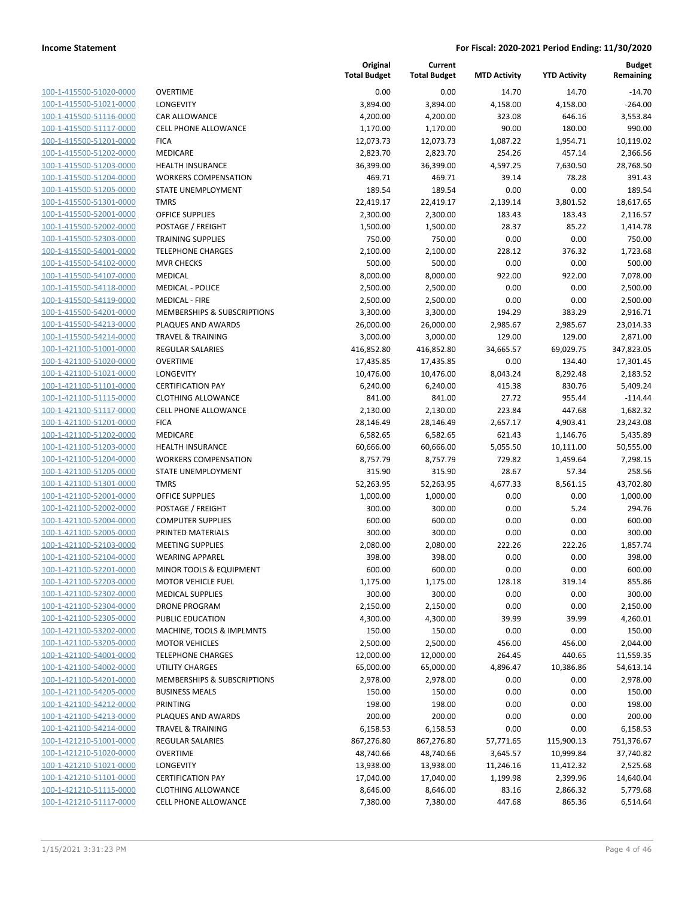| 100-1-415500-51020-0000                            |
|----------------------------------------------------|
| 100-1-415500-51021-0000                            |
| 100-1-415500-51116-0000                            |
| <u>100-1-415500-51117-0000</u>                     |
| 100-1-415500-51201-0000                            |
| 100-1-415500-51202-0000                            |
| 100-1-415500-51203-0000                            |
| 100-1-415500-51204-0000                            |
| <u>100-1-415500-51205-0000</u>                     |
| 100-1-415500-51301-0000                            |
| 100-1-415500-52001-0000                            |
| 100-1-415500-52002-0000                            |
| 100-1-415500-52303-0000                            |
| <u>100-1-415500-54001-0000</u>                     |
| 100-1-415500-54102-0000                            |
| 100-1-415500-54107-0000<br>100-1-415500-54118-0000 |
| 100-1-415500-54119-0000                            |
| 100-1-415500-54201-0000                            |
| 100-1-415500-54213-0000                            |
| 100-1-415500-54214-0000                            |
| 100-1-421100-51001-0000                            |
| 100-1-421100-51020-0000                            |
| <u>100-1-421100-51021-0000</u>                     |
| 100-1-421100-51101-0000                            |
| 100-1-421100-51115-0000                            |
| 100-1-421100-51117-0000                            |
| 100-1-421100-51201-0000                            |
| <u>100-1-421100-51202-0000</u>                     |
| 100-1-421100-51203-0000                            |
| 100-1-421100-51204-0000                            |
| 100-1-421100-51205-0000                            |
| 100-1-421100-51301-0000                            |
| 100-1-421100-52001-0000                            |
| 100-1-421100-52002-0000                            |
| 100-1-421100-52004-0000                            |
| 100-1-421100-52005-0000                            |
| 100-1-421100-52103-0000                            |
| 100-1-421100-52104-0000                            |
| 100-1-421100-52201-0000                            |
| 100-1-421100-52203-0000                            |
| <u>100-1-421100-52302-0000</u>                     |
| 100-1-421100-52304-0000                            |
| 100-1-421100-52305-0000                            |
| <u>100-1-421100-53202-0000</u>                     |
| <u>100-1-421100-53205-0000</u>                     |
| <u>100-1-421100-54001-0000</u>                     |
| <u>100-1-421100-54002-0000</u>                     |
| <u>100-1-421100-54201-0000</u>                     |
| <u>100-1-421100-54205-0000</u>                     |
| 100-1-421100-54212-0000                            |
| 100-1-421100-54213-0000                            |
| 100-1-421100-54214-0000                            |
| 100-1-421210-51001-0000                            |
| <u>100-1-421210-51020-0000</u>                     |
| <u>100-1-421210-51021-0000</u>                     |
| <u>100-1-421210-51101-0000</u>                     |
| 100-1-421210-51115-0000                            |
| <u>100-1-421210-51117-0000</u>                     |
|                                                    |

| VERTIME                                |
|----------------------------------------|
| <b>DNGEVITY</b>                        |
| AR ALLOWANCE                           |
| ELL PHONE ALLOWANCE                    |
| CA                                     |
| <b>IEDICARE</b>                        |
| EALTH INSURANCE                        |
| /ORKERS COMPENSATION                   |
| <b>TATE UNEMPLOYMENT</b>               |
| <b>MRS</b>                             |
| <b>FFICE SUPPLIES</b>                  |
| OSTAGE / FREIGHT                       |
| RAINING SUPPLIES                       |
| ELEPHONE CHARGES                       |
| IVR CHECKS                             |
| IEDICAL                                |
| IEDICAL - POLICE                       |
| IEDICAL - FIRE                         |
| <b>IEMBERSHIPS &amp; SUBSCRIPTIONS</b> |
| LAQUES AND AWARDS                      |
| RAVEL & TRAINING                       |
| EGULAR SALARIES                        |
| VERTIME                                |
| <b>DNGEVITY</b>                        |
| ERTIFICATION PAY                       |
| LOTHING ALLOWANCE                      |
| ELL PHONE ALLOWANCE                    |
| СA                                     |
| IEDICARE                               |
| EALTH INSURANCE                        |
| /ORKERS COMPENSATION                   |
| TATE UNEMPLOYMENT                      |
| MRS                                    |
| <b>FFICE SUPPLIES</b>                  |
| OSTAGE / FREIGHT                       |
| OMPUTER SUPPLIES                       |
| RINTED MATERIALS                       |
| IEETING SUPPLIES                       |
| /EARING APPAREL                        |
| IINOR TOOLS & EQUIPMENT                |
| IOTOR VEHICLE FUEL                     |
| <b>IEDICAL SUPPLIES</b>                |
| RONE PROGRAM                           |
| UBLIC EDUCATION                        |
| <b>IACHINE, TOOLS &amp; IMPLMNTS</b>   |
| <b>IOTOR VEHICLES</b>                  |
| ELEPHONE CHARGES                       |
| <b>TILITY CHARGES</b>                  |
| <b>IEMBERSHIPS &amp; SUBSCRIPTIONS</b> |
| USINESS MEALS                          |
| RINTING                                |
| LAQUES AND AWARDS                      |
| RAVEL & TRAINING                       |
| <b>EGULAR SALARIES</b>                 |
| <b>VERTIME</b>                         |
| <b>DNGEVITY</b>                        |
| ERTIFICATION PAY                       |
|                                        |

|                                                    |                                                   | Original<br><b>Total Budget</b> | Current<br><b>Total Budget</b> | <b>MTD Activity</b> | <b>YTD Activity</b> | <b>Budget</b><br>Remaining |
|----------------------------------------------------|---------------------------------------------------|---------------------------------|--------------------------------|---------------------|---------------------|----------------------------|
| 100-1-415500-51020-0000                            | <b>OVERTIME</b>                                   | 0.00                            | 0.00                           | 14.70               | 14.70               | $-14.70$                   |
| 100-1-415500-51021-0000                            | <b>LONGEVITY</b>                                  | 3,894.00                        | 3,894.00                       | 4,158.00            | 4,158.00            | $-264.00$                  |
| 100-1-415500-51116-0000                            | <b>CAR ALLOWANCE</b>                              | 4,200.00                        | 4,200.00                       | 323.08              | 646.16              | 3,553.84                   |
| 100-1-415500-51117-0000                            | <b>CELL PHONE ALLOWANCE</b>                       | 1,170.00                        | 1,170.00                       | 90.00               | 180.00              | 990.00                     |
| 100-1-415500-51201-0000                            | <b>FICA</b>                                       | 12,073.73                       | 12,073.73                      | 1,087.22            | 1,954.71            | 10,119.02                  |
| 100-1-415500-51202-0000                            | MEDICARE                                          | 2,823.70                        | 2,823.70                       | 254.26              | 457.14              | 2,366.56                   |
| 100-1-415500-51203-0000                            | <b>HEALTH INSURANCE</b>                           | 36,399.00                       | 36,399.00                      | 4,597.25            | 7,630.50            | 28,768.50                  |
| 100-1-415500-51204-0000                            | <b>WORKERS COMPENSATION</b>                       | 469.71                          | 469.71                         | 39.14               | 78.28               | 391.43                     |
| 100-1-415500-51205-0000                            | STATE UNEMPLOYMENT                                | 189.54                          | 189.54                         | 0.00                | 0.00                | 189.54                     |
| 100-1-415500-51301-0000                            | <b>TMRS</b>                                       | 22,419.17                       | 22,419.17                      | 2,139.14            | 3,801.52            | 18,617.65                  |
| 100-1-415500-52001-0000                            | <b>OFFICE SUPPLIES</b>                            | 2,300.00                        | 2,300.00                       | 183.43              | 183.43              | 2,116.57                   |
| 100-1-415500-52002-0000                            | POSTAGE / FREIGHT                                 | 1,500.00                        | 1,500.00                       | 28.37               | 85.22               | 1,414.78                   |
| 100-1-415500-52303-0000                            | <b>TRAINING SUPPLIES</b>                          | 750.00                          | 750.00                         | 0.00                | 0.00                | 750.00                     |
| 100-1-415500-54001-0000                            | <b>TELEPHONE CHARGES</b>                          | 2,100.00                        | 2,100.00                       | 228.12              | 376.32              | 1,723.68                   |
| 100-1-415500-54102-0000                            | <b>MVR CHECKS</b>                                 | 500.00                          | 500.00                         | 0.00                | 0.00                | 500.00                     |
| 100-1-415500-54107-0000                            | <b>MEDICAL</b>                                    | 8,000.00                        | 8,000.00                       | 922.00              | 922.00              | 7,078.00                   |
| 100-1-415500-54118-0000                            | <b>MEDICAL - POLICE</b>                           | 2,500.00                        | 2,500.00                       | 0.00                | 0.00                | 2,500.00                   |
| 100-1-415500-54119-0000<br>100-1-415500-54201-0000 | <b>MEDICAL - FIRE</b>                             | 2,500.00                        | 2,500.00                       | 0.00                | 0.00                | 2,500.00                   |
| 100-1-415500-54213-0000                            | MEMBERSHIPS & SUBSCRIPTIONS<br>PLAQUES AND AWARDS | 3,300.00<br>26,000.00           | 3,300.00                       | 194.29              | 383.29<br>2,985.67  | 2,916.71<br>23,014.33      |
| 100-1-415500-54214-0000                            | TRAVEL & TRAINING                                 | 3,000.00                        | 26,000.00<br>3,000.00          | 2,985.67<br>129.00  | 129.00              | 2,871.00                   |
| 100-1-421100-51001-0000                            | <b>REGULAR SALARIES</b>                           | 416,852.80                      | 416,852.80                     | 34,665.57           | 69,029.75           | 347,823.05                 |
| 100-1-421100-51020-0000                            | <b>OVERTIME</b>                                   | 17,435.85                       | 17,435.85                      | 0.00                | 134.40              | 17,301.45                  |
| 100-1-421100-51021-0000                            | LONGEVITY                                         | 10,476.00                       | 10,476.00                      | 8,043.24            | 8,292.48            | 2,183.52                   |
| 100-1-421100-51101-0000                            | <b>CERTIFICATION PAY</b>                          | 6,240.00                        | 6,240.00                       | 415.38              | 830.76              | 5,409.24                   |
| 100-1-421100-51115-0000                            | <b>CLOTHING ALLOWANCE</b>                         | 841.00                          | 841.00                         | 27.72               | 955.44              | $-114.44$                  |
| 100-1-421100-51117-0000                            | <b>CELL PHONE ALLOWANCE</b>                       | 2,130.00                        | 2,130.00                       | 223.84              | 447.68              | 1,682.32                   |
| 100-1-421100-51201-0000                            | <b>FICA</b>                                       | 28,146.49                       | 28,146.49                      | 2,657.17            | 4,903.41            | 23,243.08                  |
| 100-1-421100-51202-0000                            | MEDICARE                                          | 6,582.65                        | 6,582.65                       | 621.43              | 1,146.76            | 5,435.89                   |
| 100-1-421100-51203-0000                            | <b>HEALTH INSURANCE</b>                           | 60,666.00                       | 60,666.00                      | 5,055.50            | 10,111.00           | 50,555.00                  |
| 100-1-421100-51204-0000                            | <b>WORKERS COMPENSATION</b>                       | 8,757.79                        | 8,757.79                       | 729.82              | 1,459.64            | 7,298.15                   |
| 100-1-421100-51205-0000                            | STATE UNEMPLOYMENT                                | 315.90                          | 315.90                         | 28.67               | 57.34               | 258.56                     |
| 100-1-421100-51301-0000                            | <b>TMRS</b>                                       | 52,263.95                       | 52,263.95                      | 4,677.33            | 8,561.15            | 43,702.80                  |
| 100-1-421100-52001-0000                            | <b>OFFICE SUPPLIES</b>                            | 1,000.00                        | 1,000.00                       | 0.00                | 0.00                | 1,000.00                   |
| 100-1-421100-52002-0000                            | POSTAGE / FREIGHT                                 | 300.00                          | 300.00                         | 0.00                | 5.24                | 294.76                     |
| 100-1-421100-52004-0000                            | <b>COMPUTER SUPPLIES</b>                          | 600.00                          | 600.00                         | 0.00                | 0.00                | 600.00                     |
| 100-1-421100-52005-0000                            | PRINTED MATERIALS                                 | 300.00                          | 300.00                         | 0.00                | 0.00                | 300.00                     |
| 100-1-421100-52103-0000                            | <b>MEETING SUPPLIES</b>                           | 2,080.00                        | 2,080.00                       | 222.26              | 222.26              | 1,857.74                   |
| 100-1-421100-52104-0000                            | <b>WEARING APPAREL</b>                            | 398.00                          | 398.00                         | 0.00                | 0.00                | 398.00                     |
| 100-1-421100-52201-0000                            | MINOR TOOLS & EQUIPMENT                           | 600.00                          | 600.00                         | 0.00                | 0.00                | 600.00                     |
| 100-1-421100-52203-0000                            | <b>MOTOR VEHICLE FUEL</b>                         | 1,175.00                        | 1,175.00                       | 128.18              | 319.14              | 855.86                     |
| 100-1-421100-52302-0000                            | <b>MEDICAL SUPPLIES</b>                           | 300.00                          | 300.00                         | 0.00                | 0.00                | 300.00                     |
| 100-1-421100-52304-0000                            | <b>DRONE PROGRAM</b>                              | 2,150.00                        | 2,150.00                       | 0.00                | 0.00                | 2,150.00                   |
| 100-1-421100-52305-0000                            | PUBLIC EDUCATION                                  | 4,300.00                        | 4,300.00                       | 39.99               | 39.99               | 4,260.01                   |
| 100-1-421100-53202-0000                            | MACHINE, TOOLS & IMPLMNTS                         | 150.00                          | 150.00                         | 0.00                | 0.00                | 150.00                     |
| 100-1-421100-53205-0000                            | <b>MOTOR VEHICLES</b>                             | 2,500.00                        | 2,500.00                       | 456.00              | 456.00              | 2,044.00                   |
| 100-1-421100-54001-0000                            | <b>TELEPHONE CHARGES</b>                          | 12,000.00                       | 12,000.00                      | 264.45              | 440.65              | 11,559.35                  |
| 100-1-421100-54002-0000                            | <b>UTILITY CHARGES</b>                            | 65,000.00                       | 65,000.00                      | 4,896.47            | 10,386.86           | 54,613.14                  |
| 100-1-421100-54201-0000                            | MEMBERSHIPS & SUBSCRIPTIONS                       | 2,978.00                        | 2,978.00                       | 0.00                | 0.00                | 2,978.00                   |
| 100-1-421100-54205-0000                            | <b>BUSINESS MEALS</b>                             | 150.00                          | 150.00                         | 0.00                | 0.00                | 150.00                     |
| 100-1-421100-54212-0000                            | PRINTING                                          | 198.00                          | 198.00                         | 0.00                | 0.00                | 198.00                     |
| 100-1-421100-54213-0000                            | PLAQUES AND AWARDS                                | 200.00                          | 200.00                         | 0.00                | 0.00                | 200.00                     |
| 100-1-421100-54214-0000                            | <b>TRAVEL &amp; TRAINING</b>                      | 6,158.53                        | 6,158.53                       | 0.00                | 0.00                | 6,158.53                   |
| 100-1-421210-51001-0000                            | <b>REGULAR SALARIES</b>                           | 867,276.80                      | 867,276.80                     | 57,771.65           | 115,900.13          | 751,376.67                 |
| 100-1-421210-51020-0000                            | <b>OVERTIME</b>                                   | 48,740.66                       | 48,740.66                      | 3,645.57            | 10,999.84           | 37,740.82                  |
| 100-1-421210-51021-0000                            | <b>LONGEVITY</b>                                  | 13,938.00                       | 13,938.00                      | 11,246.16           | 11,412.32           | 2,525.68                   |
| 100-1-421210-51101-0000                            | <b>CERTIFICATION PAY</b>                          | 17,040.00                       | 17,040.00                      | 1,199.98            | 2,399.96            | 14,640.04                  |
| 100-1-421210-51115-0000                            | <b>CLOTHING ALLOWANCE</b>                         | 8,646.00                        | 8,646.00                       | 83.16               | 2,866.32            | 5,779.68                   |
| 100-1-421210-51117-0000                            | CELL PHONE ALLOWANCE                              | 7,380.00                        | 7,380.00                       | 447.68              | 865.36              | 6,514.64                   |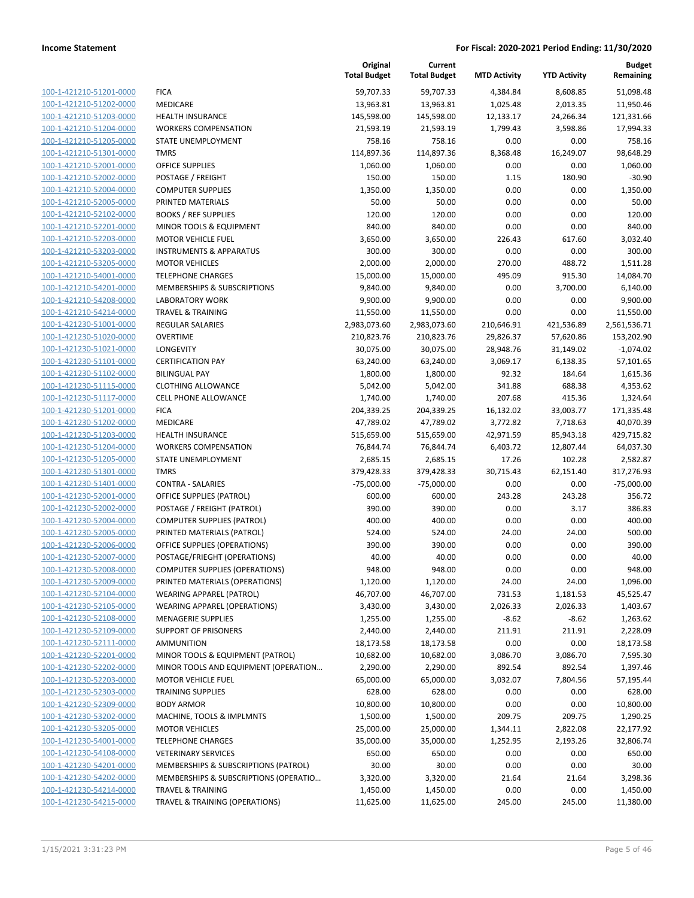| 100-1-421210-51201-0000        | <b>FICA</b>                            |
|--------------------------------|----------------------------------------|
| 100-1-421210-51202-0000        | <b>MEDICARE</b>                        |
| 100-1-421210-51203-0000        | <b>HEALTH INSURANCE</b>                |
| 100-1-421210-51204-0000        | <b>WORKERS COMPENSATION</b>            |
| 100-1-421210-51205-0000        | STATE UNEMPLOYMENT                     |
| 100-1-421210-51301-0000        | <b>TMRS</b>                            |
| 100-1-421210-52001-0000        | <b>OFFICE SUPPLIES</b>                 |
| 100-1-421210-52002-0000        | POSTAGE / FREIGHT                      |
| 100-1-421210-52004-0000        | <b>COMPUTER SUPPLIES</b>               |
| 100-1-421210-52005-0000        | PRINTED MATERIALS                      |
| 100-1-421210-52102-0000        | <b>BOOKS / REF SUPPLIES</b>            |
| 100-1-421210-52201-0000        | <b>MINOR TOOLS &amp; EQUIPMENT</b>     |
| 100-1-421210-52203-0000        | <b>MOTOR VEHICLE FUEL</b>              |
| 100-1-421210-53203-0000        | <b>INSTRUMENTS &amp; APPARATUS</b>     |
| 100-1-421210-53205-0000        | <b>MOTOR VEHICLES</b>                  |
| 100-1-421210-54001-0000        | <b>TELEPHONE CHARGES</b>               |
| 100-1-421210-54201-0000        | <b>MEMBERSHIPS &amp; SUBSCRIPTIONS</b> |
| 100-1-421210-54208-0000        | <b>LABORATORY WORK</b>                 |
| 100-1-421210-54214-0000        | <b>TRAVEL &amp; TRAINING</b>           |
| 100-1-421230-51001-0000        | <b>REGULAR SALARIES</b>                |
| 100-1-421230-51020-0000        | <b>OVERTIME</b>                        |
| 100-1-421230-51021-0000        | LONGEVITY                              |
| 100-1-421230-51101-0000        | <b>CERTIFICATION PAY</b>               |
| 100-1-421230-51102-0000        | <b>BILINGUAL PAY</b>                   |
| 100-1-421230-51115-0000        | <b>CLOTHING ALLOWANCE</b>              |
| 100-1-421230-51117-0000        | <b>CELL PHONE ALLOWANCE</b>            |
| 100-1-421230-51201-0000        | <b>FICA</b>                            |
| 100-1-421230-51202-0000        | <b>MEDICARE</b>                        |
| 100-1-421230-51203-0000        | <b>HEALTH INSURANCE</b>                |
| 100-1-421230-51204-0000        | <b>WORKERS COMPENSATION</b>            |
| 100-1-421230-51205-0000        | STATE UNEMPLOYMENT                     |
| 100-1-421230-51301-0000        | <b>TMRS</b>                            |
| 100-1-421230-51401-0000        | <b>CONTRA - SALARIES</b>               |
| 100-1-421230-52001-0000        | OFFICE SUPPLIES (PATROL)               |
| 100-1-421230-52002-0000        | POSTAGE / FREIGHT (PATROL)             |
| 100-1-421230-52004-0000        | <b>COMPUTER SUPPLIES (PATROL)</b>      |
| 100-1-421230-52005-0000        | PRINTED MATERIALS (PATROL)             |
| 100-1-421230-52006-0000        | OFFICE SUPPLIES (OPERATIONS)           |
| 100-1-421230-52007-0000        | POSTAGE/FRIEGHT (OPERATIONS)           |
| 100-1-421230-52008-0000        | <b>COMPUTER SUPPLIES (OPERATIONS)</b>  |
| 100-1-421230-52009-0000        | PRINTED MATERIALS (OPERATIONS)         |
| 100-1-421230-52104-0000        | WEARING APPAREL (PATROL)               |
| 100-1-421230-52105-0000        | <b>WEARING APPAREL (OPERATIONS)</b>    |
| 100-1-421230-52108-0000        | <b>MENAGERIE SUPPLIES</b>              |
| 100-1-421230-52109-0000        | <b>SUPPORT OF PRISONERS</b>            |
|                                |                                        |
| 100-1-421230-52111-0000        | AMMUNITION                             |
| 100-1-421230-52201-0000        | MINOR TOOLS & EQUIPMENT (PATROL)       |
| 100-1-421230-52202-0000        | MINOR TOOLS AND EQUIPMENT (OPERATIO    |
| 100-1-421230-52203-0000        | <b>MOTOR VEHICLE FUEL</b>              |
| <u>100-1-421230-52303-0000</u> | <b>TRAINING SUPPLIES</b>               |
| 100-1-421230-52309-0000        | BODY ARMOR                             |
| 100-1-421230-53202-0000        | MACHINE, TOOLS & IMPLMNTS              |
| 100-1-421230-53205-0000        | <b>MOTOR VEHICLES</b>                  |
| 100-1-421230-54001-0000        | <b>TELEPHONE CHARGES</b>               |
| 100-1-421230-54108-0000        | <b>VETERINARY SERVICES</b>             |
| 100-1-421230-54201-0000        | MEMBERSHIPS & SUBSCRIPTIONS (PATROL)   |
| 100-1-421230-54202-0000        | MEMBERSHIPS & SUBSCRIPTIONS (OPERATI   |
| 100-1-421230-54214-0000        | <b>TRAVEL &amp; TRAINING</b>           |
|                                |                                        |

|                                                    |                                                   | Original<br><b>Total Budget</b> | Current<br><b>Total Budget</b> | <b>MTD Activity</b>   | <b>YTD Activity</b> | Budget<br>Remaining  |
|----------------------------------------------------|---------------------------------------------------|---------------------------------|--------------------------------|-----------------------|---------------------|----------------------|
| 100-1-421210-51201-0000                            | <b>FICA</b>                                       | 59,707.33                       | 59,707.33                      | 4,384.84              | 8,608.85            | 51,098.48            |
| 100-1-421210-51202-0000                            | <b>MEDICARE</b>                                   | 13,963.81                       | 13,963.81                      | 1,025.48              | 2,013.35            | 11,950.46            |
| 100-1-421210-51203-0000                            | <b>HEALTH INSURANCE</b>                           | 145,598.00                      | 145,598.00                     | 12,133.17             | 24,266.34           | 121,331.66           |
| 100-1-421210-51204-0000                            | <b>WORKERS COMPENSATION</b>                       | 21,593.19                       | 21,593.19                      | 1,799.43              | 3,598.86            | 17,994.33            |
| 100-1-421210-51205-0000                            | STATE UNEMPLOYMENT                                | 758.16                          | 758.16                         | 0.00                  | 0.00                | 758.16               |
| 100-1-421210-51301-0000                            | <b>TMRS</b>                                       | 114,897.36                      | 114,897.36                     | 8,368.48              | 16,249.07           | 98,648.29            |
| 100-1-421210-52001-0000                            | <b>OFFICE SUPPLIES</b>                            | 1,060.00                        | 1,060.00                       | 0.00                  | 0.00                | 1,060.00             |
| 100-1-421210-52002-0000                            | POSTAGE / FREIGHT                                 | 150.00                          | 150.00                         | 1.15                  | 180.90              | $-30.90$             |
| 100-1-421210-52004-0000                            | <b>COMPUTER SUPPLIES</b>                          | 1,350.00                        | 1,350.00                       | 0.00                  | 0.00                | 1,350.00             |
| 100-1-421210-52005-0000                            | PRINTED MATERIALS                                 | 50.00                           | 50.00                          | 0.00                  | 0.00                | 50.00                |
| 100-1-421210-52102-0000                            | <b>BOOKS / REF SUPPLIES</b>                       | 120.00                          | 120.00                         | 0.00                  | 0.00                | 120.00               |
| 100-1-421210-52201-0000                            | MINOR TOOLS & EQUIPMENT                           | 840.00                          | 840.00                         | 0.00                  | 0.00                | 840.00               |
| 100-1-421210-52203-0000                            | <b>MOTOR VEHICLE FUEL</b>                         | 3,650.00                        | 3,650.00                       | 226.43                | 617.60              | 3,032.40             |
| 100-1-421210-53203-0000                            | <b>INSTRUMENTS &amp; APPARATUS</b>                | 300.00                          | 300.00                         | 0.00                  | 0.00                | 300.00               |
| 100-1-421210-53205-0000                            | <b>MOTOR VEHICLES</b>                             | 2,000.00                        | 2,000.00                       | 270.00                | 488.72              | 1,511.28             |
| 100-1-421210-54001-0000                            | <b>TELEPHONE CHARGES</b>                          | 15,000.00                       | 15,000.00                      | 495.09                | 915.30              | 14,084.70            |
| 100-1-421210-54201-0000                            | MEMBERSHIPS & SUBSCRIPTIONS                       | 9,840.00                        | 9,840.00                       | 0.00                  | 3,700.00            | 6,140.00             |
| 100-1-421210-54208-0000                            | <b>LABORATORY WORK</b>                            | 9,900.00                        | 9,900.00                       | 0.00                  | 0.00                | 9,900.00             |
| 100-1-421210-54214-0000                            | <b>TRAVEL &amp; TRAINING</b>                      | 11,550.00                       | 11,550.00                      | 0.00                  | 0.00                | 11,550.00            |
| 100-1-421230-51001-0000                            | <b>REGULAR SALARIES</b>                           | 2,983,073.60                    | 2,983,073.60                   | 210,646.91            | 421,536.89          | 2,561,536.71         |
| 100-1-421230-51020-0000                            | <b>OVERTIME</b><br><b>LONGEVITY</b>               | 210,823.76<br>30,075.00         | 210,823.76                     | 29,826.37             | 57,620.86           | 153,202.90           |
| 100-1-421230-51021-0000                            |                                                   |                                 | 30,075.00                      | 28,948.76<br>3,069.17 | 31,149.02           | $-1,074.02$          |
| 100-1-421230-51101-0000<br>100-1-421230-51102-0000 | <b>CERTIFICATION PAY</b>                          | 63,240.00                       | 63,240.00<br>1,800.00          |                       | 6,138.35            | 57,101.65            |
| 100-1-421230-51115-0000                            | <b>BILINGUAL PAY</b><br><b>CLOTHING ALLOWANCE</b> | 1,800.00<br>5,042.00            | 5,042.00                       | 92.32<br>341.88       | 184.64<br>688.38    | 1,615.36<br>4,353.62 |
| 100-1-421230-51117-0000                            | CELL PHONE ALLOWANCE                              | 1,740.00                        | 1,740.00                       | 207.68                | 415.36              | 1,324.64             |
| 100-1-421230-51201-0000                            | <b>FICA</b>                                       | 204,339.25                      | 204,339.25                     | 16,132.02             | 33,003.77           | 171,335.48           |
| 100-1-421230-51202-0000                            | MEDICARE                                          | 47,789.02                       | 47,789.02                      | 3,772.82              | 7,718.63            | 40,070.39            |
| 100-1-421230-51203-0000                            | <b>HEALTH INSURANCE</b>                           | 515,659.00                      | 515,659.00                     | 42,971.59             | 85,943.18           | 429,715.82           |
| 100-1-421230-51204-0000                            | <b>WORKERS COMPENSATION</b>                       | 76,844.74                       | 76,844.74                      | 6,403.72              | 12,807.44           | 64,037.30            |
| 100-1-421230-51205-0000                            | STATE UNEMPLOYMENT                                | 2,685.15                        | 2,685.15                       | 17.26                 | 102.28              | 2,582.87             |
| 100-1-421230-51301-0000                            | <b>TMRS</b>                                       | 379,428.33                      | 379,428.33                     | 30,715.43             | 62,151.40           | 317,276.93           |
| 100-1-421230-51401-0000                            | <b>CONTRA - SALARIES</b>                          | $-75,000.00$                    | $-75,000.00$                   | 0.00                  | 0.00                | $-75,000.00$         |
| 100-1-421230-52001-0000                            | <b>OFFICE SUPPLIES (PATROL)</b>                   | 600.00                          | 600.00                         | 243.28                | 243.28              | 356.72               |
| 100-1-421230-52002-0000                            | POSTAGE / FREIGHT (PATROL)                        | 390.00                          | 390.00                         | 0.00                  | 3.17                | 386.83               |
| 100-1-421230-52004-0000                            | <b>COMPUTER SUPPLIES (PATROL)</b>                 | 400.00                          | 400.00                         | 0.00                  | 0.00                | 400.00               |
| 100-1-421230-52005-0000                            | PRINTED MATERIALS (PATROL)                        | 524.00                          | 524.00                         | 24.00                 | 24.00               | 500.00               |
| 100-1-421230-52006-0000                            | OFFICE SUPPLIES (OPERATIONS)                      | 390.00                          | 390.00                         | 0.00                  | 0.00                | 390.00               |
| 100-1-421230-52007-0000                            | POSTAGE/FRIEGHT (OPERATIONS)                      | 40.00                           | 40.00                          | 0.00                  | 0.00                | 40.00                |
| 100-1-421230-52008-0000                            | <b>COMPUTER SUPPLIES (OPERATIONS)</b>             | 948.00                          | 948.00                         | 0.00                  | 0.00                | 948.00               |
| 100-1-421230-52009-0000                            | PRINTED MATERIALS (OPERATIONS)                    | 1,120.00                        | 1,120.00                       | 24.00                 | 24.00               | 1,096.00             |
| 100-1-421230-52104-0000                            | <b>WEARING APPAREL (PATROL)</b>                   | 46,707.00                       | 46,707.00                      | 731.53                | 1,181.53            | 45,525.47            |
| 100-1-421230-52105-0000                            | <b>WEARING APPAREL (OPERATIONS)</b>               | 3,430.00                        | 3,430.00                       | 2,026.33              | 2,026.33            | 1,403.67             |
| 100-1-421230-52108-0000                            | <b>MENAGERIE SUPPLIES</b>                         | 1,255.00                        | 1,255.00                       | $-8.62$               | $-8.62$             | 1,263.62             |
| 100-1-421230-52109-0000                            | SUPPORT OF PRISONERS                              | 2,440.00                        | 2,440.00                       | 211.91                | 211.91              | 2,228.09             |
| 100-1-421230-52111-0000                            | AMMUNITION                                        | 18,173.58                       | 18,173.58                      | 0.00                  | 0.00                | 18,173.58            |
| 100-1-421230-52201-0000                            | MINOR TOOLS & EQUIPMENT (PATROL)                  | 10,682.00                       | 10,682.00                      | 3,086.70              | 3,086.70            | 7,595.30             |
| 100-1-421230-52202-0000                            | MINOR TOOLS AND EQUIPMENT (OPERATION              | 2,290.00                        | 2,290.00                       | 892.54                | 892.54              | 1,397.46             |
| 100-1-421230-52203-0000                            | <b>MOTOR VEHICLE FUEL</b>                         | 65,000.00                       | 65,000.00                      | 3,032.07              | 7,804.56            | 57,195.44            |
| 100-1-421230-52303-0000                            | <b>TRAINING SUPPLIES</b>                          | 628.00                          | 628.00                         | 0.00                  | 0.00                | 628.00               |
| 100-1-421230-52309-0000                            | <b>BODY ARMOR</b>                                 | 10,800.00                       | 10,800.00                      | 0.00                  | 0.00                | 10,800.00            |
| 100-1-421230-53202-0000                            | MACHINE, TOOLS & IMPLMNTS                         | 1,500.00                        | 1,500.00                       | 209.75                | 209.75              | 1,290.25             |
| 100-1-421230-53205-0000                            | <b>MOTOR VEHICLES</b>                             | 25,000.00                       | 25,000.00                      | 1,344.11              | 2,822.08            | 22,177.92            |
| 100-1-421230-54001-0000                            | <b>TELEPHONE CHARGES</b>                          | 35,000.00                       | 35,000.00                      | 1,252.95              | 2,193.26            | 32,806.74            |
| 100-1-421230-54108-0000                            | <b>VETERINARY SERVICES</b>                        | 650.00                          | 650.00                         | 0.00                  | 0.00                | 650.00               |
| 100-1-421230-54201-0000                            | MEMBERSHIPS & SUBSCRIPTIONS (PATROL)              | 30.00                           | 30.00                          | 0.00                  | 0.00                | 30.00                |
| 100-1-421230-54202-0000                            | MEMBERSHIPS & SUBSCRIPTIONS (OPERATIO             | 3,320.00                        | 3,320.00                       | 21.64                 | 21.64               | 3,298.36             |
| 100-1-421230-54214-0000                            | <b>TRAVEL &amp; TRAINING</b>                      | 1,450.00                        | 1,450.00                       | 0.00                  | 0.00                | 1,450.00             |
| 100-1-421230-54215-0000                            | TRAVEL & TRAINING (OPERATIONS)                    | 11,625.00                       | 11,625.00                      | 245.00                | 245.00              | 11,380.00            |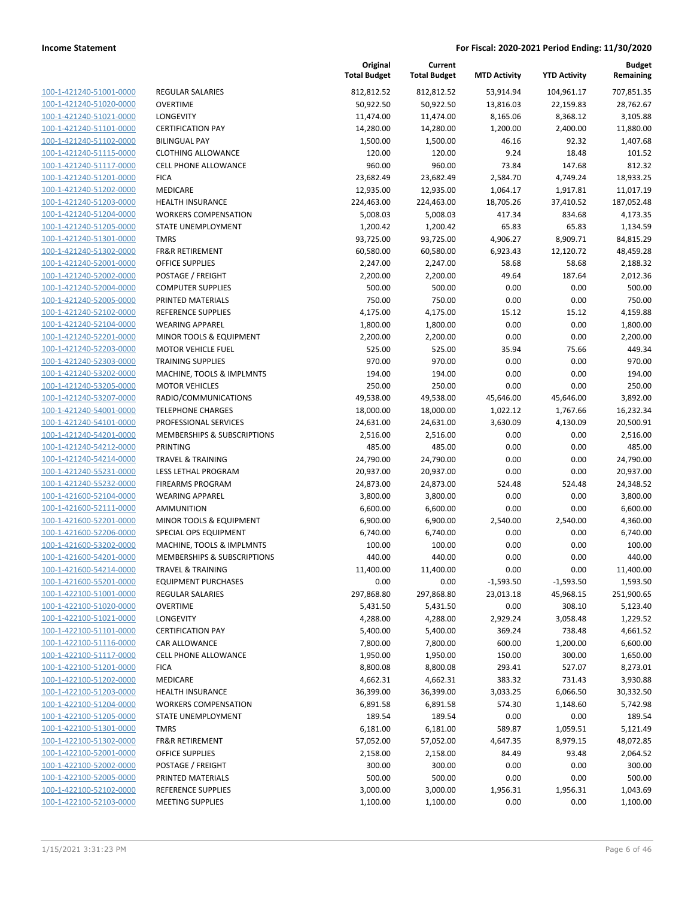| 100-1-421240-51001-0000                                   |
|-----------------------------------------------------------|
| 100-1-421240-51020-0000                                   |
| 100-1-421240-51021-0000                                   |
| 100-1-421240-51101-0000                                   |
| 100-1-421240-51102-0000                                   |
| 100-1-421240-51115-0000                                   |
| 100-1-421240-51117-0000                                   |
| 100-1-421240-51201-0000                                   |
| 100-1-421240-51202-0000                                   |
| 100-1-421240-51203-0000                                   |
| 100-1-421240-51204-0000                                   |
| 100-1-421240-51205-0000                                   |
| 100-1-421240-51301-0000                                   |
| 100-1-421240-51302-0000                                   |
| 100-1-421240-52001-0000                                   |
| 100-1-421240-52002-0000                                   |
| 100-1-421240-52004-0000                                   |
| 100-1-421240-52005-0000                                   |
| 100-1-421240-52102-0000                                   |
| 100-1-421240-52104-0000                                   |
| 100-1-421240-52201-0000                                   |
| 100-1-421240-52203-0000                                   |
|                                                           |
| 100-1-421240-52303-0000                                   |
| 100-1-421240-53202-0000                                   |
| 100-1-421240-53205-0000                                   |
| 100-1-421240-53207-0000                                   |
| 100-1-421240-54001-0000                                   |
| 100-1-421240-54101-0000                                   |
| 100-1-421240-54201-0000                                   |
| 100-1-421240-54212-0000                                   |
| 100-1-421240-54214-0000                                   |
| 100-1-421240-55231-0000                                   |
| 100-1-421240-55232-0000                                   |
| 100-1-421600-52104-0000                                   |
| 100-1-421600-52111-0000                                   |
| <u>100-1-421600-52201-0000</u>                            |
| <u>100-1-421600-52206-0000</u>                            |
| 100-1-421600-53202-0000                                   |
| 100-1-421600-54201-0000                                   |
| 100-1-421600-54214-0000                                   |
| 100-1-421600-55201-0000                                   |
| <u>100-1-422100-51001-0000</u>                            |
| 100-1-422100-51020-0000                                   |
| 100-1-422100-51021-0000                                   |
| 100-1-422100-51101-0000                                   |
| <u>100-1-422100-51116-0000</u>                            |
| <u>100-1-422100-51117-0000</u>                            |
| 100-1-422100-51201-0000                                   |
| 100-1-422100-51202-0000                                   |
| <u>100-1-422100-51203-0000</u>                            |
|                                                           |
| <u>100-1-422100-51204-0000</u><br>100-1-422100-51205-0000 |
|                                                           |
| 100-1-422100-51301-0000                                   |
| 100-1-422100-51302-0000                                   |
| 100-1-422100-52001-0000                                   |
| <u>100-1-422100-52002-0000</u>                            |
| <u>100-1-422100-52005-0000</u>                            |
| <u>100-1-422100-52102-0000</u>                            |
| 100-1-422100-52103-0000                                   |

|                         |                                        | Original<br><b>Total Budget</b> | Current<br><b>Total Budget</b> | <b>MTD Activity</b> | <b>YTD Activity</b> | <b>Budget</b><br>Remaining |
|-------------------------|----------------------------------------|---------------------------------|--------------------------------|---------------------|---------------------|----------------------------|
| 100-1-421240-51001-0000 | <b>REGULAR SALARIES</b>                | 812,812.52                      | 812,812.52                     | 53,914.94           | 104,961.17          | 707,851.35                 |
| 100-1-421240-51020-0000 | <b>OVERTIME</b>                        | 50,922.50                       | 50,922.50                      | 13,816.03           | 22,159.83           | 28,762.67                  |
| 100-1-421240-51021-0000 | <b>LONGEVITY</b>                       | 11,474.00                       | 11,474.00                      | 8,165.06            | 8,368.12            | 3,105.88                   |
| 100-1-421240-51101-0000 | <b>CERTIFICATION PAY</b>               | 14,280.00                       | 14,280.00                      | 1,200.00            | 2,400.00            | 11,880.00                  |
| 100-1-421240-51102-0000 | <b>BILINGUAL PAY</b>                   | 1,500.00                        | 1,500.00                       | 46.16               | 92.32               | 1,407.68                   |
| 100-1-421240-51115-0000 | <b>CLOTHING ALLOWANCE</b>              | 120.00                          | 120.00                         | 9.24                | 18.48               | 101.52                     |
| 100-1-421240-51117-0000 | <b>CELL PHONE ALLOWANCE</b>            | 960.00                          | 960.00                         | 73.84               | 147.68              | 812.32                     |
| 100-1-421240-51201-0000 | <b>FICA</b>                            | 23,682.49                       | 23,682.49                      | 2,584.70            | 4,749.24            | 18,933.25                  |
| 100-1-421240-51202-0000 | <b>MEDICARE</b>                        | 12,935.00                       | 12,935.00                      | 1,064.17            | 1,917.81            | 11,017.19                  |
| 100-1-421240-51203-0000 | <b>HEALTH INSURANCE</b>                | 224,463.00                      | 224,463.00                     | 18,705.26           | 37,410.52           | 187,052.48                 |
| 100-1-421240-51204-0000 | <b>WORKERS COMPENSATION</b>            | 5,008.03                        | 5,008.03                       | 417.34              | 834.68              | 4,173.35                   |
| 100-1-421240-51205-0000 | STATE UNEMPLOYMENT                     | 1,200.42                        | 1,200.42                       | 65.83               | 65.83               | 1,134.59                   |
| 100-1-421240-51301-0000 | <b>TMRS</b>                            | 93,725.00                       | 93,725.00                      | 4,906.27            | 8,909.71            | 84,815.29                  |
| 100-1-421240-51302-0000 | <b>FR&amp;R RETIREMENT</b>             | 60,580.00                       | 60,580.00                      | 6,923.43            | 12,120.72           | 48,459.28                  |
| 100-1-421240-52001-0000 | <b>OFFICE SUPPLIES</b>                 | 2,247.00                        | 2,247.00                       | 58.68               | 58.68               | 2,188.32                   |
| 100-1-421240-52002-0000 | POSTAGE / FREIGHT                      | 2,200.00                        | 2,200.00                       | 49.64               | 187.64              | 2,012.36                   |
| 100-1-421240-52004-0000 | <b>COMPUTER SUPPLIES</b>               | 500.00                          | 500.00                         | 0.00                | 0.00                | 500.00                     |
| 100-1-421240-52005-0000 | PRINTED MATERIALS                      | 750.00                          | 750.00                         | 0.00                | 0.00                | 750.00                     |
| 100-1-421240-52102-0000 | <b>REFERENCE SUPPLIES</b>              | 4,175.00                        | 4,175.00                       | 15.12               | 15.12               | 4,159.88                   |
| 100-1-421240-52104-0000 | <b>WEARING APPAREL</b>                 | 1,800.00                        | 1,800.00                       | 0.00                | 0.00                | 1,800.00                   |
| 100-1-421240-52201-0000 | MINOR TOOLS & EQUIPMENT                | 2,200.00                        | 2,200.00                       | 0.00                | 0.00                | 2,200.00                   |
| 100-1-421240-52203-0000 | <b>MOTOR VEHICLE FUEL</b>              | 525.00                          | 525.00                         | 35.94               | 75.66               | 449.34                     |
| 100-1-421240-52303-0000 | <b>TRAINING SUPPLIES</b>               | 970.00                          | 970.00                         | 0.00                | 0.00                | 970.00                     |
| 100-1-421240-53202-0000 | MACHINE, TOOLS & IMPLMNTS              | 194.00                          | 194.00                         | 0.00                | 0.00                | 194.00                     |
| 100-1-421240-53205-0000 | <b>MOTOR VEHICLES</b>                  | 250.00                          | 250.00                         | 0.00                | 0.00                | 250.00                     |
| 100-1-421240-53207-0000 | RADIO/COMMUNICATIONS                   | 49,538.00                       | 49,538.00                      | 45,646.00           | 45,646.00           | 3,892.00                   |
| 100-1-421240-54001-0000 | <b>TELEPHONE CHARGES</b>               | 18,000.00                       | 18,000.00                      | 1,022.12            | 1,767.66            | 16,232.34                  |
| 100-1-421240-54101-0000 | PROFESSIONAL SERVICES                  | 24,631.00                       | 24,631.00                      | 3,630.09            | 4,130.09            | 20,500.91                  |
| 100-1-421240-54201-0000 | MEMBERSHIPS & SUBSCRIPTIONS            | 2,516.00                        | 2,516.00                       | 0.00                | 0.00                | 2,516.00                   |
| 100-1-421240-54212-0000 | PRINTING                               | 485.00                          | 485.00                         | 0.00                | 0.00                | 485.00                     |
| 100-1-421240-54214-0000 | <b>TRAVEL &amp; TRAINING</b>           | 24,790.00                       | 24,790.00                      | 0.00                | 0.00                | 24,790.00                  |
| 100-1-421240-55231-0000 | LESS LETHAL PROGRAM                    | 20,937.00                       | 20,937.00                      | 0.00                | 0.00                | 20,937.00                  |
| 100-1-421240-55232-0000 | <b>FIREARMS PROGRAM</b>                | 24,873.00                       | 24,873.00                      | 524.48              | 524.48              | 24,348.52                  |
| 100-1-421600-52104-0000 | <b>WEARING APPAREL</b>                 | 3,800.00                        | 3,800.00                       | 0.00                | 0.00                | 3,800.00                   |
| 100-1-421600-52111-0000 | AMMUNITION                             | 6,600.00                        | 6,600.00                       | 0.00                | 0.00                | 6,600.00                   |
| 100-1-421600-52201-0000 | MINOR TOOLS & EQUIPMENT                | 6,900.00                        | 6,900.00                       | 2,540.00            | 2,540.00            | 4,360.00                   |
| 100-1-421600-52206-0000 | SPECIAL OPS EQUIPMENT                  | 6,740.00                        | 6,740.00                       | 0.00                | 0.00                | 6,740.00                   |
| 100-1-421600-53202-0000 | MACHINE, TOOLS & IMPLMNTS              | 100.00                          | 100.00                         | 0.00                | 0.00                | 100.00                     |
| 100-1-421600-54201-0000 | <b>MEMBERSHIPS &amp; SUBSCRIPTIONS</b> | 440.00                          | 440.00                         | 0.00                | 0.00                | 440.00                     |
| 100-1-421600-54214-0000 | TRAVEL & TRAINING                      | 11,400.00                       | 11,400.00                      | 0.00                | 0.00                | 11,400.00                  |
| 100-1-421600-55201-0000 | <b>EQUIPMENT PURCHASES</b>             | 0.00                            | 0.00                           | $-1,593.50$         | $-1,593.50$         | 1,593.50                   |
| 100-1-422100-51001-0000 | <b>REGULAR SALARIES</b>                | 297,868.80                      | 297,868.80                     | 23,013.18           | 45,968.15           | 251,900.65                 |
| 100-1-422100-51020-0000 | <b>OVERTIME</b>                        | 5,431.50                        | 5,431.50                       | 0.00                | 308.10              | 5,123.40                   |
| 100-1-422100-51021-0000 | LONGEVITY                              | 4,288.00                        | 4,288.00                       | 2,929.24            | 3,058.48            | 1,229.52                   |
| 100-1-422100-51101-0000 | <b>CERTIFICATION PAY</b>               | 5,400.00                        | 5,400.00                       | 369.24              | 738.48              | 4,661.52                   |
| 100-1-422100-51116-0000 | CAR ALLOWANCE                          | 7,800.00                        | 7,800.00                       | 600.00              | 1,200.00            | 6,600.00                   |
| 100-1-422100-51117-0000 | <b>CELL PHONE ALLOWANCE</b>            | 1,950.00                        | 1,950.00                       | 150.00              | 300.00              | 1,650.00                   |
| 100-1-422100-51201-0000 | <b>FICA</b>                            | 8,800.08                        | 8,800.08                       | 293.41              | 527.07              | 8,273.01                   |
| 100-1-422100-51202-0000 | MEDICARE                               | 4,662.31                        | 4,662.31                       | 383.32              | 731.43              | 3,930.88                   |
| 100-1-422100-51203-0000 | <b>HEALTH INSURANCE</b>                | 36,399.00                       | 36,399.00                      | 3,033.25            | 6,066.50            | 30,332.50                  |
| 100-1-422100-51204-0000 | <b>WORKERS COMPENSATION</b>            | 6,891.58                        | 6,891.58                       | 574.30              | 1,148.60            | 5,742.98                   |
| 100-1-422100-51205-0000 | STATE UNEMPLOYMENT                     | 189.54                          | 189.54                         | 0.00                | 0.00                | 189.54                     |
| 100-1-422100-51301-0000 | <b>TMRS</b>                            | 6,181.00                        | 6,181.00                       | 589.87              | 1,059.51            | 5,121.49                   |
| 100-1-422100-51302-0000 | FR&R RETIREMENT                        | 57,052.00                       | 57,052.00                      | 4,647.35            | 8,979.15            | 48,072.85                  |
| 100-1-422100-52001-0000 | <b>OFFICE SUPPLIES</b>                 | 2,158.00                        | 2,158.00                       | 84.49               | 93.48               | 2,064.52                   |
| 100-1-422100-52002-0000 | POSTAGE / FREIGHT                      | 300.00                          | 300.00                         | 0.00                | 0.00                | 300.00                     |
| 100-1-422100-52005-0000 | PRINTED MATERIALS                      | 500.00                          | 500.00                         | 0.00                | 0.00                | 500.00                     |
| 100-1-422100-52102-0000 | REFERENCE SUPPLIES                     | 3,000.00                        | 3,000.00                       | 1,956.31            | 1,956.31            | 1,043.69                   |
| 100-1-422100-52103-0000 | <b>MEETING SUPPLIES</b>                | 1,100.00                        | 1,100.00                       | 0.00                | 0.00                | 1,100.00                   |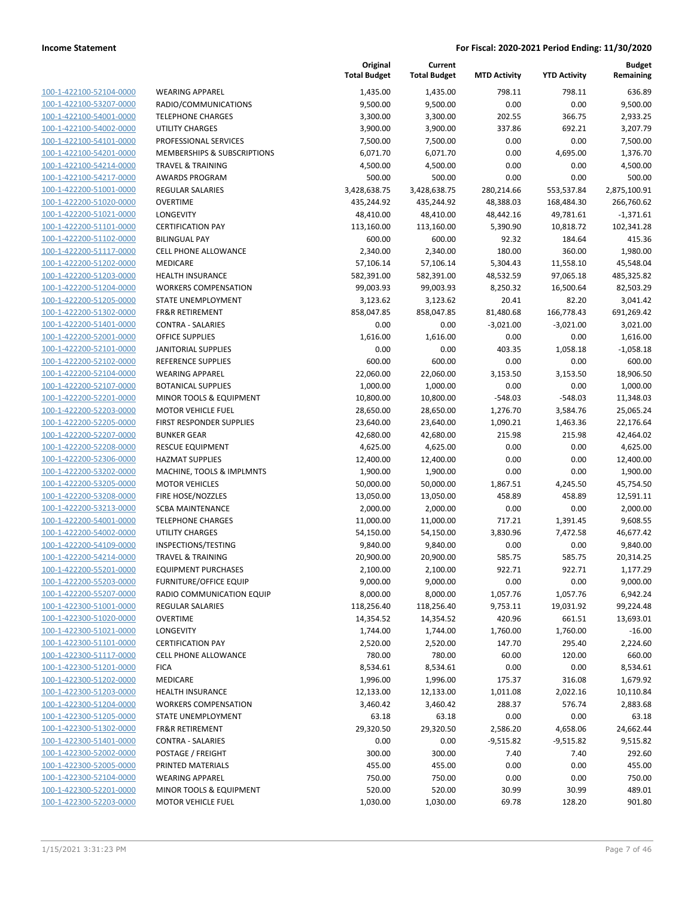| 100-1-422100-52104-0000                            | <b>WEARING APPAREL</b>         |
|----------------------------------------------------|--------------------------------|
| 100-1-422100-53207-0000                            | RADIO/COMMUNICATI              |
| 100-1-422100-54001-0000                            | <b>TELEPHONE CHARGES</b>       |
| 100-1-422100-54002-0000                            | UTILITY CHARGES                |
| 100-1-422100-54101-0000                            | <b>PROFESSIONAL SERVIC</b>     |
| 100-1-422100-54201-0000                            | <b>MEMBERSHIPS &amp; SUBS</b>  |
| 100-1-422100-54214-0000                            | <b>TRAVEL &amp; TRAINING</b>   |
|                                                    | <b>AWARDS PROGRAM</b>          |
| 100-1-422100-54217-0000                            |                                |
| 100-1-422200-51001-0000                            | <b>REGULAR SALARIES</b>        |
| 100-1-422200-51020-0000                            | OVERTIME                       |
| 100-1-422200-51021-0000                            | <b>LONGEVITY</b>               |
| 100-1-422200-51101-0000                            | <b>CERTIFICATION PAY</b>       |
| 100-1-422200-51102-0000                            | <b>BILINGUAL PAY</b>           |
| 100-1-422200-51117-0000                            | CELL PHONE ALLOWAN             |
| 100-1-422200-51202-0000                            | <b>MEDICARE</b>                |
| 100-1-422200-51203-0000                            | <b>HEALTH INSURANCE</b>        |
| 100-1-422200-51204-0000                            | <b>WORKERS COMPENSA</b>        |
| 100-1-422200-51205-0000                            | <b>STATE UNEMPLOYMEN</b>       |
| 100-1-422200-51302-0000                            | <b>FR&amp;R RETIREMENT</b>     |
| 100-1-422200-51401-0000                            | CONTRA - SALARIES              |
| 100-1-422200-52001-0000                            | <b>OFFICE SUPPLIES</b>         |
| 100-1-422200-52101-0000                            | <b>JANITORIAL SUPPLIES</b>     |
| 100-1-422200-52102-0000                            | REFERENCE SUPPLIES             |
| 100-1-422200-52104-0000                            | <b>WEARING APPAREL</b>         |
| 100-1-422200-52107-0000                            | <b>BOTANICAL SUPPLIES</b>      |
| 100-1-422200-52201-0000                            | <b>MINOR TOOLS &amp; EQUII</b> |
| 100-1-422200-52203-0000                            | <b>MOTOR VEHICLE FUEL</b>      |
| 100-1-422200-52205-0000                            | <b>FIRST RESPONDER SUP</b>     |
| 100-1-422200-52207-0000                            | <b>BUNKER GEAR</b>             |
| 100-1-422200-52208-0000                            | <b>RESCUE EQUIPMENT</b>        |
| 100-1-422200-52306-0000                            | <b>HAZMAT SUPPLIES</b>         |
| 100-1-422200-53202-0000                            | MACHINE, TOOLS & IM            |
| 100-1-422200-53205-0000                            | <b>MOTOR VEHICLES</b>          |
| 100-1-422200-53208-0000                            | FIRE HOSE/NOZZLES              |
| 100-1-422200-53213-0000                            | SCBA MAINTENANCE               |
| 100-1-422200-54001-0000                            | <b>TELEPHONE CHARGES</b>       |
| 100-1-422200-54002-0000                            | <b>UTILITY CHARGES</b>         |
| 100-1-422200-54109-0000                            | INSPECTIONS/TESTING            |
| 100-1-422200-54214-0000                            | <b>TRAVEL &amp; TRAINING</b>   |
| 100-1-422200-55201-0000                            | <b>EQUIPMENT PURCHAS</b>       |
| 100-1-422200-55203-0000                            | <b>FURNITURE/OFFICE EQ</b>     |
| 100-1-422200-55207-0000                            | RADIO COMMUNICATI              |
| 100-1-422300-51001-0000                            | <b>REGULAR SALARIES</b>        |
| 100-1-422300-51020-0000                            | <b>OVERTIME</b>                |
| 100-1-422300-51021-0000                            | <b>LONGEVITY</b>               |
| 100-1-422300-51101-0000                            | <b>CERTIFICATION PAY</b>       |
| 100-1-422300-51117-0000                            | CELL PHONE ALLOWAN             |
| 100-1-422300-51201-0000                            | <b>FICA</b>                    |
| 100-1-422300-51202-0000                            | <b>MEDICARE</b>                |
| 100-1-422300-51203-0000                            | <b>HEALTH INSURANCE</b>        |
| 100-1-422300-51204-0000                            | <b>WORKERS COMPENSAT</b>       |
| 100-1-422300-51205-0000                            | STATE UNEMPLOYMEN              |
| 100-1-422300-51302-0000                            | <b>FR&amp;R RETIREMENT</b>     |
|                                                    | <b>CONTRA - SALARIES</b>       |
| 100-1-422300-51401-0000<br>100-1-422300-52002-0000 | POSTAGE / FREIGHT              |
| 100-1-422300-52005-0000                            | PRINTED MATERIALS              |
|                                                    | <b>WEARING APPAREL</b>         |
| 100-1-422300-52104-0000                            |                                |
| 100-1-422300-52201-0000                            | <b>MINOR TOOLS &amp; EQUII</b> |
| 100-1-422300-52203-0000                            | <b>MOTOR VEHICLE FUEL</b>      |

| VEARING APPAREL                                    |
|----------------------------------------------------|
| ADIO/COMMUNICATIONS                                |
| <b>ELEPHONE CHARGES</b>                            |
| <b>JTILITY CHARGES</b>                             |
| ROFESSIONAL SERVICES                               |
| <i><b>AEMBERSHIPS &amp; SUBSCRIPTIONS</b></i>      |
| <b>RAVEL &amp; TRAINING</b>                        |
| WARDS PROGRAM                                      |
| EGULAR SALARIES:                                   |
| <b>OVERTIME</b>                                    |
| ONGEVITY                                           |
| <b>ERTIFICATION PAY</b>                            |
| IILINGUAL PAY                                      |
| <b>ELL PHONE ALLOWANCE</b>                         |
| <i><b>AEDICARE</b></i>                             |
| IEALTH INSURANCE                                   |
| <b>VORKERS COMPENSATION</b>                        |
| TATE UNEMPLOYMENT                                  |
| <b>R&amp;R RETIREMENT</b>                          |
| <b>CONTRA - SALARIES</b>                           |
| <b>PERCE SUPPLIES</b>                              |
| ANITORIAL SUPPLIES                                 |
| <b>EFERENCE SUPPLIES</b>                           |
| VEARING APPAREL                                    |
| OTANICAL SUPPLIES                                  |
| <i>I</i> INOR TOOLS & EQUIPMENT                    |
| <b><i>AOTOR VEHICLE FUEL</i></b>                   |
| <b>IRST RESPONDER SUPPLIES</b>                     |
| <b>UNKER GEAR</b>                                  |
| ESCUE EQUIPMENT                                    |
| <b>IAZMAT SUPPLIES</b>                             |
| AACHINE, TOOLS & IMPLMNTS                          |
| <i><b>IOTOR VEHICLES</b></i>                       |
| IRE HOSE/NOZZLES                                   |
| CBA MAINTENANCE                                    |
| <b>ELEPHONE CHARGES</b>                            |
| <b>JTILITY CHARGES</b>                             |
| NSPECTIONS/TESTING                                 |
| <b>RAVEL &amp; TRAINING</b>                        |
| <b>QUIPMENT PURCHASES</b>                          |
| URNITURE/OFFICE EQUIP                              |
| ADIO COMMUNICATION EQUIP<br><b>EGULAR SALARIES</b> |
| <b>OVERTIME</b>                                    |
| <b>ONGEVITY</b>                                    |
| <b>ERTIFICATION PAY</b>                            |
| <b>ELL PHONE ALLOWANCE</b>                         |
| ICA                                                |
| <b>AEDICARE</b>                                    |
| IEALTH INSURANCE                                   |
| VORKERS COMPENSATION                               |
| <b>TATE UNEMPLOYMENT</b>                           |
| <b>R&amp;R RETIREMENT</b>                          |
| <b>CONTRA - SALARIES</b>                           |
| 'OSTAGE / FREIGHT                                  |
| RINTED MATERIALS                                   |
| VEARING APPAREL                                    |
| AINOR TOOLS & EQUIPMENT                            |
|                                                    |

|                         |                               | Original<br><b>Total Budget</b> | Current<br><b>Total Budget</b> | <b>MTD Activity</b> | <b>YTD Activity</b> | <b>Budget</b><br>Remaining |
|-------------------------|-------------------------------|---------------------------------|--------------------------------|---------------------|---------------------|----------------------------|
| 100-1-422100-52104-0000 | <b>WEARING APPAREL</b>        | 1,435.00                        | 1,435.00                       | 798.11              | 798.11              | 636.89                     |
| 100-1-422100-53207-0000 | RADIO/COMMUNICATIONS          | 9,500.00                        | 9,500.00                       | 0.00                | 0.00                | 9,500.00                   |
| 100-1-422100-54001-0000 | <b>TELEPHONE CHARGES</b>      | 3,300.00                        | 3,300.00                       | 202.55              | 366.75              | 2,933.25                   |
| 100-1-422100-54002-0000 | <b>UTILITY CHARGES</b>        | 3,900.00                        | 3,900.00                       | 337.86              | 692.21              | 3,207.79                   |
| 100-1-422100-54101-0000 | PROFESSIONAL SERVICES         | 7,500.00                        | 7,500.00                       | 0.00                | 0.00                | 7,500.00                   |
| 100-1-422100-54201-0000 | MEMBERSHIPS & SUBSCRIPTIONS   | 6,071.70                        | 6,071.70                       | 0.00                | 4,695.00            | 1,376.70                   |
| 100-1-422100-54214-0000 | <b>TRAVEL &amp; TRAINING</b>  | 4,500.00                        | 4,500.00                       | 0.00                | 0.00                | 4,500.00                   |
| 100-1-422100-54217-0000 | <b>AWARDS PROGRAM</b>         | 500.00                          | 500.00                         | 0.00                | 0.00                | 500.00                     |
| 100-1-422200-51001-0000 | <b>REGULAR SALARIES</b>       | 3,428,638.75                    | 3,428,638.75                   | 280,214.66          | 553,537.84          | 2,875,100.91               |
| 100-1-422200-51020-0000 | <b>OVERTIME</b>               | 435,244.92                      | 435,244.92                     | 48,388.03           | 168,484.30          | 266,760.62                 |
| 100-1-422200-51021-0000 | LONGEVITY                     | 48,410.00                       | 48,410.00                      | 48,442.16           | 49,781.61           | $-1,371.61$                |
| 100-1-422200-51101-0000 | <b>CERTIFICATION PAY</b>      | 113,160.00                      | 113,160.00                     | 5,390.90            | 10,818.72           | 102,341.28                 |
| 100-1-422200-51102-0000 | <b>BILINGUAL PAY</b>          | 600.00                          | 600.00                         | 92.32               | 184.64              | 415.36                     |
| 100-1-422200-51117-0000 | <b>CELL PHONE ALLOWANCE</b>   | 2,340.00                        | 2,340.00                       | 180.00              | 360.00              | 1,980.00                   |
| 100-1-422200-51202-0000 | MEDICARE                      | 57,106.14                       | 57,106.14                      | 5,304.43            | 11,558.10           | 45,548.04                  |
| 100-1-422200-51203-0000 | HEALTH INSURANCE              | 582,391.00                      | 582,391.00                     | 48,532.59           | 97,065.18           | 485,325.82                 |
| 100-1-422200-51204-0000 | <b>WORKERS COMPENSATION</b>   | 99,003.93                       | 99,003.93                      | 8,250.32            | 16,500.64           | 82,503.29                  |
| 100-1-422200-51205-0000 | STATE UNEMPLOYMENT            | 3,123.62                        | 3,123.62                       | 20.41               | 82.20               | 3,041.42                   |
| 100-1-422200-51302-0000 | <b>FR&amp;R RETIREMENT</b>    | 858,047.85                      | 858,047.85                     | 81,480.68           | 166,778.43          | 691,269.42                 |
| 100-1-422200-51401-0000 | <b>CONTRA - SALARIES</b>      | 0.00                            | 0.00                           | $-3,021.00$         | $-3,021.00$         | 3,021.00                   |
| 100-1-422200-52001-0000 | <b>OFFICE SUPPLIES</b>        | 1,616.00                        | 1,616.00                       | 0.00                | 0.00                | 1,616.00                   |
| 100-1-422200-52101-0000 | <b>JANITORIAL SUPPLIES</b>    | 0.00                            | 0.00                           | 403.35              | 1,058.18            | $-1,058.18$                |
| 100-1-422200-52102-0000 | <b>REFERENCE SUPPLIES</b>     | 600.00                          | 600.00                         | 0.00                | 0.00                | 600.00                     |
| 100-1-422200-52104-0000 | <b>WEARING APPAREL</b>        | 22,060.00                       | 22,060.00                      | 3,153.50            | 3,153.50            | 18,906.50                  |
| 100-1-422200-52107-0000 | <b>BOTANICAL SUPPLIES</b>     | 1,000.00                        | 1,000.00                       | 0.00                | 0.00                | 1,000.00                   |
| 100-1-422200-52201-0000 | MINOR TOOLS & EQUIPMENT       | 10,800.00                       | 10,800.00                      | $-548.03$           | $-548.03$           | 11,348.03                  |
| 100-1-422200-52203-0000 | <b>MOTOR VEHICLE FUEL</b>     | 28,650.00                       | 28,650.00                      | 1,276.70            | 3,584.76            | 25,065.24                  |
| 100-1-422200-52205-0000 | FIRST RESPONDER SUPPLIES      | 23,640.00                       | 23,640.00                      | 1,090.21            | 1,463.36            | 22,176.64                  |
| 100-1-422200-52207-0000 | <b>BUNKER GEAR</b>            | 42,680.00                       | 42,680.00                      | 215.98              | 215.98              | 42,464.02                  |
| 100-1-422200-52208-0000 | <b>RESCUE EQUIPMENT</b>       | 4,625.00                        | 4,625.00                       | 0.00                | 0.00                | 4,625.00                   |
| 100-1-422200-52306-0000 | <b>HAZMAT SUPPLIES</b>        | 12,400.00                       | 12,400.00                      | 0.00                | 0.00                | 12,400.00                  |
| 100-1-422200-53202-0000 | MACHINE, TOOLS & IMPLMNTS     | 1,900.00                        | 1,900.00                       | 0.00                | 0.00                | 1,900.00                   |
| 100-1-422200-53205-0000 | <b>MOTOR VEHICLES</b>         | 50,000.00                       | 50,000.00                      | 1,867.51            | 4,245.50            | 45,754.50                  |
| 100-1-422200-53208-0000 | FIRE HOSE/NOZZLES             | 13,050.00                       | 13,050.00                      | 458.89              | 458.89              | 12,591.11                  |
| 100-1-422200-53213-0000 | <b>SCBA MAINTENANCE</b>       | 2,000.00                        | 2,000.00                       | 0.00                | 0.00                | 2,000.00                   |
| 100-1-422200-54001-0000 | <b>TELEPHONE CHARGES</b>      | 11,000.00                       | 11,000.00                      | 717.21              | 1,391.45            | 9,608.55                   |
| 100-1-422200-54002-0000 | UTILITY CHARGES               | 54,150.00                       | 54,150.00                      | 3,830.96            | 7,472.58            | 46,677.42                  |
| 100-1-422200-54109-0000 | INSPECTIONS/TESTING           | 9,840.00                        | 9,840.00                       | 0.00                | 0.00                | 9,840.00                   |
| 100-1-422200-54214-0000 | <b>TRAVEL &amp; TRAINING</b>  | 20,900.00                       | 20,900.00                      | 585.75              | 585.75              | 20,314.25                  |
| 100-1-422200-55201-0000 | <b>EQUIPMENT PURCHASES</b>    | 2,100.00                        | 2,100.00                       | 922.71              | 922.71              | 1,177.29                   |
| 100-1-422200-55203-0000 | <b>FURNITURE/OFFICE EQUIP</b> | 9,000.00                        | 9,000.00                       | 0.00                | 0.00                | 9,000.00                   |
| 100-1-422200-55207-0000 | RADIO COMMUNICATION EQUIP     | 8,000.00                        | 8,000.00                       | 1,057.76            | 1,057.76            | 6,942.24                   |
| 100-1-422300-51001-0000 | REGULAR SALARIES              | 118,256.40                      | 118,256.40                     | 9,753.11            | 19,031.92           | 99,224.48                  |
| 100-1-422300-51020-0000 | <b>OVERTIME</b>               | 14,354.52                       | 14,354.52                      | 420.96              | 661.51              | 13,693.01                  |
| 100-1-422300-51021-0000 | LONGEVITY                     | 1,744.00                        | 1,744.00                       | 1,760.00            | 1,760.00            | $-16.00$                   |
| 100-1-422300-51101-0000 | <b>CERTIFICATION PAY</b>      | 2,520.00                        | 2,520.00                       | 147.70              | 295.40              | 2,224.60                   |
| 100-1-422300-51117-0000 | CELL PHONE ALLOWANCE          | 780.00                          | 780.00                         | 60.00               | 120.00              | 660.00                     |
| 100-1-422300-51201-0000 | <b>FICA</b>                   | 8,534.61                        | 8,534.61                       | 0.00                | 0.00                | 8,534.61                   |
| 100-1-422300-51202-0000 | MEDICARE                      | 1,996.00                        | 1,996.00                       | 175.37              | 316.08              | 1,679.92                   |
| 100-1-422300-51203-0000 | <b>HEALTH INSURANCE</b>       | 12,133.00                       | 12,133.00                      | 1,011.08            | 2,022.16            | 10,110.84                  |
| 100-1-422300-51204-0000 | <b>WORKERS COMPENSATION</b>   | 3,460.42                        | 3,460.42                       | 288.37              | 576.74              | 2,883.68                   |
| 100-1-422300-51205-0000 | STATE UNEMPLOYMENT            | 63.18                           | 63.18                          | 0.00                | 0.00                | 63.18                      |
| 100-1-422300-51302-0000 | <b>FR&amp;R RETIREMENT</b>    | 29,320.50                       | 29,320.50                      | 2,586.20            | 4,658.06            | 24,662.44                  |
| 100-1-422300-51401-0000 | <b>CONTRA - SALARIES</b>      | 0.00                            | 0.00                           | $-9,515.82$         | $-9,515.82$         | 9,515.82                   |
| 100-1-422300-52002-0000 | POSTAGE / FREIGHT             | 300.00                          | 300.00                         | 7.40                | 7.40                | 292.60                     |
| 100-1-422300-52005-0000 | PRINTED MATERIALS             | 455.00                          | 455.00                         | 0.00                | 0.00                | 455.00                     |
| 100-1-422300-52104-0000 | <b>WEARING APPAREL</b>        | 750.00                          | 750.00                         | 0.00                | 0.00                | 750.00                     |
| 100-1-422300-52201-0000 | MINOR TOOLS & EQUIPMENT       | 520.00                          | 520.00                         | 30.99               | 30.99               | 489.01                     |
| 100-1-422300-52203-0000 | <b>MOTOR VEHICLE FUEL</b>     | 1,030.00                        | 1,030.00                       | 69.78               | 128.20              | 901.80                     |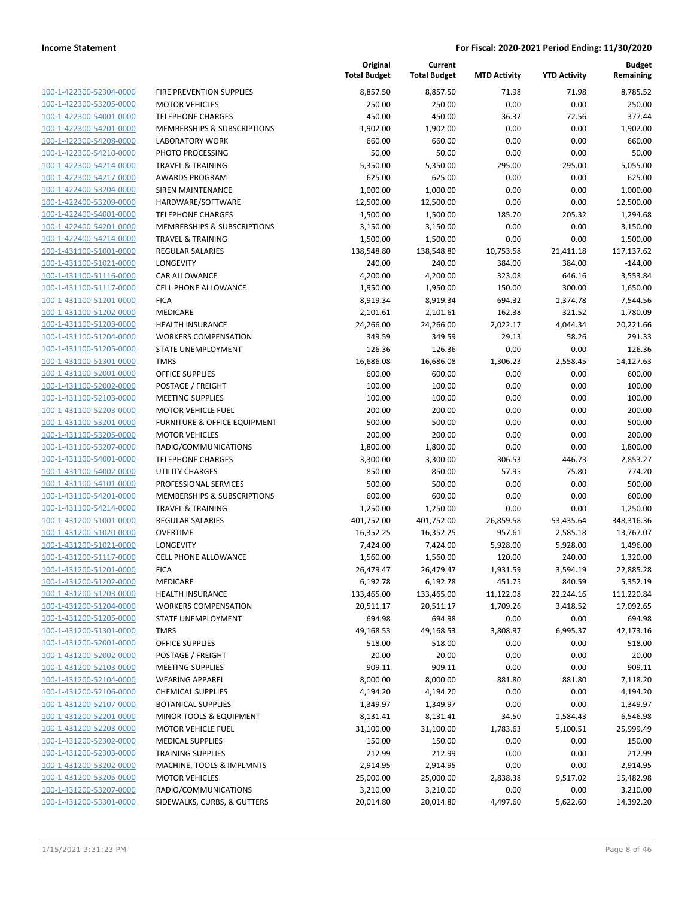| 100-1-422300-52304-0000        |
|--------------------------------|
| 100-1-422300-53205-0000        |
| 100-1-422300-54001-0000        |
| <u>100-1-422300-54201-0000</u> |
| 100-1-422300-54208-0000        |
| 100-1-422300-54210-0000        |
| 100-1-422300-54214-0000        |
| 100-1-422300-54217-0000        |
| 100-1-422400-53204-0000        |
| 100-1-422400-53209-0000        |
| 100-1-422400-54001-0000        |
| 100-1-422400-54201-0000        |
| 100-1-422400-54214-0000        |
| <u>100-1-431100-51001-0000</u> |
| 100-1-431100-51021-0000        |
| 100-1-431100-51116-0000        |
| 100-1-431100-51117-0000        |
| 100-1-431100-51201-0000        |
| 100-1-431100-51202-0000        |
| 100-1-431100-51203-0000        |
| 100-1-431100-51204-0000        |
| 100-1-431100-51205-0000        |
| 100-1-431100-51301-0000        |
| 100-1-431100-52001-0000        |
| 100-1-431100-52002-0000        |
| 100-1-431100-52103-0000        |
| 100-1-431100-52203-0000        |
| 100-1-431100-53201-0000        |
| 100-1-431100-53205-0000        |
| 100-1-431100-53207-0000        |
| 100-1-431100-54001-0000        |
| 100-1-431100-54002-0000        |
| 100-1-431100-54101-0000        |
| 100-1-431100-54201-0000        |
| 100-1-431100-54214-0000        |
| 100-1-431200-51001-0000        |
| 100-1-431200-51020-0000        |
| 100-1-431200-51021-0000        |
| 100-1-431200-51117-0000        |
| 100-1-431200-51201-0000        |
| 100-1-431200-51202-0000        |
| <u>100-1-431200-51203-0000</u> |
| <u>100-1-431200-51204-0000</u> |
| <u>100-1-431200-51205-0000</u> |
| 100-1-431200-51301-0000        |
| <u>100-1-431200-52001-0000</u> |
| 100-1-431200-52002-0000        |
| <u>100-1-431200-52103-0000</u> |
| <u>100-1-431200-52104-0000</u> |
| 100-1-431200-52106-0000        |
| <u>100-1-431200-52107-0000</u> |
| 100-1-431200-52201-0000        |
| 100-1-431200-52203-0000        |
| 100-1-431200-52302-0000        |
| <u>100-1-431200-52303-0000</u> |
| <u>100-1-431200-53202-0000</u> |
| 100-1-431200-53205-0000        |
| <u>100-1-431200-53207-0000</u> |
| <u>100-1-431200-53301-0000</u> |
|                                |

|                                                    |                                                   | Original<br><b>Total Budget</b> | Current<br><b>Total Budget</b> | <b>MTD Activity</b> | <b>YTD Activity</b> | <b>Budget</b><br>Remaining |
|----------------------------------------------------|---------------------------------------------------|---------------------------------|--------------------------------|---------------------|---------------------|----------------------------|
| 100-1-422300-52304-0000                            | FIRE PREVENTION SUPPLIES                          | 8,857.50                        | 8,857.50                       | 71.98               | 71.98               | 8,785.52                   |
| 100-1-422300-53205-0000                            | <b>MOTOR VEHICLES</b>                             | 250.00                          | 250.00                         | 0.00                | 0.00                | 250.00                     |
| 100-1-422300-54001-0000                            | <b>TELEPHONE CHARGES</b>                          | 450.00                          | 450.00                         | 36.32               | 72.56               | 377.44                     |
| 100-1-422300-54201-0000                            | MEMBERSHIPS & SUBSCRIPTIONS                       | 1,902.00                        | 1,902.00                       | 0.00                | 0.00                | 1,902.00                   |
| 100-1-422300-54208-0000                            | <b>LABORATORY WORK</b>                            | 660.00                          | 660.00                         | 0.00                | 0.00                | 660.00                     |
| 100-1-422300-54210-0000                            | PHOTO PROCESSING                                  | 50.00                           | 50.00                          | 0.00                | 0.00                | 50.00                      |
| 100-1-422300-54214-0000                            | <b>TRAVEL &amp; TRAINING</b>                      | 5,350.00                        | 5,350.00                       | 295.00              | 295.00              | 5,055.00                   |
| 100-1-422300-54217-0000                            | <b>AWARDS PROGRAM</b>                             | 625.00                          | 625.00                         | 0.00                | 0.00                | 625.00                     |
| 100-1-422400-53204-0000                            | <b>SIREN MAINTENANCE</b>                          | 1,000.00                        | 1,000.00                       | 0.00                | 0.00                | 1,000.00                   |
| 100-1-422400-53209-0000                            | HARDWARE/SOFTWARE                                 | 12,500.00                       | 12,500.00                      | 0.00                | 0.00                | 12,500.00                  |
| 100-1-422400-54001-0000                            | <b>TELEPHONE CHARGES</b>                          | 1,500.00                        | 1,500.00                       | 185.70              | 205.32              | 1,294.68                   |
| 100-1-422400-54201-0000                            | MEMBERSHIPS & SUBSCRIPTIONS                       | 3,150.00                        | 3,150.00                       | 0.00                | 0.00                | 3,150.00                   |
| 100-1-422400-54214-0000                            | <b>TRAVEL &amp; TRAINING</b>                      | 1,500.00                        | 1,500.00                       | 0.00                | 0.00                | 1,500.00                   |
| 100-1-431100-51001-0000                            | <b>REGULAR SALARIES</b>                           | 138,548.80                      | 138,548.80                     | 10,753.58           | 21,411.18           | 117,137.62                 |
| 100-1-431100-51021-0000                            | LONGEVITY                                         | 240.00                          | 240.00                         | 384.00              | 384.00              | $-144.00$                  |
| 100-1-431100-51116-0000                            | CAR ALLOWANCE<br><b>CELL PHONE ALLOWANCE</b>      | 4,200.00                        | 4,200.00                       | 323.08              | 646.16              | 3,553.84                   |
| 100-1-431100-51117-0000<br>100-1-431100-51201-0000 | <b>FICA</b>                                       | 1,950.00<br>8,919.34            | 1,950.00<br>8,919.34           | 150.00<br>694.32    | 300.00              | 1,650.00<br>7,544.56       |
| 100-1-431100-51202-0000                            | MEDICARE                                          | 2,101.61                        | 2,101.61                       | 162.38              | 1,374.78<br>321.52  | 1,780.09                   |
| 100-1-431100-51203-0000                            | <b>HEALTH INSURANCE</b>                           | 24,266.00                       | 24,266.00                      | 2,022.17            | 4,044.34            | 20,221.66                  |
| 100-1-431100-51204-0000                            | <b>WORKERS COMPENSATION</b>                       | 349.59                          | 349.59                         | 29.13               | 58.26               | 291.33                     |
| 100-1-431100-51205-0000                            | STATE UNEMPLOYMENT                                | 126.36                          | 126.36                         | 0.00                | 0.00                | 126.36                     |
| 100-1-431100-51301-0000                            | <b>TMRS</b>                                       | 16,686.08                       | 16,686.08                      | 1,306.23            | 2,558.45            | 14,127.63                  |
| 100-1-431100-52001-0000                            | <b>OFFICE SUPPLIES</b>                            | 600.00                          | 600.00                         | 0.00                | 0.00                | 600.00                     |
| 100-1-431100-52002-0000                            | POSTAGE / FREIGHT                                 | 100.00                          | 100.00                         | 0.00                | 0.00                | 100.00                     |
| 100-1-431100-52103-0000                            | <b>MEETING SUPPLIES</b>                           | 100.00                          | 100.00                         | 0.00                | 0.00                | 100.00                     |
| 100-1-431100-52203-0000                            | <b>MOTOR VEHICLE FUEL</b>                         | 200.00                          | 200.00                         | 0.00                | 0.00                | 200.00                     |
| 100-1-431100-53201-0000                            | FURNITURE & OFFICE EQUIPMENT                      | 500.00                          | 500.00                         | 0.00                | 0.00                | 500.00                     |
| 100-1-431100-53205-0000                            | <b>MOTOR VEHICLES</b>                             | 200.00                          | 200.00                         | 0.00                | 0.00                | 200.00                     |
| 100-1-431100-53207-0000                            | RADIO/COMMUNICATIONS                              | 1,800.00                        | 1,800.00                       | 0.00                | 0.00                | 1,800.00                   |
| 100-1-431100-54001-0000                            | <b>TELEPHONE CHARGES</b>                          | 3,300.00                        | 3,300.00                       | 306.53              | 446.73              | 2,853.27                   |
| 100-1-431100-54002-0000                            | <b>UTILITY CHARGES</b>                            | 850.00                          | 850.00                         | 57.95               | 75.80               | 774.20                     |
| 100-1-431100-54101-0000                            | PROFESSIONAL SERVICES                             | 500.00                          | 500.00                         | 0.00                | 0.00                | 500.00                     |
| 100-1-431100-54201-0000                            | MEMBERSHIPS & SUBSCRIPTIONS                       | 600.00                          | 600.00                         | 0.00                | 0.00                | 600.00                     |
| 100-1-431100-54214-0000                            | <b>TRAVEL &amp; TRAINING</b>                      | 1,250.00                        | 1,250.00                       | 0.00                | 0.00                | 1,250.00                   |
| 100-1-431200-51001-0000                            | <b>REGULAR SALARIES</b>                           | 401,752.00                      | 401,752.00                     | 26,859.58           | 53,435.64           | 348,316.36                 |
| 100-1-431200-51020-0000                            | <b>OVERTIME</b>                                   | 16,352.25                       | 16,352.25                      | 957.61              | 2,585.18            | 13,767.07                  |
| 100-1-431200-51021-0000                            | LONGEVITY                                         | 7,424.00                        | 7,424.00                       | 5,928.00            | 5,928.00            | 1,496.00                   |
| 100-1-431200-51117-0000                            | CELL PHONE ALLOWANCE                              | 1,560.00                        | 1,560.00                       | 120.00              | 240.00              | 1,320.00                   |
| 100-1-431200-51201-0000                            | <b>FICA</b>                                       | 26,479.47                       | 26,479.47                      | 1,931.59            | 3,594.19            | 22,885.28                  |
| 100-1-431200-51202-0000                            | MEDICARE                                          | 6,192.78                        | 6,192.78                       | 451.75              | 840.59              | 5,352.19                   |
| 100-1-431200-51203-0000                            | <b>HEALTH INSURANCE</b>                           | 133,465.00                      | 133,465.00                     | 11,122.08           | 22,244.16           | 111,220.84                 |
| 100-1-431200-51204-0000<br>100-1-431200-51205-0000 | <b>WORKERS COMPENSATION</b><br>STATE UNEMPLOYMENT | 20,511.17                       | 20,511.17                      | 1,709.26            | 3,418.52            | 17,092.65                  |
| 100-1-431200-51301-0000                            | <b>TMRS</b>                                       | 694.98<br>49,168.53             | 694.98<br>49,168.53            | 0.00<br>3,808.97    | 0.00<br>6,995.37    | 694.98<br>42,173.16        |
| 100-1-431200-52001-0000                            | <b>OFFICE SUPPLIES</b>                            | 518.00                          | 518.00                         | 0.00                | 0.00                | 518.00                     |
| 100-1-431200-52002-0000                            | POSTAGE / FREIGHT                                 | 20.00                           | 20.00                          | 0.00                | 0.00                | 20.00                      |
| 100-1-431200-52103-0000                            | <b>MEETING SUPPLIES</b>                           | 909.11                          | 909.11                         | 0.00                | 0.00                | 909.11                     |
| 100-1-431200-52104-0000                            | <b>WEARING APPAREL</b>                            | 8,000.00                        | 8,000.00                       | 881.80              | 881.80              | 7,118.20                   |
| 100-1-431200-52106-0000                            | <b>CHEMICAL SUPPLIES</b>                          | 4,194.20                        | 4,194.20                       | 0.00                | 0.00                | 4,194.20                   |
| 100-1-431200-52107-0000                            | <b>BOTANICAL SUPPLIES</b>                         | 1,349.97                        | 1,349.97                       | 0.00                | 0.00                | 1,349.97                   |
| 100-1-431200-52201-0000                            | MINOR TOOLS & EQUIPMENT                           | 8,131.41                        | 8,131.41                       | 34.50               | 1,584.43            | 6,546.98                   |
| 100-1-431200-52203-0000                            | <b>MOTOR VEHICLE FUEL</b>                         | 31,100.00                       | 31,100.00                      | 1,783.63            | 5,100.51            | 25,999.49                  |
| 100-1-431200-52302-0000                            | <b>MEDICAL SUPPLIES</b>                           | 150.00                          | 150.00                         | 0.00                | 0.00                | 150.00                     |
| 100-1-431200-52303-0000                            | <b>TRAINING SUPPLIES</b>                          | 212.99                          | 212.99                         | 0.00                | 0.00                | 212.99                     |
| 100-1-431200-53202-0000                            | MACHINE, TOOLS & IMPLMNTS                         | 2,914.95                        | 2,914.95                       | 0.00                | 0.00                | 2,914.95                   |
| 100-1-431200-53205-0000                            | <b>MOTOR VEHICLES</b>                             | 25,000.00                       | 25,000.00                      | 2,838.38            | 9,517.02            | 15,482.98                  |
| 100-1-431200-53207-0000                            | RADIO/COMMUNICATIONS                              | 3,210.00                        | 3,210.00                       | 0.00                | 0.00                | 3,210.00                   |
| 100-1-431200-53301-0000                            | SIDEWALKS, CURBS, & GUTTERS                       | 20,014.80                       | 20,014.80                      | 4,497.60            | 5,622.60            | 14,392.20                  |
|                                                    |                                                   |                                 |                                |                     |                     |                            |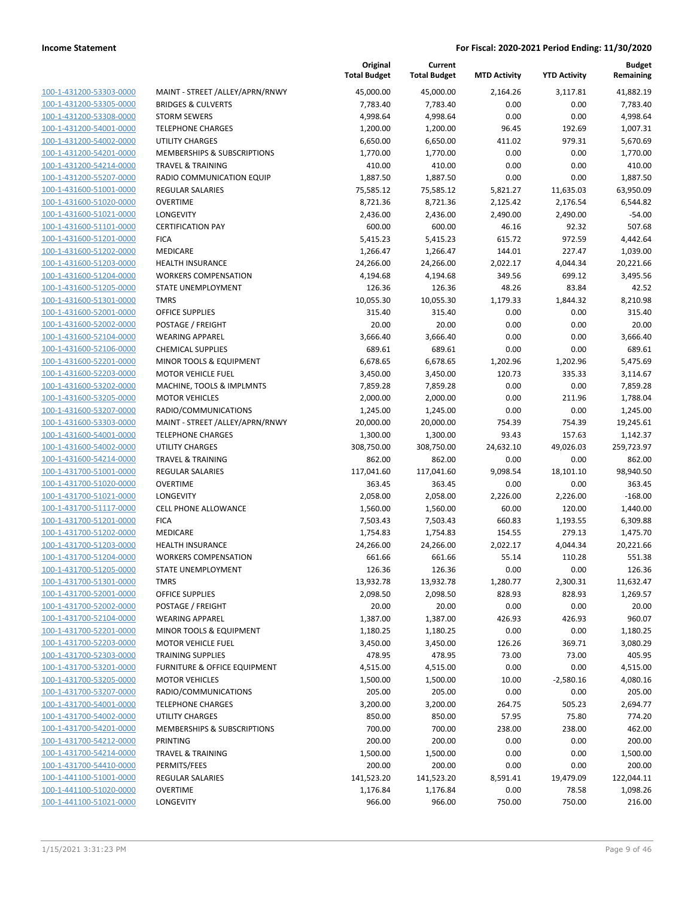| 100-1-431200-53303-0000        |
|--------------------------------|
| 100-1-431200-53305-0000        |
| 100-1-431200-53308-0000        |
| 100-1-431200-54001-0000        |
| 100-1-431200-54002-0000        |
| 100-1-431200-54201-0000        |
| 100-1-431200-54214-0000        |
| 100-1-431200-55207-0000        |
| 100-1-431600-51001-0000        |
| 100-1-431600-51020-0000        |
| 100-1-431600-51021-0000        |
| 100-1-431600-51101-0000        |
| 100-1-431600-51201-0000        |
| <u>100-1-431600-51202-0000</u> |
| 100-1-431600-51203-0000        |
| 100-1-431600-51204-0000        |
| 100-1-431600-51205-0000        |
| 100-1-431600-51301-0000        |
| 100-1-431600-52001-0000        |
| 100-1-431600-52002-0000        |
| 100-1-431600-52104-0000        |
| 100-1-431600-52106-0000        |
| 100-1-431600-52201-0000        |
| <u>100-1-431600-52203-0000</u> |
| 100-1-431600-53202-0000        |
| 100-1-431600-53205-0000        |
| 100-1-431600-53207-0000        |
| 100-1-431600-53303-0000        |
| 100-1-431600-54001-0000        |
| 100-1-431600-54002-0000        |
| 100-1-431600-54214-0000        |
| <u>100-1-431700-51001-0000</u> |
| 100-1-431700-51020-0000        |
| <u>100-1-431700-51021-0000</u> |
| 100-1-431700-51117-0000        |
| 100-1-431700-51201-0000        |
| 100-1-431700-51202-0000        |
| 100-1-431700-51203-0000        |
| <u>100-1-431700-51204-0000</u> |
| 100-1-431700-51205-0000        |
| 100-1-431700-51301-0000        |
| <u>100-1-431700-52001-0000</u> |
| 100-1-431700-52002-0000        |
| 100-1-431700-52104-0000        |
| 100-1-431700-52201-0000        |
| 100-1-431700-52203-0000        |
|                                |
| 100-1-431700-52303-0000        |
| 100-1-431700-53201-0000        |
| 100-1-431700-53205-0000        |
| 100-1-431700-53207-0000        |
| 100-1-431700-54001-0000        |
| <u>100-1-431700-54002-0000</u> |
| 100-1-431700-54201-0000        |
| <u>100-1-431700-54212-0000</u> |
| 100-1-431700-54214-0000        |
| 100-1-431700-54410-0000        |
| 100-1-441100-51001-0000        |
| <u>100-1-441100-51020-0000</u> |
| 100-1-441100-51021-0000        |

|                         |                                         | Original<br><b>Total Budget</b> | Current<br><b>Total Budget</b> | <b>MTD Activity</b> | <b>YTD Activity</b> | <b>Budget</b><br>Remaining |
|-------------------------|-----------------------------------------|---------------------------------|--------------------------------|---------------------|---------------------|----------------------------|
| 100-1-431200-53303-0000 | MAINT - STREET /ALLEY/APRN/RNWY         | 45,000.00                       | 45,000.00                      | 2,164.26            | 3,117.81            | 41,882.19                  |
| 100-1-431200-53305-0000 | <b>BRIDGES &amp; CULVERTS</b>           | 7,783.40                        | 7,783.40                       | 0.00                | 0.00                | 7,783.40                   |
| 100-1-431200-53308-0000 | <b>STORM SEWERS</b>                     | 4,998.64                        | 4,998.64                       | 0.00                | 0.00                | 4,998.64                   |
| 100-1-431200-54001-0000 | <b>TELEPHONE CHARGES</b>                | 1,200.00                        | 1,200.00                       | 96.45               | 192.69              | 1,007.31                   |
| 100-1-431200-54002-0000 | <b>UTILITY CHARGES</b>                  | 6,650.00                        | 6,650.00                       | 411.02              | 979.31              | 5,670.69                   |
| 100-1-431200-54201-0000 | MEMBERSHIPS & SUBSCRIPTIONS             | 1,770.00                        | 1,770.00                       | 0.00                | 0.00                | 1,770.00                   |
| 100-1-431200-54214-0000 | <b>TRAVEL &amp; TRAINING</b>            | 410.00                          | 410.00                         | 0.00                | 0.00                | 410.00                     |
| 100-1-431200-55207-0000 | <b>RADIO COMMUNICATION EQUIP</b>        | 1,887.50                        | 1,887.50                       | 0.00                | 0.00                | 1,887.50                   |
| 100-1-431600-51001-0000 | <b>REGULAR SALARIES</b>                 | 75,585.12                       | 75,585.12                      | 5,821.27            | 11,635.03           | 63,950.09                  |
| 100-1-431600-51020-0000 | <b>OVERTIME</b>                         | 8,721.36                        | 8,721.36                       | 2,125.42            | 2,176.54            | 6,544.82                   |
| 100-1-431600-51021-0000 | LONGEVITY                               | 2,436.00                        | 2,436.00                       | 2,490.00            | 2,490.00            | $-54.00$                   |
| 100-1-431600-51101-0000 | <b>CERTIFICATION PAY</b>                | 600.00                          | 600.00                         | 46.16               | 92.32               | 507.68                     |
| 100-1-431600-51201-0000 | <b>FICA</b>                             | 5,415.23                        | 5,415.23                       | 615.72              | 972.59              | 4,442.64                   |
| 100-1-431600-51202-0000 | MEDICARE                                | 1,266.47                        | 1,266.47                       | 144.01              | 227.47              | 1,039.00                   |
| 100-1-431600-51203-0000 | <b>HEALTH INSURANCE</b>                 | 24,266.00                       | 24,266.00                      | 2,022.17            | 4,044.34            | 20,221.66                  |
| 100-1-431600-51204-0000 | <b>WORKERS COMPENSATION</b>             | 4,194.68                        | 4,194.68                       | 349.56              | 699.12              | 3,495.56                   |
| 100-1-431600-51205-0000 | STATE UNEMPLOYMENT                      | 126.36                          | 126.36                         | 48.26               | 83.84               | 42.52                      |
| 100-1-431600-51301-0000 | <b>TMRS</b>                             | 10,055.30                       | 10,055.30                      | 1,179.33            | 1,844.32            | 8,210.98                   |
| 100-1-431600-52001-0000 | <b>OFFICE SUPPLIES</b>                  | 315.40                          | 315.40                         | 0.00                | 0.00                | 315.40                     |
| 100-1-431600-52002-0000 | POSTAGE / FREIGHT                       | 20.00                           | 20.00                          | 0.00                | 0.00                | 20.00                      |
| 100-1-431600-52104-0000 | <b>WEARING APPAREL</b>                  | 3,666.40                        | 3,666.40                       | 0.00                | 0.00                | 3,666.40                   |
| 100-1-431600-52106-0000 | <b>CHEMICAL SUPPLIES</b>                | 689.61                          | 689.61                         | 0.00                | 0.00                | 689.61                     |
| 100-1-431600-52201-0000 | MINOR TOOLS & EQUIPMENT                 | 6,678.65                        | 6,678.65                       | 1,202.96            | 1,202.96            | 5,475.69                   |
| 100-1-431600-52203-0000 | <b>MOTOR VEHICLE FUEL</b>               | 3,450.00                        | 3,450.00                       | 120.73              | 335.33              | 3,114.67                   |
| 100-1-431600-53202-0000 | MACHINE, TOOLS & IMPLMNTS               | 7,859.28                        | 7,859.28                       | 0.00                | 0.00                | 7,859.28                   |
| 100-1-431600-53205-0000 | <b>MOTOR VEHICLES</b>                   | 2,000.00                        | 2,000.00                       | 0.00                | 211.96              | 1,788.04                   |
| 100-1-431600-53207-0000 | RADIO/COMMUNICATIONS                    | 1,245.00                        | 1,245.00                       | 0.00                | 0.00                | 1,245.00                   |
| 100-1-431600-53303-0000 | MAINT - STREET /ALLEY/APRN/RNWY         | 20,000.00                       | 20,000.00                      | 754.39              | 754.39              | 19,245.61                  |
| 100-1-431600-54001-0000 | <b>TELEPHONE CHARGES</b>                | 1,300.00                        | 1,300.00                       | 93.43               | 157.63              | 1,142.37                   |
| 100-1-431600-54002-0000 | <b>UTILITY CHARGES</b>                  | 308,750.00                      | 308,750.00                     | 24,632.10           | 49,026.03           | 259,723.97                 |
| 100-1-431600-54214-0000 | <b>TRAVEL &amp; TRAINING</b>            | 862.00                          | 862.00                         | 0.00                | 0.00                | 862.00                     |
| 100-1-431700-51001-0000 | <b>REGULAR SALARIES</b>                 | 117,041.60                      | 117,041.60                     | 9,098.54            | 18,101.10           | 98,940.50                  |
| 100-1-431700-51020-0000 | <b>OVERTIME</b>                         | 363.45                          | 363.45                         | 0.00                | 0.00                | 363.45                     |
| 100-1-431700-51021-0000 | LONGEVITY                               | 2,058.00                        | 2,058.00                       | 2,226.00            | 2,226.00            | $-168.00$                  |
| 100-1-431700-51117-0000 | <b>CELL PHONE ALLOWANCE</b>             | 1,560.00                        | 1,560.00                       | 60.00               | 120.00              | 1,440.00                   |
| 100-1-431700-51201-0000 | <b>FICA</b>                             | 7,503.43                        | 7,503.43                       | 660.83              | 1,193.55            | 6,309.88                   |
| 100-1-431700-51202-0000 | MEDICARE                                | 1,754.83                        | 1,754.83                       | 154.55              | 279.13              | 1,475.70                   |
| 100-1-431700-51203-0000 | <b>HEALTH INSURANCE</b>                 | 24,266.00                       | 24,266.00                      | 2,022.17            | 4,044.34            | 20,221.66                  |
| 100-1-431700-51204-0000 | <b>WORKERS COMPENSATION</b>             | 661.66                          | 661.66                         | 55.14               | 110.28              | 551.38                     |
| 100-1-431700-51205-0000 | STATE UNEMPLOYMENT                      | 126.36                          | 126.36                         | 0.00                | 0.00                | 126.36                     |
| 100-1-431700-51301-0000 | <b>TMRS</b>                             | 13,932.78                       | 13,932.78                      | 1,280.77            | 2,300.31            | 11,632.47                  |
| 100-1-431700-52001-0000 | <b>OFFICE SUPPLIES</b>                  | 2,098.50                        | 2,098.50                       | 828.93              | 828.93              | 1,269.57                   |
| 100-1-431700-52002-0000 | POSTAGE / FREIGHT                       | 20.00                           | 20.00                          | 0.00                | 0.00                | 20.00                      |
| 100-1-431700-52104-0000 | <b>WEARING APPAREL</b>                  | 1,387.00                        | 1,387.00                       | 426.93              | 426.93              | 960.07                     |
| 100-1-431700-52201-0000 | MINOR TOOLS & EQUIPMENT                 | 1,180.25                        | 1,180.25                       | 0.00                | 0.00                | 1,180.25                   |
| 100-1-431700-52203-0000 | <b>MOTOR VEHICLE FUEL</b>               | 3,450.00                        | 3,450.00                       | 126.26              | 369.71              | 3,080.29                   |
| 100-1-431700-52303-0000 | <b>TRAINING SUPPLIES</b>                | 478.95                          | 478.95                         | 73.00               | 73.00               | 405.95                     |
| 100-1-431700-53201-0000 | <b>FURNITURE &amp; OFFICE EQUIPMENT</b> | 4,515.00                        | 4,515.00                       | 0.00                | 0.00                | 4,515.00                   |
| 100-1-431700-53205-0000 | <b>MOTOR VEHICLES</b>                   | 1,500.00                        | 1,500.00                       | 10.00               | $-2,580.16$         | 4,080.16                   |
| 100-1-431700-53207-0000 | RADIO/COMMUNICATIONS                    | 205.00                          | 205.00                         | 0.00                | 0.00                | 205.00                     |
| 100-1-431700-54001-0000 | <b>TELEPHONE CHARGES</b>                | 3,200.00                        | 3,200.00                       | 264.75              | 505.23              | 2,694.77                   |
| 100-1-431700-54002-0000 | UTILITY CHARGES                         | 850.00                          | 850.00                         | 57.95               | 75.80               | 774.20                     |
| 100-1-431700-54201-0000 | MEMBERSHIPS & SUBSCRIPTIONS             | 700.00                          | 700.00                         | 238.00              | 238.00              | 462.00                     |
| 100-1-431700-54212-0000 | PRINTING                                | 200.00                          | 200.00                         | 0.00                | 0.00                | 200.00                     |
| 100-1-431700-54214-0000 | <b>TRAVEL &amp; TRAINING</b>            | 1,500.00                        | 1,500.00                       | 0.00                | 0.00                | 1,500.00                   |
| 100-1-431700-54410-0000 | PERMITS/FEES                            | 200.00                          | 200.00                         | 0.00                | 0.00                | 200.00                     |
| 100-1-441100-51001-0000 | <b>REGULAR SALARIES</b>                 | 141,523.20                      | 141,523.20                     | 8,591.41            | 19,479.09           | 122,044.11                 |
| 100-1-441100-51020-0000 | <b>OVERTIME</b>                         | 1,176.84                        | 1,176.84                       | 0.00                | 78.58               | 1,098.26                   |
| 100-1-441100-51021-0000 | LONGEVITY                               | 966.00                          | 966.00                         | 750.00              | 750.00              | 216.00                     |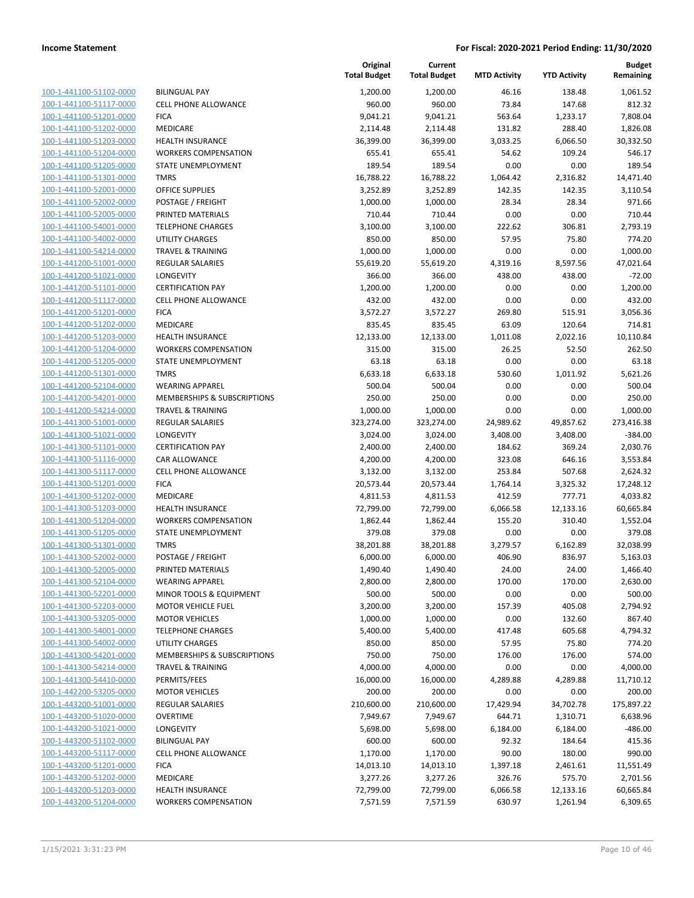| 100-1-441100-51102-0000        |
|--------------------------------|
| 100-1-441100-51117-0000        |
| 100-1-441100-51201-0000        |
| 100-1-441100-51202-0000        |
| 100-1-441100-51203-0000        |
| 100-1-441100-51204-0000        |
| 100-1-441100-51205-0000        |
| 100-1-441100-51301-0000        |
| 100-1-441100-52001-0000        |
| 100-1-441100-52002-0000        |
| 100-1-441100-52005-0000        |
| 100-1-441100-54001-0000        |
| 100-1-441100-54002-0000        |
| 100-1-441100-54214-0000        |
| 100-1-441200-51001-0000        |
| 100-1-441200-51021-0000        |
| 100-1-441200-51101-0000        |
| 100-1-441200-51117-0000        |
| 100-1-441200-51201-0000        |
| 100-1-441200-51202-0000        |
| 100-1-441200-51203-0000        |
| 100-1-441200-51204-0000        |
| 100-1-441200-51205-0000        |
| 100-1-441200-51301-0000        |
| 100-1-441200-52104-0000        |
| 100-1-441200-54201-0000        |
| 100-1-441200-54214-0000        |
| 100-1-441300-51001-0000        |
| 100-1-441300-51021-0000        |
| 100-1-441300-51101-0000        |
| 100-1-441300-51116-0000        |
| 100-1-441300-51117-0000        |
| 100-1-441300-51201-0000        |
| 100-1-441300-51202-0000        |
| 100-1-441300-51203-0000        |
| 100-1-441300-51204-0000        |
| 100-1-441300-51205-0000        |
| 100-1-441300-51301-0000        |
| 100-1-441300-52002-0000        |
| 100-1-441300-52005-0000        |
| 100-1-441300-52104-0000        |
|                                |
| <u>100-1-441300-52201-0000</u> |
| 100-1-441300-52203-0000        |
| 100-1-441300-53205-0000        |
| <u>100-1-441300-54001-0000</u> |
| <u>100-1-441300-54002-0000</u> |
| <u>100-1-441300-54201-0000</u> |
| 100-1-441300-54214-0000        |
| 100-1-441300-54410-0000        |
| <u>100-1-442200-53205-0000</u> |
| <u>100-1-443200-51001-0000</u> |
| <u>100-1-443200-51020-0000</u> |
| 100-1-443200-51021-0000        |
| 100-1-443200-51102-0000        |
| <u>100-1-443200-51117-0000</u> |
| <u>100-1-443200-51201-0000</u> |
| <u>100-1-443200-51202-0000</u> |
| <u>100-1-443200-51203-0000</u> |
| 100-1-443200-51204-0000        |
|                                |

|                                                    |                                                        | Original<br><b>Total Budget</b> | Current<br><b>Total Budget</b> | <b>MTD Activity</b> | <b>YTD Activity</b> | <b>Budget</b><br>Remaining |
|----------------------------------------------------|--------------------------------------------------------|---------------------------------|--------------------------------|---------------------|---------------------|----------------------------|
| 100-1-441100-51102-0000                            | <b>BILINGUAL PAY</b>                                   | 1,200.00                        | 1,200.00                       | 46.16               | 138.48              | 1,061.52                   |
| 100-1-441100-51117-0000                            | <b>CELL PHONE ALLOWANCE</b>                            | 960.00                          | 960.00                         | 73.84               | 147.68              | 812.32                     |
| 100-1-441100-51201-0000                            | <b>FICA</b>                                            | 9,041.21                        | 9,041.21                       | 563.64              | 1,233.17            | 7,808.04                   |
| 100-1-441100-51202-0000                            | <b>MEDICARE</b>                                        | 2,114.48                        | 2,114.48                       | 131.82              | 288.40              | 1,826.08                   |
| 100-1-441100-51203-0000                            | <b>HEALTH INSURANCE</b>                                | 36,399.00                       | 36,399.00                      | 3,033.25            | 6,066.50            | 30,332.50                  |
| 100-1-441100-51204-0000                            | <b>WORKERS COMPENSATION</b>                            | 655.41                          | 655.41                         | 54.62               | 109.24              | 546.17                     |
| 100-1-441100-51205-0000                            | STATE UNEMPLOYMENT                                     | 189.54                          | 189.54                         | 0.00                | 0.00                | 189.54                     |
| 100-1-441100-51301-0000                            | <b>TMRS</b>                                            | 16,788.22                       | 16,788.22                      | 1,064.42            | 2,316.82            | 14,471.40                  |
| 100-1-441100-52001-0000                            | <b>OFFICE SUPPLIES</b>                                 | 3,252.89                        | 3,252.89                       | 142.35              | 142.35              | 3,110.54                   |
| 100-1-441100-52002-0000                            | POSTAGE / FREIGHT                                      | 1,000.00                        | 1,000.00                       | 28.34               | 28.34               | 971.66                     |
| 100-1-441100-52005-0000                            | PRINTED MATERIALS                                      | 710.44                          | 710.44                         | 0.00                | 0.00                | 710.44                     |
| 100-1-441100-54001-0000                            | <b>TELEPHONE CHARGES</b>                               | 3,100.00                        | 3,100.00                       | 222.62              | 306.81              | 2,793.19                   |
| 100-1-441100-54002-0000                            | <b>UTILITY CHARGES</b>                                 | 850.00                          | 850.00                         | 57.95               | 75.80               | 774.20                     |
| 100-1-441100-54214-0000                            | <b>TRAVEL &amp; TRAINING</b>                           | 1,000.00                        | 1,000.00                       | 0.00                | 0.00                | 1,000.00                   |
| 100-1-441200-51001-0000                            | <b>REGULAR SALARIES</b>                                | 55,619.20                       | 55,619.20                      | 4,319.16            | 8,597.56            | 47,021.64                  |
| 100-1-441200-51021-0000                            | LONGEVITY                                              | 366.00                          | 366.00                         | 438.00              | 438.00              | $-72.00$                   |
| 100-1-441200-51101-0000                            | <b>CERTIFICATION PAY</b>                               | 1,200.00                        | 1,200.00                       | 0.00                | 0.00                | 1,200.00                   |
| 100-1-441200-51117-0000                            | <b>CELL PHONE ALLOWANCE</b>                            | 432.00                          | 432.00                         | 0.00                | 0.00                | 432.00                     |
| 100-1-441200-51201-0000                            | <b>FICA</b>                                            | 3,572.27                        | 3,572.27                       | 269.80              | 515.91              | 3,056.36                   |
| 100-1-441200-51202-0000                            | MEDICARE                                               | 835.45                          | 835.45                         | 63.09               | 120.64              | 714.81                     |
| 100-1-441200-51203-0000<br>100-1-441200-51204-0000 | <b>HEALTH INSURANCE</b><br><b>WORKERS COMPENSATION</b> | 12,133.00<br>315.00             | 12,133.00<br>315.00            | 1,011.08<br>26.25   | 2,022.16<br>52.50   | 10,110.84<br>262.50        |
| 100-1-441200-51205-0000                            | STATE UNEMPLOYMENT                                     | 63.18                           | 63.18                          | 0.00                | 0.00                | 63.18                      |
| 100-1-441200-51301-0000                            | <b>TMRS</b>                                            | 6,633.18                        | 6,633.18                       | 530.60              | 1,011.92            | 5,621.26                   |
| 100-1-441200-52104-0000                            | <b>WEARING APPAREL</b>                                 | 500.04                          | 500.04                         | 0.00                | 0.00                | 500.04                     |
| 100-1-441200-54201-0000                            | MEMBERSHIPS & SUBSCRIPTIONS                            | 250.00                          | 250.00                         | 0.00                | 0.00                | 250.00                     |
| 100-1-441200-54214-0000                            | <b>TRAVEL &amp; TRAINING</b>                           | 1,000.00                        | 1,000.00                       | 0.00                | 0.00                | 1,000.00                   |
| 100-1-441300-51001-0000                            | <b>REGULAR SALARIES</b>                                | 323,274.00                      | 323,274.00                     | 24,989.62           | 49,857.62           | 273,416.38                 |
| 100-1-441300-51021-0000                            | LONGEVITY                                              | 3,024.00                        | 3,024.00                       | 3,408.00            | 3,408.00            | $-384.00$                  |
| 100-1-441300-51101-0000                            | <b>CERTIFICATION PAY</b>                               | 2,400.00                        | 2,400.00                       | 184.62              | 369.24              | 2,030.76                   |
| 100-1-441300-51116-0000                            | CAR ALLOWANCE                                          | 4,200.00                        | 4,200.00                       | 323.08              | 646.16              | 3,553.84                   |
| 100-1-441300-51117-0000                            | <b>CELL PHONE ALLOWANCE</b>                            | 3,132.00                        | 3,132.00                       | 253.84              | 507.68              | 2,624.32                   |
| 100-1-441300-51201-0000                            | <b>FICA</b>                                            | 20,573.44                       | 20,573.44                      | 1,764.14            | 3,325.32            | 17,248.12                  |
| 100-1-441300-51202-0000                            | <b>MEDICARE</b>                                        | 4,811.53                        | 4,811.53                       | 412.59              | 777.71              | 4,033.82                   |
| 100-1-441300-51203-0000                            | <b>HEALTH INSURANCE</b>                                | 72,799.00                       | 72,799.00                      | 6,066.58            | 12,133.16           | 60,665.84                  |
| 100-1-441300-51204-0000                            | <b>WORKERS COMPENSATION</b>                            | 1,862.44                        | 1,862.44                       | 155.20              | 310.40              | 1,552.04                   |
| 100-1-441300-51205-0000                            | <b>STATE UNEMPLOYMENT</b>                              | 379.08                          | 379.08                         | 0.00                | 0.00                | 379.08                     |
| 100-1-441300-51301-0000                            | <b>TMRS</b>                                            | 38,201.88                       | 38,201.88                      | 3,279.57            | 6,162.89            | 32,038.99                  |
| 100-1-441300-52002-0000                            | POSTAGE / FREIGHT                                      | 6,000.00                        | 6,000.00                       | 406.90              | 836.97              | 5,163.03                   |
| 100-1-441300-52005-0000                            | PRINTED MATERIALS                                      | 1,490.40                        | 1,490.40                       | 24.00               | 24.00               | 1,466.40                   |
| 100-1-441300-52104-0000                            | <b>WEARING APPAREL</b>                                 | 2,800.00                        | 2,800.00                       | 170.00              | 170.00              | 2,630.00                   |
| 100-1-441300-52201-0000                            | MINOR TOOLS & EQUIPMENT                                | 500.00                          | 500.00                         | 0.00                | 0.00                | 500.00                     |
| 100-1-441300-52203-0000                            | <b>MOTOR VEHICLE FUEL</b>                              | 3,200.00                        | 3,200.00                       | 157.39              | 405.08              | 2.794.92                   |
| 100-1-441300-53205-0000                            | <b>MOTOR VEHICLES</b>                                  | 1,000.00                        | 1,000.00                       | 0.00                | 132.60              | 867.40                     |
| 100-1-441300-54001-0000                            | <b>TELEPHONE CHARGES</b>                               | 5,400.00                        | 5,400.00                       | 417.48              | 605.68              | 4,794.32                   |
| 100-1-441300-54002-0000                            | UTILITY CHARGES                                        | 850.00                          | 850.00                         | 57.95               | 75.80               | 774.20                     |
| 100-1-441300-54201-0000                            | <b>MEMBERSHIPS &amp; SUBSCRIPTIONS</b>                 | 750.00                          | 750.00                         | 176.00              | 176.00              | 574.00                     |
| 100-1-441300-54214-0000                            | <b>TRAVEL &amp; TRAINING</b>                           | 4,000.00                        | 4,000.00                       | 0.00                | 0.00                | 4,000.00                   |
| 100-1-441300-54410-0000                            | PERMITS/FEES                                           | 16,000.00                       | 16,000.00                      | 4,289.88            | 4,289.88            | 11,710.12                  |
| 100-1-442200-53205-0000                            | <b>MOTOR VEHICLES</b>                                  | 200.00                          | 200.00                         | 0.00                | 0.00                | 200.00                     |
| 100-1-443200-51001-0000                            | REGULAR SALARIES                                       | 210,600.00                      | 210,600.00                     | 17,429.94           | 34,702.78           | 175,897.22                 |
| 100-1-443200-51020-0000                            | <b>OVERTIME</b>                                        | 7,949.67                        | 7,949.67                       | 644.71              | 1,310.71            | 6,638.96                   |
| 100-1-443200-51021-0000                            | LONGEVITY                                              | 5,698.00                        | 5,698.00                       | 6,184.00            | 6,184.00            | $-486.00$                  |
| 100-1-443200-51102-0000                            | <b>BILINGUAL PAY</b>                                   | 600.00                          | 600.00                         | 92.32               | 184.64              | 415.36                     |
| 100-1-443200-51117-0000                            | <b>CELL PHONE ALLOWANCE</b>                            | 1,170.00                        | 1,170.00                       | 90.00               | 180.00              | 990.00                     |
| 100-1-443200-51201-0000                            | <b>FICA</b>                                            | 14,013.10                       | 14,013.10                      | 1,397.18            | 2,461.61            | 11,551.49                  |
| 100-1-443200-51202-0000                            | MEDICARE                                               | 3,277.26                        | 3,277.26                       | 326.76              | 575.70              | 2,701.56                   |
| 100-1-443200-51203-0000                            | <b>HEALTH INSURANCE</b>                                | 72,799.00                       | 72,799.00                      | 6,066.58            | 12,133.16           | 60,665.84                  |
| 100-1-443200-51204-0000                            | <b>WORKERS COMPENSATION</b>                            | 7,571.59                        | 7,571.59                       | 630.97              | 1,261.94            | 6,309.65                   |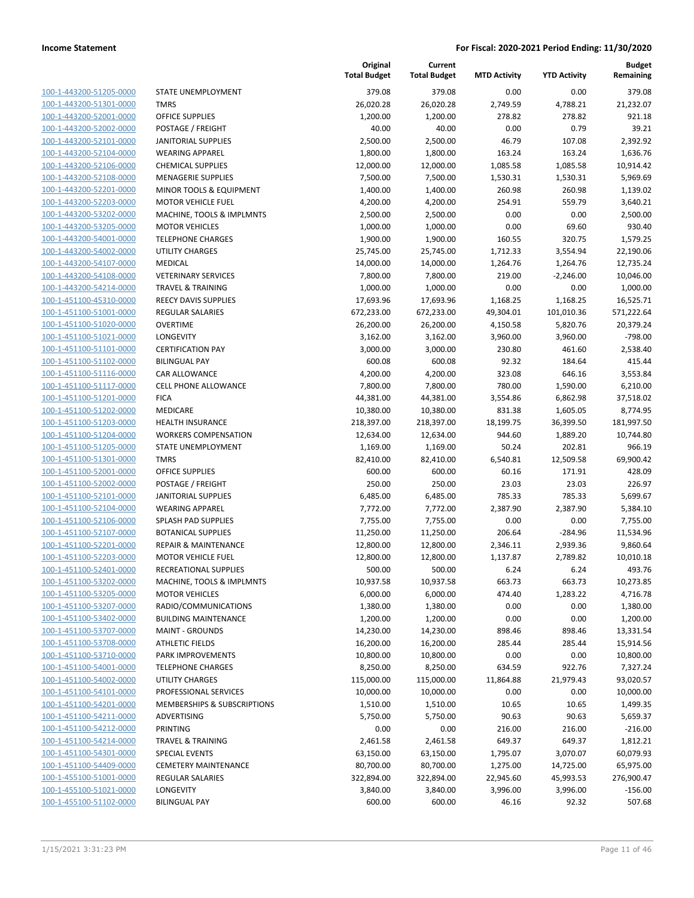|                                                    |                                               | Original<br><b>Total Budget</b> | Current<br><b>Total Budget</b> | <b>MTD Activity</b> | <b>YTD Activity</b> | <b>Budget</b><br>Remaining |
|----------------------------------------------------|-----------------------------------------------|---------------------------------|--------------------------------|---------------------|---------------------|----------------------------|
| 100-1-443200-51205-0000                            | STATE UNEMPLOYMENT                            | 379.08                          | 379.08                         | 0.00                | 0.00                | 379.08                     |
| 100-1-443200-51301-0000                            | <b>TMRS</b>                                   | 26,020.28                       | 26,020.28                      | 2,749.59            | 4,788.21            | 21,232.07                  |
| 100-1-443200-52001-0000                            | OFFICE SUPPLIES                               | 1,200.00                        | 1,200.00                       | 278.82              | 278.82              | 921.18                     |
| 100-1-443200-52002-0000                            | POSTAGE / FREIGHT                             | 40.00                           | 40.00                          | 0.00                | 0.79                | 39.21                      |
| 100-1-443200-52101-0000                            | <b>JANITORIAL SUPPLIES</b>                    | 2,500.00                        | 2,500.00                       | 46.79               | 107.08              | 2,392.92                   |
| 100-1-443200-52104-0000                            | <b>WEARING APPAREL</b>                        | 1,800.00                        | 1,800.00                       | 163.24              | 163.24              | 1,636.76                   |
| 100-1-443200-52106-0000                            | <b>CHEMICAL SUPPLIES</b>                      | 12,000.00                       | 12,000.00                      | 1,085.58            | 1,085.58            | 10,914.42                  |
| 100-1-443200-52108-0000                            | <b>MENAGERIE SUPPLIES</b>                     | 7,500.00                        | 7,500.00                       | 1,530.31            | 1,530.31            | 5,969.69                   |
| 100-1-443200-52201-0000                            | MINOR TOOLS & EQUIPMENT                       | 1,400.00                        | 1,400.00                       | 260.98              | 260.98              | 1,139.02                   |
| 100-1-443200-52203-0000                            | <b>MOTOR VEHICLE FUEL</b>                     | 4,200.00                        | 4,200.00                       | 254.91              | 559.79              | 3,640.21                   |
| 100-1-443200-53202-0000                            | MACHINE, TOOLS & IMPLMNTS                     | 2,500.00                        | 2,500.00                       | 0.00                | 0.00                | 2,500.00                   |
| 100-1-443200-53205-0000                            | <b>MOTOR VEHICLES</b>                         | 1,000.00                        | 1,000.00                       | 0.00                | 69.60               | 930.40                     |
| 100-1-443200-54001-0000                            | <b>TELEPHONE CHARGES</b>                      | 1,900.00                        | 1,900.00                       | 160.55              | 320.75              | 1,579.25                   |
| 100-1-443200-54002-0000                            | <b>UTILITY CHARGES</b>                        | 25,745.00                       | 25,745.00                      | 1,712.33            | 3,554.94            | 22,190.06                  |
| 100-1-443200-54107-0000                            | <b>MEDICAL</b>                                | 14,000.00                       | 14,000.00                      | 1,264.76            | 1,264.76            | 12,735.24                  |
| 100-1-443200-54108-0000                            | <b>VETERINARY SERVICES</b>                    | 7,800.00                        | 7,800.00                       | 219.00              | $-2,246.00$         | 10,046.00                  |
| 100-1-443200-54214-0000                            | <b>TRAVEL &amp; TRAINING</b>                  | 1,000.00                        | 1,000.00                       | 0.00                | 0.00                | 1,000.00                   |
| 100-1-451100-45310-0000                            | REECY DAVIS SUPPLIES                          | 17,693.96                       | 17,693.96                      | 1,168.25            | 1,168.25            | 16,525.71                  |
| 100-1-451100-51001-0000                            | <b>REGULAR SALARIES</b>                       | 672,233.00                      | 672,233.00                     | 49,304.01           | 101,010.36          | 571,222.64                 |
| 100-1-451100-51020-0000                            | <b>OVERTIME</b>                               | 26,200.00                       | 26,200.00                      | 4,150.58            | 5,820.76            | 20,379.24                  |
| 100-1-451100-51021-0000                            | LONGEVITY                                     | 3,162.00                        | 3,162.00                       | 3,960.00            | 3,960.00            | $-798.00$                  |
| 100-1-451100-51101-0000                            | <b>CERTIFICATION PAY</b>                      | 3,000.00                        | 3,000.00                       | 230.80              | 461.60              | 2,538.40                   |
| 100-1-451100-51102-0000                            | <b>BILINGUAL PAY</b>                          | 600.08                          | 600.08                         | 92.32               | 184.64              | 415.44                     |
| 100-1-451100-51116-0000                            | <b>CAR ALLOWANCE</b>                          | 4,200.00                        | 4,200.00                       | 323.08              | 646.16              | 3,553.84                   |
| 100-1-451100-51117-0000                            | <b>CELL PHONE ALLOWANCE</b>                   | 7,800.00                        | 7,800.00                       | 780.00              | 1,590.00            | 6,210.00                   |
| 100-1-451100-51201-0000                            | <b>FICA</b>                                   | 44,381.00                       | 44,381.00                      | 3,554.86            | 6,862.98            | 37,518.02                  |
| 100-1-451100-51202-0000                            | <b>MEDICARE</b>                               | 10,380.00                       | 10,380.00                      | 831.38              | 1,605.05            | 8,774.95                   |
| 100-1-451100-51203-0000                            | HEALTH INSURANCE                              | 218,397.00                      | 218,397.00                     | 18,199.75           | 36,399.50           | 181,997.50                 |
| 100-1-451100-51204-0000                            | <b>WORKERS COMPENSATION</b>                   | 12,634.00                       | 12,634.00                      | 944.60              | 1,889.20            | 10,744.80                  |
| 100-1-451100-51205-0000                            | STATE UNEMPLOYMENT                            | 1,169.00                        | 1,169.00                       | 50.24               | 202.81              | 966.19                     |
| 100-1-451100-51301-0000                            | <b>TMRS</b>                                   | 82,410.00                       | 82,410.00                      | 6,540.81            | 12,509.58           | 69,900.42                  |
| 100-1-451100-52001-0000                            | OFFICE SUPPLIES                               | 600.00                          | 600.00                         | 60.16               | 171.91              | 428.09                     |
| 100-1-451100-52002-0000                            | POSTAGE / FREIGHT                             | 250.00                          | 250.00                         | 23.03               | 23.03               | 226.97                     |
| 100-1-451100-52101-0000                            | <b>JANITORIAL SUPPLIES</b>                    | 6,485.00                        | 6,485.00                       | 785.33              | 785.33              | 5,699.67                   |
| 100-1-451100-52104-0000                            | <b>WEARING APPAREL</b>                        | 7,772.00                        | 7,772.00                       | 2,387.90            | 2,387.90            | 5,384.10                   |
| 100-1-451100-52106-0000                            | <b>SPLASH PAD SUPPLIES</b>                    | 7,755.00                        | 7,755.00                       | 0.00                | 0.00                | 7,755.00                   |
| 100-1-451100-52107-0000                            | <b>BOTANICAL SUPPLIES</b>                     | 11,250.00                       | 11,250.00                      | 206.64              | $-284.96$           | 11,534.96                  |
| 100-1-451100-52201-0000                            | <b>REPAIR &amp; MAINTENANCE</b>               | 12,800.00                       | 12,800.00                      | 2,346.11            | 2,939.36            | 9,860.64                   |
| 100-1-451100-52203-0000                            | <b>MOTOR VEHICLE FUEL</b>                     | 12,800.00                       | 12,800.00                      | 1,137.87            | 2,789.82            | 10,010.18                  |
| 100-1-451100-52401-0000                            | RECREATIONAL SUPPLIES                         | 500.00                          | 500.00                         | 6.24                | 6.24                | 493.76                     |
| 100-1-451100-53202-0000                            | MACHINE, TOOLS & IMPLMNTS                     | 10,937.58                       | 10,937.58                      | 663.73              | 663.73              | 10,273.85                  |
| 100-1-451100-53205-0000                            | <b>MOTOR VEHICLES</b>                         | 6,000.00                        | 6,000.00                       | 474.40              | 1,283.22            | 4,716.78                   |
| 100-1-451100-53207-0000                            | RADIO/COMMUNICATIONS                          | 1,380.00                        | 1,380.00                       | 0.00                | 0.00                | 1,380.00                   |
| 100-1-451100-53402-0000                            | <b>BUILDING MAINTENANCE</b>                   | 1,200.00                        | 1,200.00                       | 0.00                | 0.00                | 1,200.00                   |
| 100-1-451100-53707-0000                            | <b>MAINT - GROUNDS</b>                        | 14,230.00                       | 14,230.00                      | 898.46              | 898.46              | 13,331.54                  |
| 100-1-451100-53708-0000                            | <b>ATHLETIC FIELDS</b>                        | 16,200.00                       | 16,200.00                      | 285.44              | 285.44              | 15,914.56                  |
| 100-1-451100-53710-0000                            | <b>PARK IMPROVEMENTS</b>                      | 10,800.00                       | 10,800.00                      | 0.00                | 0.00                | 10,800.00                  |
| 100-1-451100-54001-0000                            | <b>TELEPHONE CHARGES</b>                      | 8,250.00                        | 8,250.00                       | 634.59              | 922.76              | 7,327.24                   |
| 100-1-451100-54002-0000                            | <b>UTILITY CHARGES</b>                        | 115,000.00                      | 115,000.00                     | 11,864.88           | 21,979.43           | 93,020.57                  |
| 100-1-451100-54101-0000                            | PROFESSIONAL SERVICES                         | 10,000.00                       | 10,000.00                      | 0.00                | 0.00                | 10,000.00                  |
| 100-1-451100-54201-0000<br>100-1-451100-54211-0000 | MEMBERSHIPS & SUBSCRIPTIONS<br>ADVERTISING    | 1,510.00<br>5,750.00            | 1,510.00<br>5,750.00           | 10.65<br>90.63      | 10.65<br>90.63      | 1,499.35                   |
| 100-1-451100-54212-0000                            | PRINTING                                      |                                 |                                |                     |                     | 5,659.37                   |
| 100-1-451100-54214-0000                            |                                               | 0.00                            | 0.00                           | 216.00              | 216.00              | $-216.00$                  |
| 100-1-451100-54301-0000                            | <b>TRAVEL &amp; TRAINING</b>                  | 2,461.58                        | 2,461.58                       | 649.37              | 649.37<br>3,070.07  | 1,812.21<br>60,079.93      |
| 100-1-451100-54409-0000                            | SPECIAL EVENTS<br><b>CEMETERY MAINTENANCE</b> | 63,150.00<br>80,700.00          | 63,150.00<br>80,700.00         | 1,795.07            |                     |                            |
|                                                    | REGULAR SALARIES                              |                                 |                                | 1,275.00            | 14,725.00           | 65,975.00<br>276,900.47    |
| 100-1-455100-51001-0000                            |                                               | 322,894.00                      | 322,894.00                     | 22,945.60           | 45,993.53           |                            |
| 100-1-455100-51021-0000<br>100-1-455100-51102-0000 | <b>LONGEVITY</b>                              | 3,840.00                        | 3,840.00                       | 3,996.00            | 3,996.00            | $-156.00$                  |
|                                                    | <b>BILINGUAL PAY</b>                          | 600.00                          | 600.00                         | 46.16               | 92.32               | 507.68                     |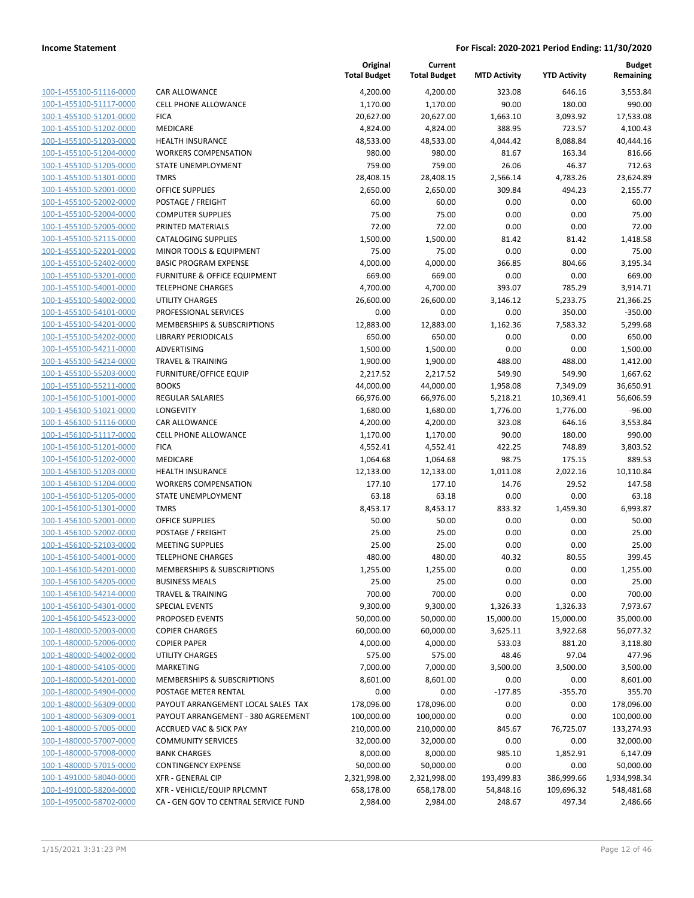| 100-1-455100-51116-0000             |
|-------------------------------------|
| 100-1-455100-51117-0000             |
| 100-1-455100-51201-0000             |
| 100-1-455100-51202-0000             |
| <u>100-1-455100-51203-0000</u>      |
| 100-1-455100-51204-0000             |
| 100-1-455100-51205-0000             |
| 100-1-455100-51301-0000             |
| 100-1-455100-52001-0000             |
| 100-1-455100-52002-0000             |
| 100-1-455100-52004-0000             |
| 100-1-455100-52005-0000             |
| 100-1-455100-52115-0000             |
| 100-1-455100-52201-0000             |
| <u>100-1-455100-52402-0000</u>      |
| 100-1-455100-53201-0000             |
| 100-1-455100-54001-0000             |
| 100-1-455100-54002-0000             |
| 100-1-455100-54101-0000             |
| 100-1-455100-54201-0000             |
| 100-1-455100-54202-0000             |
| 100-1-455100-54211-0000             |
| 100-1-455100-54214-0000             |
| 100-1-455100-55203-0000             |
| 100-1-455100-55211-0000             |
| 100-1-456100-51001-0000             |
| 100-1-456100-51021-0000             |
| 100-1-456100-51116-0000             |
| 100-1-456100-51117-0000             |
| 100-1-456100-51201-0000             |
| 100-1-456100-51202-0000             |
| 100-1-456100-51203-0000             |
| 100-1-456100-51204-0000             |
| 100-1-456100-51205-0000             |
| <u>100-1-456100-51301-0000</u>      |
| 100-1-456100-52001-0000             |
| 100-1-456100-52002-0000             |
| 100-1-456100-52103-0000             |
| 100-1-456100-54001-0000             |
| 100-1-456100-54201-0000             |
| 100-1-456100-54205-0000             |
| 100-1-456100-54214-0000             |
| 100-1-456100-54301-0000             |
| 100-1-456100-54523-0000             |
| 100-1-480000-52003-0000             |
| <u>100-1-480000-52006-0000</u>      |
| 100-1-480000-54002-0000             |
| 100-1-480000-54105-0000             |
| 100-1-480000-54201-0000             |
| 100-1-480000-54904-0000             |
| <u>100-1-480000-56309-0000</u>      |
| 100-1-480000-56309-0001             |
| 100-1-480000-57005-0000             |
| 100-1-480000-57007-0000             |
| <u>100-1-480000-57008-0000</u>      |
| <u>100-1-480000-57015-0000</u>      |
| 1-491000-58040-0000<br><u> 100-</u> |
| 100-1-491000-58204-0000             |
| 100-1-495000-58702-0000             |

|                                                    |                                             | Original<br><b>Total Budget</b> | Current<br><b>Total Budget</b> | <b>MTD Activity</b> | <b>YTD Activity</b> | <b>Budget</b><br>Remaining |
|----------------------------------------------------|---------------------------------------------|---------------------------------|--------------------------------|---------------------|---------------------|----------------------------|
| 100-1-455100-51116-0000                            | <b>CAR ALLOWANCE</b>                        | 4,200.00                        | 4,200.00                       | 323.08              | 646.16              | 3,553.84                   |
| 100-1-455100-51117-0000                            | <b>CELL PHONE ALLOWANCE</b>                 | 1,170.00                        | 1,170.00                       | 90.00               | 180.00              | 990.00                     |
| 100-1-455100-51201-0000                            | <b>FICA</b>                                 | 20,627.00                       | 20,627.00                      | 1,663.10            | 3,093.92            | 17,533.08                  |
| 100-1-455100-51202-0000                            | MEDICARE                                    | 4,824.00                        | 4,824.00                       | 388.95              | 723.57              | 4,100.43                   |
| 100-1-455100-51203-0000                            | <b>HEALTH INSURANCE</b>                     | 48,533.00                       | 48,533.00                      | 4,044.42            | 8,088.84            | 40,444.16                  |
| 100-1-455100-51204-0000                            | <b>WORKERS COMPENSATION</b>                 | 980.00                          | 980.00                         | 81.67               | 163.34              | 816.66                     |
| 100-1-455100-51205-0000                            | STATE UNEMPLOYMENT                          | 759.00                          | 759.00                         | 26.06               | 46.37               | 712.63                     |
| 100-1-455100-51301-0000                            | <b>TMRS</b>                                 | 28,408.15                       | 28,408.15                      | 2,566.14            | 4,783.26            | 23,624.89                  |
| 100-1-455100-52001-0000                            | <b>OFFICE SUPPLIES</b>                      | 2,650.00                        | 2,650.00                       | 309.84              | 494.23              | 2,155.77                   |
| 100-1-455100-52002-0000                            | POSTAGE / FREIGHT                           | 60.00                           | 60.00                          | 0.00                | 0.00                | 60.00                      |
| 100-1-455100-52004-0000                            | <b>COMPUTER SUPPLIES</b>                    | 75.00                           | 75.00                          | 0.00                | 0.00                | 75.00                      |
| 100-1-455100-52005-0000                            | PRINTED MATERIALS                           | 72.00                           | 72.00                          | 0.00                | 0.00                | 72.00                      |
| 100-1-455100-52115-0000                            | <b>CATALOGING SUPPLIES</b>                  | 1,500.00                        | 1,500.00                       | 81.42               | 81.42               | 1,418.58                   |
| 100-1-455100-52201-0000                            | MINOR TOOLS & EQUIPMENT                     | 75.00                           | 75.00                          | 0.00                | 0.00                | 75.00                      |
| 100-1-455100-52402-0000                            | <b>BASIC PROGRAM EXPENSE</b>                | 4,000.00                        | 4,000.00                       | 366.85              | 804.66              | 3,195.34                   |
| 100-1-455100-53201-0000                            | FURNITURE & OFFICE EQUIPMENT                | 669.00                          | 669.00                         | 0.00                | 0.00                | 669.00                     |
| 100-1-455100-54001-0000                            | <b>TELEPHONE CHARGES</b>                    | 4,700.00                        | 4,700.00                       | 393.07              | 785.29              | 3,914.71                   |
| 100-1-455100-54002-0000                            | <b>UTILITY CHARGES</b>                      | 26,600.00                       | 26,600.00                      | 3,146.12            | 5,233.75            | 21,366.25                  |
| 100-1-455100-54101-0000                            | PROFESSIONAL SERVICES                       | 0.00                            | 0.00                           | 0.00                | 350.00              | $-350.00$                  |
| 100-1-455100-54201-0000                            | <b>MEMBERSHIPS &amp; SUBSCRIPTIONS</b>      | 12,883.00                       | 12,883.00                      | 1,162.36            | 7,583.32            | 5,299.68                   |
| 100-1-455100-54202-0000                            | <b>LIBRARY PERIODICALS</b>                  | 650.00                          | 650.00                         | 0.00                | 0.00                | 650.00                     |
| 100-1-455100-54211-0000                            | ADVERTISING                                 | 1,500.00                        | 1,500.00                       | 0.00                | 0.00                | 1,500.00                   |
| 100-1-455100-54214-0000                            | <b>TRAVEL &amp; TRAINING</b>                | 1,900.00                        | 1,900.00                       | 488.00              | 488.00              | 1,412.00                   |
| 100-1-455100-55203-0000                            | <b>FURNITURE/OFFICE EQUIP</b>               | 2,217.52                        | 2,217.52                       | 549.90              | 549.90              | 1,667.62                   |
| 100-1-455100-55211-0000                            | <b>BOOKS</b>                                | 44,000.00                       | 44,000.00                      | 1,958.08            | 7,349.09            | 36,650.91                  |
| 100-1-456100-51001-0000                            | REGULAR SALARIES                            | 66,976.00                       | 66,976.00                      | 5,218.21            | 10,369.41           | 56,606.59                  |
| 100-1-456100-51021-0000                            | LONGEVITY                                   | 1,680.00                        | 1,680.00                       | 1,776.00            | 1,776.00            | $-96.00$                   |
| 100-1-456100-51116-0000                            | CAR ALLOWANCE                               | 4,200.00                        | 4,200.00                       | 323.08              | 646.16              | 3,553.84                   |
| 100-1-456100-51117-0000                            | CELL PHONE ALLOWANCE                        | 1,170.00                        | 1,170.00                       | 90.00               | 180.00              | 990.00                     |
| 100-1-456100-51201-0000                            | <b>FICA</b>                                 | 4,552.41                        | 4,552.41                       | 422.25              | 748.89              | 3,803.52                   |
| 100-1-456100-51202-0000                            | MEDICARE                                    | 1,064.68                        | 1,064.68                       | 98.75               | 175.15              | 889.53                     |
| 100-1-456100-51203-0000                            | <b>HEALTH INSURANCE</b>                     | 12,133.00                       | 12,133.00                      | 1,011.08            | 2,022.16            | 10,110.84                  |
| 100-1-456100-51204-0000                            | <b>WORKERS COMPENSATION</b>                 | 177.10                          | 177.10                         | 14.76               | 29.52               | 147.58                     |
| 100-1-456100-51205-0000                            | STATE UNEMPLOYMENT                          | 63.18                           | 63.18                          | 0.00                | 0.00                | 63.18                      |
| 100-1-456100-51301-0000                            | <b>TMRS</b>                                 | 8,453.17                        | 8,453.17                       | 833.32              | 1,459.30            | 6,993.87                   |
| 100-1-456100-52001-0000<br>100-1-456100-52002-0000 | <b>OFFICE SUPPLIES</b><br>POSTAGE / FREIGHT | 50.00<br>25.00                  | 50.00<br>25.00                 | 0.00<br>0.00        | 0.00<br>0.00        | 50.00<br>25.00             |
| 100-1-456100-52103-0000                            | <b>MEETING SUPPLIES</b>                     | 25.00                           | 25.00                          | 0.00                | 0.00                | 25.00                      |
| 100-1-456100-54001-0000                            | <b>TELEPHONE CHARGES</b>                    | 480.00                          | 480.00                         | 40.32               | 80.55               | 399.45                     |
| 100-1-456100-54201-0000                            | <b>MEMBERSHIPS &amp; SUBSCRIPTIONS</b>      | 1,255.00                        | 1,255.00                       | 0.00                | 0.00                | 1,255.00                   |
| 100-1-456100-54205-0000                            | <b>BUSINESS MEALS</b>                       | 25.00                           | 25.00                          | 0.00                | 0.00                | 25.00                      |
| 100-1-456100-54214-0000                            | <b>TRAVEL &amp; TRAINING</b>                | 700.00                          | 700.00                         | 0.00                | 0.00                | 700.00                     |
| 100-1-456100-54301-0000                            | <b>SPECIAL EVENTS</b>                       | 9,300.00                        | 9,300.00                       | 1,326.33            | 1,326.33            | 7,973.67                   |
| 100-1-456100-54523-0000                            | <b>PROPOSED EVENTS</b>                      | 50,000.00                       | 50,000.00                      | 15,000.00           | 15,000.00           | 35,000.00                  |
| 100-1-480000-52003-0000                            | <b>COPIER CHARGES</b>                       | 60,000.00                       | 60,000.00                      | 3,625.11            | 3,922.68            | 56,077.32                  |
| 100-1-480000-52006-0000                            | <b>COPIER PAPER</b>                         | 4,000.00                        | 4,000.00                       | 533.03              | 881.20              | 3,118.80                   |
| 100-1-480000-54002-0000                            | <b>UTILITY CHARGES</b>                      | 575.00                          | 575.00                         | 48.46               | 97.04               | 477.96                     |
| 100-1-480000-54105-0000                            | <b>MARKETING</b>                            | 7,000.00                        | 7,000.00                       | 3,500.00            | 3,500.00            | 3,500.00                   |
| 100-1-480000-54201-0000                            | MEMBERSHIPS & SUBSCRIPTIONS                 | 8,601.00                        | 8,601.00                       | 0.00                | 0.00                | 8,601.00                   |
| 100-1-480000-54904-0000                            | POSTAGE METER RENTAL                        | 0.00                            | 0.00                           | $-177.85$           | $-355.70$           | 355.70                     |
| 100-1-480000-56309-0000                            | PAYOUT ARRANGEMENT LOCAL SALES TAX          | 178,096.00                      | 178,096.00                     | 0.00                | 0.00                | 178,096.00                 |
| 100-1-480000-56309-0001                            | PAYOUT ARRANGEMENT - 380 AGREEMENT          | 100,000.00                      | 100,000.00                     | 0.00                | 0.00                | 100,000.00                 |
| 100-1-480000-57005-0000                            | <b>ACCRUED VAC &amp; SICK PAY</b>           | 210,000.00                      | 210,000.00                     | 845.67              | 76,725.07           | 133,274.93                 |
| 100-1-480000-57007-0000                            | <b>COMMUNITY SERVICES</b>                   | 32,000.00                       | 32,000.00                      | 0.00                | 0.00                | 32,000.00                  |
| 100-1-480000-57008-0000                            | <b>BANK CHARGES</b>                         | 8,000.00                        | 8,000.00                       | 985.10              | 1,852.91            | 6,147.09                   |
| 100-1-480000-57015-0000                            | <b>CONTINGENCY EXPENSE</b>                  | 50,000.00                       | 50,000.00                      | 0.00                | 0.00                | 50,000.00                  |
| 100-1-491000-58040-0000                            | <b>XFR - GENERAL CIP</b>                    | 2,321,998.00                    | 2,321,998.00                   | 193,499.83          | 386,999.66          | 1,934,998.34               |
| 100-1-491000-58204-0000                            | XFR - VEHICLE/EQUIP RPLCMNT                 | 658,178.00                      | 658,178.00                     | 54,848.16           | 109,696.32          | 548,481.68                 |
| 100-1-495000-58702-0000                            | CA - GEN GOV TO CENTRAL SERVICE FUND        | 2,984.00                        | 2,984.00                       | 248.67              | 497.34              | 2,486.66                   |
|                                                    |                                             |                                 |                                |                     |                     |                            |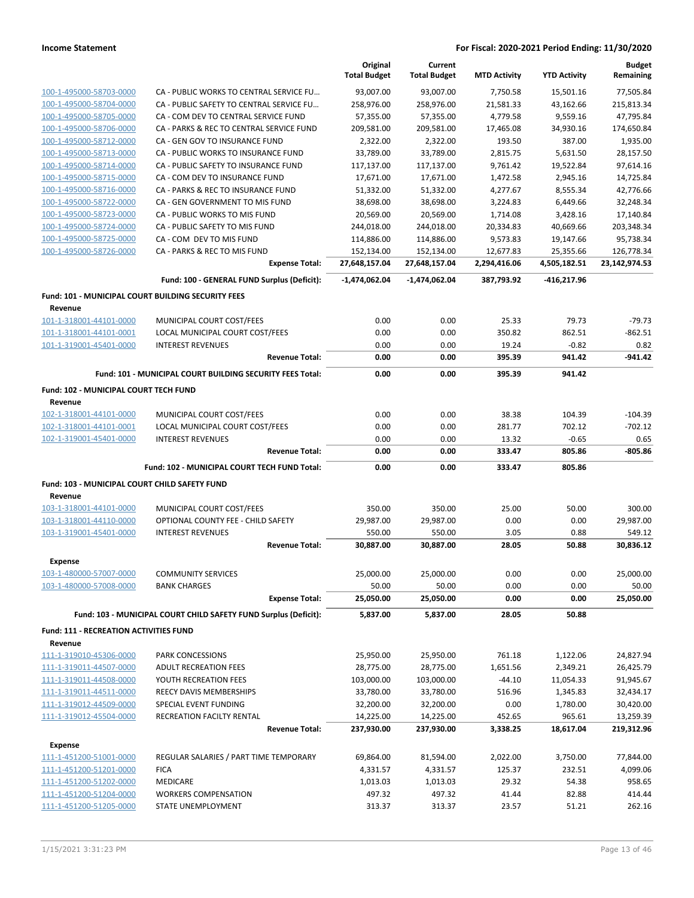|                                                           |                                                                  | Original<br><b>Total Budget</b> | Current<br><b>Total Budget</b> | <b>MTD Activity</b> | <b>YTD Activity</b> | <b>Budget</b><br>Remaining |
|-----------------------------------------------------------|------------------------------------------------------------------|---------------------------------|--------------------------------|---------------------|---------------------|----------------------------|
| 100-1-495000-58703-0000                                   | CA - PUBLIC WORKS TO CENTRAL SERVICE FU                          | 93,007.00                       | 93,007.00                      | 7,750.58            | 15,501.16           | 77,505.84                  |
| 100-1-495000-58704-0000                                   | CA - PUBLIC SAFETY TO CENTRAL SERVICE FU                         | 258,976.00                      | 258,976.00                     | 21,581.33           | 43,162.66           | 215,813.34                 |
| 100-1-495000-58705-0000                                   | CA - COM DEV TO CENTRAL SERVICE FUND                             | 57,355.00                       | 57,355.00                      | 4,779.58            | 9,559.16            | 47,795.84                  |
| 100-1-495000-58706-0000                                   | CA - PARKS & REC TO CENTRAL SERVICE FUND                         | 209,581.00                      | 209,581.00                     | 17,465.08           | 34,930.16           | 174,650.84                 |
| 100-1-495000-58712-0000                                   | CA - GEN GOV TO INSURANCE FUND                                   | 2,322.00                        | 2,322.00                       | 193.50              | 387.00              | 1,935.00                   |
| 100-1-495000-58713-0000                                   | CA - PUBLIC WORKS TO INSURANCE FUND                              | 33,789.00                       | 33,789.00                      | 2,815.75            | 5,631.50            | 28,157.50                  |
| 100-1-495000-58714-0000                                   | CA - PUBLIC SAFETY TO INSURANCE FUND                             | 117,137.00                      | 117,137.00                     | 9,761.42            | 19,522.84           | 97,614.16                  |
| 100-1-495000-58715-0000                                   | CA - COM DEV TO INSURANCE FUND                                   | 17,671.00                       | 17,671.00                      | 1,472.58            | 2,945.16            | 14,725.84                  |
| 100-1-495000-58716-0000                                   | CA - PARKS & REC TO INSURANCE FUND                               | 51,332.00                       | 51,332.00                      | 4,277.67            | 8,555.34            | 42,776.66                  |
| 100-1-495000-58722-0000                                   | CA - GEN GOVERNMENT TO MIS FUND                                  | 38,698.00                       | 38,698.00                      | 3,224.83            | 6,449.66            | 32,248.34                  |
| 100-1-495000-58723-0000                                   | CA - PUBLIC WORKS TO MIS FUND                                    | 20,569.00                       | 20,569.00                      | 1,714.08            | 3,428.16            | 17,140.84                  |
| 100-1-495000-58724-0000                                   | CA - PUBLIC SAFETY TO MIS FUND                                   | 244,018.00                      | 244,018.00                     | 20,334.83           | 40,669.66           | 203,348.34                 |
| 100-1-495000-58725-0000                                   | CA - COM DEV TO MIS FUND                                         | 114,886.00                      | 114,886.00                     | 9,573.83            | 19,147.66           | 95,738.34                  |
| 100-1-495000-58726-0000                                   | CA - PARKS & REC TO MIS FUND                                     | 152,134.00                      | 152,134.00                     | 12,677.83           | 25,355.66           | 126,778.34                 |
|                                                           | <b>Expense Total:</b>                                            | 27,648,157.04                   | 27,648,157.04                  | 2,294,416.06        | 4,505,182.51        | 23,142,974.53              |
|                                                           | Fund: 100 - GENERAL FUND Surplus (Deficit):                      | $-1,474,062.04$                 | -1,474,062.04                  | 387,793.92          | -416,217.96         |                            |
| <b>Fund: 101 - MUNICIPAL COURT BUILDING SECURITY FEES</b> |                                                                  |                                 |                                |                     |                     |                            |
| Revenue                                                   |                                                                  |                                 |                                |                     |                     |                            |
| 101-1-318001-44101-0000                                   | MUNICIPAL COURT COST/FEES                                        | 0.00                            | 0.00                           | 25.33               | 79.73               | $-79.73$                   |
| 101-1-318001-44101-0001                                   | LOCAL MUNICIPAL COURT COST/FEES                                  | 0.00                            | 0.00                           | 350.82              | 862.51              | $-862.51$                  |
| 101-1-319001-45401-0000                                   | <b>INTEREST REVENUES</b><br><b>Revenue Total:</b>                | 0.00<br>0.00                    | 0.00<br>0.00                   | 19.24<br>395.39     | $-0.82$<br>941.42   | 0.82<br>$-941.42$          |
|                                                           | Fund: 101 - MUNICIPAL COURT BUILDING SECURITY FEES Total:        | 0.00                            | 0.00                           | 395.39              | 941.42              |                            |
| Fund: 102 - MUNICIPAL COURT TECH FUND                     |                                                                  |                                 |                                |                     |                     |                            |
| Revenue                                                   |                                                                  |                                 |                                |                     |                     |                            |
| 102-1-318001-44101-0000                                   | MUNICIPAL COURT COST/FEES                                        | 0.00                            | 0.00                           | 38.38               | 104.39              | $-104.39$                  |
| 102-1-318001-44101-0001                                   | LOCAL MUNICIPAL COURT COST/FEES                                  | 0.00                            | 0.00                           | 281.77              | 702.12              | $-702.12$                  |
| 102-1-319001-45401-0000                                   | <b>INTEREST REVENUES</b>                                         | 0.00                            | 0.00                           | 13.32               | $-0.65$             | 0.65                       |
|                                                           | <b>Revenue Total:</b>                                            | 0.00                            | 0.00                           | 333.47              | 805.86              | -805.86                    |
|                                                           | Fund: 102 - MUNICIPAL COURT TECH FUND Total:                     | 0.00                            | 0.00                           | 333.47              | 805.86              |                            |
| Fund: 103 - MUNICIPAL COURT CHILD SAFETY FUND             |                                                                  |                                 |                                |                     |                     |                            |
| Revenue                                                   |                                                                  |                                 |                                |                     |                     |                            |
| 103-1-318001-44101-0000                                   | MUNICIPAL COURT COST/FEES                                        | 350.00                          | 350.00                         | 25.00               | 50.00               | 300.00                     |
| 103-1-318001-44110-0000                                   | OPTIONAL COUNTY FEE - CHILD SAFETY                               | 29,987.00                       | 29,987.00                      | 0.00                | 0.00                | 29,987.00                  |
| 103-1-319001-45401-0000                                   | <b>INTEREST REVENUES</b>                                         | 550.00                          | 550.00                         | 3.05<br>28.05       | 0.88<br>50.88       | 549.12<br>30.836.12        |
|                                                           | <b>Revenue Total:</b>                                            | 30,887.00                       | 30,887.00                      |                     |                     |                            |
| <b>Expense</b>                                            |                                                                  |                                 |                                |                     |                     |                            |
| 103-1-480000-57007-0000                                   | <b>COMMUNITY SERVICES</b>                                        | 25,000.00                       | 25,000.00                      | 0.00                | 0.00                | 25,000.00                  |
| 103-1-480000-57008-0000                                   | <b>BANK CHARGES</b><br><b>Expense Total:</b>                     | 50.00<br>25,050.00              | 50.00<br>25,050.00             | 0.00<br>0.00        | 0.00<br>0.00        | 50.00<br>25,050.00         |
|                                                           | Fund: 103 - MUNICIPAL COURT CHILD SAFETY FUND Surplus (Deficit): | 5,837.00                        | 5,837.00                       | 28.05               | 50.88               |                            |
| <b>Fund: 111 - RECREATION ACTIVITIES FUND</b>             |                                                                  |                                 |                                |                     |                     |                            |
| Revenue                                                   |                                                                  |                                 |                                |                     |                     |                            |
| 111-1-319010-45306-0000                                   | PARK CONCESSIONS                                                 | 25,950.00                       | 25,950.00                      | 761.18              | 1,122.06            | 24,827.94                  |
| 111-1-319011-44507-0000                                   | <b>ADULT RECREATION FEES</b>                                     | 28,775.00                       | 28,775.00                      | 1,651.56            | 2,349.21            | 26,425.79                  |
| 111-1-319011-44508-0000                                   | YOUTH RECREATION FEES                                            | 103,000.00                      | 103,000.00                     | $-44.10$            | 11,054.33           | 91,945.67                  |
| 111-1-319011-44511-0000                                   | REECY DAVIS MEMBERSHIPS                                          | 33,780.00                       | 33,780.00                      | 516.96              | 1,345.83            | 32,434.17                  |
| 111-1-319012-44509-0000                                   | SPECIAL EVENT FUNDING                                            | 32,200.00                       | 32,200.00                      | 0.00                | 1,780.00            | 30,420.00                  |
| 111-1-319012-45504-0000                                   | RECREATION FACILTY RENTAL                                        | 14,225.00                       | 14,225.00                      | 452.65              | 965.61              | 13,259.39                  |
|                                                           | <b>Revenue Total:</b>                                            | 237,930.00                      | 237,930.00                     | 3,338.25            | 18,617.04           | 219,312.96                 |
| <b>Expense</b>                                            |                                                                  |                                 |                                |                     |                     |                            |
| 111-1-451200-51001-0000                                   | REGULAR SALARIES / PART TIME TEMPORARY                           | 69,864.00                       | 81,594.00                      | 2,022.00            | 3,750.00            | 77,844.00                  |
| 111-1-451200-51201-0000                                   | <b>FICA</b>                                                      | 4,331.57                        | 4,331.57                       | 125.37              | 232.51              | 4,099.06                   |
| 111-1-451200-51202-0000                                   | MEDICARE                                                         | 1,013.03                        | 1,013.03                       | 29.32               | 54.38               | 958.65                     |
| 111-1-451200-51204-0000                                   | <b>WORKERS COMPENSATION</b>                                      | 497.32                          | 497.32                         | 41.44               | 82.88               | 414.44                     |
| 111-1-451200-51205-0000                                   | STATE UNEMPLOYMENT                                               | 313.37                          | 313.37                         | 23.57               | 51.21               | 262.16                     |
|                                                           |                                                                  |                                 |                                |                     |                     |                            |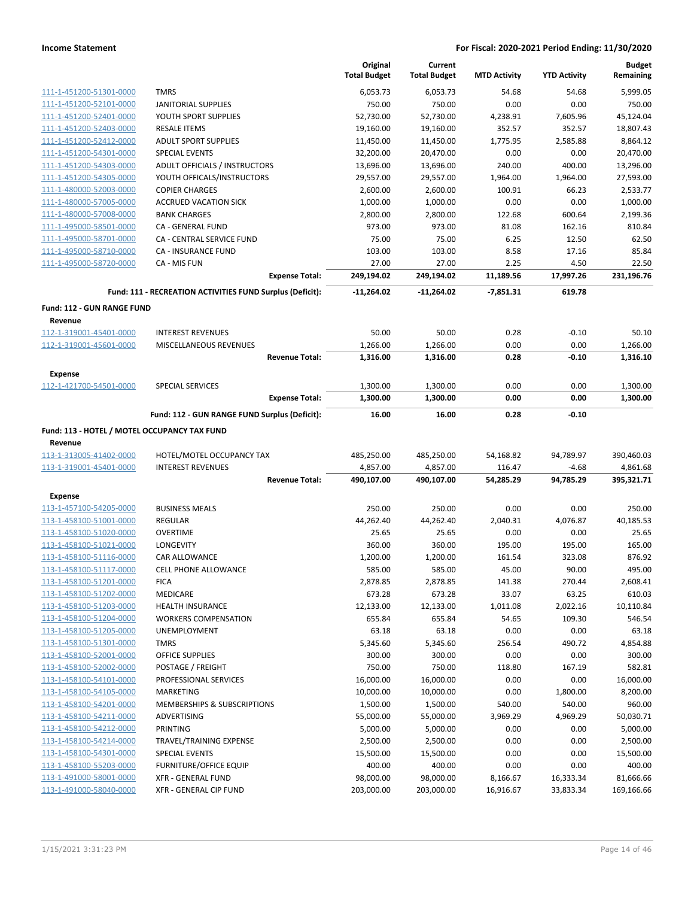|                                              |                                                           | Original<br><b>Total Budget</b> | Current<br><b>Total Budget</b> | <b>MTD Activity</b> | <b>YTD Activity</b> | <b>Budget</b><br>Remaining |
|----------------------------------------------|-----------------------------------------------------------|---------------------------------|--------------------------------|---------------------|---------------------|----------------------------|
| 111-1-451200-51301-0000                      | <b>TMRS</b>                                               | 6,053.73                        | 6,053.73                       | 54.68               | 54.68               | 5.999.05                   |
| 111-1-451200-52101-0000                      | <b>JANITORIAL SUPPLIES</b>                                | 750.00                          | 750.00                         | 0.00                | 0.00                | 750.00                     |
| 111-1-451200-52401-0000                      | YOUTH SPORT SUPPLIES                                      | 52,730.00                       | 52,730.00                      | 4,238.91            | 7,605.96            | 45,124.04                  |
| 111-1-451200-52403-0000                      | <b>RESALE ITEMS</b>                                       | 19,160.00                       | 19,160.00                      | 352.57              | 352.57              | 18,807.43                  |
| 111-1-451200-52412-0000                      | <b>ADULT SPORT SUPPLIES</b>                               | 11,450.00                       | 11,450.00                      | 1,775.95            | 2,585.88            | 8,864.12                   |
| 111-1-451200-54301-0000                      | <b>SPECIAL EVENTS</b>                                     | 32,200.00                       | 20,470.00                      | 0.00                | 0.00                | 20,470.00                  |
| 111-1-451200-54303-0000                      | ADULT OFFICIALS / INSTRUCTORS                             | 13,696.00                       | 13,696.00                      | 240.00              | 400.00              | 13,296.00                  |
| 111-1-451200-54305-0000                      | YOUTH OFFICALS/INSTRUCTORS                                | 29,557.00                       | 29,557.00                      | 1,964.00            | 1,964.00            | 27,593.00                  |
| 111-1-480000-52003-0000                      | <b>COPIER CHARGES</b>                                     | 2,600.00                        | 2,600.00                       | 100.91              | 66.23               | 2,533.77                   |
| 111-1-480000-57005-0000                      | <b>ACCRUED VACATION SICK</b>                              | 1,000.00                        | 1,000.00                       | 0.00                | 0.00                | 1,000.00                   |
| 111-1-480000-57008-0000                      | <b>BANK CHARGES</b>                                       | 2,800.00                        | 2,800.00                       | 122.68              | 600.64              | 2,199.36                   |
| 111-1-495000-58501-0000                      | CA - GENERAL FUND                                         | 973.00                          | 973.00                         | 81.08               | 162.16              | 810.84                     |
| 111-1-495000-58701-0000                      | CA - CENTRAL SERVICE FUND                                 | 75.00                           | 75.00                          | 6.25                | 12.50               | 62.50                      |
| 111-1-495000-58710-0000                      | CA - INSURANCE FUND                                       | 103.00                          | 103.00                         | 8.58                | 17.16               | 85.84                      |
| 111-1-495000-58720-0000                      | CA - MIS FUN                                              | 27.00                           | 27.00                          | 2.25                | 4.50                | 22.50                      |
|                                              | <b>Expense Total:</b>                                     | 249,194.02                      | 249,194.02                     | 11,189.56           | 17,997.26           | 231,196.76                 |
|                                              | Fund: 111 - RECREATION ACTIVITIES FUND Surplus (Deficit): | -11,264.02                      | $-11,264.02$                   | $-7,851.31$         | 619.78              |                            |
| Fund: 112 - GUN RANGE FUND                   |                                                           |                                 |                                |                     |                     |                            |
| Revenue                                      |                                                           |                                 |                                |                     |                     |                            |
| 112-1-319001-45401-0000                      | <b>INTEREST REVENUES</b>                                  | 50.00                           | 50.00                          | 0.28                | $-0.10$             | 50.10                      |
| 112-1-319001-45601-0000                      | MISCELLANEOUS REVENUES                                    | 1,266.00                        | 1,266.00                       | 0.00                | 0.00                | 1,266.00                   |
|                                              | <b>Revenue Total:</b>                                     | 1,316.00                        | 1,316.00                       | 0.28                | $-0.10$             | 1,316.10                   |
| <b>Expense</b>                               |                                                           |                                 |                                |                     |                     |                            |
| 112-1-421700-54501-0000                      | <b>SPECIAL SERVICES</b>                                   | 1,300.00                        | 1,300.00                       | 0.00                | 0.00                | 1,300.00                   |
|                                              | <b>Expense Total:</b>                                     | 1,300.00                        | 1,300.00                       | 0.00                | 0.00                | 1,300.00                   |
|                                              | Fund: 112 - GUN RANGE FUND Surplus (Deficit):             | 16.00                           | 16.00                          | 0.28                | $-0.10$             |                            |
| Fund: 113 - HOTEL / MOTEL OCCUPANCY TAX FUND |                                                           |                                 |                                |                     |                     |                            |
| Revenue                                      |                                                           |                                 |                                |                     |                     |                            |
| 113-1-313005-41402-0000                      | HOTEL/MOTEL OCCUPANCY TAX                                 | 485,250.00                      | 485,250.00                     | 54,168.82           | 94,789.97           | 390,460.03                 |
| 113-1-319001-45401-0000                      | <b>INTEREST REVENUES</b>                                  | 4,857.00                        | 4,857.00                       | 116.47              | $-4.68$             | 4,861.68                   |
|                                              | <b>Revenue Total:</b>                                     | 490,107.00                      | 490,107.00                     | 54,285.29           | 94,785.29           | 395,321.71                 |
| <b>Expense</b>                               |                                                           |                                 |                                |                     |                     |                            |
| 113-1-457100-54205-0000                      | <b>BUSINESS MEALS</b>                                     | 250.00                          | 250.00                         | 0.00                | 0.00                | 250.00                     |
| 113-1-458100-51001-0000                      | REGULAR                                                   | 44,262.40                       | 44,262.40                      | 2,040.31            | 4,076.87            | 40,185.53                  |
| 113-1-458100-51020-0000                      | <b>OVERTIME</b>                                           | 25.65                           | 25.65                          | 0.00                | 0.00                | 25.65                      |
| 113-1-458100-51021-0000                      | LONGEVITY                                                 | 360.00                          | 360.00                         | 195.00              | 195.00              | 165.00                     |
| 113-1-458100-51116-0000                      | CAR ALLOWANCE                                             | 1,200.00                        | 1,200.00                       | 161.54              | 323.08              | 876.92                     |
| 113-1-458100-51117-0000                      | CELL PHONE ALLOWANCE                                      | 585.00                          | 585.00                         | 45.00               | 90.00               | 495.00                     |
| 113-1-458100-51201-0000                      | <b>FICA</b>                                               | 2,878.85                        | 2,878.85                       | 141.38              | 270.44              | 2,608.41                   |
| 113-1-458100-51202-0000                      | <b>MEDICARE</b>                                           | 673.28                          | 673.28                         | 33.07               | 63.25               | 610.03                     |
| 113-1-458100-51203-0000                      | <b>HEALTH INSURANCE</b>                                   | 12,133.00                       | 12,133.00                      | 1,011.08            | 2,022.16            | 10,110.84                  |
| 113-1-458100-51204-0000                      | <b>WORKERS COMPENSATION</b>                               | 655.84                          | 655.84                         | 54.65               | 109.30              | 546.54                     |
| 113-1-458100-51205-0000                      | <b>UNEMPLOYMENT</b>                                       | 63.18                           | 63.18                          | 0.00                | 0.00                | 63.18                      |
| 113-1-458100-51301-0000                      | <b>TMRS</b>                                               | 5,345.60                        | 5,345.60                       | 256.54              | 490.72              | 4,854.88                   |
| 113-1-458100-52001-0000                      | <b>OFFICE SUPPLIES</b>                                    | 300.00                          | 300.00                         | 0.00                | 0.00                | 300.00                     |
| 113-1-458100-52002-0000                      | POSTAGE / FREIGHT                                         | 750.00                          | 750.00                         | 118.80              | 167.19              | 582.81                     |
| 113-1-458100-54101-0000                      | PROFESSIONAL SERVICES                                     | 16,000.00                       | 16,000.00                      | 0.00                | 0.00                | 16,000.00                  |
| 113-1-458100-54105-0000                      | MARKETING                                                 | 10,000.00                       | 10,000.00                      | 0.00                | 1,800.00            | 8,200.00                   |
| 113-1-458100-54201-0000                      | MEMBERSHIPS & SUBSCRIPTIONS                               | 1,500.00                        | 1,500.00                       | 540.00              | 540.00              | 960.00                     |
| 113-1-458100-54211-0000                      | ADVERTISING                                               | 55,000.00                       | 55,000.00                      | 3,969.29            | 4,969.29            | 50,030.71                  |
| 113-1-458100-54212-0000                      | PRINTING                                                  | 5,000.00                        | 5,000.00                       | 0.00                | 0.00                | 5,000.00                   |
| 113-1-458100-54214-0000                      | TRAVEL/TRAINING EXPENSE                                   | 2,500.00                        | 2,500.00                       | 0.00                | 0.00                | 2,500.00                   |
| 113-1-458100-54301-0000                      | <b>SPECIAL EVENTS</b>                                     | 15,500.00                       | 15,500.00                      | 0.00                | 0.00                | 15,500.00                  |
| 113-1-458100-55203-0000                      | FURNITURE/OFFICE EQUIP                                    | 400.00                          | 400.00                         | 0.00                | 0.00                | 400.00                     |
| 113-1-491000-58001-0000                      | <b>XFR - GENERAL FUND</b>                                 | 98,000.00                       | 98,000.00                      | 8,166.67            | 16,333.34           | 81,666.66                  |
| 113-1-491000-58040-0000                      | XFR - GENERAL CIP FUND                                    | 203,000.00                      | 203,000.00                     | 16,916.67           | 33,833.34           | 169,166.66                 |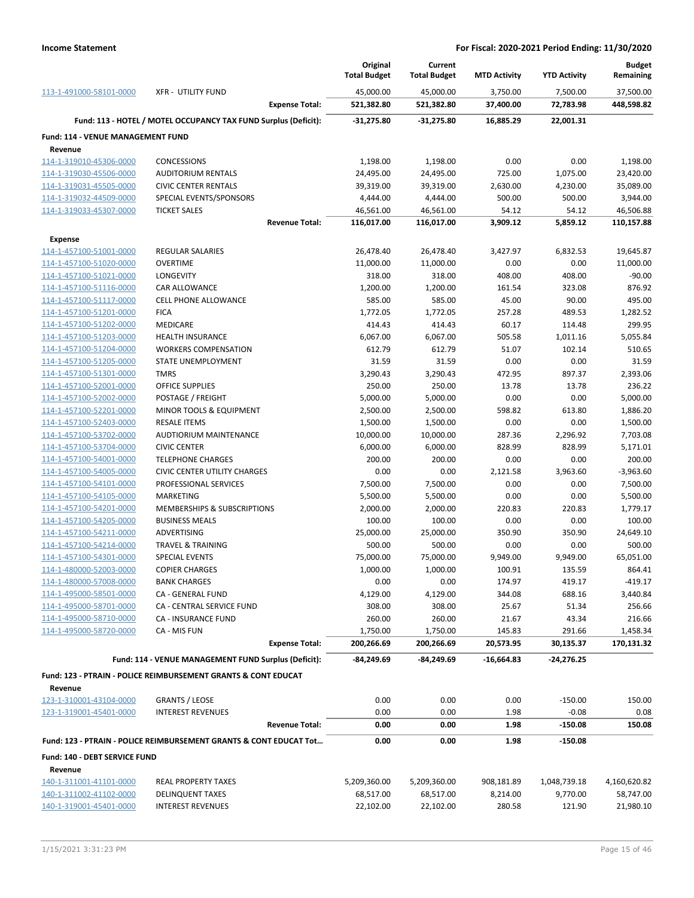|                                                    |                                                                    | Original<br><b>Total Budget</b> | Current<br><b>Total Budget</b> | <b>MTD Activity</b>   | <b>YTD Activity</b>   | <b>Budget</b><br>Remaining |
|----------------------------------------------------|--------------------------------------------------------------------|---------------------------------|--------------------------------|-----------------------|-----------------------|----------------------------|
| 113-1-491000-58101-0000                            | <b>XFR - UTILITY FUND</b><br><b>Expense Total:</b>                 | 45,000.00<br>521,382.80         | 45,000.00<br>521,382.80        | 3,750.00<br>37,400.00 | 7,500.00<br>72,783.98 | 37,500.00<br>448,598.82    |
|                                                    | Fund: 113 - HOTEL / MOTEL OCCUPANCY TAX FUND Surplus (Deficit):    | $-31,275.80$                    | $-31,275.80$                   | 16,885.29             | 22,001.31             |                            |
| Fund: 114 - VENUE MANAGEMENT FUND                  |                                                                    |                                 |                                |                       |                       |                            |
| Revenue                                            |                                                                    |                                 |                                |                       |                       |                            |
| 114-1-319010-45306-0000                            | CONCESSIONS                                                        | 1,198.00                        | 1,198.00                       | 0.00                  | 0.00                  | 1,198.00                   |
| 114-1-319030-45506-0000                            | <b>AUDITORIUM RENTALS</b>                                          | 24,495.00                       | 24,495.00                      | 725.00                | 1,075.00              | 23,420.00                  |
| 114-1-319031-45505-0000                            | <b>CIVIC CENTER RENTALS</b>                                        | 39,319.00                       | 39,319.00                      | 2,630.00              | 4,230.00              | 35,089.00                  |
| 114-1-319032-44509-0000                            | SPECIAL EVENTS/SPONSORS                                            | 4,444.00                        | 4,444.00                       | 500.00                | 500.00                | 3,944.00                   |
| 114-1-319033-45307-0000                            | <b>TICKET SALES</b>                                                | 46,561.00                       | 46,561.00                      | 54.12                 | 54.12                 | 46,506.88                  |
|                                                    | <b>Revenue Total:</b>                                              | 116,017.00                      | 116,017.00                     | 3,909.12              | 5,859.12              | 110,157.88                 |
| <b>Expense</b>                                     |                                                                    |                                 |                                |                       |                       |                            |
| 114-1-457100-51001-0000                            | <b>REGULAR SALARIES</b>                                            | 26,478.40                       | 26,478.40                      | 3,427.97              | 6,832.53              | 19,645.87                  |
| 114-1-457100-51020-0000                            | <b>OVERTIME</b>                                                    | 11,000.00                       | 11,000.00                      | 0.00                  | 0.00                  | 11,000.00                  |
| 114-1-457100-51021-0000                            | LONGEVITY                                                          | 318.00                          | 318.00                         | 408.00                | 408.00                | $-90.00$                   |
| 114-1-457100-51116-0000                            | <b>CAR ALLOWANCE</b>                                               | 1,200.00                        | 1,200.00                       | 161.54                | 323.08                | 876.92                     |
| 114-1-457100-51117-0000                            | <b>CELL PHONE ALLOWANCE</b>                                        | 585.00                          | 585.00                         | 45.00                 | 90.00                 | 495.00                     |
| 114-1-457100-51201-0000                            | <b>FICA</b>                                                        | 1,772.05                        | 1,772.05                       | 257.28                | 489.53                | 1,282.52                   |
| 114-1-457100-51202-0000                            | <b>MEDICARE</b>                                                    | 414.43                          | 414.43                         | 60.17                 | 114.48                | 299.95                     |
| 114-1-457100-51203-0000                            | <b>HEALTH INSURANCE</b>                                            | 6,067.00                        | 6,067.00                       | 505.58                | 1,011.16              | 5,055.84                   |
| 114-1-457100-51204-0000                            | <b>WORKERS COMPENSATION</b>                                        | 612.79                          | 612.79                         | 51.07                 | 102.14                | 510.65                     |
| 114-1-457100-51205-0000                            | STATE UNEMPLOYMENT                                                 | 31.59                           | 31.59                          | 0.00                  | 0.00                  | 31.59                      |
| 114-1-457100-51301-0000                            | <b>TMRS</b>                                                        | 3,290.43                        | 3,290.43                       | 472.95                | 897.37                | 2,393.06                   |
| 114-1-457100-52001-0000                            | <b>OFFICE SUPPLIES</b>                                             | 250.00                          | 250.00                         | 13.78                 | 13.78                 | 236.22                     |
| 114-1-457100-52002-0000                            | POSTAGE / FREIGHT                                                  | 5,000.00                        | 5,000.00                       | 0.00<br>598.82        | 0.00<br>613.80        | 5,000.00                   |
| 114-1-457100-52201-0000<br>114-1-457100-52403-0000 | MINOR TOOLS & EQUIPMENT<br><b>RESALE ITEMS</b>                     | 2,500.00<br>1,500.00            | 2,500.00<br>1,500.00           | 0.00                  | 0.00                  | 1,886.20<br>1,500.00       |
| 114-1-457100-53702-0000                            | AUDTIORIUM MAINTENANCE                                             | 10,000.00                       | 10,000.00                      | 287.36                | 2,296.92              | 7,703.08                   |
| 114-1-457100-53704-0000                            | <b>CIVIC CENTER</b>                                                | 6,000.00                        | 6,000.00                       | 828.99                | 828.99                | 5,171.01                   |
| 114-1-457100-54001-0000                            | <b>TELEPHONE CHARGES</b>                                           | 200.00                          | 200.00                         | 0.00                  | 0.00                  | 200.00                     |
| 114-1-457100-54005-0000                            | <b>CIVIC CENTER UTILITY CHARGES</b>                                | 0.00                            | 0.00                           | 2,121.58              | 3,963.60              | $-3,963.60$                |
| 114-1-457100-54101-0000                            | PROFESSIONAL SERVICES                                              | 7,500.00                        | 7,500.00                       | 0.00                  | 0.00                  | 7,500.00                   |
| 114-1-457100-54105-0000                            | MARKETING                                                          | 5,500.00                        | 5,500.00                       | 0.00                  | 0.00                  | 5,500.00                   |
| 114-1-457100-54201-0000                            | MEMBERSHIPS & SUBSCRIPTIONS                                        | 2,000.00                        | 2,000.00                       | 220.83                | 220.83                | 1,779.17                   |
| 114-1-457100-54205-0000                            | <b>BUSINESS MEALS</b>                                              | 100.00                          | 100.00                         | 0.00                  | 0.00                  | 100.00                     |
| 114-1-457100-54211-0000                            | ADVERTISING                                                        | 25,000.00                       | 25,000.00                      | 350.90                | 350.90                | 24,649.10                  |
| 114-1-457100-54214-0000                            | <b>TRAVEL &amp; TRAINING</b>                                       | 500.00                          | 500.00                         | 0.00                  | 0.00                  | 500.00                     |
| 114-1-457100-54301-0000                            | SPECIAL EVENTS                                                     | 75,000.00                       | 75,000.00                      | 9,949.00              | 9,949.00              | 65,051.00                  |
| 114-1-480000-52003-0000                            | <b>COPIER CHARGES</b>                                              | 1,000.00                        | 1,000.00                       | 100.91                | 135.59                | 864.41                     |
| 114-1-480000-57008-0000                            | <b>BANK CHARGES</b>                                                | 0.00                            | 0.00                           | 174.97                | 419.17                | $-419.17$                  |
| 114-1-495000-58501-0000                            | CA - GENERAL FUND                                                  | 4,129.00                        | 4,129.00                       | 344.08                | 688.16                | 3,440.84                   |
| 114-1-495000-58701-0000                            | CA - CENTRAL SERVICE FUND                                          | 308.00                          | 308.00                         | 25.67                 | 51.34                 | 256.66                     |
| 114-1-495000-58710-0000                            | CA - INSURANCE FUND                                                | 260.00                          | 260.00                         | 21.67                 | 43.34                 | 216.66                     |
| 114-1-495000-58720-0000                            | CA - MIS FUN                                                       | 1,750.00                        | 1,750.00                       | 145.83                | 291.66                | 1,458.34                   |
|                                                    | <b>Expense Total:</b>                                              | 200,266.69                      | 200,266.69                     | 20,573.95             | 30,135.37             | 170,131.32                 |
|                                                    | Fund: 114 - VENUE MANAGEMENT FUND Surplus (Deficit):               | $-84,249.69$                    | $-84,249.69$                   | $-16,664.83$          | $-24,276.25$          |                            |
|                                                    | Fund: 123 - PTRAIN - POLICE REIMBURSEMENT GRANTS & CONT EDUCAT     |                                 |                                |                       |                       |                            |
| Revenue                                            |                                                                    |                                 |                                |                       |                       |                            |
| 123-1-310001-43104-0000                            | <b>GRANTS / LEOSE</b>                                              | 0.00                            | 0.00                           | 0.00                  | $-150.00$             | 150.00                     |
| 123-1-319001-45401-0000                            | <b>INTEREST REVENUES</b>                                           | 0.00                            | 0.00                           | 1.98                  | $-0.08$               | 0.08                       |
|                                                    | <b>Revenue Total:</b>                                              | 0.00                            | 0.00                           | 1.98                  | $-150.08$             | 150.08                     |
|                                                    | Fund: 123 - PTRAIN - POLICE REIMBURSEMENT GRANTS & CONT EDUCAT Tot | 0.00                            | 0.00                           | 1.98                  | $-150.08$             |                            |
| Fund: 140 - DEBT SERVICE FUND                      |                                                                    |                                 |                                |                       |                       |                            |
| Revenue                                            |                                                                    |                                 |                                |                       |                       |                            |
| 140-1-311001-41101-0000                            | <b>REAL PROPERTY TAXES</b>                                         | 5,209,360.00                    | 5,209,360.00                   | 908,181.89            | 1,048,739.18          | 4,160,620.82               |
| 140-1-311002-41102-0000                            | <b>DELINQUENT TAXES</b>                                            | 68,517.00                       | 68,517.00                      | 8,214.00              | 9,770.00              | 58,747.00                  |
| 140-1-319001-45401-0000                            | <b>INTEREST REVENUES</b>                                           | 22,102.00                       | 22,102.00                      | 280.58                | 121.90                | 21,980.10                  |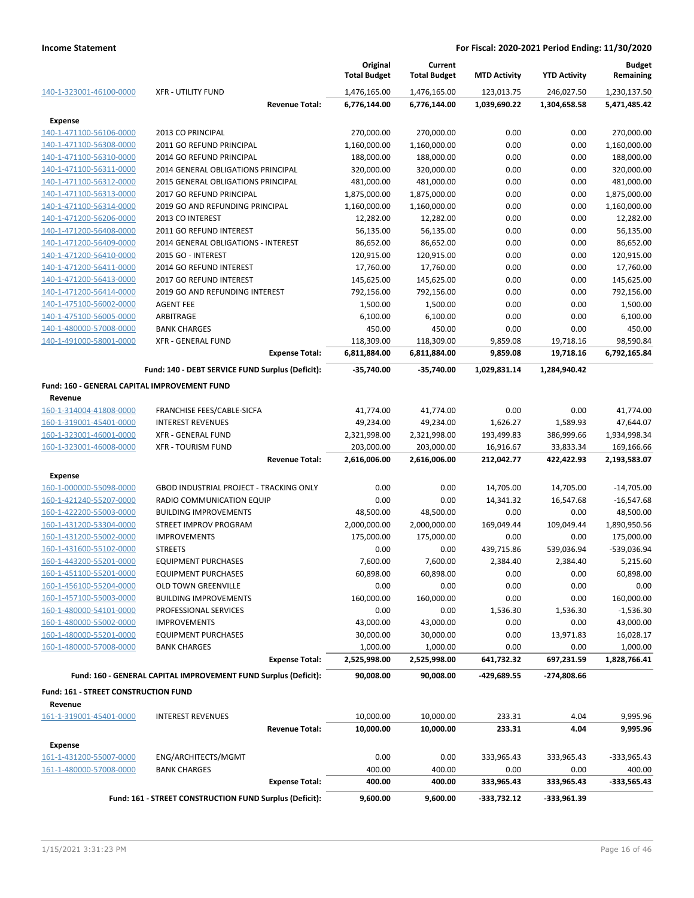|                                              |                                                                 |                       | Original<br><b>Total Budget</b> | Current<br><b>Total Budget</b> | <b>MTD Activity</b> | <b>YTD Activity</b> | <b>Budget</b><br>Remaining |
|----------------------------------------------|-----------------------------------------------------------------|-----------------------|---------------------------------|--------------------------------|---------------------|---------------------|----------------------------|
| 140-1-323001-46100-0000                      | <b>XFR - UTILITY FUND</b>                                       |                       | 1,476,165.00                    | 1,476,165.00                   | 123,013.75          | 246,027.50          | 1,230,137.50               |
|                                              |                                                                 | <b>Revenue Total:</b> | 6,776,144.00                    | 6,776,144.00                   | 1,039,690.22        | 1,304,658.58        | 5,471,485.42               |
| <b>Expense</b>                               |                                                                 |                       |                                 |                                |                     |                     |                            |
| 140-1-471100-56106-0000                      | 2013 CO PRINCIPAL                                               |                       | 270,000.00                      | 270,000.00                     | 0.00                | 0.00                | 270,000.00                 |
| 140-1-471100-56308-0000                      | 2011 GO REFUND PRINCIPAL                                        |                       | 1,160,000.00                    | 1,160,000.00                   | 0.00                | 0.00                | 1,160,000.00               |
| 140-1-471100-56310-0000                      | 2014 GO REFUND PRINCIPAL                                        |                       | 188,000.00                      | 188,000.00                     | 0.00                | 0.00                | 188,000.00                 |
| 140-1-471100-56311-0000                      | 2014 GENERAL OBLIGATIONS PRINCIPAL                              |                       | 320,000.00                      | 320,000.00                     | 0.00                | 0.00                | 320,000.00                 |
| 140-1-471100-56312-0000                      | 2015 GENERAL OBLIGATIONS PRINCIPAL                              |                       | 481,000.00                      | 481,000.00                     | 0.00                | 0.00                | 481,000.00                 |
| 140-1-471100-56313-0000                      | 2017 GO REFUND PRINCIPAL                                        |                       | 1,875,000.00                    | 1,875,000.00                   | 0.00                | 0.00                | 1,875,000.00               |
| 140-1-471100-56314-0000                      | 2019 GO AND REFUNDING PRINCIPAL                                 |                       | 1,160,000.00                    | 1,160,000.00                   | 0.00                | 0.00                | 1,160,000.00               |
| 140-1-471200-56206-0000                      | 2013 CO INTEREST                                                |                       | 12,282.00                       | 12,282.00                      | 0.00                | 0.00                | 12,282.00                  |
| 140-1-471200-56408-0000                      | 2011 GO REFUND INTEREST                                         |                       | 56,135.00                       | 56,135.00                      | 0.00                | 0.00                | 56,135.00                  |
| 140-1-471200-56409-0000                      | 2014 GENERAL OBLIGATIONS - INTEREST                             |                       | 86,652.00                       | 86,652.00                      | 0.00                | 0.00                | 86,652.00                  |
| 140-1-471200-56410-0000                      | 2015 GO - INTEREST                                              |                       | 120,915.00                      | 120,915.00                     | 0.00                | 0.00                | 120,915.00                 |
| 140-1-471200-56411-0000                      | 2014 GO REFUND INTEREST                                         |                       | 17,760.00                       | 17,760.00                      | 0.00                | 0.00                | 17,760.00                  |
| 140-1-471200-56413-0000                      | 2017 GO REFUND INTEREST                                         |                       | 145,625.00                      | 145,625.00                     | 0.00                | 0.00                | 145,625.00                 |
| 140-1-471200-56414-0000                      | 2019 GO AND REFUNDING INTEREST                                  |                       | 792,156.00                      | 792,156.00                     | 0.00                | 0.00                | 792,156.00                 |
| 140-1-475100-56002-0000                      | <b>AGENT FEE</b>                                                |                       | 1,500.00                        | 1,500.00                       | 0.00                | 0.00                | 1,500.00                   |
| 140-1-475100-56005-0000                      | ARBITRAGE                                                       |                       | 6,100.00                        | 6,100.00                       | 0.00                | 0.00                | 6,100.00                   |
| 140-1-480000-57008-0000                      | <b>BANK CHARGES</b>                                             |                       | 450.00                          | 450.00                         | 0.00                | 0.00                | 450.00                     |
| 140-1-491000-58001-0000                      | <b>XFR - GENERAL FUND</b>                                       |                       | 118,309.00                      | 118,309.00                     | 9,859.08            | 19,718.16           | 98,590.84                  |
|                                              |                                                                 | <b>Expense Total:</b> | 6,811,884.00                    | 6,811,884.00                   | 9,859.08            | 19,718.16           | 6,792,165.84               |
|                                              | Fund: 140 - DEBT SERVICE FUND Surplus (Deficit):                |                       | $-35,740.00$                    | $-35,740.00$                   | 1,029,831.14        | 1,284,940.42        |                            |
| Fund: 160 - GENERAL CAPITAL IMPROVEMENT FUND |                                                                 |                       |                                 |                                |                     |                     |                            |
| Revenue                                      |                                                                 |                       |                                 |                                |                     |                     |                            |
| 160-1-314004-41808-0000                      | FRANCHISE FEES/CABLE-SICFA                                      |                       | 41,774.00                       | 41,774.00                      | 0.00                | 0.00                | 41,774.00                  |
| 160-1-319001-45401-0000                      | <b>INTEREST REVENUES</b>                                        |                       | 49,234.00                       | 49,234.00                      | 1,626.27            | 1,589.93            | 47,644.07                  |
| 160-1-323001-46001-0000                      | <b>XFR - GENERAL FUND</b>                                       |                       | 2,321,998.00                    | 2,321,998.00                   | 193,499.83          | 386,999.66          | 1,934,998.34               |
| 160-1-323001-46008-0000                      | <b>XFR - TOURISM FUND</b>                                       |                       | 203,000.00                      | 203,000.00                     | 16,916.67           | 33,833.34           | 169,166.66                 |
|                                              |                                                                 | <b>Revenue Total:</b> | 2,616,006.00                    | 2,616,006.00                   | 212,042.77          | 422,422.93          | 2,193,583.07               |
| <b>Expense</b>                               |                                                                 |                       |                                 |                                |                     |                     |                            |
| 160-1-000000-55098-0000                      | GBOD INDUSTRIAL PROJECT - TRACKING ONLY                         |                       | 0.00                            | 0.00                           | 14,705.00           | 14,705.00           | $-14,705.00$               |
| 160-1-421240-55207-0000                      | RADIO COMMUNICATION EQUIP                                       |                       | 0.00                            | 0.00                           | 14,341.32           | 16,547.68           | $-16,547.68$               |
| 160-1-422200-55003-0000                      | <b>BUILDING IMPROVEMENTS</b>                                    |                       | 48,500.00                       | 48,500.00                      | 0.00                | 0.00                | 48,500.00                  |
| 160-1-431200-53304-0000                      | STREET IMPROV PROGRAM                                           |                       | 2,000,000.00                    | 2,000,000.00                   | 169,049.44          | 109,049.44          | 1,890,950.56               |
| 160-1-431200-55002-0000                      | <b>IMPROVEMENTS</b>                                             |                       | 175,000.00                      | 175,000.00                     | 0.00                | 0.00                | 175,000.00                 |
| 160-1-431600-55102-0000                      | <b>STREETS</b>                                                  |                       | 0.00                            | 0.00                           | 439,715.86          | 539,036.94          | -539,036.94                |
| 160-1-443200-55201-0000                      | <b>EQUIPMENT PURCHASES</b>                                      |                       | 7,600.00                        | 7,600.00                       | 2,384.40            | 2,384.40            | 5,215.60                   |
| 160-1-451100-55201-0000                      | <b>EQUIPMENT PURCHASES</b>                                      |                       | 60,898.00                       | 60,898.00                      | 0.00                | 0.00                | 60,898.00                  |
| 160-1-456100-55204-0000                      | <b>OLD TOWN GREENVILLE</b>                                      |                       | 0.00                            | 0.00                           | 0.00                | 0.00                | 0.00                       |
| 160-1-457100-55003-0000                      | <b>BUILDING IMPROVEMENTS</b>                                    |                       | 160,000.00                      | 160,000.00                     | 0.00                | 0.00                | 160,000.00                 |
| 160-1-480000-54101-0000                      | PROFESSIONAL SERVICES                                           |                       | 0.00                            | 0.00                           | 1,536.30            | 1,536.30            | $-1,536.30$                |
| 160-1-480000-55002-0000                      | <b>IMPROVEMENTS</b>                                             |                       | 43,000.00                       | 43,000.00                      | 0.00                | 0.00                | 43,000.00                  |
| 160-1-480000-55201-0000                      | <b>EQUIPMENT PURCHASES</b>                                      |                       | 30,000.00                       | 30,000.00                      | 0.00                | 13,971.83           | 16,028.17                  |
| 160-1-480000-57008-0000                      | <b>BANK CHARGES</b>                                             |                       | 1,000.00                        | 1,000.00                       | 0.00                | 0.00                | 1,000.00                   |
|                                              |                                                                 | <b>Expense Total:</b> | 2,525,998.00                    | 2,525,998.00                   | 641,732.32          | 697,231.59          | 1,828,766.41               |
|                                              | Fund: 160 - GENERAL CAPITAL IMPROVEMENT FUND Surplus (Deficit): |                       | 90,008.00                       | 90,008.00                      | -429,689.55         | -274,808.66         |                            |
|                                              |                                                                 |                       |                                 |                                |                     |                     |                            |
| Fund: 161 - STREET CONSTRUCTION FUND         |                                                                 |                       |                                 |                                |                     |                     |                            |
| Revenue                                      |                                                                 |                       |                                 |                                |                     |                     |                            |
| 161-1-319001-45401-0000                      | <b>INTEREST REVENUES</b>                                        |                       | 10,000.00                       | 10,000.00                      | 233.31              | 4.04                | 9,995.96                   |
|                                              |                                                                 | <b>Revenue Total:</b> | 10,000.00                       | 10,000.00                      | 233.31              | 4.04                | 9,995.96                   |
| <b>Expense</b>                               |                                                                 |                       |                                 |                                |                     |                     |                            |
| 161-1-431200-55007-0000                      | ENG/ARCHITECTS/MGMT                                             |                       | 0.00                            | 0.00                           | 333,965.43          | 333,965.43          | -333,965.43                |
| 161-1-480000-57008-0000                      | <b>BANK CHARGES</b>                                             |                       | 400.00                          | 400.00                         | 0.00                | 0.00                | 400.00                     |
|                                              |                                                                 | <b>Expense Total:</b> | 400.00                          | 400.00                         | 333,965.43          | 333,965.43          | $-333,565.43$              |
|                                              | Fund: 161 - STREET CONSTRUCTION FUND Surplus (Deficit):         |                       | 9,600.00                        | 9,600.00                       | -333,732.12         | -333,961.39         |                            |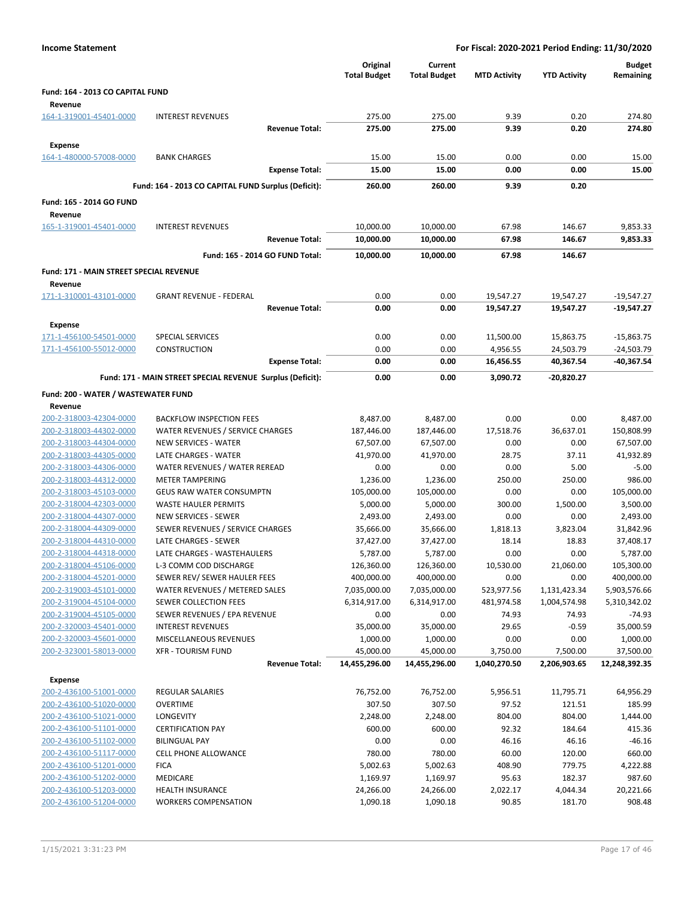| <b>Income Statement</b>                            |                                                                 |                                 |                                | For Fiscal: 2020-2021 Period Ending: 11/30/2020 |                          |                            |
|----------------------------------------------------|-----------------------------------------------------------------|---------------------------------|--------------------------------|-------------------------------------------------|--------------------------|----------------------------|
|                                                    |                                                                 | Original<br><b>Total Budget</b> | Current<br><b>Total Budget</b> | <b>MTD Activity</b>                             | <b>YTD Activity</b>      | <b>Budget</b><br>Remaining |
| Fund: 164 - 2013 CO CAPITAL FUND                   |                                                                 |                                 |                                |                                                 |                          |                            |
| Revenue                                            |                                                                 |                                 |                                |                                                 |                          |                            |
| 164-1-319001-45401-0000                            | <b>INTEREST REVENUES</b>                                        | 275.00                          | 275.00                         | 9.39                                            | 0.20                     | 274.80                     |
|                                                    | <b>Revenue Total:</b>                                           | 275.00                          | 275.00                         | 9.39                                            | 0.20                     | 274.80                     |
| <b>Expense</b>                                     |                                                                 |                                 |                                |                                                 |                          |                            |
| 164-1-480000-57008-0000                            | <b>BANK CHARGES</b>                                             | 15.00                           | 15.00                          | 0.00                                            | 0.00                     | 15.00                      |
|                                                    | <b>Expense Total:</b>                                           | 15.00                           | 15.00                          | 0.00                                            | 0.00                     | 15.00                      |
|                                                    | Fund: 164 - 2013 CO CAPITAL FUND Surplus (Deficit):             | 260.00                          | 260.00                         | 9.39                                            | 0.20                     |                            |
| Fund: 165 - 2014 GO FUND                           |                                                                 |                                 |                                |                                                 |                          |                            |
| Revenue<br>165-1-319001-45401-0000                 | <b>INTEREST REVENUES</b>                                        | 10,000.00                       | 10,000.00                      | 67.98                                           | 146.67                   | 9,853.33                   |
|                                                    | <b>Revenue Total:</b>                                           | 10,000.00                       | 10,000.00                      | 67.98                                           | 146.67                   | 9,853.33                   |
|                                                    | Fund: 165 - 2014 GO FUND Total:                                 | 10,000.00                       | 10,000.00                      | 67.98                                           | 146.67                   |                            |
| Fund: 171 - MAIN STREET SPECIAL REVENUE            |                                                                 |                                 |                                |                                                 |                          |                            |
| Revenue                                            |                                                                 |                                 |                                |                                                 |                          |                            |
| 171-1-310001-43101-0000                            | <b>GRANT REVENUE - FEDERAL</b>                                  | 0.00                            | 0.00                           | 19,547.27                                       | 19,547.27                | $-19,547.27$               |
|                                                    | <b>Revenue Total:</b>                                           | 0.00                            | 0.00                           | 19,547.27                                       | 19,547.27                | $-19,547.27$               |
| <b>Expense</b>                                     |                                                                 |                                 |                                |                                                 |                          |                            |
| 171-1-456100-54501-0000                            | <b>SPECIAL SERVICES</b>                                         | 0.00                            | 0.00                           | 11,500.00                                       | 15,863.75                | $-15,863.75$               |
| 171-1-456100-55012-0000                            | <b>CONSTRUCTION</b>                                             | 0.00                            | 0.00                           | 4,956.55                                        | 24,503.79                | $-24,503.79$               |
|                                                    | <b>Expense Total:</b>                                           | 0.00                            | 0.00                           | 16,456.55                                       | 40,367.54                | $-40,367.54$               |
|                                                    | Fund: 171 - MAIN STREET SPECIAL REVENUE Surplus (Deficit):      | 0.00                            | 0.00                           | 3,090.72                                        | -20,820.27               |                            |
| Fund: 200 - WATER / WASTEWATER FUND                |                                                                 |                                 |                                |                                                 |                          |                            |
| Revenue                                            |                                                                 |                                 |                                |                                                 |                          |                            |
| 200-2-318003-42304-0000                            | <b>BACKFLOW INSPECTION FEES</b>                                 | 8,487.00                        | 8,487.00                       | 0.00                                            | 0.00                     | 8,487.00                   |
| 200-2-318003-44302-0000<br>200-2-318003-44304-0000 | WATER REVENUES / SERVICE CHARGES<br><b>NEW SERVICES - WATER</b> | 187,446.00<br>67,507.00         | 187,446.00<br>67,507.00        | 17,518.76<br>0.00                               | 36,637.01<br>0.00        | 150,808.99<br>67,507.00    |
| 200-2-318003-44305-0000                            | LATE CHARGES - WATER                                            | 41,970.00                       | 41,970.00                      | 28.75                                           | 37.11                    | 41,932.89                  |
| 200-2-318003-44306-0000                            | WATER REVENUES / WATER REREAD                                   | 0.00                            | 0.00                           | 0.00                                            | 5.00                     | $-5.00$                    |
| 200-2-318003-44312-0000                            | <b>METER TAMPERING</b>                                          | 1,236.00                        | 1,236.00                       | 250.00                                          | 250.00                   | 986.00                     |
| 200-2-318003-45103-0000                            | <b>GEUS RAW WATER CONSUMPTN</b>                                 | 105,000.00                      | 105,000.00                     | 0.00                                            | 0.00                     | 105,000.00                 |
| 200-2-318004-42303-0000                            | <b>WASTE HAULER PERMITS</b>                                     | 5,000.00                        | 5,000.00                       | 300.00                                          | 1,500.00                 | 3,500.00                   |
| 200-2-318004-44307-0000                            | <b>NEW SERVICES - SEWER</b>                                     | 2,493.00                        | 2,493.00                       | 0.00                                            | 0.00                     | 2,493.00                   |
| 200-2-318004-44309-0000                            | SEWER REVENUES / SERVICE CHARGES                                | 35,666.00                       | 35,666.00                      | 1,818.13                                        | 3,823.04                 | 31,842.96                  |
| 200-2-318004-44310-0000                            | LATE CHARGES - SEWER                                            | 37,427.00                       | 37,427.00                      | 18.14                                           | 18.83                    | 37,408.17                  |
| 200-2-318004-44318-0000<br>200-2-318004-45106-0000 | LATE CHARGES - WASTEHAULERS<br>L-3 COMM COD DISCHARGE           | 5,787.00<br>126,360.00          | 5,787.00<br>126,360.00         | 0.00<br>10,530.00                               | 0.00<br>21,060.00        | 5,787.00<br>105,300.00     |
| 200-2-318004-45201-0000                            | SEWER REV/ SEWER HAULER FEES                                    | 400,000.00                      | 400,000.00                     | 0.00                                            | 0.00                     | 400,000.00                 |
| 200-2-319003-45101-0000                            | WATER REVENUES / METERED SALES                                  | 7,035,000.00                    | 7,035,000.00                   | 523,977.56                                      | 1,131,423.34             | 5,903,576.66               |
| 200-2-319004-45104-0000                            | SEWER COLLECTION FEES                                           | 6,314,917.00                    | 6,314,917.00                   | 481,974.58                                      | 1,004,574.98             | 5,310,342.02               |
| 200-2-319004-45105-0000                            | SEWER REVENUES / EPA REVENUE                                    | 0.00                            | 0.00                           | 74.93                                           | 74.93                    | $-74.93$                   |
| 200-2-320003-45401-0000                            | <b>INTEREST REVENUES</b>                                        | 35,000.00                       | 35,000.00                      | 29.65                                           | $-0.59$                  | 35,000.59                  |
| 200-2-320003-45601-0000                            | MISCELLANEOUS REVENUES                                          | 1,000.00                        | 1,000.00                       | 0.00                                            | 0.00                     | 1,000.00                   |
| 200-2-323001-58013-0000                            | <b>XFR - TOURISM FUND</b><br><b>Revenue Total:</b>              | 45,000.00<br>14,455,296.00      | 45,000.00<br>14,455,296.00     | 3,750.00<br>1,040,270.50                        | 7,500.00<br>2,206,903.65 | 37,500.00<br>12,248,392.35 |
|                                                    |                                                                 |                                 |                                |                                                 |                          |                            |
| <b>Expense</b><br>200-2-436100-51001-0000          | REGULAR SALARIES                                                | 76,752.00                       | 76,752.00                      | 5,956.51                                        | 11,795.71                | 64,956.29                  |
| 200-2-436100-51020-0000                            | <b>OVERTIME</b>                                                 | 307.50                          | 307.50                         | 97.52                                           | 121.51                   | 185.99                     |
| 200-2-436100-51021-0000                            | LONGEVITY                                                       | 2,248.00                        | 2,248.00                       | 804.00                                          | 804.00                   | 1,444.00                   |
| 200-2-436100-51101-0000                            | <b>CERTIFICATION PAY</b>                                        | 600.00                          | 600.00                         | 92.32                                           | 184.64                   | 415.36                     |
| 200-2-436100-51102-0000                            | <b>BILINGUAL PAY</b>                                            | 0.00                            | 0.00                           | 46.16                                           | 46.16                    | $-46.16$                   |
| 200-2-436100-51117-0000                            | <b>CELL PHONE ALLOWANCE</b>                                     | 780.00                          | 780.00                         | 60.00                                           | 120.00                   | 660.00                     |
| 200-2-436100-51201-0000                            | <b>FICA</b>                                                     | 5,002.63                        | 5,002.63                       | 408.90                                          | 779.75                   | 4,222.88                   |
| 200-2-436100-51202-0000                            | <b>MEDICARE</b>                                                 | 1,169.97                        | 1,169.97                       | 95.63                                           | 182.37                   | 987.60                     |
| 200-2-436100-51203-0000<br>200-2-436100-51204-0000 | <b>HEALTH INSURANCE</b><br><b>WORKERS COMPENSATION</b>          | 24,266.00<br>1,090.18           | 24,266.00<br>1,090.18          | 2,022.17<br>90.85                               | 4,044.34<br>181.70       | 20,221.66<br>908.48        |
|                                                    |                                                                 |                                 |                                |                                                 |                          |                            |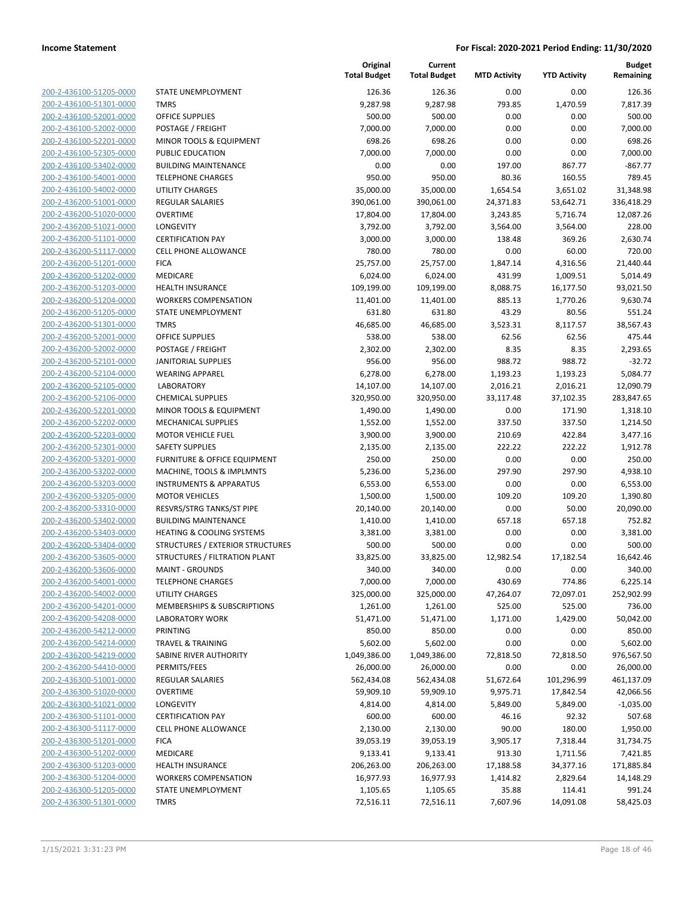200-2-436100-51205-0000 200-2-436100-51301-0000 200-2-436100-52001-0000 200-2-436100-52002-0000 200-2-436100-52201-0000 200-2-436100-52305-0000 200-2-436100-53402-0000 200-2-436100-54001-0000 200-2-436100-54002-0000 200-2-436200-51001-0000 200-2-436200-51020-0000 200-2-436200-51021-0000 200-2-436200-51101-0000 200-2-436200-51117-0000 200-2-436200-51201-0000 200-2-436200-51202-0000 200-2-436200-51203-0000 200-2-436200-51204-0000 200-2-436200-51205-0000 200-2-436200-51301-0000 200-2-436200-52001-0000 200-2-436200-52002-0000 200-2-436200-52101-0000 200-2-436200-52104-0000 200-2-436200-52105-0000 200-2-436200-52106-0000 200-2-436200-52201-0000 200-2-436200-52202-0000 200-2-436200-52203-0000 200-2-436200-52301-0000 200-2-436200-53201-0000 200-2-436200-53202-0000 200-2-436200-53203-0000 200-2-436200-53205-0000 200-2-436200-53310-0000 200-2-436200-53402-0000 200-2-436200-53403-0000 200-2-436200-53404-0000 200-2-436200-53605-0000 200-2-436200-53606-0000 200-2-436200-54001-0000 200-2-436200-54002-0000 200-2-436200-54201-0000 200-2-436200-54208-0000 200-2-436200-54212-0000 200-2-436200-54214-0000 200-2-436200-54219-0000 200-2-436200-54410-0000 200-2-436300-51001-0000 200-2-436300-51020-0000 200-2-436300-51021-0000 200-2-436300-51101-0000 200-2-436300-51117-0000 200-2-436300-51201-0000 200-2-436300-51202-0000 200-2-436300-51203-0000 200-2-436300-51204-0000 200-2-436300-51205-0000 200-2-436300-51301-0000

|                                                       | Original            | Current             |                     |                     | <b>Budget</b>        |
|-------------------------------------------------------|---------------------|---------------------|---------------------|---------------------|----------------------|
|                                                       | <b>Total Budget</b> | <b>Total Budget</b> | <b>MTD Activity</b> | <b>YTD Activity</b> | Remaining            |
| STATE UNEMPLOYMENT                                    | 126.36              | 126.36              | 0.00                | 0.00                | 126.36               |
| <b>TMRS</b>                                           | 9,287.98            | 9,287.98            | 793.85              | 1,470.59            | 7,817.39             |
| <b>OFFICE SUPPLIES</b>                                | 500.00              | 500.00              | 0.00                | 0.00                | 500.00               |
| POSTAGE / FREIGHT                                     | 7,000.00            | 7,000.00            | 0.00                | 0.00                | 7,000.00             |
| MINOR TOOLS & EQUIPMENT                               | 698.26              | 698.26              | 0.00                | 0.00                | 698.26               |
| PUBLIC EDUCATION                                      | 7,000.00            | 7,000.00            | 0.00                | 0.00                | 7,000.00             |
| <b>BUILDING MAINTENANCE</b>                           | 0.00                | 0.00                | 197.00              | 867.77              | $-867.77$            |
| <b>TELEPHONE CHARGES</b>                              | 950.00              | 950.00              | 80.36               | 160.55              | 789.45               |
| <b>UTILITY CHARGES</b>                                | 35,000.00           | 35,000.00           | 1,654.54            | 3,651.02            | 31,348.98            |
| <b>REGULAR SALARIES</b>                               | 390,061.00          | 390,061.00          | 24,371.83           | 53,642.71           | 336,418.29           |
| <b>OVERTIME</b>                                       | 17,804.00           | 17,804.00           | 3,243.85            | 5,716.74            | 12,087.26            |
| <b>LONGEVITY</b>                                      | 3,792.00            | 3,792.00            | 3,564.00            | 3,564.00            | 228.00               |
| <b>CERTIFICATION PAY</b>                              | 3,000.00            | 3,000.00            | 138.48              | 369.26              | 2,630.74             |
| <b>CELL PHONE ALLOWANCE</b>                           | 780.00              | 780.00              | 0.00                | 60.00               | 720.00               |
| <b>FICA</b>                                           | 25,757.00           | 25,757.00           | 1,847.14            | 4,316.56            | 21,440.44            |
| MEDICARE                                              | 6,024.00            | 6,024.00            | 431.99              | 1,009.51            | 5,014.49             |
| <b>HEALTH INSURANCE</b>                               | 109,199.00          | 109,199.00          | 8,088.75            | 16,177.50           | 93,021.50            |
| <b>WORKERS COMPENSATION</b>                           | 11,401.00           | 11,401.00           | 885.13              | 1,770.26            | 9,630.74             |
| STATE UNEMPLOYMENT                                    | 631.80              | 631.80              | 43.29               | 80.56               | 551.24               |
| <b>TMRS</b>                                           | 46,685.00           | 46,685.00           | 3,523.31            | 8,117.57            | 38,567.43            |
| <b>OFFICE SUPPLIES</b>                                | 538.00              | 538.00              | 62.56               | 62.56               | 475.44               |
| POSTAGE / FREIGHT                                     | 2,302.00            | 2,302.00            | 8.35                | 8.35                | 2,293.65             |
| <b>JANITORIAL SUPPLIES</b>                            | 956.00              | 956.00              | 988.72              | 988.72              | $-32.72$             |
| <b>WEARING APPAREL</b>                                | 6,278.00            | 6,278.00            | 1,193.23            | 1,193.23            | 5,084.77             |
| <b>LABORATORY</b>                                     | 14,107.00           | 14,107.00           | 2,016.21            | 2,016.21            | 12,090.79            |
| <b>CHEMICAL SUPPLIES</b>                              | 320,950.00          | 320,950.00          | 33,117.48           | 37,102.35           | 283,847.65           |
| MINOR TOOLS & EQUIPMENT                               | 1,490.00            | 1,490.00            | 0.00                | 171.90              | 1,318.10             |
| <b>MECHANICAL SUPPLIES</b>                            | 1,552.00            | 1,552.00            | 337.50              | 337.50              | 1,214.50             |
| <b>MOTOR VEHICLE FUEL</b>                             | 3,900.00            | 3,900.00            | 210.69              | 422.84              | 3,477.16             |
| <b>SAFETY SUPPLIES</b>                                | 2,135.00            | 2,135.00            | 222.22              | 222.22              | 1,912.78             |
| FURNITURE & OFFICE EQUIPMENT                          | 250.00              | 250.00              | 0.00                | 0.00                | 250.00               |
| MACHINE, TOOLS & IMPLMNTS                             | 5,236.00            | 5,236.00            | 297.90              | 297.90              | 4,938.10             |
| <b>INSTRUMENTS &amp; APPARATUS</b>                    | 6,553.00            | 6,553.00            | 0.00                | 0.00                | 6,553.00             |
| <b>MOTOR VEHICLES</b>                                 | 1,500.00            | 1,500.00            | 109.20              | 109.20              | 1,390.80             |
| RESVRS/STRG TANKS/ST PIPE                             | 20,140.00           | 20,140.00           | 0.00                | 50.00               | 20,090.00            |
| <b>BUILDING MAINTENANCE</b>                           | 1,410.00            | 1,410.00            | 657.18              | 657.18              | 752.82               |
| <b>HEATING &amp; COOLING SYSTEMS</b>                  | 3,381.00            | 3,381.00            | 0.00                | 0.00                | 3,381.00             |
| <b>STRUCTURES / EXTERIOR STRUCTURES</b>               | 500.00              | 500.00              | 0.00                | 0.00                | 500.00               |
| STRUCTURES / FILTRATION PLANT                         | 33,825.00           | 33,825.00           | 12,982.54           | 17,182.54           | 16,642.46            |
| <b>MAINT - GROUNDS</b>                                | 340.00              | 340.00              | 0.00                | 0.00                | 340.00               |
| <b>TELEPHONE CHARGES</b>                              | 7,000.00            | 7,000.00            | 430.69              | 774.86              | 6,225.14             |
| UTILITY CHARGES                                       | 325,000.00          | 325,000.00          | 47,264.07           | 72,097.01           | 252,902.99<br>736.00 |
| MEMBERSHIPS & SUBSCRIPTIONS<br><b>LABORATORY WORK</b> | 1,261.00            | 1,261.00            | 525.00              | 525.00              | 50,042.00            |
| PRINTING                                              | 51,471.00<br>850.00 | 51,471.00<br>850.00 | 1,171.00<br>0.00    | 1,429.00<br>0.00    | 850.00               |
| <b>TRAVEL &amp; TRAINING</b>                          | 5,602.00            | 5,602.00            | 0.00                | 0.00                | 5,602.00             |
| SABINE RIVER AUTHORITY                                | 1,049,386.00        | 1,049,386.00        | 72,818.50           | 72,818.50           | 976,567.50           |
| PERMITS/FEES                                          | 26,000.00           | 26,000.00           | 0.00                | 0.00                | 26,000.00            |
| <b>REGULAR SALARIES</b>                               | 562,434.08          | 562,434.08          | 51,672.64           | 101,296.99          | 461,137.09           |
| <b>OVERTIME</b>                                       | 59,909.10           | 59,909.10           | 9,975.71            | 17,842.54           | 42,066.56            |
| LONGEVITY                                             | 4,814.00            | 4,814.00            | 5,849.00            | 5,849.00            | $-1,035.00$          |
| <b>CERTIFICATION PAY</b>                              | 600.00              | 600.00              | 46.16               | 92.32               | 507.68               |
| <b>CELL PHONE ALLOWANCE</b>                           | 2,130.00            | 2,130.00            | 90.00               | 180.00              | 1,950.00             |
| <b>FICA</b>                                           | 39,053.19           | 39,053.19           | 3,905.17            | 7,318.44            | 31,734.75            |
| MEDICARE                                              | 9,133.41            | 9,133.41            | 913.30              | 1,711.56            | 7,421.85             |
| <b>HEALTH INSURANCE</b>                               | 206,263.00          | 206,263.00          | 17,188.58           | 34,377.16           | 171,885.84           |
| <b>WORKERS COMPENSATION</b>                           | 16,977.93           | 16,977.93           | 1,414.82            | 2,829.64            | 14,148.29            |
| STATE UNEMPLOYMENT                                    | 1,105.65            | 1,105.65            | 35.88               | 114.41              | 991.24               |
| <b>TMRS</b>                                           | 72,516.11           | 72,516.11           | 7,607.96            | 14,091.08           | 58,425.03            |
|                                                       |                     |                     |                     |                     |                      |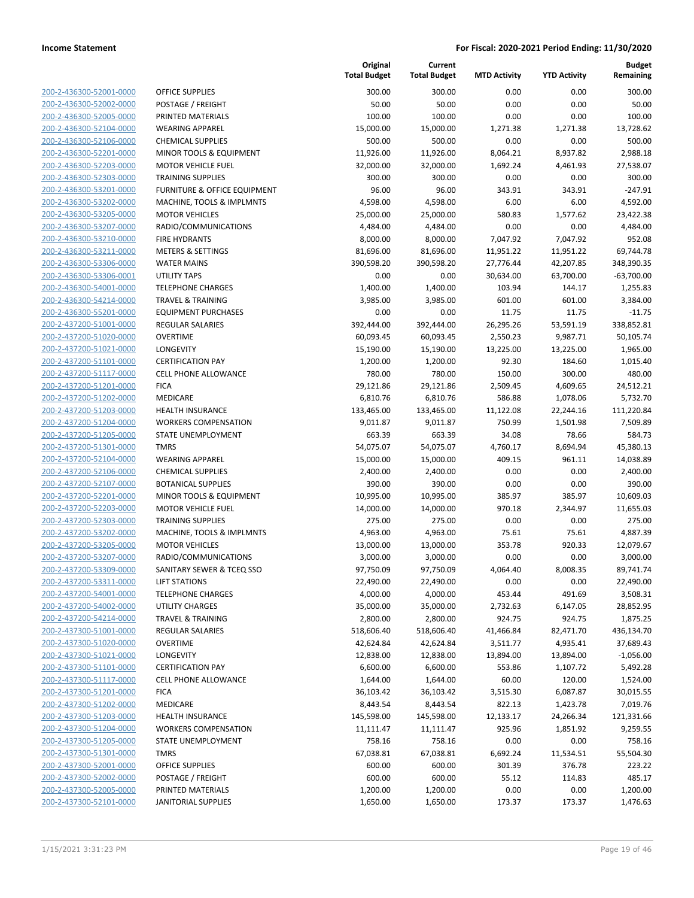| 200-2-436300-52001-0000        |
|--------------------------------|
| 200-2-436300-52002-0000        |
| 200-2-436300-52005-0000        |
| 200-2-436300-52104-0000        |
| 200-2-436300-52106-0000        |
| 200-2-436300-52201-0000        |
|                                |
| 200-2-436300-52203-0000        |
| 200-2-436300-52303-0000        |
| 200-2-436300-53201-0000        |
| 200-2-436300-53202-0000        |
| 200-2-436300-53205-0000        |
| 200-2-436300-53207-0000        |
| 200-2-436300-53210-0000        |
| 200-2-436300-53211-0000        |
|                                |
| 200-2-436300-53306-0000        |
| 200-2-436300-53306-0001        |
| 200-2-436300-54001-0000        |
| 200-2-436300-54214-0000        |
| 200-2-436300-55201-0000        |
| 200-2-437200-51001-0000        |
| 200-2-437200-51020-0000        |
| 200-2-437200-51021-0000        |
| 200-2-437200-51101-0000        |
| 200-2-437200-51117-0000        |
| 200-2-437200-51201-0000        |
|                                |
| 200-2-437200-51202-0000        |
| 200-2-437200-51203-0000        |
| 200-2-437200-51204-0000        |
| 200-2-437200-51205-0000        |
| 200-2-437200-51301-0000        |
| 200-2-437200-52104-0000        |
| 200-2-437200-52106-0000        |
| 200-2-437200-52107-0000        |
| 200-2-437200-52201-0000        |
| 200-2-437200-52203-0000        |
|                                |
| 200-2-437200-52303-0000        |
| 200-2-437200-53202-0000        |
| 200-2-437200-53205-0000        |
| 200-2-437200-53207-0000        |
| 200-2-437200-53309-0000        |
| 200-2-437200-53311-0000        |
| 200-2-437200-54001-0000        |
| <u>200-2-437200-54002-0000</u> |
| <u>200-2-437200-54214-0000</u> |
| 200-2-437300-51001-0000        |
| 200-2-437300-51020-0000        |
|                                |
| 200-2-437300-51021-0000        |
| 200-2-437300-51101-0000        |
| <u>200-2-437300-51117-0000</u> |
| 200-2-437300-51201-0000        |
| 200-2-437300-51202-0000        |
| 200-2-437300-51203-0000        |
| <u>200-2-437300-51204-0000</u> |
| <u>200-2-437300-51205-0000</u> |
| 200-2-437300-51301-0000        |
| 200-2-437300-52001-0000        |
|                                |
| 200-2-437300-52002-0000        |
| <u>200-2-437300-52005-0000</u> |
| 200-2-437300-52101-0000        |
|                                |

| <b>OFFICE SUPPLIES</b>                   |
|------------------------------------------|
| POSTAGE / FREIGHT                        |
| PRINTED MATERIALS                        |
| <b>WEARING APPAREL</b>                   |
| <b>CHEMICAL SUPPLIES</b>                 |
| <b>MINOR TOOLS &amp; EQUIPMENT</b>       |
| <b>MOTOR VEHICLE FUEL</b>                |
| <b>TRAINING SUPPLIES</b>                 |
| <b>FURNITURE &amp; OFFICE EQUIPMENT</b>  |
| MACHINE, TOOLS & IMPLMNTS                |
| <b>MOTOR VEHICLES</b>                    |
| RADIO/COMMUNICATIONS                     |
| <b>FIRE HYDRANTS</b>                     |
| <b>METERS &amp; SETTINGS</b>             |
| <b>WATER MAINS</b>                       |
| UTILITY TAPS                             |
| <b>TELEPHONE CHARGES</b>                 |
| <b>TRAVEL &amp; TRAINING</b>             |
| <b>EQUIPMENT PURCHASES</b>               |
| <b>REGULAR SALARIES</b>                  |
| <b>OVERTIME</b>                          |
| <b>LONGEVITY</b>                         |
| <b>CERTIFICATION PAY</b>                 |
| <b>CELL PHONE ALLOWANCE</b>              |
| <b>FICA</b>                              |
| MEDICARE                                 |
| <b>HEALTH INSURANCE</b>                  |
| <b>WORKERS COMPENSATION</b>              |
| <b>STATE UNEMPLOYMENT</b><br><b>TMRS</b> |
| <b>WEARING APPAREL</b>                   |
| <b>CHEMICAL SUPPLIES</b>                 |
| <b>BOTANICAL SUPPLIES</b>                |
| MINOR TOOLS & EQUIPMENT                  |
| <b>MOTOR VEHICLE FUEL</b>                |
| <b>TRAINING SUPPLIES</b>                 |
| MACHINE, TOOLS & IMPLMNTS                |
| <b>MOTOR VEHICLES</b>                    |
| RADIO/COMMUNICATIONS                     |
| SANITARY SEWER & TCEQ SSO                |
| <b>LIFT STATIONS</b>                     |
| <b>TELEPHONE CHARGES</b>                 |
| <b>UTILITY CHARGES</b>                   |
| <b>TRAVEL &amp; TRAINING</b>             |
| <b>REGULAR SALARIES</b>                  |
| <b>OVERTIME</b>                          |
| <b>LONGEVITY</b>                         |
| <b>CERTIFICATION PAY</b>                 |
| CELL PHONE ALLOWANCE                     |
| <b>FICA</b>                              |
| <b>MEDICARE</b>                          |
| <b>HEALTH INSURANCE</b>                  |
| <b>WORKERS COMPENSATION</b>              |
| <b>STATE UNEMPLOYMENT</b>                |
| <b>TMRS</b>                              |
| <b>OFFICE SUPPLIES</b>                   |
| POSTAGE / FREIGHT                        |
| PRINTED MATERIALS                        |
| <b>JANITORIAL SUPPLIES</b>               |

|                                                    |                                            | Original<br><b>Total Budget</b> | Current<br><b>Total Budget</b> | <b>MTD Activity</b>    | <b>YTD Activity</b>    | <b>Budget</b><br>Remaining |
|----------------------------------------------------|--------------------------------------------|---------------------------------|--------------------------------|------------------------|------------------------|----------------------------|
| 200-2-436300-52001-0000                            | <b>OFFICE SUPPLIES</b>                     | 300.00                          | 300.00                         | 0.00                   | 0.00                   | 300.00                     |
| 200-2-436300-52002-0000                            | POSTAGE / FREIGHT                          | 50.00                           | 50.00                          | 0.00                   | 0.00                   | 50.00                      |
| 200-2-436300-52005-0000                            | PRINTED MATERIALS                          | 100.00                          | 100.00                         | 0.00                   | 0.00                   | 100.00                     |
| 200-2-436300-52104-0000                            | <b>WEARING APPAREL</b>                     | 15,000.00                       | 15,000.00                      | 1,271.38               | 1,271.38               | 13,728.62                  |
| 200-2-436300-52106-0000                            | <b>CHEMICAL SUPPLIES</b>                   | 500.00                          | 500.00                         | 0.00                   | 0.00                   | 500.00                     |
| 200-2-436300-52201-0000                            | MINOR TOOLS & EQUIPMENT                    | 11,926.00                       | 11,926.00                      | 8,064.21               | 8,937.82               | 2,988.18                   |
| 200-2-436300-52203-0000                            | <b>MOTOR VEHICLE FUEL</b>                  | 32,000.00                       | 32,000.00                      | 1,692.24               | 4,461.93               | 27,538.07                  |
| 200-2-436300-52303-0000                            | <b>TRAINING SUPPLIES</b>                   | 300.00                          | 300.00                         | 0.00                   | 0.00                   | 300.00                     |
| 200-2-436300-53201-0000                            | <b>FURNITURE &amp; OFFICE EQUIPMENT</b>    | 96.00                           | 96.00                          | 343.91                 | 343.91                 | $-247.91$                  |
| 200-2-436300-53202-0000                            | MACHINE, TOOLS & IMPLMNTS                  | 4,598.00                        | 4,598.00                       | 6.00                   | 6.00                   | 4,592.00                   |
| 200-2-436300-53205-0000                            | <b>MOTOR VEHICLES</b>                      | 25,000.00                       | 25,000.00                      | 580.83                 | 1,577.62               | 23,422.38                  |
| 200-2-436300-53207-0000                            | RADIO/COMMUNICATIONS                       | 4,484.00                        | 4,484.00                       | 0.00                   | 0.00                   | 4,484.00                   |
| 200-2-436300-53210-0000                            | <b>FIRE HYDRANTS</b>                       | 8,000.00                        | 8,000.00                       | 7,047.92               | 7,047.92               | 952.08                     |
| 200-2-436300-53211-0000                            | <b>METERS &amp; SETTINGS</b>               | 81,696.00                       | 81,696.00                      | 11,951.22              | 11,951.22              | 69,744.78                  |
| 200-2-436300-53306-0000<br>200-2-436300-53306-0001 | <b>WATER MAINS</b><br>UTILITY TAPS         | 390,598.20<br>0.00              | 390,598.20<br>0.00             | 27,776.44<br>30,634.00 | 42,207.85<br>63,700.00 | 348,390.35<br>$-63,700.00$ |
| 200-2-436300-54001-0000                            | <b>TELEPHONE CHARGES</b>                   | 1,400.00                        | 1,400.00                       | 103.94                 | 144.17                 | 1,255.83                   |
| 200-2-436300-54214-0000                            | <b>TRAVEL &amp; TRAINING</b>               | 3,985.00                        | 3,985.00                       | 601.00                 | 601.00                 | 3,384.00                   |
| 200-2-436300-55201-0000                            | <b>EQUIPMENT PURCHASES</b>                 | 0.00                            | 0.00                           | 11.75                  | 11.75                  | $-11.75$                   |
| 200-2-437200-51001-0000                            | <b>REGULAR SALARIES</b>                    | 392,444.00                      | 392,444.00                     | 26,295.26              | 53,591.19              | 338,852.81                 |
| 200-2-437200-51020-0000                            | <b>OVERTIME</b>                            | 60,093.45                       | 60,093.45                      | 2,550.23               | 9,987.71               | 50,105.74                  |
| 200-2-437200-51021-0000                            | LONGEVITY                                  | 15,190.00                       | 15,190.00                      | 13,225.00              | 13,225.00              | 1,965.00                   |
| 200-2-437200-51101-0000                            | <b>CERTIFICATION PAY</b>                   | 1,200.00                        | 1,200.00                       | 92.30                  | 184.60                 | 1,015.40                   |
| 200-2-437200-51117-0000                            | <b>CELL PHONE ALLOWANCE</b>                | 780.00                          | 780.00                         | 150.00                 | 300.00                 | 480.00                     |
| 200-2-437200-51201-0000                            | <b>FICA</b>                                | 29,121.86                       | 29,121.86                      | 2,509.45               | 4,609.65               | 24,512.21                  |
| 200-2-437200-51202-0000                            | MEDICARE                                   | 6,810.76                        | 6,810.76                       | 586.88                 | 1,078.06               | 5,732.70                   |
| 200-2-437200-51203-0000                            | HEALTH INSURANCE                           | 133,465.00                      | 133,465.00                     | 11,122.08              | 22,244.16              | 111,220.84                 |
| 200-2-437200-51204-0000                            | <b>WORKERS COMPENSATION</b>                | 9,011.87                        | 9,011.87                       | 750.99                 | 1,501.98               | 7,509.89                   |
| 200-2-437200-51205-0000                            | STATE UNEMPLOYMENT                         | 663.39                          | 663.39                         | 34.08                  | 78.66                  | 584.73                     |
| 200-2-437200-51301-0000                            | <b>TMRS</b>                                | 54,075.07                       | 54,075.07                      | 4,760.17               | 8,694.94               | 45,380.13                  |
| 200-2-437200-52104-0000                            | <b>WEARING APPAREL</b>                     | 15,000.00                       | 15,000.00                      | 409.15                 | 961.11                 | 14,038.89                  |
| 200-2-437200-52106-0000                            | <b>CHEMICAL SUPPLIES</b>                   | 2,400.00                        | 2,400.00                       | 0.00                   | 0.00                   | 2,400.00                   |
| 200-2-437200-52107-0000                            | <b>BOTANICAL SUPPLIES</b>                  | 390.00                          | 390.00                         | 0.00                   | 0.00                   | 390.00                     |
| 200-2-437200-52201-0000                            | MINOR TOOLS & EQUIPMENT                    | 10,995.00                       | 10,995.00                      | 385.97                 | 385.97                 | 10,609.03                  |
| 200-2-437200-52203-0000                            | <b>MOTOR VEHICLE FUEL</b>                  | 14,000.00                       | 14,000.00                      | 970.18                 | 2,344.97               | 11,655.03                  |
| 200-2-437200-52303-0000                            | <b>TRAINING SUPPLIES</b>                   | 275.00                          | 275.00                         | 0.00                   | 0.00                   | 275.00                     |
| 200-2-437200-53202-0000                            | MACHINE, TOOLS & IMPLMNTS                  | 4,963.00                        | 4,963.00                       | 75.61                  | 75.61                  | 4,887.39                   |
| 200-2-437200-53205-0000                            | <b>MOTOR VEHICLES</b>                      | 13,000.00                       | 13,000.00                      | 353.78                 | 920.33                 | 12,079.67                  |
| 200-2-437200-53207-0000<br>200-2-437200-53309-0000 | RADIO/COMMUNICATIONS                       | 3,000.00                        | 3,000.00                       | 0.00                   | 0.00                   | 3,000.00                   |
| 200-2-437200-53311-0000                            | SANITARY SEWER & TCEQ SSO<br>LIFT STATIONS | 97,750.09<br>22,490.00          | 97,750.09                      | 4,064.40               | 8,008.35               | 89,741.74<br>22,490.00     |
| 200-2-437200-54001-0000                            | <b>TELEPHONE CHARGES</b>                   | 4,000.00                        | 22,490.00<br>4,000.00          | 0.00<br>453.44         | 0.00<br>491.69         | 3,508.31                   |
| 200-2-437200-54002-0000                            | <b>UTILITY CHARGES</b>                     | 35,000.00                       | 35,000.00                      | 2,732.63               | 6,147.05               | 28,852.95                  |
| 200-2-437200-54214-0000                            | <b>TRAVEL &amp; TRAINING</b>               | 2,800.00                        | 2,800.00                       | 924.75                 | 924.75                 | 1,875.25                   |
| 200-2-437300-51001-0000                            | <b>REGULAR SALARIES</b>                    | 518,606.40                      | 518,606.40                     | 41,466.84              | 82,471.70              | 436,134.70                 |
| 200-2-437300-51020-0000                            | OVERTIME                                   | 42,624.84                       | 42,624.84                      | 3,511.77               | 4,935.41               | 37,689.43                  |
| 200-2-437300-51021-0000                            | LONGEVITY                                  | 12,838.00                       | 12,838.00                      | 13,894.00              | 13,894.00              | $-1,056.00$                |
| 200-2-437300-51101-0000                            | <b>CERTIFICATION PAY</b>                   | 6,600.00                        | 6,600.00                       | 553.86                 | 1,107.72               | 5,492.28                   |
| 200-2-437300-51117-0000                            | <b>CELL PHONE ALLOWANCE</b>                | 1,644.00                        | 1,644.00                       | 60.00                  | 120.00                 | 1,524.00                   |
| 200-2-437300-51201-0000                            | <b>FICA</b>                                | 36,103.42                       | 36,103.42                      | 3,515.30               | 6,087.87               | 30,015.55                  |
| 200-2-437300-51202-0000                            | MEDICARE                                   | 8,443.54                        | 8,443.54                       | 822.13                 | 1,423.78               | 7,019.76                   |
| 200-2-437300-51203-0000                            | HEALTH INSURANCE                           | 145,598.00                      | 145,598.00                     | 12,133.17              | 24,266.34              | 121,331.66                 |
| 200-2-437300-51204-0000                            | <b>WORKERS COMPENSATION</b>                | 11,111.47                       | 11,111.47                      | 925.96                 | 1,851.92               | 9,259.55                   |
| 200-2-437300-51205-0000                            | STATE UNEMPLOYMENT                         | 758.16                          | 758.16                         | 0.00                   | 0.00                   | 758.16                     |
| 200-2-437300-51301-0000                            | <b>TMRS</b>                                | 67,038.81                       | 67,038.81                      | 6,692.24               | 11,534.51              | 55,504.30                  |
| 200-2-437300-52001-0000                            | <b>OFFICE SUPPLIES</b>                     | 600.00                          | 600.00                         | 301.39                 | 376.78                 | 223.22                     |
| 200-2-437300-52002-0000                            | POSTAGE / FREIGHT                          | 600.00                          | 600.00                         | 55.12                  | 114.83                 | 485.17                     |
| 200-2-437300-52005-0000                            | PRINTED MATERIALS                          | 1,200.00                        | 1,200.00                       | 0.00                   | 0.00                   | 1,200.00                   |
| 200-2-437300-52101-0000                            | <b>JANITORIAL SUPPLIES</b>                 | 1,650.00                        | 1,650.00                       | 173.37                 | 173.37                 | 1,476.63                   |
|                                                    |                                            |                                 |                                |                        |                        |                            |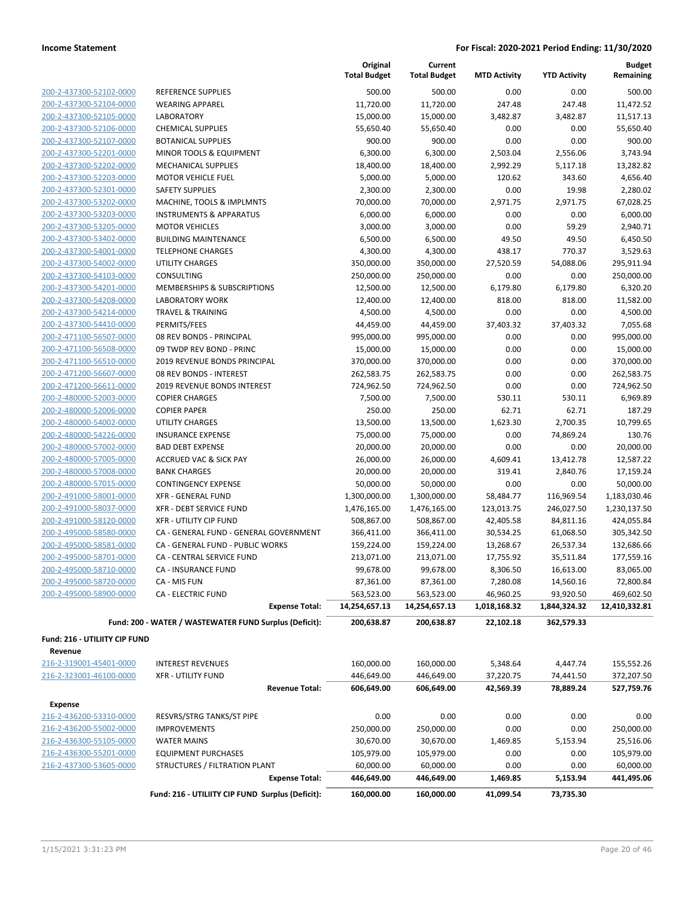| 200-2-437300-52102-0000     |
|-----------------------------|
| 200-2-437300-52104-0000     |
| 200-2-437300-52105-0000     |
| 200-2-437300-52106-0000     |
| 200-2-437300-52107-0000     |
| 200-2-437300-52201-0000     |
| 200-2-437300-52202-0000     |
| 200-2-437300-52203-0000     |
| 200-2-437300-52301-0000     |
| 200-2-437300-53202-0000     |
| 200-2-437300-53203-0000     |
| 200-2-437300-53205-0000     |
| 200-2-437300-53402-0000     |
| 200-2-437300-54001-0000     |
| 200-2-437300-54002-0000     |
| 200-2-437300-54103-0000     |
| 200-2-437300-54201-0000     |
| 200-2-437300-54208-0000     |
| 200-2-437300-54214-0000     |
| 200-2-437300-54410-0000     |
| 200-2-471100-56507-0000     |
| 200-2-471100-56508-0000     |
| 200-2-471100-56510-0000     |
| 200-2-471200-56607-0000     |
| 200-2-471200-56611-0000     |
| 200-2-480000-52003-0000     |
| 200-2-480000-52006-0000     |
| 200-2-480000-54002-0000     |
| 200-2-480000-54226-0000     |
| 200-2-480000-57002-0000     |
| 200-2-480000-57005-0000     |
| 200-2-480000-57008-0000     |
| 2-480000-57015-0000<br>200- |
| 200-2-491000-58001-0000     |
| 200-2-491000-58037-0000     |
| 200-2-491000-58120-0000     |
| 200-2-495000-58580-0000     |
| 200-2-495000-58581-0000     |
| 200-2-495000-58701-0000     |
| 200-2-495000-58710-0000     |
| 200-2-495000-58720-0000     |
| 200-2-495000-58900-0000     |
|                             |

|                               |                                                        | Original<br><b>Total Budget</b> | Current<br><b>Total Budget</b> | <b>MTD Activity</b> | <b>YTD Activity</b> | <b>Budget</b><br>Remaining |
|-------------------------------|--------------------------------------------------------|---------------------------------|--------------------------------|---------------------|---------------------|----------------------------|
| 200-2-437300-52102-0000       | <b>REFERENCE SUPPLIES</b>                              | 500.00                          | 500.00                         | 0.00                | 0.00                | 500.00                     |
| 200-2-437300-52104-0000       | <b>WEARING APPAREL</b>                                 | 11,720.00                       | 11,720.00                      | 247.48              | 247.48              | 11,472.52                  |
| 200-2-437300-52105-0000       | <b>LABORATORY</b>                                      | 15,000.00                       | 15,000.00                      | 3,482.87            | 3,482.87            | 11,517.13                  |
| 200-2-437300-52106-0000       | <b>CHEMICAL SUPPLIES</b>                               | 55,650.40                       | 55,650.40                      | 0.00                | 0.00                | 55,650.40                  |
| 200-2-437300-52107-0000       | <b>BOTANICAL SUPPLIES</b>                              | 900.00                          | 900.00                         | 0.00                | 0.00                | 900.00                     |
| 200-2-437300-52201-0000       | MINOR TOOLS & EQUIPMENT                                | 6,300.00                        | 6,300.00                       | 2,503.04            | 2,556.06            | 3,743.94                   |
| 200-2-437300-52202-0000       | MECHANICAL SUPPLIES                                    | 18,400.00                       | 18,400.00                      | 2,992.29            | 5,117.18            | 13,282.82                  |
| 200-2-437300-52203-0000       | <b>MOTOR VEHICLE FUEL</b>                              | 5,000.00                        | 5,000.00                       | 120.62              | 343.60              | 4,656.40                   |
| 200-2-437300-52301-0000       | <b>SAFETY SUPPLIES</b>                                 | 2,300.00                        | 2,300.00                       | 0.00                | 19.98               | 2,280.02                   |
| 200-2-437300-53202-0000       | MACHINE, TOOLS & IMPLMNTS                              | 70,000.00                       | 70,000.00                      | 2,971.75            | 2,971.75            | 67,028.25                  |
| 200-2-437300-53203-0000       | <b>INSTRUMENTS &amp; APPARATUS</b>                     | 6,000.00                        | 6,000.00                       | 0.00                | 0.00                | 6,000.00                   |
| 200-2-437300-53205-0000       | <b>MOTOR VEHICLES</b>                                  | 3,000.00                        | 3,000.00                       | 0.00                | 59.29               | 2,940.71                   |
| 200-2-437300-53402-0000       | <b>BUILDING MAINTENANCE</b>                            | 6,500.00                        | 6,500.00                       | 49.50               | 49.50               | 6,450.50                   |
| 200-2-437300-54001-0000       | <b>TELEPHONE CHARGES</b>                               | 4,300.00                        | 4,300.00                       | 438.17              | 770.37              | 3,529.63                   |
| 200-2-437300-54002-0000       | <b>UTILITY CHARGES</b>                                 | 350,000.00                      | 350,000.00                     | 27,520.59           | 54,088.06           | 295,911.94                 |
| 200-2-437300-54103-0000       | CONSULTING                                             | 250,000.00                      | 250,000.00                     | 0.00                | 0.00                | 250,000.00                 |
| 200-2-437300-54201-0000       | MEMBERSHIPS & SUBSCRIPTIONS                            | 12,500.00                       | 12,500.00                      | 6,179.80            | 6,179.80            | 6,320.20                   |
| 200-2-437300-54208-0000       | <b>LABORATORY WORK</b>                                 | 12,400.00                       | 12,400.00                      | 818.00              | 818.00              | 11,582.00                  |
| 200-2-437300-54214-0000       | <b>TRAVEL &amp; TRAINING</b>                           | 4,500.00                        | 4,500.00                       | 0.00                | 0.00                | 4,500.00                   |
| 200-2-437300-54410-0000       | PERMITS/FEES                                           | 44,459.00                       | 44,459.00                      | 37,403.32           | 37,403.32           | 7,055.68                   |
| 200-2-471100-56507-0000       | 08 REV BONDS - PRINCIPAL                               | 995,000.00                      | 995,000.00                     | 0.00                | 0.00                | 995,000.00                 |
| 200-2-471100-56508-0000       | 09 TWDP REV BOND - PRINC                               | 15,000.00                       | 15,000.00                      | 0.00                | 0.00                | 15,000.00                  |
| 200-2-471100-56510-0000       | 2019 REVENUE BONDS PRINCIPAL                           | 370,000.00                      | 370,000.00                     | 0.00                | 0.00                | 370,000.00                 |
| 200-2-471200-56607-0000       | 08 REV BONDS - INTEREST                                | 262,583.75                      | 262,583.75                     | 0.00                | 0.00                | 262,583.75                 |
| 200-2-471200-56611-0000       | 2019 REVENUE BONDS INTEREST                            | 724,962.50                      | 724,962.50                     | 0.00                | 0.00                | 724,962.50                 |
| 200-2-480000-52003-0000       | <b>COPIER CHARGES</b>                                  | 7,500.00                        | 7,500.00                       | 530.11              | 530.11              | 6,969.89                   |
| 200-2-480000-52006-0000       | <b>COPIER PAPER</b>                                    | 250.00                          | 250.00                         | 62.71               | 62.71               | 187.29                     |
| 200-2-480000-54002-0000       | <b>UTILITY CHARGES</b>                                 | 13,500.00                       | 13,500.00                      | 1,623.30            | 2,700.35            | 10,799.65                  |
| 200-2-480000-54226-0000       | <b>INSURANCE EXPENSE</b>                               | 75,000.00                       | 75,000.00                      | 0.00                | 74,869.24           | 130.76                     |
| 200-2-480000-57002-0000       | <b>BAD DEBT EXPENSE</b>                                | 20,000.00                       | 20,000.00                      | 0.00                | 0.00                | 20,000.00                  |
| 200-2-480000-57005-0000       | <b>ACCRUED VAC &amp; SICK PAY</b>                      | 26,000.00                       | 26,000.00                      | 4,609.41            | 13,412.78           | 12,587.22                  |
| 200-2-480000-57008-0000       | <b>BANK CHARGES</b>                                    | 20,000.00                       | 20,000.00                      | 319.41              | 2,840.76            | 17,159.24                  |
| 200-2-480000-57015-0000       | <b>CONTINGENCY EXPENSE</b>                             | 50,000.00                       | 50,000.00                      | 0.00                | 0.00                | 50,000.00                  |
| 200-2-491000-58001-0000       | <b>XFR - GENERAL FUND</b>                              | 1,300,000.00                    | 1,300,000.00                   | 58,484.77           | 116,969.54          | 1,183,030.46               |
| 200-2-491000-58037-0000       | XFR - DEBT SERVICE FUND                                | 1,476,165.00                    | 1,476,165.00                   | 123,013.75          | 246,027.50          | 1,230,137.50               |
| 200-2-491000-58120-0000       | <b>XFR - UTILITY CIP FUND</b>                          | 508,867.00                      | 508,867.00                     | 42,405.58           | 84,811.16           | 424,055.84                 |
| 200-2-495000-58580-0000       | CA - GENERAL FUND - GENERAL GOVERNMENT                 | 366,411.00                      | 366,411.00                     | 30,534.25           | 61,068.50           | 305,342.50                 |
| 200-2-495000-58581-0000       | CA - GENERAL FUND - PUBLIC WORKS                       | 159,224.00                      | 159,224.00                     | 13,268.67           | 26,537.34           | 132,686.66                 |
| 200-2-495000-58701-0000       | CA - CENTRAL SERVICE FUND                              | 213,071.00                      | 213,071.00                     | 17,755.92           | 35,511.84           | 177,559.16                 |
| 200-2-495000-58710-0000       | CA - INSURANCE FUND                                    | 99,678.00                       | 99,678.00                      | 8,306.50            | 16,613.00           | 83,065.00                  |
| 200-2-495000-58720-0000       | CA - MIS FUN                                           | 87,361.00                       | 87,361.00                      | 7,280.08            | 14,560.16           | 72,800.84                  |
| 200-2-495000-58900-0000       | <b>CA - ELECTRIC FUND</b>                              | 563,523.00                      | 563,523.00                     | 46,960.25           | 93,920.50           | 469,602.50                 |
|                               | <b>Expense Total:</b>                                  | 14,254,657.13                   | 14,254,657.13                  | 1,018,168.32        | 1,844,324.32        | 12,410,332.81              |
|                               | Fund: 200 - WATER / WASTEWATER FUND Surplus (Deficit): | 200,638.87                      | 200,638.87                     | 22,102.18           | 362,579.33          |                            |
| Fund: 216 - UTILIITY CIP FUND |                                                        |                                 |                                |                     |                     |                            |
| Revenue                       |                                                        |                                 |                                |                     |                     |                            |
| 216-2-319001-45401-0000       | <b>INTEREST REVENUES</b>                               | 160,000.00                      | 160,000.00                     | 5,348.64            | 4,447.74            | 155,552.26                 |

| 216-2-319001-45401-0000 | <b>INTEREST REVENUES</b>             | 160,000.00 | 160,000.00 | 5,348.64  | 4.447.74  | 155,552.26 |
|-------------------------|--------------------------------------|------------|------------|-----------|-----------|------------|
| 216-2-323001-46100-0000 | <b>XFR - UTILITY FUND</b>            | 446,649.00 | 446,649.00 | 37,220.75 | 74,441.50 | 372,207.50 |
|                         | <b>Revenue Total:</b>                | 606,649.00 | 606,649.00 | 42,569.39 | 78,889.24 | 527,759.76 |
| Expense                 |                                      |            |            |           |           |            |
| 216-2-436200-53310-0000 | RESVRS/STRG TANKS/ST PIPE            | 0.00       | 0.00       | 0.00      | 0.00      | 0.00       |
| 216-2-436200-55002-0000 | <b>IMPROVEMENTS</b>                  | 250,000.00 | 250,000.00 | 0.00      | 0.00      | 250,000.00 |
| 216-2-436300-55105-0000 | <b>WATER MAINS</b>                   | 30.670.00  | 30,670.00  | 1,469.85  | 5,153.94  | 25,516.06  |
| 216-2-436300-55201-0000 | <b>EQUIPMENT PURCHASES</b>           | 105,979.00 | 105,979.00 | 0.00      | 0.00      | 105,979.00 |
| 216-2-437300-53605-0000 | <b>STRUCTURES / FILTRATION PLANT</b> | 60.000.00  | 60,000.00  | 0.00      | 0.00      | 60.000.00  |
|                         | <b>Expense Total:</b>                | 446.649.00 | 446,649.00 | 1.469.85  | 5.153.94  | 441.495.06 |

**Fund: 216 - UTILIITY CIP FUND Surplus (Deficit): 160,000.00 160,000.00 41,099.54 73,735.30**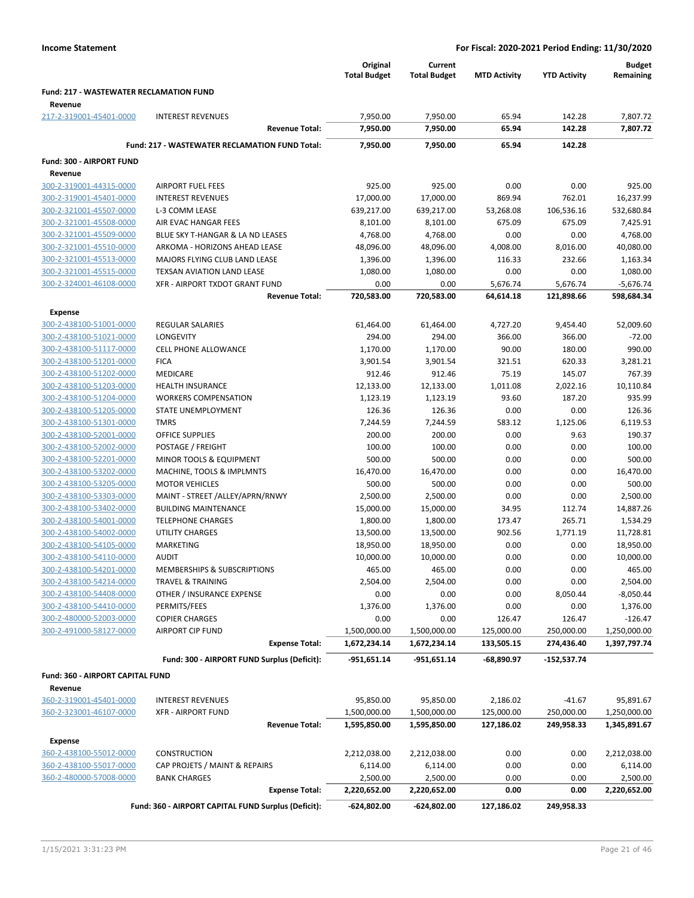|                                                |                                                         | Original<br><b>Total Budget</b> | Current<br><b>Total Budget</b> | <b>MTD Activity</b>   | <b>YTD Activity</b>    | <b>Budget</b><br>Remaining |
|------------------------------------------------|---------------------------------------------------------|---------------------------------|--------------------------------|-----------------------|------------------------|----------------------------|
| <b>Fund: 217 - WASTEWATER RECLAMATION FUND</b> |                                                         |                                 |                                |                       |                        |                            |
| Revenue<br>217-2-319001-45401-0000             | <b>INTEREST REVENUES</b>                                | 7,950.00                        | 7,950.00                       | 65.94                 | 142.28                 | 7,807.72                   |
|                                                | <b>Revenue Total:</b>                                   | 7,950.00                        | 7,950.00                       | 65.94                 | 142.28                 | 7,807.72                   |
|                                                | <b>Fund: 217 - WASTEWATER RECLAMATION FUND Total:</b>   | 7,950.00                        | 7,950.00                       | 65.94                 | 142.28                 |                            |
| Fund: 300 - AIRPORT FUND                       |                                                         |                                 |                                |                       |                        |                            |
| Revenue                                        |                                                         |                                 |                                |                       |                        |                            |
| 300-2-319001-44315-0000                        | <b>AIRPORT FUEL FEES</b>                                | 925.00                          | 925.00                         | 0.00                  | 0.00                   | 925.00                     |
| 300-2-319001-45401-0000                        | <b>INTEREST REVENUES</b>                                | 17,000.00                       | 17,000.00                      | 869.94                | 762.01                 | 16,237.99                  |
| 300-2-321001-45507-0000                        | L-3 COMM LEASE                                          | 639,217.00                      | 639,217.00                     | 53,268.08             | 106,536.16             | 532,680.84                 |
| 300-2-321001-45508-0000                        | AIR EVAC HANGAR FEES                                    | 8,101.00                        | 8,101.00                       | 675.09                | 675.09                 | 7,425.91                   |
| 300-2-321001-45509-0000                        | BLUE SKY T-HANGAR & LA ND LEASES                        | 4,768.00                        | 4,768.00                       | 0.00                  | 0.00                   | 4,768.00                   |
| 300-2-321001-45510-0000                        | ARKOMA - HORIZONS AHEAD LEASE                           | 48,096.00                       | 48,096.00                      | 4,008.00              | 8,016.00               | 40,080.00                  |
| 300-2-321001-45513-0000                        | MAJORS FLYING CLUB LAND LEASE                           | 1,396.00                        | 1,396.00                       | 116.33                | 232.66                 | 1,163.34                   |
| 300-2-321001-45515-0000                        | TEXSAN AVIATION LAND LEASE                              | 1,080.00                        | 1,080.00                       | 0.00                  | 0.00                   | 1,080.00                   |
| 300-2-324001-46108-0000                        | XFR - AIRPORT TXDOT GRANT FUND<br><b>Revenue Total:</b> | 0.00<br>720,583.00              | 0.00<br>720,583.00             | 5,676.74<br>64,614.18 | 5,676.74<br>121,898.66 | $-5,676.74$<br>598,684.34  |
| <b>Expense</b>                                 |                                                         |                                 |                                |                       |                        |                            |
| 300-2-438100-51001-0000                        | <b>REGULAR SALARIES</b>                                 | 61,464.00                       | 61,464.00                      | 4,727.20              | 9,454.40               | 52,009.60                  |
| 300-2-438100-51021-0000                        | LONGEVITY                                               | 294.00                          | 294.00                         | 366.00                | 366.00                 | $-72.00$                   |
| 300-2-438100-51117-0000                        | <b>CELL PHONE ALLOWANCE</b>                             | 1,170.00                        | 1,170.00                       | 90.00                 | 180.00                 | 990.00                     |
| 300-2-438100-51201-0000                        | <b>FICA</b>                                             | 3,901.54                        | 3,901.54                       | 321.51                | 620.33                 | 3,281.21                   |
| 300-2-438100-51202-0000                        | <b>MEDICARE</b>                                         | 912.46                          | 912.46                         | 75.19                 | 145.07                 | 767.39                     |
| 300-2-438100-51203-0000                        | <b>HEALTH INSURANCE</b>                                 | 12,133.00                       | 12,133.00                      | 1,011.08              | 2,022.16               | 10,110.84                  |
| 300-2-438100-51204-0000                        | <b>WORKERS COMPENSATION</b>                             | 1,123.19                        | 1,123.19                       | 93.60                 | 187.20                 | 935.99                     |
| 300-2-438100-51205-0000                        | STATE UNEMPLOYMENT                                      | 126.36                          | 126.36                         | 0.00                  | 0.00                   | 126.36                     |
| 300-2-438100-51301-0000                        | <b>TMRS</b>                                             | 7,244.59                        | 7,244.59                       | 583.12                | 1,125.06               | 6,119.53                   |
| 300-2-438100-52001-0000                        | <b>OFFICE SUPPLIES</b>                                  | 200.00                          | 200.00                         | 0.00                  | 9.63                   | 190.37                     |
| 300-2-438100-52002-0000                        | POSTAGE / FREIGHT                                       | 100.00                          | 100.00                         | 0.00                  | 0.00                   | 100.00                     |
| 300-2-438100-52201-0000                        | MINOR TOOLS & EQUIPMENT                                 | 500.00                          | 500.00                         | 0.00                  | 0.00                   | 500.00                     |
| 300-2-438100-53202-0000                        | MACHINE, TOOLS & IMPLMNTS                               | 16,470.00                       | 16,470.00                      | 0.00                  | 0.00                   | 16,470.00                  |
| 300-2-438100-53205-0000                        | <b>MOTOR VEHICLES</b>                                   | 500.00                          | 500.00                         | 0.00                  | 0.00                   | 500.00                     |
| 300-2-438100-53303-0000                        | MAINT - STREET /ALLEY/APRN/RNWY                         | 2,500.00                        | 2,500.00                       | 0.00                  | 0.00                   | 2,500.00                   |
| 300-2-438100-53402-0000                        | <b>BUILDING MAINTENANCE</b>                             | 15,000.00                       | 15,000.00                      | 34.95                 | 112.74                 | 14,887.26                  |
| 300-2-438100-54001-0000                        | <b>TELEPHONE CHARGES</b>                                | 1,800.00                        | 1,800.00                       | 173.47                | 265.71                 | 1,534.29                   |
| 300-2-438100-54002-0000                        | UTILITY CHARGES                                         | 13,500.00                       | 13,500.00                      | 902.56                | 1,771.19               | 11,728.81                  |
| 300-2-438100-54105-0000                        | <b>MARKETING</b>                                        | 18,950.00                       | 18,950.00                      | 0.00                  | 0.00                   | 18,950.00                  |
| 300-2-438100-54110-0000                        | <b>AUDIT</b>                                            | 10,000.00                       | 10,000.00                      | 0.00                  | 0.00                   | 10,000.00                  |
| 300-2-438100-54201-0000                        | MEMBERSHIPS & SUBSCRIPTIONS                             | 465.00                          | 465.00                         | 0.00                  | 0.00                   | 465.00                     |
| 300-2-438100-54214-0000                        | <b>TRAVEL &amp; TRAINING</b>                            | 2,504.00                        | 2,504.00                       | 0.00                  | 0.00                   | 2,504.00                   |
| 300-2-438100-54408-0000                        | OTHER / INSURANCE EXPENSE                               | 0.00                            | 0.00                           | 0.00                  | 8,050.44               | $-8,050.44$                |
| 300-2-438100-54410-0000                        | PERMITS/FEES                                            | 1,376.00                        | 1,376.00                       | 0.00                  | 0.00                   | 1,376.00                   |
| 300-2-480000-52003-0000                        | <b>COPIER CHARGES</b>                                   | 0.00                            | 0.00                           | 126.47                | 126.47                 | $-126.47$                  |
| 300-2-491000-58127-0000                        | <b>AIRPORT CIP FUND</b>                                 | 1,500,000.00                    | 1,500,000.00                   | 125,000.00            | 250,000.00             | 1,250,000.00               |
|                                                | <b>Expense Total:</b>                                   | 1,672,234.14                    | 1,672,234.14                   | 133,505.15            | 274,436.40             | 1,397,797.74               |
|                                                | Fund: 300 - AIRPORT FUND Surplus (Deficit):             | $-951,651.14$                   | -951,651.14                    | -68,890.97            | $-152,537.74$          |                            |
| Fund: 360 - AIRPORT CAPITAL FUND               |                                                         |                                 |                                |                       |                        |                            |
| Revenue                                        |                                                         |                                 |                                |                       |                        |                            |
| 360-2-319001-45401-0000                        | <b>INTEREST REVENUES</b>                                | 95,850.00                       | 95,850.00                      | 2,186.02              | $-41.67$               | 95,891.67                  |
| 360-2-323001-46107-0000                        | <b>XFR - AIRPORT FUND</b>                               | 1,500,000.00                    | 1,500,000.00                   | 125,000.00            | 250,000.00             | 1,250,000.00               |
|                                                | <b>Revenue Total:</b>                                   | 1,595,850.00                    | 1,595,850.00                   | 127,186.02            | 249,958.33             | 1,345,891.67               |
| <b>Expense</b>                                 |                                                         |                                 |                                |                       |                        |                            |
| 360-2-438100-55012-0000                        | CONSTRUCTION                                            | 2,212,038.00                    | 2,212,038.00                   | 0.00                  | 0.00                   | 2,212,038.00               |
| 360-2-438100-55017-0000                        | CAP PROJETS / MAINT & REPAIRS                           | 6,114.00                        | 6,114.00                       | 0.00                  | 0.00                   | 6,114.00                   |
| 360-2-480000-57008-0000                        | <b>BANK CHARGES</b>                                     | 2,500.00                        | 2,500.00                       | 0.00                  | 0.00                   | 2,500.00                   |
|                                                | <b>Expense Total:</b>                                   | 2,220,652.00                    | 2,220,652.00                   | 0.00                  | 0.00                   | 2,220,652.00               |
|                                                | Fund: 360 - AIRPORT CAPITAL FUND Surplus (Deficit):     | $-624,802.00$                   | -624,802.00                    | 127,186.02            | 249,958.33             |                            |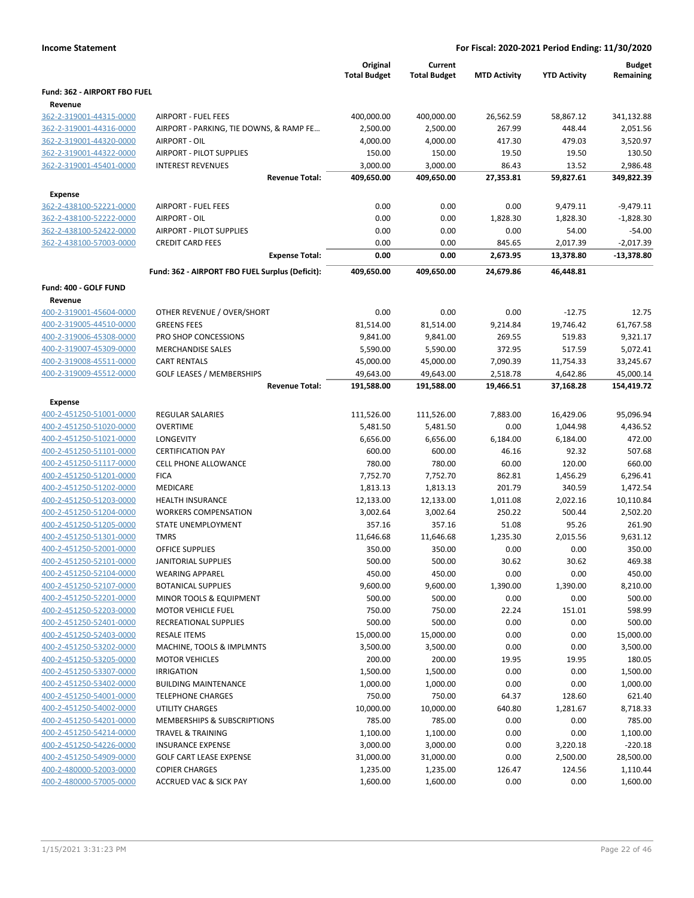| <b>Income Statement</b>                 |                                                 |                                 | For Fiscal: 2020-2021 Period Ending: 11/30/2020 |                     |                     |                            |
|-----------------------------------------|-------------------------------------------------|---------------------------------|-------------------------------------------------|---------------------|---------------------|----------------------------|
|                                         |                                                 | Original<br><b>Total Budget</b> | Current<br><b>Total Budget</b>                  | <b>MTD Activity</b> | <b>YTD Activity</b> | <b>Budget</b><br>Remaining |
| Fund: 362 - AIRPORT FBO FUEL<br>Revenue |                                                 |                                 |                                                 |                     |                     |                            |
| 362-2-319001-44315-0000                 | <b>AIRPORT - FUEL FEES</b>                      | 400,000.00                      | 400,000.00                                      | 26,562.59           | 58,867.12           | 341,132.88                 |
| 362-2-319001-44316-0000                 | AIRPORT - PARKING, TIE DOWNS, & RAMP FE         | 2,500.00                        | 2,500.00                                        | 267.99              | 448.44              | 2,051.56                   |
| 362-2-319001-44320-0000                 | AIRPORT - OIL                                   | 4,000.00                        | 4,000.00                                        | 417.30              | 479.03              | 3,520.97                   |
| 362-2-319001-44322-0000                 | <b>AIRPORT - PILOT SUPPLIES</b>                 | 150.00                          | 150.00                                          | 19.50               | 19.50               | 130.50                     |
| 362-2-319001-45401-0000                 | <b>INTEREST REVENUES</b>                        | 3,000.00                        | 3,000.00                                        | 86.43               | 13.52               | 2,986.48                   |
|                                         | <b>Revenue Total:</b>                           | 409,650.00                      | 409,650.00                                      | 27,353.81           | 59,827.61           | 349,822.39                 |
| <b>Expense</b>                          |                                                 |                                 |                                                 |                     |                     |                            |
| 362-2-438100-52221-0000                 | <b>AIRPORT - FUEL FEES</b>                      | 0.00                            | 0.00                                            | 0.00                | 9,479.11            | $-9,479.11$                |
| 362-2-438100-52222-0000                 | AIRPORT - OIL                                   | 0.00                            | 0.00                                            | 1,828.30            | 1,828.30            | $-1,828.30$                |
| 362-2-438100-52422-0000                 | AIRPORT - PILOT SUPPLIES                        | 0.00                            | 0.00                                            | 0.00                | 54.00               | $-54.00$                   |
| 362-2-438100-57003-0000                 | <b>CREDIT CARD FEES</b>                         | 0.00                            | 0.00                                            | 845.65              | 2,017.39            | $-2,017.39$                |
|                                         | <b>Expense Total:</b>                           | 0.00                            | 0.00                                            | 2,673.95            | 13,378.80           | -13,378.80                 |
|                                         | Fund: 362 - AIRPORT FBO FUEL Surplus (Deficit): | 409,650.00                      | 409,650.00                                      | 24,679.86           | 46,448.81           |                            |
| Fund: 400 - GOLF FUND                   |                                                 |                                 |                                                 |                     |                     |                            |
| Revenue<br>400-2-319001-45604-0000      | OTHER REVENUE / OVER/SHORT                      | 0.00                            | 0.00                                            | 0.00                | $-12.75$            | 12.75                      |
| 400-2-319005-44510-0000                 | <b>GREENS FEES</b>                              | 81,514.00                       | 81,514.00                                       | 9,214.84            | 19,746.42           | 61,767.58                  |
| 400-2-319006-45308-0000                 | PRO SHOP CONCESSIONS                            | 9,841.00                        | 9,841.00                                        | 269.55              | 519.83              | 9,321.17                   |
| 400-2-319007-45309-0000                 | <b>MERCHANDISE SALES</b>                        | 5,590.00                        | 5,590.00                                        | 372.95              | 517.59              | 5,072.41                   |
| 400-2-319008-45511-0000                 | <b>CART RENTALS</b>                             | 45,000.00                       | 45,000.00                                       | 7,090.39            | 11,754.33           | 33,245.67                  |
| 400-2-319009-45512-0000                 | <b>GOLF LEASES / MEMBERSHIPS</b>                | 49,643.00                       | 49,643.00                                       | 2,518.78            | 4,642.86            | 45,000.14                  |
|                                         | <b>Revenue Total:</b>                           | 191,588.00                      | 191,588.00                                      | 19,466.51           | 37,168.28           | 154,419.72                 |
| Expense                                 |                                                 |                                 |                                                 |                     |                     |                            |
| 400-2-451250-51001-0000                 | <b>REGULAR SALARIES</b>                         | 111,526.00                      | 111,526.00                                      | 7,883.00            | 16,429.06           | 95,096.94                  |
| 400-2-451250-51020-0000                 | <b>OVERTIME</b>                                 | 5,481.50                        | 5,481.50                                        | 0.00                | 1,044.98            | 4,436.52                   |
| 400-2-451250-51021-0000                 | <b>LONGEVITY</b>                                | 6,656.00                        | 6,656.00                                        | 6,184.00            | 6,184.00            | 472.00                     |
| 400-2-451250-51101-0000                 | <b>CERTIFICATION PAY</b>                        | 600.00                          | 600.00                                          | 46.16               | 92.32               | 507.68                     |
| 400-2-451250-51117-0000                 | <b>CELL PHONE ALLOWANCE</b>                     | 780.00                          | 780.00                                          | 60.00               | 120.00              | 660.00                     |
| 400-2-451250-51201-0000                 | <b>FICA</b>                                     | 7,752.70                        | 7,752.70                                        | 862.81              | 1,456.29            | 6,296.41                   |
| 400-2-451250-51202-0000                 | <b>MEDICARE</b>                                 | 1,813.13                        | 1,813.13                                        | 201.79              | 340.59              | 1,472.54                   |
| 400-2-451250-51203-0000                 | <b>HEALTH INSURANCE</b>                         | 12,133.00                       | 12,133.00                                       | 1,011.08            | 2,022.16            | 10,110.84                  |
| 400-2-451250-51204-0000                 | <b>WORKERS COMPENSATION</b>                     | 3,002.64                        | 3,002.64                                        | 250.22              | 500.44              | 2,502.20                   |
| 400-2-451250-51205-0000                 | STATE UNEMPLOYMENT                              | 357.16                          | 357.16                                          | 51.08               | 95.26               | 261.90                     |
| 400-2-451250-51301-0000                 | <b>TMRS</b>                                     | 11,646.68                       | 11,646.68                                       | 1,235.30            | 2,015.56            | 9,631.12                   |
| 400-2-451250-52001-0000                 | OFFICE SUPPLIES                                 | 350.00                          | 350.00                                          | 0.00                | 0.00                | 350.00                     |
| 400-2-451250-52101-0000                 | JANITORIAL SUPPLIES                             | 500.00                          | 500.00                                          | 30.62               | 30.62               | 469.38                     |
| 400-2-451250-52104-0000                 | <b>WEARING APPAREL</b>                          | 450.00                          | 450.00                                          | 0.00                | 0.00                | 450.00                     |
| 400-2-451250-52107-0000                 | <b>BOTANICAL SUPPLIES</b>                       | 9,600.00                        | 9,600.00                                        | 1,390.00            | 1,390.00            | 8,210.00                   |
| 400-2-451250-52201-0000                 | <b>MINOR TOOLS &amp; EQUIPMENT</b>              | 500.00                          | 500.00                                          | 0.00                | 0.00                | 500.00                     |
| 400-2-451250-52203-0000                 | MOTOR VEHICLE FUEL                              | 750.00                          | 750.00                                          | 22.24               | 151.01              | 598.99                     |
| 400-2-451250-52401-0000                 | RECREATIONAL SUPPLIES                           | 500.00                          | 500.00                                          | 0.00                | 0.00                | 500.00                     |
| 400-2-451250-52403-0000                 | <b>RESALE ITEMS</b>                             | 15,000.00                       | 15,000.00                                       | 0.00                | 0.00                | 15,000.00                  |
| 400-2-451250-53202-0000                 | MACHINE, TOOLS & IMPLMNTS                       | 3,500.00                        | 3,500.00                                        | 0.00                | 0.00                | 3,500.00                   |
| 400-2-451250-53205-0000                 | <b>MOTOR VEHICLES</b>                           | 200.00                          | 200.00                                          | 19.95               | 19.95               | 180.05                     |
| 400-2-451250-53307-0000                 | <b>IRRIGATION</b>                               | 1,500.00                        | 1,500.00                                        | 0.00                | 0.00                | 1,500.00                   |
| 400-2-451250-53402-0000                 | <b>BUILDING MAINTENANCE</b>                     | 1,000.00                        | 1,000.00                                        | 0.00                | 0.00                | 1,000.00                   |
| 400-2-451250-54001-0000                 | <b>TELEPHONE CHARGES</b>                        | 750.00                          | 750.00                                          | 64.37               | 128.60              | 621.40                     |
| 400-2-451250-54002-0000                 | UTILITY CHARGES                                 | 10,000.00                       | 10,000.00                                       | 640.80              | 1,281.67            | 8,718.33                   |
| 400-2-451250-54201-0000                 | <b>MEMBERSHIPS &amp; SUBSCRIPTIONS</b>          | 785.00                          | 785.00                                          | 0.00                | 0.00                | 785.00                     |
| 400-2-451250-54214-0000                 | TRAVEL & TRAINING                               | 1,100.00                        | 1,100.00                                        | 0.00                | 0.00                | 1,100.00                   |
| 400-2-451250-54226-0000                 | <b>INSURANCE EXPENSE</b>                        | 3,000.00                        | 3,000.00                                        | 0.00                | 3,220.18            | $-220.18$                  |
| 400-2-451250-54909-0000                 | <b>GOLF CART LEASE EXPENSE</b>                  | 31,000.00                       | 31,000.00                                       | 0.00                | 2,500.00            | 28,500.00                  |
| 400-2-480000-52003-0000                 | <b>COPIER CHARGES</b>                           | 1,235.00                        | 1,235.00                                        | 126.47              | 124.56              | 1,110.44                   |
| 400-2-480000-57005-0000                 | <b>ACCRUED VAC &amp; SICK PAY</b>               | 1,600.00                        | 1,600.00                                        | 0.00                | 0.00                | 1,600.00                   |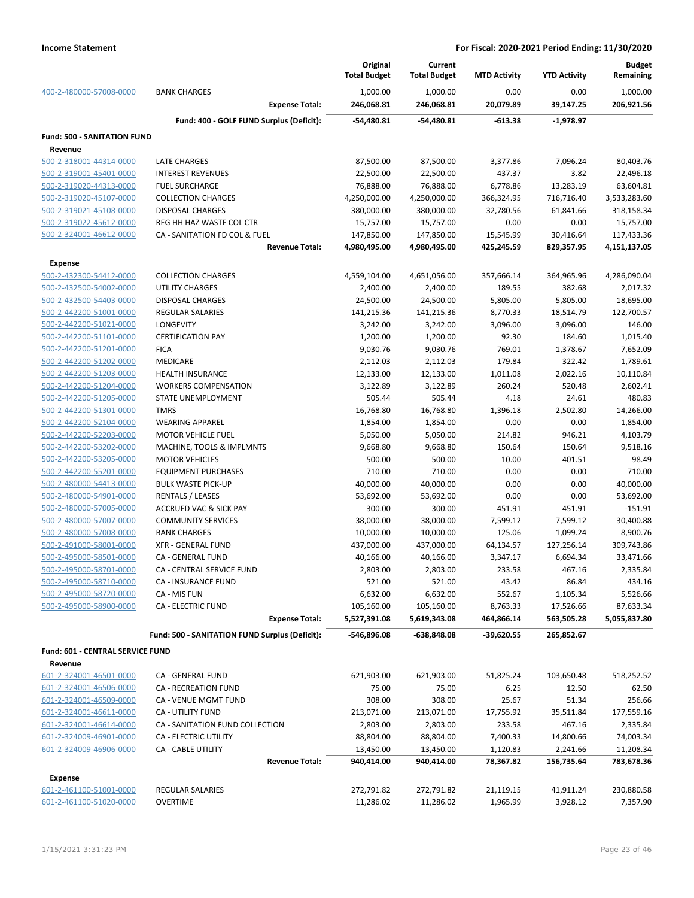|                                    |                                                | Original<br><b>Total Budget</b> | Current<br><b>Total Budget</b> | <b>MTD Activity</b> | <b>YTD Activity</b> | <b>Budget</b><br>Remaining |
|------------------------------------|------------------------------------------------|---------------------------------|--------------------------------|---------------------|---------------------|----------------------------|
| 400-2-480000-57008-0000            | <b>BANK CHARGES</b>                            | 1,000.00                        | 1,000.00                       | 0.00                | 0.00                | 1,000.00                   |
|                                    | <b>Expense Total:</b>                          | 246,068.81                      | 246,068.81                     | 20,079.89           | 39,147.25           | 206,921.56                 |
|                                    | Fund: 400 - GOLF FUND Surplus (Deficit):       | -54,480.81                      | -54,480.81                     | $-613.38$           | $-1,978.97$         |                            |
| <b>Fund: 500 - SANITATION FUND</b> |                                                |                                 |                                |                     |                     |                            |
| Revenue                            |                                                |                                 |                                |                     |                     |                            |
| 500-2-318001-44314-0000            | <b>LATE CHARGES</b>                            | 87,500.00                       | 87,500.00                      | 3,377.86            | 7,096.24            | 80,403.76                  |
| 500-2-319001-45401-0000            | <b>INTEREST REVENUES</b>                       | 22,500.00                       | 22,500.00                      | 437.37              | 3.82                | 22,496.18                  |
| 500-2-319020-44313-0000            | <b>FUEL SURCHARGE</b>                          | 76,888.00                       | 76,888.00                      | 6,778.86            | 13,283.19           | 63,604.81                  |
| 500-2-319020-45107-0000            | <b>COLLECTION CHARGES</b>                      | 4,250,000.00                    | 4,250,000.00                   | 366,324.95          | 716,716.40          | 3,533,283.60               |
| 500-2-319021-45108-0000            | <b>DISPOSAL CHARGES</b>                        | 380,000.00                      | 380,000.00                     | 32,780.56           | 61,841.66           | 318,158.34                 |
| 500-2-319022-45612-0000            | REG HH HAZ WASTE COL CTR                       | 15,757.00                       | 15,757.00                      | 0.00                | 0.00                | 15,757.00                  |
| 500-2-324001-46612-0000            | CA - SANITATION FD COL & FUEL                  | 147,850.00                      | 147,850.00                     | 15,545.99           | 30,416.64           | 117,433.36                 |
|                                    | <b>Revenue Total:</b>                          | 4,980,495.00                    | 4,980,495.00                   | 425,245.59          | 829,357.95          | 4,151,137.05               |
| <b>Expense</b>                     |                                                |                                 |                                |                     |                     |                            |
| 500-2-432300-54412-0000            | <b>COLLECTION CHARGES</b>                      | 4,559,104.00                    | 4,651,056.00                   | 357,666.14          | 364,965.96          | 4,286,090.04               |
| 500-2-432500-54002-0000            | <b>UTILITY CHARGES</b>                         | 2,400.00                        | 2,400.00                       | 189.55              | 382.68              | 2,017.32                   |
| 500-2-432500-54403-0000            | <b>DISPOSAL CHARGES</b>                        | 24,500.00                       | 24,500.00                      | 5,805.00            | 5,805.00            | 18,695.00                  |
| 500-2-442200-51001-0000            | <b>REGULAR SALARIES</b>                        | 141,215.36                      | 141,215.36                     | 8,770.33            | 18,514.79           | 122,700.57                 |
| 500-2-442200-51021-0000            | LONGEVITY                                      | 3,242.00                        | 3,242.00                       | 3,096.00            | 3,096.00            | 146.00                     |
| 500-2-442200-51101-0000            | <b>CERTIFICATION PAY</b>                       | 1,200.00                        | 1,200.00                       | 92.30               | 184.60              | 1,015.40                   |
| 500-2-442200-51201-0000            | <b>FICA</b>                                    | 9,030.76                        | 9,030.76                       | 769.01              | 1,378.67            | 7,652.09                   |
| 500-2-442200-51202-0000            | <b>MEDICARE</b>                                | 2,112.03                        | 2,112.03                       | 179.84              | 322.42              | 1,789.61                   |
| 500-2-442200-51203-0000            | <b>HEALTH INSURANCE</b>                        | 12,133.00                       | 12,133.00                      | 1,011.08            | 2,022.16            | 10,110.84                  |
| 500-2-442200-51204-0000            | <b>WORKERS COMPENSATION</b>                    | 3,122.89                        | 3,122.89                       | 260.24              | 520.48              | 2,602.41                   |
| 500-2-442200-51205-0000            | STATE UNEMPLOYMENT                             | 505.44                          | 505.44                         | 4.18                | 24.61               | 480.83                     |
| 500-2-442200-51301-0000            | <b>TMRS</b>                                    | 16,768.80                       | 16,768.80                      | 1,396.18            | 2,502.80            | 14,266.00                  |
| 500-2-442200-52104-0000            | <b>WEARING APPAREL</b>                         | 1,854.00                        | 1,854.00                       | 0.00                | 0.00                | 1,854.00                   |
| 500-2-442200-52203-0000            | <b>MOTOR VEHICLE FUEL</b>                      | 5,050.00                        | 5,050.00                       | 214.82              | 946.21              | 4,103.79                   |
| 500-2-442200-53202-0000            | MACHINE, TOOLS & IMPLMNTS                      | 9,668.80                        | 9,668.80                       | 150.64              | 150.64              | 9,518.16                   |
| 500-2-442200-53205-0000            | <b>MOTOR VEHICLES</b>                          | 500.00                          | 500.00                         | 10.00               | 401.51              | 98.49                      |
| 500-2-442200-55201-0000            | <b>EQUIPMENT PURCHASES</b>                     | 710.00                          | 710.00                         | 0.00                | 0.00                | 710.00                     |
| 500-2-480000-54413-0000            | <b>BULK WASTE PICK-UP</b>                      | 40,000.00                       | 40,000.00                      | 0.00                | 0.00                | 40,000.00                  |
| 500-2-480000-54901-0000            | <b>RENTALS / LEASES</b>                        | 53,692.00                       | 53,692.00                      | 0.00                | 0.00                | 53,692.00                  |
| 500-2-480000-57005-0000            | <b>ACCRUED VAC &amp; SICK PAY</b>              | 300.00                          | 300.00                         | 451.91              | 451.91              | $-151.91$                  |
| 500-2-480000-57007-0000            | <b>COMMUNITY SERVICES</b>                      | 38,000.00                       | 38,000.00                      | 7,599.12            | 7,599.12            | 30,400.88                  |
| 500-2-480000-57008-0000            | <b>BANK CHARGES</b>                            | 10,000.00                       | 10,000.00                      | 125.06              | 1,099.24            | 8,900.76                   |
| 500-2-491000-58001-0000            | <b>XFR - GENERAL FUND</b>                      | 437,000.00                      | 437,000.00                     | 64,134.57           | 127,256.14          | 309,743.86                 |
| 500-2-495000-58501-0000            | <b>CA - GENERAL FUND</b>                       | 40,166.00                       | 40,166.00                      | 3,347.17            | 6,694.34            | 33,471.66                  |
| <u>500-2-495000-58701-0000</u>     | CA - CENTRAL SERVICE FUND                      | 2,803.00                        | 2,803.00                       | 233.58              | 467.16              | 2,335.84                   |
| 500-2-495000-58710-0000            | <b>CA - INSURANCE FUND</b>                     | 521.00                          | 521.00                         | 43.42               | 86.84               | 434.16                     |
| 500-2-495000-58720-0000            | CA - MIS FUN                                   | 6,632.00                        | 6,632.00                       | 552.67              | 1,105.34            | 5,526.66                   |
| 500-2-495000-58900-0000            | <b>CA - ELECTRIC FUND</b>                      | 105,160.00                      | 105,160.00                     | 8,763.33            | 17,526.66           | 87,633.34                  |
|                                    | <b>Expense Total:</b>                          | 5,527,391.08                    | 5,619,343.08                   | 464,866.14          | 563,505.28          | 5,055,837.80               |
|                                    | Fund: 500 - SANITATION FUND Surplus (Deficit): | -546,896.08                     | -638,848.08                    | -39,620.55          | 265,852.67          |                            |
| Fund: 601 - CENTRAL SERVICE FUND   |                                                |                                 |                                |                     |                     |                            |
| Revenue                            |                                                |                                 |                                |                     |                     |                            |
| 601-2-324001-46501-0000            | CA - GENERAL FUND                              | 621,903.00                      | 621,903.00                     | 51,825.24           | 103,650.48          | 518,252.52                 |
| 601-2-324001-46506-0000            | CA - RECREATION FUND                           | 75.00                           | 75.00                          | 6.25                | 12.50               | 62.50                      |
| 601-2-324001-46509-0000            | CA - VENUE MGMT FUND                           | 308.00                          | 308.00                         | 25.67               | 51.34               | 256.66                     |
| 601-2-324001-46611-0000            | CA - UTILITY FUND                              | 213,071.00                      | 213,071.00                     | 17,755.92           | 35,511.84           | 177,559.16                 |
| 601-2-324001-46614-0000            | CA - SANITATION FUND COLLECTION                |                                 | 2,803.00                       | 233.58              | 467.16              |                            |
|                                    |                                                | 2,803.00<br>88,804.00           |                                |                     |                     | 2,335.84                   |
| 601-2-324009-46901-0000            | CA - ELECTRIC UTILITY                          |                                 | 88,804.00                      | 7,400.33            | 14,800.66           | 74,003.34                  |
| 601-2-324009-46906-0000            | CA - CABLE UTILITY                             | 13,450.00                       | 13,450.00                      | 1,120.83            | 2,241.66            | 11,208.34                  |
|                                    | <b>Revenue Total:</b>                          | 940,414.00                      | 940,414.00                     | 78,367.82           | 156,735.64          | 783,678.36                 |
| <b>Expense</b>                     |                                                |                                 |                                |                     |                     |                            |
| 601-2-461100-51001-0000            | REGULAR SALARIES                               | 272,791.82                      | 272,791.82                     | 21,119.15           | 41,911.24           | 230,880.58                 |
| 601-2-461100-51020-0000            | <b>OVERTIME</b>                                | 11,286.02                       | 11,286.02                      | 1,965.99            | 3,928.12            | 7,357.90                   |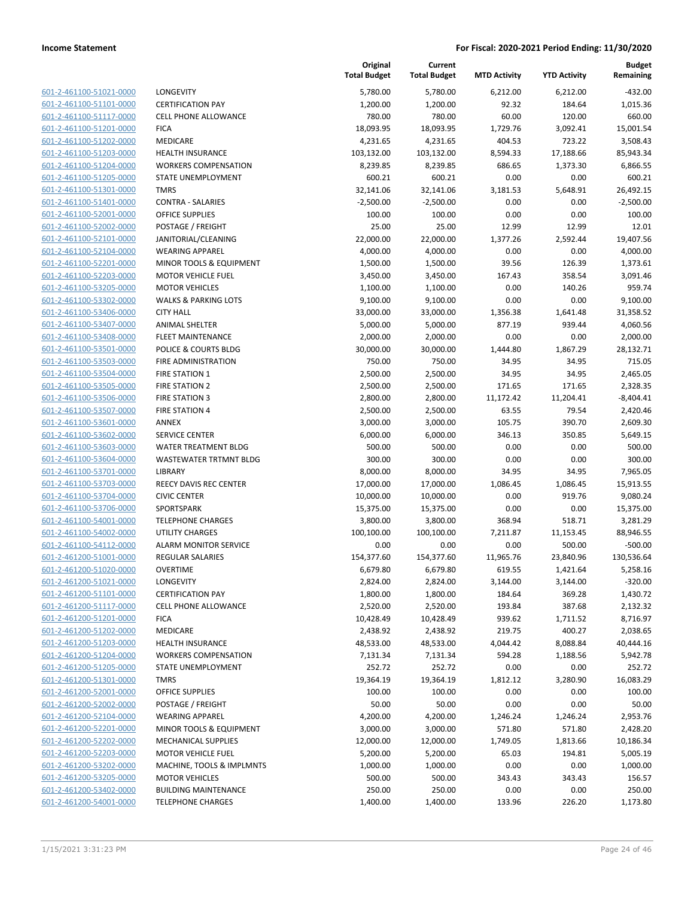| 601-2-461100-51021-0000        |
|--------------------------------|
| 601-2-461100-51101-0000        |
| 601-2-461100-51117-0000        |
| 601-2-461100-51201-0000        |
| 601-2-461100-51202-0000        |
| 601-2-461100-51203-0000        |
| 601-2-461100-51204-0000        |
| 601-2-461100-51205-0000        |
| 601-2-461100-51301-0000        |
| <u>601-2-461100-51401-0000</u> |
| 601-2-461100-52001-0000        |
| 601-2-461100-52002-0000        |
| 601-2-461100-52101-0000        |
| 601-2-461100-52104-0000        |
| <u>601-2-461100-52201-0000</u> |
| 601-2-461100-52203-0000        |
| 601-2-461100-53205-0000        |
| 601-2-461100-53302-0000        |
| 601-2-461100-53406-0000        |
| 601-2-461100-53407-0000        |
| 601-2-461100-53408-0000        |
| 601-2-461100-53501-0000        |
| 601-2-461100-53503-0000        |
| 601-2-461100-53504-0000        |
| <u>601-2-461100-53505-0000</u> |
| 601-2-461100-53506-0000        |
| 601-2-461100-53507-0000        |
| 601-2-461100-53601-0000        |
| 601-2-461100-53602-0000        |
| <u>601-2-461100-53603-0000</u> |
| 601-2-461100-53604-0000        |
| 601-2-461100-53701-0000        |
| 601-2-461100-53703-0000        |
| 601-2-461100-53704-0000        |
| 601-2-461100-53706-0000        |
| 601-2-461100-54001-0000        |
| 601-2-461100-54002-0000        |
| 601-2-461100-54112-0000        |
| 601-2-461200-51001-0000        |
| 601-2-461200-51020-0000        |
| 601-2-461200-51021-0000        |
| 601-2-461200-51101-0000        |
| 601-2-461200-51117-0000        |
| 601-2-461200-51201-0000        |
| <u>601-2-461200-51202-0000</u> |
| 601-2-461200-51203-0000        |
| 601-2-461200-51204-0000        |
| 601-2-461200-51205-0000        |
| 601-2-461200-51301-0000        |
| <u>601-2-461200-52001-0000</u> |
| 601-2-461200-52002-0000        |
| 601-2-461200-52104-0000        |
| 601-2-461200-52201-0000        |
| 601-2-461200-52202-0000        |
| <u>601-2-461200-52203-0000</u> |
| <u>601-2-461200-53202-0000</u> |
| 601-2-461200-53205-0000        |
| 601-2-461200-53402-0000        |
| 601-2-461200-54001-0000        |
|                                |

|                         |                                 | Original<br><b>Total Budget</b> | Current<br><b>Total Budget</b> | <b>MTD Activity</b> | <b>YTD Activity</b> | Budget<br>Remaining |
|-------------------------|---------------------------------|---------------------------------|--------------------------------|---------------------|---------------------|---------------------|
| 601-2-461100-51021-0000 | LONGEVITY                       | 5,780.00                        | 5,780.00                       | 6,212.00            | 6,212.00            | $-432.00$           |
| 601-2-461100-51101-0000 | <b>CERTIFICATION PAY</b>        | 1,200.00                        | 1,200.00                       | 92.32               | 184.64              | 1,015.36            |
| 601-2-461100-51117-0000 | CELL PHONE ALLOWANCE            | 780.00                          | 780.00                         | 60.00               | 120.00              | 660.00              |
| 601-2-461100-51201-0000 | <b>FICA</b>                     | 18,093.95                       | 18,093.95                      | 1,729.76            | 3,092.41            | 15,001.54           |
| 601-2-461100-51202-0000 | MEDICARE                        | 4,231.65                        | 4,231.65                       | 404.53              | 723.22              | 3,508.43            |
| 601-2-461100-51203-0000 | HEALTH INSURANCE                | 103,132.00                      | 103,132.00                     | 8,594.33            | 17,188.66           | 85,943.34           |
| 601-2-461100-51204-0000 | <b>WORKERS COMPENSATION</b>     | 8,239.85                        | 8,239.85                       | 686.65              | 1,373.30            | 6,866.55            |
| 601-2-461100-51205-0000 | STATE UNEMPLOYMENT              | 600.21                          | 600.21                         | 0.00                | 0.00                | 600.21              |
| 601-2-461100-51301-0000 | <b>TMRS</b>                     | 32,141.06                       | 32,141.06                      | 3,181.53            | 5,648.91            | 26,492.15           |
| 601-2-461100-51401-0000 | <b>CONTRA - SALARIES</b>        | $-2,500.00$                     | $-2,500.00$                    | 0.00                | 0.00                | $-2,500.00$         |
| 601-2-461100-52001-0000 | <b>OFFICE SUPPLIES</b>          | 100.00                          | 100.00                         | 0.00                | 0.00                | 100.00              |
| 601-2-461100-52002-0000 | POSTAGE / FREIGHT               | 25.00                           | 25.00                          | 12.99               | 12.99               | 12.01               |
| 601-2-461100-52101-0000 | JANITORIAL/CLEANING             | 22,000.00                       | 22,000.00                      | 1,377.26            | 2,592.44            | 19,407.56           |
| 601-2-461100-52104-0000 | <b>WEARING APPAREL</b>          | 4,000.00                        | 4,000.00                       | 0.00                | 0.00                | 4,000.00            |
| 601-2-461100-52201-0000 | MINOR TOOLS & EQUIPMENT         | 1,500.00                        | 1,500.00                       | 39.56               | 126.39              | 1,373.61            |
| 601-2-461100-52203-0000 | <b>MOTOR VEHICLE FUEL</b>       | 3,450.00                        | 3,450.00                       | 167.43              | 358.54              | 3,091.46            |
| 601-2-461100-53205-0000 | <b>MOTOR VEHICLES</b>           | 1,100.00                        | 1,100.00                       | 0.00                | 140.26              | 959.74              |
| 601-2-461100-53302-0000 | <b>WALKS &amp; PARKING LOTS</b> | 9,100.00                        | 9,100.00                       | 0.00                | 0.00                | 9,100.00            |
| 601-2-461100-53406-0000 | <b>CITY HALL</b>                | 33,000.00                       | 33,000.00                      | 1,356.38            | 1,641.48            | 31,358.52           |
| 601-2-461100-53407-0000 | <b>ANIMAL SHELTER</b>           | 5,000.00                        | 5,000.00                       | 877.19              | 939.44              | 4,060.56            |
| 601-2-461100-53408-0000 | <b>FLEET MAINTENANCE</b>        | 2,000.00                        | 2,000.00                       | 0.00                | 0.00                | 2,000.00            |
| 601-2-461100-53501-0000 | POLICE & COURTS BLDG            | 30,000.00                       | 30,000.00                      | 1,444.80            | 1,867.29            | 28,132.71           |
| 601-2-461100-53503-0000 | FIRE ADMINISTRATION             | 750.00                          | 750.00                         | 34.95               | 34.95               | 715.05              |
| 601-2-461100-53504-0000 | <b>FIRE STATION 1</b>           | 2,500.00                        | 2,500.00                       | 34.95               | 34.95               | 2,465.05            |
| 601-2-461100-53505-0000 | <b>FIRE STATION 2</b>           | 2,500.00                        | 2,500.00                       | 171.65              | 171.65              | 2,328.35            |
| 601-2-461100-53506-0000 | <b>FIRE STATION 3</b>           | 2,800.00                        | 2,800.00                       | 11,172.42           | 11,204.41           | $-8,404.41$         |
| 601-2-461100-53507-0000 | <b>FIRE STATION 4</b>           | 2,500.00                        | 2,500.00                       | 63.55               | 79.54               | 2,420.46            |
| 601-2-461100-53601-0000 | ANNEX                           | 3,000.00                        | 3,000.00                       | 105.75              | 390.70              | 2,609.30            |
| 601-2-461100-53602-0000 | <b>SERVICE CENTER</b>           | 6,000.00                        | 6,000.00                       | 346.13              | 350.85              | 5,649.15            |
| 601-2-461100-53603-0000 | <b>WATER TREATMENT BLDG</b>     | 500.00                          | 500.00                         | 0.00                | 0.00                | 500.00              |
| 601-2-461100-53604-0000 | WASTEWATER TRTMNT BLDG          | 300.00                          | 300.00                         | 0.00                | 0.00                | 300.00              |
| 601-2-461100-53701-0000 | LIBRARY                         | 8,000.00                        | 8,000.00                       | 34.95               | 34.95               | 7,965.05            |
| 601-2-461100-53703-0000 | REECY DAVIS REC CENTER          | 17,000.00                       | 17,000.00                      | 1,086.45            | 1,086.45            | 15,913.55           |
| 601-2-461100-53704-0000 | <b>CIVIC CENTER</b>             | 10,000.00                       | 10,000.00                      | 0.00                | 919.76              | 9,080.24            |
| 601-2-461100-53706-0000 | SPORTSPARK                      | 15,375.00                       | 15,375.00                      | 0.00                | 0.00                | 15,375.00           |
| 601-2-461100-54001-0000 | <b>TELEPHONE CHARGES</b>        | 3,800.00                        | 3,800.00                       | 368.94              | 518.71              | 3,281.29            |
| 601-2-461100-54002-0000 | UTILITY CHARGES                 | 100,100.00                      | 100,100.00                     | 7,211.87            | 11,153.45           | 88,946.55           |
| 601-2-461100-54112-0000 | <b>ALARM MONITOR SERVICE</b>    | 0.00                            | 0.00                           | 0.00                | 500.00              | $-500.00$           |
| 601-2-461200-51001-0000 | <b>REGULAR SALARIES</b>         | 154,377.60                      | 154,377.60                     | 11,965.76           | 23,840.96           | 130,536.64          |
| 601-2-461200-51020-0000 | OVERTIME                        | 6,679.80                        | 6,679.80                       | 619.55              | 1,421.64            | 5,258.16            |
| 601-2-461200-51021-0000 | LONGEVITY                       | 2,824.00                        | 2,824.00                       | 3,144.00            | 3,144.00            | $-320.00$           |
| 601-2-461200-51101-0000 | <b>CERTIFICATION PAY</b>        | 1,800.00                        | 1,800.00                       | 184.64              | 369.28              | 1,430.72            |
| 601-2-461200-51117-0000 | CELL PHONE ALLOWANCE            | 2,520.00                        | 2,520.00                       | 193.84              | 387.68              | 2,132.32            |
| 601-2-461200-51201-0000 | <b>FICA</b>                     | 10,428.49                       | 10,428.49                      | 939.62              | 1,711.52            | 8,716.97            |
| 601-2-461200-51202-0000 | MEDICARE                        | 2,438.92                        | 2,438.92                       | 219.75              | 400.27              | 2,038.65            |
| 601-2-461200-51203-0000 | <b>HEALTH INSURANCE</b>         | 48,533.00                       | 48,533.00                      | 4,044.42            | 8,088.84            | 40,444.16           |
| 601-2-461200-51204-0000 | <b>WORKERS COMPENSATION</b>     | 7,131.34                        | 7,131.34                       | 594.28              | 1,188.56            | 5,942.78            |
| 601-2-461200-51205-0000 | STATE UNEMPLOYMENT              | 252.72                          | 252.72                         | 0.00                | 0.00                | 252.72              |
| 601-2-461200-51301-0000 | <b>TMRS</b>                     | 19,364.19                       | 19,364.19                      | 1,812.12            | 3,280.90            | 16,083.29           |
| 601-2-461200-52001-0000 | <b>OFFICE SUPPLIES</b>          | 100.00                          | 100.00                         | 0.00                | 0.00                | 100.00              |
| 601-2-461200-52002-0000 | POSTAGE / FREIGHT               | 50.00                           | 50.00                          | 0.00                | 0.00                | 50.00               |
| 601-2-461200-52104-0000 | <b>WEARING APPAREL</b>          | 4,200.00                        | 4,200.00                       | 1,246.24            | 1,246.24            | 2,953.76            |
| 601-2-461200-52201-0000 | MINOR TOOLS & EQUIPMENT         | 3,000.00                        | 3,000.00                       | 571.80              | 571.80              | 2,428.20            |
| 601-2-461200-52202-0000 | <b>MECHANICAL SUPPLIES</b>      | 12,000.00                       | 12,000.00                      | 1,749.05            | 1,813.66            | 10,186.34           |
| 601-2-461200-52203-0000 | <b>MOTOR VEHICLE FUEL</b>       | 5,200.00                        | 5,200.00                       | 65.03               | 194.81              | 5,005.19            |
| 601-2-461200-53202-0000 | MACHINE, TOOLS & IMPLMNTS       | 1,000.00                        | 1,000.00                       | 0.00                | 0.00                | 1,000.00            |
| 601-2-461200-53205-0000 | <b>MOTOR VEHICLES</b>           | 500.00                          | 500.00                         | 343.43              | 343.43              | 156.57              |
| 601-2-461200-53402-0000 | <b>BUILDING MAINTENANCE</b>     | 250.00                          | 250.00                         | 0.00                | 0.00                | 250.00              |
| 601-2-461200-54001-0000 | <b>TELEPHONE CHARGES</b>        | 1,400.00                        | 1,400.00                       | 133.96              | 226.20              | 1,173.80            |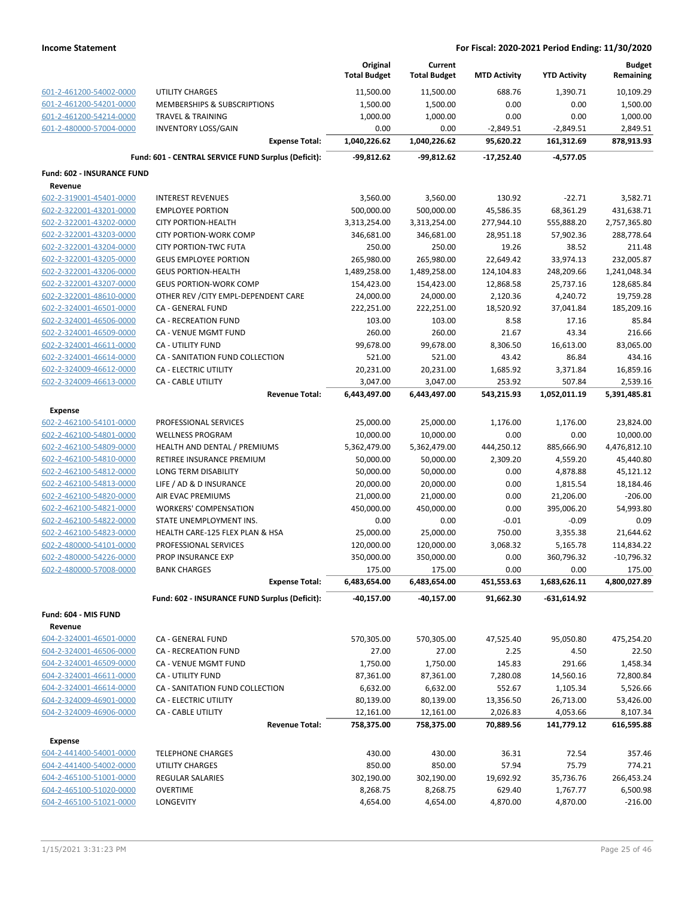|                                   |                                                     | Original<br><b>Total Budget</b> | Current<br><b>Total Budget</b> | <b>MTD Activity</b> | <b>YTD Activity</b> | <b>Budget</b><br>Remaining |
|-----------------------------------|-----------------------------------------------------|---------------------------------|--------------------------------|---------------------|---------------------|----------------------------|
| 601-2-461200-54002-0000           | <b>UTILITY CHARGES</b>                              | 11,500.00                       | 11,500.00                      | 688.76              | 1,390.71            | 10,109.29                  |
| 601-2-461200-54201-0000           | MEMBERSHIPS & SUBSCRIPTIONS                         | 1,500.00                        | 1,500.00                       | 0.00                | 0.00                | 1,500.00                   |
| 601-2-461200-54214-0000           | <b>TRAVEL &amp; TRAINING</b>                        | 1,000.00                        | 1,000.00                       | 0.00                | 0.00                | 1,000.00                   |
| 601-2-480000-57004-0000           | <b>INVENTORY LOSS/GAIN</b>                          | 0.00                            | 0.00                           | $-2,849.51$         | $-2,849.51$         | 2,849.51                   |
|                                   | <b>Expense Total:</b>                               | 1,040,226.62                    | 1,040,226.62                   | 95,620.22           | 161,312.69          | 878,913.93                 |
|                                   | Fund: 601 - CENTRAL SERVICE FUND Surplus (Deficit): | -99,812.62                      | -99,812.62                     | $-17,252.40$        | -4,577.05           |                            |
| <b>Fund: 602 - INSURANCE FUND</b> |                                                     |                                 |                                |                     |                     |                            |
| Revenue                           |                                                     |                                 |                                |                     |                     |                            |
| 602-2-319001-45401-0000           | <b>INTEREST REVENUES</b>                            | 3,560.00                        | 3,560.00                       | 130.92              | $-22.71$            | 3,582.71                   |
| 602-2-322001-43201-0000           | <b>EMPLOYEE PORTION</b>                             | 500,000.00                      | 500,000.00                     | 45,586.35           | 68,361.29           | 431,638.71                 |
| 602-2-322001-43202-0000           | <b>CITY PORTION-HEALTH</b>                          | 3,313,254.00                    | 3,313,254.00                   | 277,944.10          | 555,888.20          | 2,757,365.80               |
| 602-2-322001-43203-0000           | <b>CITY PORTION-WORK COMP</b>                       | 346,681.00                      | 346,681.00                     | 28,951.18           | 57,902.36           | 288,778.64                 |
| 602-2-322001-43204-0000           | <b>CITY PORTION-TWC FUTA</b>                        | 250.00                          | 250.00                         | 19.26               | 38.52               | 211.48                     |
| 602-2-322001-43205-0000           | <b>GEUS EMPLOYEE PORTION</b>                        | 265,980.00                      | 265,980.00                     | 22,649.42           | 33,974.13           | 232,005.87                 |
| 602-2-322001-43206-0000           | <b>GEUS PORTION-HEALTH</b>                          | 1,489,258.00                    | 1,489,258.00                   | 124,104.83          | 248,209.66          | 1,241,048.34               |
| 602-2-322001-43207-0000           | <b>GEUS PORTION-WORK COMP</b>                       | 154,423.00                      | 154,423.00                     | 12,868.58           | 25,737.16           | 128,685.84                 |
| 602-2-322001-48610-0000           | OTHER REV / CITY EMPL-DEPENDENT CARE                | 24,000.00                       | 24,000.00                      | 2,120.36            | 4,240.72            | 19,759.28                  |
| 602-2-324001-46501-0000           | CA - GENERAL FUND                                   | 222,251.00                      | 222,251.00                     | 18,520.92           | 37,041.84           | 185,209.16                 |
| 602-2-324001-46506-0000           | <b>CA - RECREATION FUND</b>                         | 103.00                          | 103.00                         | 8.58                | 17.16               | 85.84                      |
| 602-2-324001-46509-0000           | CA - VENUE MGMT FUND                                | 260.00                          | 260.00                         | 21.67               | 43.34               | 216.66                     |
| 602-2-324001-46611-0000           | <b>CA - UTILITY FUND</b>                            | 99,678.00                       | 99,678.00                      | 8,306.50            | 16,613.00           | 83,065.00                  |
| 602-2-324001-46614-0000           | CA - SANITATION FUND COLLECTION                     | 521.00                          | 521.00                         | 43.42               | 86.84               | 434.16                     |
| 602-2-324009-46612-0000           | <b>CA - ELECTRIC UTILITY</b>                        | 20,231.00                       | 20,231.00                      | 1,685.92            | 3,371.84            | 16,859.16                  |
| 602-2-324009-46613-0000           | <b>CA - CABLE UTILITY</b>                           | 3,047.00                        | 3,047.00                       | 253.92              | 507.84              | 2,539.16                   |
|                                   | <b>Revenue Total:</b>                               | 6,443,497.00                    | 6,443,497.00                   | 543,215.93          | 1,052,011.19        | 5,391,485.81               |
| <b>Expense</b>                    |                                                     |                                 |                                |                     |                     |                            |
| 602-2-462100-54101-0000           | PROFESSIONAL SERVICES                               | 25,000.00                       | 25,000.00                      | 1,176.00            | 1,176.00            | 23,824.00                  |
| 602-2-462100-54801-0000           | <b>WELLNESS PROGRAM</b>                             | 10,000.00                       | 10,000.00                      | 0.00                | 0.00                | 10,000.00                  |
| 602-2-462100-54809-0000           | HEALTH AND DENTAL / PREMIUMS                        | 5,362,479.00                    | 5,362,479.00                   | 444,250.12          | 885,666.90          | 4,476,812.10               |
| 602-2-462100-54810-0000           | RETIREE INSURANCE PREMIUM                           | 50,000.00                       | 50,000.00                      | 2,309.20            | 4,559.20            | 45,440.80                  |
| 602-2-462100-54812-0000           | LONG TERM DISABILITY                                | 50,000.00                       | 50,000.00                      | 0.00                | 4,878.88            | 45,121.12                  |
| 602-2-462100-54813-0000           | LIFE / AD & D INSURANCE                             | 20,000.00                       | 20,000.00                      | 0.00                | 1,815.54            | 18,184.46                  |
| 602-2-462100-54820-0000           | AIR EVAC PREMIUMS                                   | 21,000.00                       | 21,000.00                      | 0.00                | 21,206.00           | $-206.00$                  |
| 602-2-462100-54821-0000           | <b>WORKERS' COMPENSATION</b>                        | 450,000.00                      | 450,000.00                     | 0.00                | 395,006.20          | 54,993.80                  |
| 602-2-462100-54822-0000           | STATE UNEMPLOYMENT INS.                             | 0.00                            | 0.00                           | $-0.01$             | $-0.09$             | 0.09                       |
| 602-2-462100-54823-0000           | HEALTH CARE-125 FLEX PLAN & HSA                     | 25,000.00                       | 25,000.00                      | 750.00              | 3,355.38            | 21,644.62                  |
| 602-2-480000-54101-0000           | PROFESSIONAL SERVICES                               | 120,000.00                      | 120,000.00                     | 3,068.32            | 5,165.78            | 114,834.22                 |
| 602-2-480000-54226-0000           | <b>PROP INSURANCE EXP</b>                           | 350,000.00                      | 350,000.00                     | 0.00                | 360,796.32          | $-10,796.32$               |
| <u>602-2-480000-57008-0000</u>    | <b>BANK CHARGES</b>                                 | 175.00                          | 175.00                         | 0.00                | 0.00                | 175.00                     |
|                                   | <b>Expense Total:</b>                               | 6,483,654.00                    | 6,483,654.00                   | 451,553.63          | 1,683,626.11        | 4,800,027.89               |
|                                   | Fund: 602 - INSURANCE FUND Surplus (Deficit):       | -40,157.00                      | -40,157.00                     | 91,662.30           | -631,614.92         |                            |
| Fund: 604 - MIS FUND              |                                                     |                                 |                                |                     |                     |                            |
| Revenue                           |                                                     |                                 |                                |                     |                     |                            |
| 604-2-324001-46501-0000           | CA - GENERAL FUND                                   | 570,305.00                      | 570,305.00                     | 47,525.40           | 95,050.80           | 475,254.20                 |
| 604-2-324001-46506-0000           | CA - RECREATION FUND                                | 27.00                           | 27.00                          | 2.25                | 4.50                | 22.50                      |
| 604-2-324001-46509-0000           | CA - VENUE MGMT FUND                                | 1,750.00                        | 1,750.00                       | 145.83              | 291.66              | 1,458.34                   |
| 604-2-324001-46611-0000           | CA - UTILITY FUND                                   | 87,361.00                       | 87,361.00                      | 7,280.08            | 14,560.16           | 72,800.84                  |
| 604-2-324001-46614-0000           | CA - SANITATION FUND COLLECTION                     | 6,632.00                        | 6,632.00                       | 552.67              | 1,105.34            | 5,526.66                   |
| 604-2-324009-46901-0000           | CA - ELECTRIC UTILITY                               | 80,139.00                       | 80,139.00                      | 13,356.50           | 26,713.00           | 53,426.00                  |
| 604-2-324009-46906-0000           | CA - CABLE UTILITY                                  | 12,161.00                       | 12,161.00                      | 2,026.83            | 4,053.66            | 8,107.34                   |
|                                   | <b>Revenue Total:</b>                               | 758,375.00                      | 758,375.00                     | 70,889.56           | 141,779.12          | 616,595.88                 |
| <b>Expense</b>                    |                                                     |                                 |                                |                     |                     |                            |
| 604-2-441400-54001-0000           | <b>TELEPHONE CHARGES</b>                            | 430.00                          | 430.00                         | 36.31               | 72.54               | 357.46                     |
| 604-2-441400-54002-0000           | UTILITY CHARGES                                     | 850.00                          | 850.00                         | 57.94               | 75.79               | 774.21                     |
| 604-2-465100-51001-0000           | REGULAR SALARIES                                    | 302,190.00                      | 302,190.00                     | 19,692.92           | 35,736.76           | 266,453.24                 |
| 604-2-465100-51020-0000           | <b>OVERTIME</b>                                     | 8,268.75                        | 8,268.75                       | 629.40              | 1,767.77            | 6,500.98                   |
| 604-2-465100-51021-0000           | LONGEVITY                                           | 4,654.00                        | 4,654.00                       | 4,870.00            | 4,870.00            | $-216.00$                  |
|                                   |                                                     |                                 |                                |                     |                     |                            |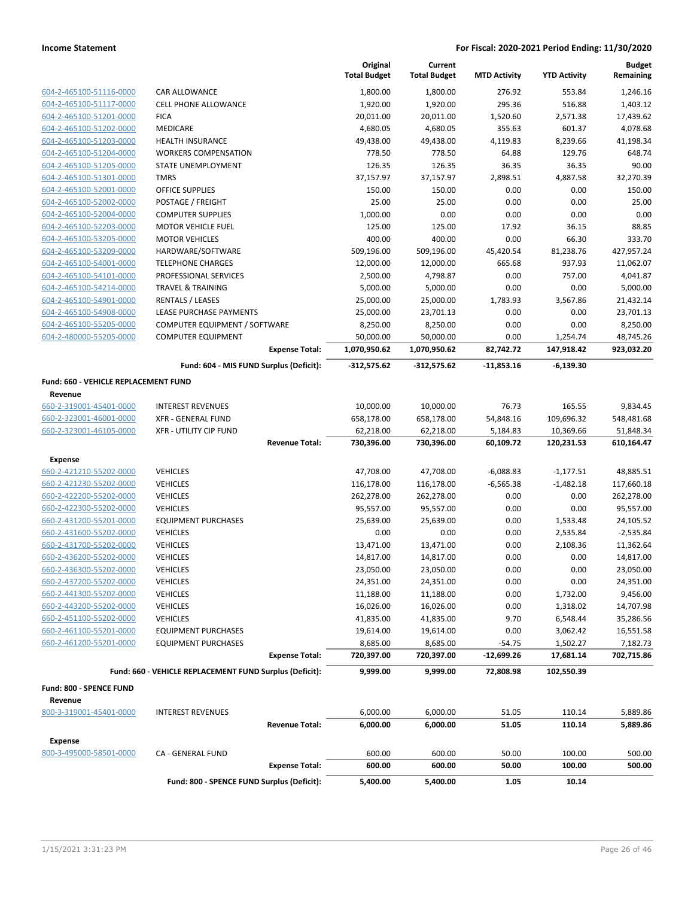|                                      |                                                         | Original<br><b>Total Budget</b> | Current<br><b>Total Budget</b> | <b>MTD Activity</b>   | <b>YTD Activity</b>     | <b>Budget</b><br>Remaining |
|--------------------------------------|---------------------------------------------------------|---------------------------------|--------------------------------|-----------------------|-------------------------|----------------------------|
| 604-2-465100-51116-0000              | CAR ALLOWANCE                                           | 1,800.00                        | 1,800.00                       | 276.92                | 553.84                  | 1,246.16                   |
| 604-2-465100-51117-0000              | <b>CELL PHONE ALLOWANCE</b>                             | 1,920.00                        | 1,920.00                       | 295.36                | 516.88                  | 1,403.12                   |
| 604-2-465100-51201-0000              | <b>FICA</b>                                             | 20,011.00                       | 20,011.00                      | 1,520.60              | 2,571.38                | 17,439.62                  |
| 604-2-465100-51202-0000              | <b>MEDICARE</b>                                         | 4,680.05                        | 4,680.05                       | 355.63                | 601.37                  | 4,078.68                   |
| 604-2-465100-51203-0000              | <b>HEALTH INSURANCE</b>                                 | 49,438.00                       | 49,438.00                      | 4,119.83              | 8,239.66                | 41,198.34                  |
| 604-2-465100-51204-0000              | <b>WORKERS COMPENSATION</b>                             | 778.50                          | 778.50                         | 64.88                 | 129.76                  | 648.74                     |
| 604-2-465100-51205-0000              | STATE UNEMPLOYMENT                                      | 126.35                          | 126.35                         | 36.35                 | 36.35                   | 90.00                      |
| 604-2-465100-51301-0000              | <b>TMRS</b>                                             | 37,157.97                       | 37,157.97                      | 2,898.51              | 4,887.58                | 32,270.39                  |
| 604-2-465100-52001-0000              | OFFICE SUPPLIES                                         | 150.00                          | 150.00                         | 0.00                  | 0.00                    | 150.00                     |
| 604-2-465100-52002-0000              | POSTAGE / FREIGHT                                       | 25.00                           | 25.00                          | 0.00                  | 0.00                    | 25.00                      |
| 604-2-465100-52004-0000              | <b>COMPUTER SUPPLIES</b>                                | 1,000.00                        | 0.00                           | 0.00                  | 0.00                    | 0.00                       |
| 604-2-465100-52203-0000              | <b>MOTOR VEHICLE FUEL</b>                               | 125.00                          | 125.00                         | 17.92                 | 36.15                   | 88.85                      |
| 604-2-465100-53205-0000              | <b>MOTOR VEHICLES</b>                                   | 400.00                          | 400.00                         | 0.00                  | 66.30                   | 333.70                     |
| 604-2-465100-53209-0000              | HARDWARE/SOFTWARE                                       | 509,196.00                      | 509,196.00                     | 45,420.54             | 81,238.76               | 427,957.24                 |
| 604-2-465100-54001-0000              | <b>TELEPHONE CHARGES</b>                                | 12,000.00                       | 12,000.00                      | 665.68                | 937.93                  | 11,062.07                  |
| 604-2-465100-54101-0000              | PROFESSIONAL SERVICES                                   | 2,500.00                        | 4,798.87                       | 0.00                  | 757.00                  | 4,041.87                   |
| 604-2-465100-54214-0000              | <b>TRAVEL &amp; TRAINING</b>                            | 5,000.00                        | 5,000.00                       | 0.00                  | 0.00                    | 5,000.00                   |
| 604-2-465100-54901-0000              | <b>RENTALS / LEASES</b>                                 | 25,000.00                       | 25,000.00                      | 1,783.93              | 3,567.86                | 21,432.14                  |
| 604-2-465100-54908-0000              | LEASE PURCHASE PAYMENTS                                 | 25,000.00                       | 23,701.13                      | 0.00                  | 0.00                    | 23,701.13                  |
| 604-2-465100-55205-0000              | COMPUTER EQUIPMENT / SOFTWARE                           | 8,250.00                        | 8,250.00                       | 0.00                  | 0.00                    | 8,250.00                   |
| 604-2-480000-55205-0000              | <b>COMPUTER EQUIPMENT</b>                               | 50,000.00                       | 50,000.00                      | 0.00                  | 1,254.74                | 48,745.26                  |
|                                      | <b>Expense Total:</b>                                   | 1,070,950.62                    | 1,070,950.62                   | 82,742.72             | 147,918.42              | 923,032.20                 |
|                                      | Fund: 604 - MIS FUND Surplus (Deficit):                 | $-312,575.62$                   | $-312,575.62$                  | $-11,853.16$          | $-6,139.30$             |                            |
| Fund: 660 - VEHICLE REPLACEMENT FUND |                                                         |                                 |                                |                       |                         |                            |
| Revenue                              |                                                         |                                 |                                |                       |                         |                            |
| 660-2-319001-45401-0000              | <b>INTEREST REVENUES</b>                                | 10,000.00                       | 10,000.00                      | 76.73                 | 165.55                  | 9,834.45                   |
| 660-2-323001-46001-0000              | <b>XFR - GENERAL FUND</b>                               | 658,178.00                      | 658,178.00                     | 54,848.16             | 109,696.32              | 548,481.68                 |
| 660-2-323001-46105-0000              | <b>XFR - UTILITY CIP FUND</b><br><b>Revenue Total:</b>  | 62,218.00<br>730,396.00         | 62,218.00<br>730,396.00        | 5,184.83<br>60,109.72 | 10,369.66<br>120,231.53 | 51,848.34<br>610,164.47    |
| <b>Expense</b>                       |                                                         |                                 |                                |                       |                         |                            |
| 660-2-421210-55202-0000              | <b>VEHICLES</b>                                         | 47,708.00                       | 47,708.00                      | $-6,088.83$           | $-1,177.51$             | 48,885.51                  |
| 660-2-421230-55202-0000              | <b>VEHICLES</b>                                         | 116,178.00                      | 116,178.00                     | $-6,565.38$           | $-1,482.18$             | 117,660.18                 |
| 660-2-422200-55202-0000              | <b>VEHICLES</b>                                         | 262,278.00                      | 262,278.00                     | 0.00                  | 0.00                    | 262,278.00                 |
| 660-2-422300-55202-0000              | <b>VEHICLES</b>                                         | 95,557.00                       | 95,557.00                      | 0.00                  | 0.00                    | 95,557.00                  |
| 660-2-431200-55201-0000              | <b>EQUIPMENT PURCHASES</b>                              | 25,639.00                       | 25,639.00                      | 0.00                  | 1,533.48                | 24,105.52                  |
| 660-2-431600-55202-0000              | <b>VEHICLES</b>                                         | 0.00                            | 0.00                           | 0.00                  | 2,535.84                | $-2,535.84$                |
| 660-2-431700-55202-0000              | <b>VEHICLES</b>                                         | 13,471.00                       | 13,471.00                      | 0.00                  | 2,108.36                | 11,362.64                  |
| 660-2-436200-55202-0000              | <b>VEHICLES</b>                                         | 14,817.00                       | 14,817.00                      | 0.00                  | 0.00                    | 14,817.00                  |
| 660-2-436300-55202-0000              | <b>VEHICLES</b>                                         | 23,050.00                       | 23,050.00                      | 0.00                  | 0.00                    | 23,050.00                  |
| 660-2-437200-55202-0000              | <b>VEHICLES</b>                                         | 24,351.00                       | 24,351.00                      | 0.00                  | 0.00                    | 24,351.00                  |
| 660-2-441300-55202-0000              | <b>VEHICLES</b>                                         | 11,188.00                       | 11,188.00                      | 0.00                  | 1,732.00                | 9,456.00                   |
| 660-2-443200-55202-0000              | <b>VEHICLES</b>                                         | 16,026.00                       | 16,026.00                      | 0.00                  | 1,318.02                | 14,707.98                  |
| 660-2-451100-55202-0000              | <b>VEHICLES</b>                                         | 41,835.00                       | 41,835.00                      | 9.70                  | 6,548.44                | 35,286.56                  |
| 660-2-461100-55201-0000              | <b>EQUIPMENT PURCHASES</b>                              | 19,614.00                       | 19,614.00                      | 0.00                  | 3,062.42                | 16,551.58                  |
| 660-2-461200-55201-0000              | <b>EQUIPMENT PURCHASES</b>                              | 8,685.00                        | 8,685.00                       | $-54.75$              | 1,502.27                | 7,182.73                   |
|                                      | <b>Expense Total:</b>                                   | 720,397.00                      | 720,397.00                     | $-12,699.26$          | 17,681.14               | 702,715.86                 |
|                                      | Fund: 660 - VEHICLE REPLACEMENT FUND Surplus (Deficit): | 9,999.00                        | 9,999.00                       | 72,808.98             | 102,550.39              |                            |
| Fund: 800 - SPENCE FUND              |                                                         |                                 |                                |                       |                         |                            |
| Revenue                              |                                                         |                                 |                                |                       |                         |                            |
| 800-3-319001-45401-0000              | <b>INTEREST REVENUES</b>                                | 6,000.00                        | 6,000.00                       | 51.05                 | 110.14                  | 5,889.86                   |
|                                      | <b>Revenue Total:</b>                                   | 6,000.00                        | 6,000.00                       | 51.05                 | 110.14                  | 5,889.86                   |
| <b>Expense</b>                       |                                                         |                                 |                                |                       |                         |                            |
| 800-3-495000-58501-0000              | CA - GENERAL FUND                                       | 600.00                          | 600.00                         | 50.00                 | 100.00                  | 500.00                     |
|                                      | <b>Expense Total:</b>                                   | 600.00                          | 600.00                         | 50.00                 | 100.00                  | 500.00                     |
|                                      | Fund: 800 - SPENCE FUND Surplus (Deficit):              | 5,400.00                        | 5,400.00                       | 1.05                  | 10.14                   |                            |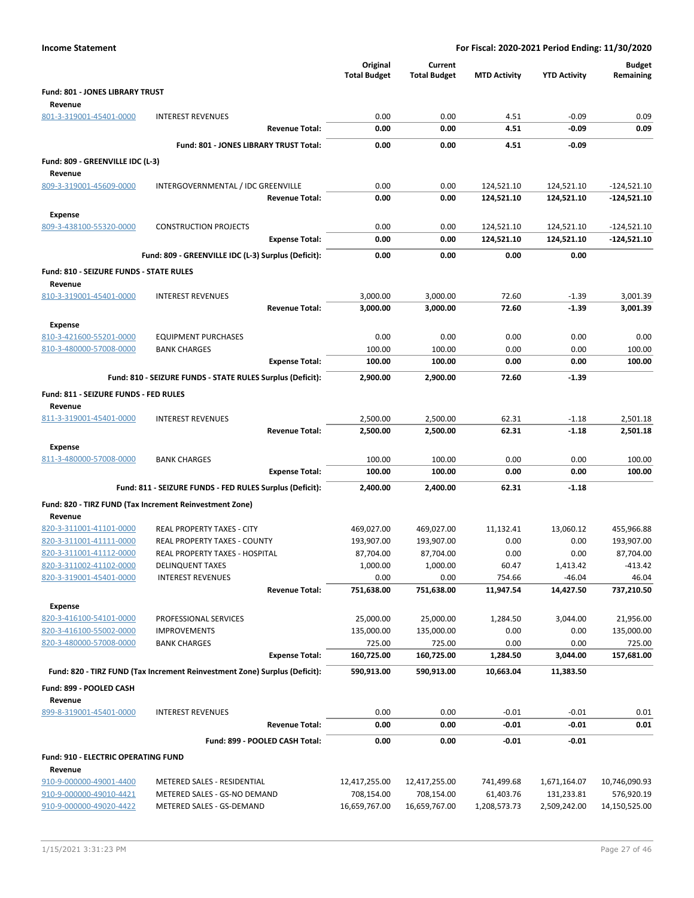| <b>Income Statement</b>                            |                                                                            |                                 |                                | For Fiscal: 2020-2021 Period Ending: 11/30/2020 |                     |                            |
|----------------------------------------------------|----------------------------------------------------------------------------|---------------------------------|--------------------------------|-------------------------------------------------|---------------------|----------------------------|
|                                                    |                                                                            | Original<br><b>Total Budget</b> | Current<br><b>Total Budget</b> | <b>MTD Activity</b>                             | <b>YTD Activity</b> | <b>Budget</b><br>Remaining |
| Fund: 801 - JONES LIBRARY TRUST                    |                                                                            |                                 |                                |                                                 |                     |                            |
| Revenue                                            |                                                                            |                                 |                                |                                                 |                     |                            |
| 801-3-319001-45401-0000                            | <b>INTEREST REVENUES</b>                                                   | 0.00                            | 0.00                           | 4.51                                            | $-0.09$             | 0.09                       |
|                                                    | <b>Revenue Total:</b>                                                      | 0.00                            | 0.00                           | 4.51                                            | $-0.09$             | 0.09                       |
|                                                    | Fund: 801 - JONES LIBRARY TRUST Total:                                     | 0.00                            | 0.00                           | 4.51                                            | $-0.09$             |                            |
| Fund: 809 - GREENVILLE IDC (L-3)                   |                                                                            |                                 |                                |                                                 |                     |                            |
| Revenue                                            |                                                                            |                                 |                                |                                                 |                     |                            |
| 809-3-319001-45609-0000                            | INTERGOVERNMENTAL / IDC GREENVILLE                                         | 0.00                            | 0.00                           | 124,521.10                                      | 124,521.10          | $-124,521.10$              |
|                                                    | <b>Revenue Total:</b>                                                      | 0.00                            | 0.00                           | 124,521.10                                      | 124,521.10          | $-124,521.10$              |
| <b>Expense</b>                                     |                                                                            |                                 |                                |                                                 |                     |                            |
| 809-3-438100-55320-0000                            | <b>CONSTRUCTION PROJECTS</b>                                               | 0.00                            | 0.00                           | 124,521.10                                      | 124,521.10          | $-124,521.10$              |
|                                                    | <b>Expense Total:</b>                                                      | 0.00                            | 0.00                           | 124,521.10                                      | 124,521.10          | $-124,521.10$              |
|                                                    | Fund: 809 - GREENVILLE IDC (L-3) Surplus (Deficit):                        | 0.00                            | 0.00                           | 0.00                                            | 0.00                |                            |
| Fund: 810 - SEIZURE FUNDS - STATE RULES            |                                                                            |                                 |                                |                                                 |                     |                            |
| Revenue                                            |                                                                            |                                 |                                |                                                 |                     |                            |
| 810-3-319001-45401-0000                            | <b>INTEREST REVENUES</b>                                                   | 3,000.00                        | 3,000.00                       | 72.60                                           | $-1.39$             | 3,001.39                   |
|                                                    | <b>Revenue Total:</b>                                                      | 3,000.00                        | 3,000.00                       | 72.60                                           | $-1.39$             | 3,001.39                   |
| <b>Expense</b>                                     |                                                                            |                                 |                                |                                                 |                     |                            |
| 810-3-421600-55201-0000                            | <b>EQUIPMENT PURCHASES</b>                                                 | 0.00                            | 0.00                           | 0.00                                            | 0.00                | 0.00                       |
| 810-3-480000-57008-0000                            | <b>BANK CHARGES</b>                                                        | 100.00                          | 100.00                         | 0.00                                            | 0.00                | 100.00                     |
|                                                    | <b>Expense Total:</b>                                                      | 100.00                          | 100.00                         | 0.00                                            | 0.00                | 100.00                     |
|                                                    | Fund: 810 - SEIZURE FUNDS - STATE RULES Surplus (Deficit):                 | 2,900.00                        | 2,900.00                       | 72.60                                           | $-1.39$             |                            |
| Fund: 811 - SEIZURE FUNDS - FED RULES              |                                                                            |                                 |                                |                                                 |                     |                            |
| Revenue                                            |                                                                            |                                 |                                |                                                 |                     |                            |
| 811-3-319001-45401-0000                            | <b>INTEREST REVENUES</b>                                                   | 2,500.00                        | 2,500.00                       | 62.31                                           | $-1.18$             | 2,501.18                   |
|                                                    | <b>Revenue Total:</b>                                                      | 2,500.00                        | 2,500.00                       | 62.31                                           | $-1.18$             | 2,501.18                   |
| Expense                                            |                                                                            |                                 |                                |                                                 |                     |                            |
| 811-3-480000-57008-0000                            | <b>BANK CHARGES</b>                                                        | 100.00                          | 100.00                         | 0.00                                            | 0.00                | 100.00                     |
|                                                    | <b>Expense Total:</b>                                                      | 100.00                          | 100.00                         | 0.00                                            | 0.00                | 100.00                     |
|                                                    | Fund: 811 - SEIZURE FUNDS - FED RULES Surplus (Deficit):                   | 2,400.00                        | 2,400.00                       | 62.31                                           | $-1.18$             |                            |
|                                                    | Fund: 820 - TIRZ FUND (Tax Increment Reinvestment Zone)                    |                                 |                                |                                                 |                     |                            |
| Revenue                                            |                                                                            |                                 |                                |                                                 |                     |                            |
| 820-3-311001-41101-0000                            | <b>REAL PROPERTY TAXES - CITY</b>                                          | 469,027.00                      | 469,027.00                     | 11,132.41                                       | 13,060.12           | 455,966.88                 |
| 820-3-311001-41111-0000<br>820-3-311001-41112-0000 | REAL PROPERTY TAXES - COUNTY<br>REAL PROPERTY TAXES - HOSPITAL             | 193,907.00<br>87,704.00         | 193,907.00<br>87,704.00        | 0.00<br>0.00                                    | 0.00<br>0.00        | 193,907.00<br>87,704.00    |
| 820-3-311002-41102-0000                            | <b>DELINQUENT TAXES</b>                                                    | 1,000.00                        | 1,000.00                       | 60.47                                           | 1,413.42            | $-413.42$                  |
| 820-3-319001-45401-0000                            | <b>INTEREST REVENUES</b>                                                   | 0.00                            | 0.00                           | 754.66                                          | $-46.04$            | 46.04                      |
|                                                    | <b>Revenue Total:</b>                                                      | 751,638.00                      | 751,638.00                     | 11,947.54                                       | 14,427.50           | 737,210.50                 |
| <b>Expense</b>                                     |                                                                            |                                 |                                |                                                 |                     |                            |
| 820-3-416100-54101-0000                            | PROFESSIONAL SERVICES                                                      | 25,000.00                       | 25,000.00                      | 1,284.50                                        | 3,044.00            | 21,956.00                  |
| 820-3-416100-55002-0000                            | <b>IMPROVEMENTS</b>                                                        | 135,000.00                      | 135,000.00                     | 0.00                                            | 0.00                | 135,000.00                 |
| 820-3-480000-57008-0000                            | <b>BANK CHARGES</b>                                                        | 725.00                          | 725.00                         | 0.00                                            | 0.00                | 725.00                     |
|                                                    | <b>Expense Total:</b>                                                      | 160,725.00                      | 160,725.00                     | 1,284.50                                        | 3,044.00            | 157,681.00                 |
|                                                    | Fund: 820 - TIRZ FUND (Tax Increment Reinvestment Zone) Surplus (Deficit): | 590,913.00                      | 590,913.00                     | 10,663.04                                       | 11,383.50           |                            |
| Fund: 899 - POOLED CASH                            |                                                                            |                                 |                                |                                                 |                     |                            |
| Revenue                                            |                                                                            |                                 |                                |                                                 |                     |                            |
| 899-8-319001-45401-0000                            | <b>INTEREST REVENUES</b>                                                   | 0.00                            | 0.00                           | $-0.01$                                         | $-0.01$             | 0.01                       |
|                                                    | <b>Revenue Total:</b>                                                      | 0.00                            | 0.00                           | $-0.01$                                         | $-0.01$             | 0.01                       |
|                                                    | Fund: 899 - POOLED CASH Total:                                             | 0.00                            | 0.00                           | $-0.01$                                         | $-0.01$             |                            |
| Fund: 910 - ELECTRIC OPERATING FUND                |                                                                            |                                 |                                |                                                 |                     |                            |
| Revenue                                            |                                                                            |                                 |                                |                                                 |                     |                            |
| 910-9-000000-49001-4400                            | METERED SALES - RESIDENTIAL                                                | 12,417,255.00                   | 12,417,255.00                  | 741,499.68                                      | 1,671,164.07        | 10,746,090.93              |
| 910-9-000000-49010-4421                            | METERED SALES - GS-NO DEMAND                                               | 708,154.00                      | 708,154.00                     | 61,403.76                                       | 131,233.81          | 576,920.19                 |
| 910-9-000000-49020-4422                            | METERED SALES - GS-DEMAND                                                  | 16,659,767.00                   | 16,659,767.00                  | 1,208,573.73                                    | 2,509,242.00        | 14,150,525.00              |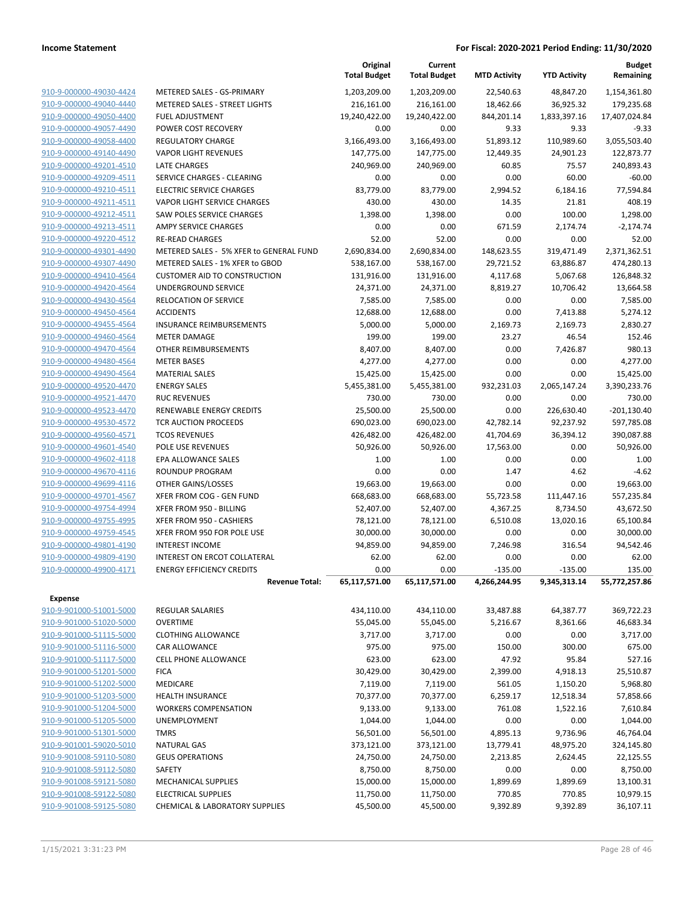|                         |                                         | Original<br><b>Total Budget</b> | Current<br><b>Total Budget</b> | <b>MTD Activity</b> | <b>YTD Activity</b> | <b>Budget</b><br>Remaining |
|-------------------------|-----------------------------------------|---------------------------------|--------------------------------|---------------------|---------------------|----------------------------|
| 910-9-000000-49030-4424 | METERED SALES - GS-PRIMARY              | 1,203,209.00                    | 1,203,209.00                   | 22,540.63           | 48,847.20           | 1,154,361.80               |
| 910-9-000000-49040-4440 | METERED SALES - STREET LIGHTS           | 216,161.00                      | 216,161.00                     | 18,462.66           | 36,925.32           | 179,235.68                 |
| 910-9-000000-49050-4400 | <b>FUEL ADJUSTMENT</b>                  | 19,240,422.00                   | 19,240,422.00                  | 844,201.14          | 1,833,397.16        | 17,407,024.84              |
| 910-9-000000-49057-4490 | POWER COST RECOVERY                     | 0.00                            | 0.00                           | 9.33                | 9.33                | $-9.33$                    |
| 910-9-000000-49058-4400 | <b>REGULATORY CHARGE</b>                | 3,166,493.00                    | 3,166,493.00                   | 51,893.12           | 110,989.60          | 3,055,503.40               |
| 910-9-000000-49140-4490 | <b>VAPOR LIGHT REVENUES</b>             | 147,775.00                      | 147,775.00                     | 12,449.35           | 24,901.23           | 122,873.77                 |
| 910-9-000000-49201-4510 | <b>LATE CHARGES</b>                     | 240,969.00                      | 240,969.00                     | 60.85               | 75.57               | 240,893.43                 |
| 910-9-000000-49209-4511 | SERVICE CHARGES - CLEARING              | 0.00                            | 0.00                           | 0.00                | 60.00               | $-60.00$                   |
| 910-9-000000-49210-4511 | <b>ELECTRIC SERVICE CHARGES</b>         | 83,779.00                       | 83,779.00                      | 2,994.52            | 6,184.16            | 77,594.84                  |
| 910-9-000000-49211-4511 | VAPOR LIGHT SERVICE CHARGES             | 430.00                          | 430.00                         | 14.35               | 21.81               | 408.19                     |
| 910-9-000000-49212-4511 | SAW POLES SERVICE CHARGES               | 1,398.00                        | 1,398.00                       | 0.00                | 100.00              | 1,298.00                   |
| 910-9-000000-49213-4511 | AMPY SERVICE CHARGES                    | 0.00                            | 0.00                           | 671.59              | 2,174.74            | $-2,174.74$                |
| 910-9-000000-49220-4512 | <b>RE-READ CHARGES</b>                  | 52.00                           | 52.00                          | 0.00                | 0.00                | 52.00                      |
| 910-9-000000-49301-4490 | METERED SALES - 5% XFER to GENERAL FUND | 2,690,834.00                    | 2,690,834.00                   | 148,623.55          | 319,471.49          | 2,371,362.51               |
| 910-9-000000-49307-4490 | METERED SALES - 1% XFER to GBOD         | 538,167.00                      | 538,167.00                     | 29,721.52           | 63,886.87           | 474,280.13                 |
| 910-9-000000-49410-4564 | <b>CUSTOMER AID TO CONSTRUCTION</b>     | 131,916.00                      | 131,916.00                     | 4,117.68            | 5,067.68            | 126,848.32                 |
| 910-9-000000-49420-4564 | UNDERGROUND SERVICE                     | 24,371.00                       | 24,371.00                      | 8,819.27            | 10,706.42           | 13,664.58                  |
| 910-9-000000-49430-4564 | <b>RELOCATION OF SERVICE</b>            | 7,585.00                        | 7,585.00                       | 0.00                | 0.00                | 7,585.00                   |
| 910-9-000000-49450-4564 | <b>ACCIDENTS</b>                        | 12,688.00                       | 12,688.00                      | 0.00                | 7,413.88            | 5,274.12                   |
| 910-9-000000-49455-4564 | <b>INSURANCE REIMBURSEMENTS</b>         | 5,000.00                        | 5,000.00                       | 2,169.73            | 2,169.73            | 2,830.27                   |
| 910-9-000000-49460-4564 | <b>METER DAMAGE</b>                     | 199.00                          | 199.00                         | 23.27               | 46.54               | 152.46                     |
| 910-9-000000-49470-4564 | OTHER REIMBURSEMENTS                    | 8,407.00                        | 8,407.00                       | 0.00                | 7,426.87            | 980.13                     |
| 910-9-000000-49480-4564 | <b>METER BASES</b>                      | 4,277.00                        | 4,277.00                       | 0.00                | 0.00                | 4,277.00                   |
| 910-9-000000-49490-4564 | <b>MATERIAL SALES</b>                   | 15,425.00                       | 15,425.00                      | 0.00                | 0.00                | 15,425.00                  |
| 910-9-000000-49520-4470 | <b>ENERGY SALES</b>                     | 5,455,381.00                    | 5,455,381.00                   | 932,231.03          | 2,065,147.24        | 3,390,233.76               |
| 910-9-000000-49521-4470 | <b>RUC REVENUES</b>                     | 730.00                          | 730.00                         | 0.00                | 0.00                | 730.00                     |
| 910-9-000000-49523-4470 | RENEWABLE ENERGY CREDITS                | 25,500.00                       | 25,500.00                      | 0.00                | 226,630.40          | $-201,130.40$              |
| 910-9-000000-49530-4572 | TCR AUCTION PROCEEDS                    | 690,023.00                      | 690,023.00                     | 42,782.14           | 92,237.92           | 597,785.08                 |
| 910-9-000000-49560-4571 | <b>TCOS REVENUES</b>                    | 426,482.00                      | 426,482.00                     | 41,704.69           | 36,394.12           | 390,087.88                 |
| 910-9-000000-49601-4540 | POLE USE REVENUES                       | 50,926.00                       | 50,926.00                      | 17,563.00           | 0.00                | 50,926.00                  |
| 910-9-000000-49602-4118 | EPA ALLOWANCE SALES                     | 1.00                            | 1.00                           | 0.00                | 0.00                | 1.00                       |
| 910-9-000000-49670-4116 | ROUNDUP PROGRAM                         | 0.00                            | 0.00                           | 1.47                | 4.62                | $-4.62$                    |
| 910-9-000000-49699-4116 | OTHER GAINS/LOSSES                      | 19,663.00                       | 19,663.00                      | 0.00                | 0.00                | 19,663.00                  |
| 910-9-000000-49701-4567 | XFER FROM COG - GEN FUND                | 668,683.00                      | 668,683.00                     | 55,723.58           | 111,447.16          | 557,235.84                 |
| 910-9-000000-49754-4994 | XFER FROM 950 - BILLING                 | 52,407.00                       | 52,407.00                      | 4,367.25            | 8,734.50            | 43,672.50                  |
| 910-9-000000-49755-4995 | XFER FROM 950 - CASHIERS                | 78,121.00                       | 78,121.00                      | 6,510.08            | 13,020.16           | 65,100.84                  |
| 910-9-000000-49759-4545 | XFER FROM 950 FOR POLE USE              | 30,000.00                       | 30,000.00                      | 0.00                | 0.00                | 30,000.00                  |
| 910-9-000000-49801-4190 | <b>INTEREST INCOME</b>                  | 94,859.00                       | 94,859.00                      | 7,246.98            | 316.54              | 94,542.46                  |
| 910-9-000000-49809-4190 | INTEREST ON ERCOT COLLATERAL            | 62.00                           | 62.00                          | 0.00                | 0.00                | 62.00                      |
| 910-9-000000-49900-4171 | <b>ENERGY EFFICIENCY CREDITS</b>        | 0.00                            | 0.00                           | $-135.00$           | $-135.00$           | 135.00                     |
|                         | <b>Revenue Total:</b>                   | 65,117,571.00                   | 65,117,571.00                  | 4,266,244.95        | 9,345,313.14        | 55,772,257.86              |
|                         |                                         |                                 |                                |                     |                     |                            |
| <b>Expense</b>          |                                         |                                 |                                |                     |                     |                            |
| 910-9-901000-51001-5000 | REGULAR SALARIES                        | 434,110.00                      | 434,110.00                     | 33,487.88           | 64,387.77           | 369,722.23                 |
| 910-9-901000-51020-5000 | <b>OVERTIME</b>                         | 55,045.00                       | 55,045.00                      | 5,216.67            | 8,361.66            | 46,683.34                  |
| 910-9-901000-51115-5000 | <b>CLOTHING ALLOWANCE</b>               | 3,717.00                        | 3,717.00                       | 0.00                | 0.00                | 3,717.00                   |
| 910-9-901000-51116-5000 | CAR ALLOWANCE                           | 975.00                          | 975.00                         | 150.00              | 300.00              | 675.00                     |
| 910-9-901000-51117-5000 | CELL PHONE ALLOWANCE                    | 623.00                          | 623.00                         | 47.92               | 95.84               | 527.16                     |
| 910-9-901000-51201-5000 | <b>FICA</b>                             | 30,429.00                       | 30,429.00                      | 2,399.00            | 4,918.13            | 25,510.87                  |
| 910-9-901000-51202-5000 | MEDICARE                                | 7,119.00                        | 7,119.00                       | 561.05              | 1,150.20            | 5,968.80                   |
| 910-9-901000-51203-5000 | <b>HEALTH INSURANCE</b>                 | 70,377.00                       | 70,377.00                      | 6,259.17            | 12,518.34           | 57,858.66                  |
| 910-9-901000-51204-5000 | <b>WORKERS COMPENSATION</b>             | 9,133.00                        | 9,133.00                       | 761.08              | 1,522.16            | 7,610.84                   |
| 910-9-901000-51205-5000 | UNEMPLOYMENT                            | 1,044.00                        | 1,044.00                       | 0.00                | 0.00                | 1,044.00                   |
| 910-9-901000-51301-5000 | <b>TMRS</b>                             | 56,501.00                       | 56,501.00                      | 4,895.13            | 9,736.96            | 46,764.04                  |
| 910-9-901001-59020-5010 | <b>NATURAL GAS</b>                      | 373,121.00                      | 373,121.00                     | 13,779.41           | 48,975.20           | 324,145.80                 |
| 910-9-901008-59110-5080 | <b>GEUS OPERATIONS</b>                  | 24,750.00                       | 24,750.00                      | 2,213.85            | 2,624.45            | 22,125.55                  |
| 910-9-901008-59112-5080 | SAFETY                                  | 8,750.00                        | 8,750.00                       | 0.00                | 0.00                | 8,750.00                   |
| 910-9-901008-59121-5080 | MECHANICAL SUPPLIES                     | 15,000.00                       | 15,000.00                      | 1,899.69            | 1,899.69            | 13,100.31                  |
| 910-9-901008-59122-5080 | <b>ELECTRICAL SUPPLIES</b>              | 11,750.00                       | 11,750.00                      | 770.85              | 770.85              | 10,979.15                  |
| 910-9-901008-59125-5080 | CHEMICAL & LABORATORY SUPPLIES          | 45,500.00                       | 45,500.00                      | 9,392.89            | 9,392.89            | 36,107.11                  |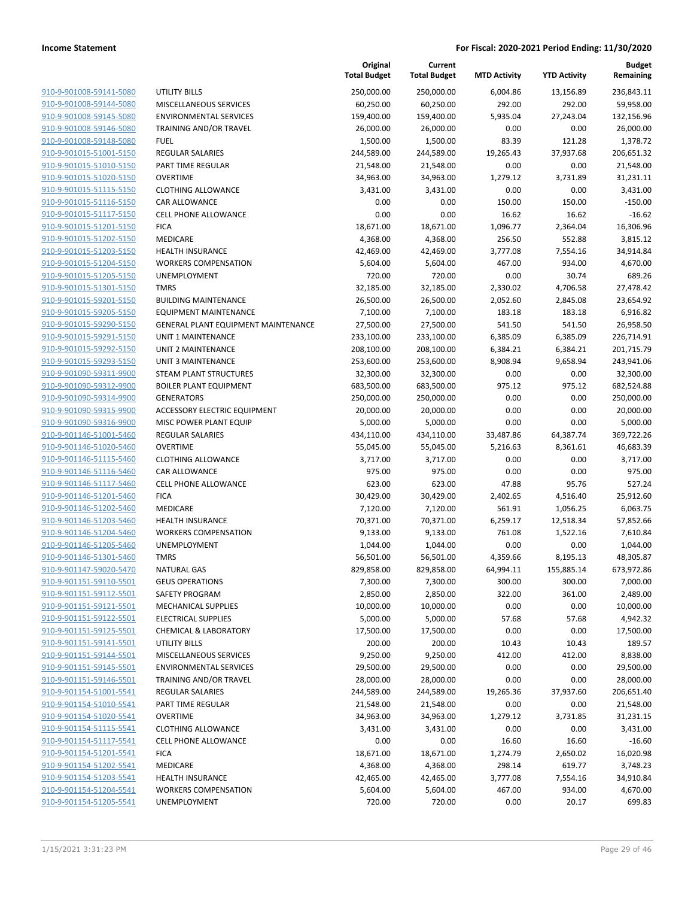**Current**

**Original**

**Budget Remaining**

|                                                    |                                     | <b>Total Budget</b> | <b>Total Budget</b> | <b>MTD Activity</b> | <b>YTD Activity</b>  | Remaining           |
|----------------------------------------------------|-------------------------------------|---------------------|---------------------|---------------------|----------------------|---------------------|
| 910-9-901008-59141-5080                            | <b>UTILITY BILLS</b>                | 250,000.00          | 250,000.00          | 6,004.86            | 13,156.89            | 236,843.11          |
| 910-9-901008-59144-5080                            | MISCELLANEOUS SERVICES              | 60,250.00           | 60,250.00           | 292.00              | 292.00               | 59,958.00           |
| 910-9-901008-59145-5080                            | <b>ENVIRONMENTAL SERVICES</b>       | 159,400.00          | 159,400.00          | 5,935.04            | 27,243.04            | 132,156.96          |
| 910-9-901008-59146-5080                            | TRAINING AND/OR TRAVEL              | 26,000.00           | 26,000.00           | 0.00                | 0.00                 | 26,000.00           |
| 910-9-901008-59148-5080                            | <b>FUEL</b>                         | 1,500.00            | 1,500.00            | 83.39               | 121.28               | 1,378.72            |
| 910-9-901015-51001-5150                            | <b>REGULAR SALARIES</b>             | 244,589.00          | 244,589.00          | 19,265.43           | 37,937.68            | 206,651.32          |
| 910-9-901015-51010-5150                            | PART TIME REGULAR                   | 21,548.00           | 21,548.00           | 0.00                | 0.00                 | 21,548.00           |
| 910-9-901015-51020-5150                            | <b>OVERTIME</b>                     | 34,963.00           | 34,963.00           | 1,279.12            | 3,731.89             | 31,231.11           |
| 910-9-901015-51115-5150                            | <b>CLOTHING ALLOWANCE</b>           | 3,431.00            | 3,431.00            | 0.00                | 0.00                 | 3,431.00            |
| 910-9-901015-51116-5150                            | <b>CAR ALLOWANCE</b>                | 0.00                | 0.00                | 150.00              | 150.00               | $-150.00$           |
| 910-9-901015-51117-5150                            | CELL PHONE ALLOWANCE                | 0.00                | 0.00                | 16.62               | 16.62                | $-16.62$            |
| 910-9-901015-51201-5150                            | <b>FICA</b>                         | 18,671.00           | 18,671.00           | 1,096.77            | 2,364.04             | 16,306.96           |
| 910-9-901015-51202-5150                            | MEDICARE                            | 4,368.00            | 4,368.00            | 256.50              | 552.88               | 3,815.12            |
| 910-9-901015-51203-5150                            | <b>HEALTH INSURANCE</b>             | 42,469.00           | 42,469.00           | 3,777.08            | 7,554.16             | 34,914.84           |
| 910-9-901015-51204-5150                            | <b>WORKERS COMPENSATION</b>         | 5,604.00            | 5,604.00            | 467.00              | 934.00               | 4,670.00            |
| 910-9-901015-51205-5150                            | UNEMPLOYMENT                        | 720.00              | 720.00              | 0.00                | 30.74                | 689.26              |
| 910-9-901015-51301-5150                            | <b>TMRS</b>                         | 32,185.00           | 32,185.00           | 2,330.02            | 4,706.58             | 27,478.42           |
| 910-9-901015-59201-5150                            | <b>BUILDING MAINTENANCE</b>         | 26,500.00           | 26,500.00           | 2,052.60            | 2,845.08             | 23,654.92           |
| 910-9-901015-59205-5150                            | <b>EQUIPMENT MAINTENANCE</b>        | 7,100.00            | 7,100.00            | 183.18              | 183.18               | 6,916.82            |
| 910-9-901015-59290-5150                            | GENERAL PLANT EQUIPMENT MAINTENANCE | 27,500.00           | 27,500.00           | 541.50              | 541.50               | 26,958.50           |
| 910-9-901015-59291-5150                            | UNIT 1 MAINTENANCE                  | 233,100.00          | 233,100.00          | 6,385.09            | 6,385.09             | 226,714.91          |
| 910-9-901015-59292-5150                            | UNIT 2 MAINTENANCE                  | 208,100.00          | 208,100.00          | 6,384.21            | 6,384.21             | 201,715.79          |
| 910-9-901015-59293-5150                            | UNIT 3 MAINTENANCE                  | 253,600.00          | 253,600.00          | 8,908.94            | 9,658.94             | 243,941.06          |
| 910-9-901090-59311-9900                            | STEAM PLANT STRUCTURES              | 32,300.00           | 32,300.00           | 0.00                | 0.00                 | 32,300.00           |
| 910-9-901090-59312-9900                            | <b>BOILER PLANT EQUIPMENT</b>       | 683,500.00          | 683,500.00          | 975.12              | 975.12               | 682,524.88          |
| 910-9-901090-59314-9900                            | <b>GENERATORS</b>                   | 250,000.00          | 250,000.00          | 0.00                | 0.00                 | 250,000.00          |
| 910-9-901090-59315-9900                            | ACCESSORY ELECTRIC EQUIPMENT        | 20,000.00           | 20,000.00           | 0.00                | 0.00                 | 20,000.00           |
| 910-9-901090-59316-9900                            | MISC POWER PLANT EQUIP              | 5,000.00            | 5,000.00            | 0.00                | 0.00                 | 5,000.00            |
| 910-9-901146-51001-5460                            | <b>REGULAR SALARIES</b>             | 434,110.00          | 434,110.00          | 33,487.86           | 64,387.74            | 369,722.26          |
| 910-9-901146-51020-5460                            | <b>OVERTIME</b>                     | 55,045.00           | 55,045.00           | 5,216.63            | 8,361.61             | 46,683.39           |
| 910-9-901146-51115-5460                            | <b>CLOTHING ALLOWANCE</b>           | 3,717.00            | 3,717.00            | 0.00                | 0.00                 | 3,717.00            |
| 910-9-901146-51116-5460<br>910-9-901146-51117-5460 | CAR ALLOWANCE                       | 975.00              | 975.00              | 0.00                | 0.00                 | 975.00              |
| 910-9-901146-51201-5460                            | CELL PHONE ALLOWANCE<br><b>FICA</b> | 623.00<br>30,429.00 | 623.00<br>30,429.00 | 47.88<br>2,402.65   | 95.76                | 527.24<br>25,912.60 |
| 910-9-901146-51202-5460                            | MEDICARE                            | 7,120.00            | 7,120.00            | 561.91              | 4,516.40<br>1,056.25 | 6,063.75            |
| 910-9-901146-51203-5460                            | <b>HEALTH INSURANCE</b>             | 70,371.00           | 70,371.00           | 6,259.17            | 12,518.34            | 57,852.66           |
| 910-9-901146-51204-5460                            | <b>WORKERS COMPENSATION</b>         | 9,133.00            | 9,133.00            | 761.08              | 1,522.16             | 7,610.84            |
| 910-9-901146-51205-5460                            | UNEMPLOYMENT                        | 1,044.00            | 1,044.00            | 0.00                | 0.00                 | 1,044.00            |
| 910-9-901146-51301-5460                            | <b>TMRS</b>                         | 56,501.00           | 56,501.00           | 4,359.66            | 8,195.13             | 48,305.87           |
| 910-9-901147-59020-5470                            | NATURAL GAS                         | 829,858.00          | 829,858.00          | 64,994.11           | 155,885.14           | 673,972.86          |
| <u>910-9-901151-59110-5501</u>                     | <b>GEUS OPERATIONS</b>              | 7,300.00            | 7,300.00            | 300.00              | 300.00               | 7,000.00            |
| 910-9-901151-59112-5501                            | SAFETY PROGRAM                      | 2,850.00            | 2,850.00            | 322.00              | 361.00               | 2,489.00            |
| 910-9-901151-59121-5501                            | <b>MECHANICAL SUPPLIES</b>          | 10,000.00           | 10,000.00           | 0.00                | 0.00                 | 10,000.00           |
| 910-9-901151-59122-5501                            | <b>ELECTRICAL SUPPLIES</b>          | 5,000.00            | 5,000.00            | 57.68               | 57.68                | 4,942.32            |
| 910-9-901151-59125-5501                            | <b>CHEMICAL &amp; LABORATORY</b>    | 17,500.00           | 17,500.00           | 0.00                | 0.00                 | 17,500.00           |
| 910-9-901151-59141-5501                            | <b>UTILITY BILLS</b>                | 200.00              | 200.00              | 10.43               | 10.43                | 189.57              |
| 910-9-901151-59144-5501                            | MISCELLANEOUS SERVICES              | 9,250.00            | 9,250.00            | 412.00              | 412.00               | 8,838.00            |
| 910-9-901151-59145-5501                            | <b>ENVIRONMENTAL SERVICES</b>       | 29,500.00           | 29,500.00           | 0.00                | 0.00                 | 29,500.00           |
| 910-9-901151-59146-5501                            | TRAINING AND/OR TRAVEL              | 28,000.00           | 28,000.00           | 0.00                | 0.00                 | 28,000.00           |
| 910-9-901154-51001-5541                            | REGULAR SALARIES                    | 244,589.00          | 244,589.00          | 19,265.36           | 37,937.60            | 206,651.40          |
| 910-9-901154-51010-5541                            | PART TIME REGULAR                   | 21,548.00           | 21,548.00           | 0.00                | 0.00                 | 21,548.00           |
| 910-9-901154-51020-5541                            | <b>OVERTIME</b>                     | 34,963.00           | 34,963.00           | 1,279.12            | 3,731.85             | 31,231.15           |
| 910-9-901154-51115-5541                            | <b>CLOTHING ALLOWANCE</b>           | 3,431.00            | 3,431.00            | 0.00                | 0.00                 | 3,431.00            |
| 910-9-901154-51117-5541                            | <b>CELL PHONE ALLOWANCE</b>         | 0.00                | 0.00                | 16.60               | 16.60                | $-16.60$            |
| 910-9-901154-51201-5541                            | <b>FICA</b>                         | 18,671.00           | 18,671.00           | 1,274.79            | 2,650.02             | 16,020.98           |
| 910-9-901154-51202-5541                            | MEDICARE                            | 4,368.00            | 4,368.00            | 298.14              | 619.77               | 3,748.23            |
| 910-9-901154-51203-5541                            | <b>HEALTH INSURANCE</b>             | 42,465.00           | 42,465.00           | 3,777.08            | 7,554.16             | 34,910.84           |
| 910-9-901154-51204-5541                            | <b>WORKERS COMPENSATION</b>         | 5,604.00            | 5,604.00            | 467.00              | 934.00               | 4,670.00            |
| 910-9-901154-51205-5541                            | UNEMPLOYMENT                        | 720.00              | 720.00              | 0.00                | 20.17                | 699.83              |
|                                                    |                                     |                     |                     |                     |                      |                     |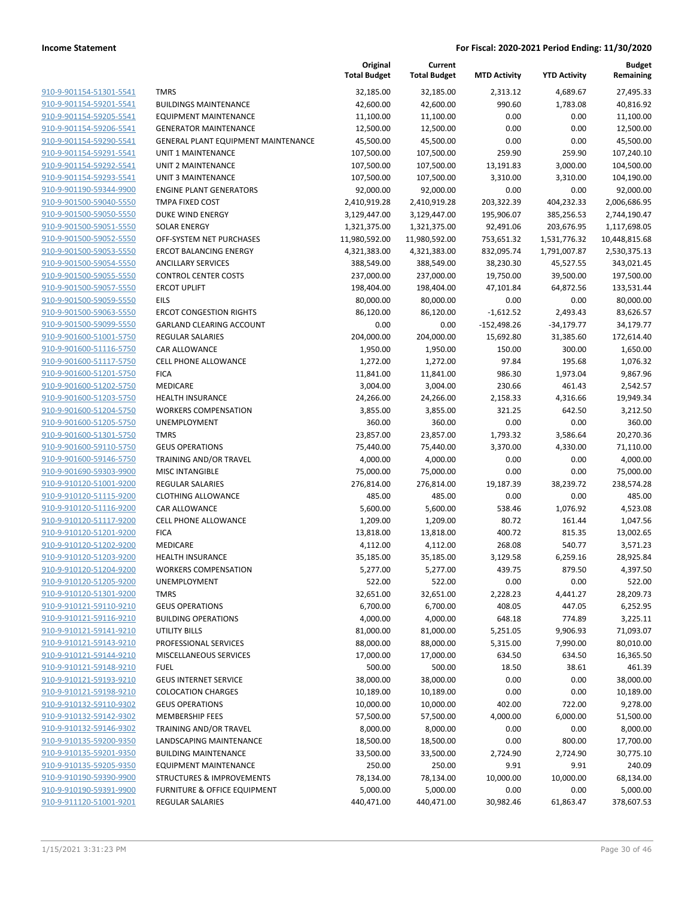|                                                    |                                                   | Original<br><b>Total Budget</b> | Current<br><b>Total Budget</b> | <b>MTD Activity</b> | <b>YTD Activity</b> | Budget<br>Remaining    |
|----------------------------------------------------|---------------------------------------------------|---------------------------------|--------------------------------|---------------------|---------------------|------------------------|
| 910-9-901154-51301-5541                            | <b>TMRS</b>                                       | 32,185.00                       | 32,185.00                      | 2,313.12            | 4,689.67            | 27,495.33              |
| 910-9-901154-59201-5541                            | <b>BUILDINGS MAINTENANCE</b>                      | 42,600.00                       | 42,600.00                      | 990.60              | 1,783.08            | 40,816.92              |
| 910-9-901154-59205-5541                            | <b>EQUIPMENT MAINTENANCE</b>                      | 11,100.00                       | 11,100.00                      | 0.00                | 0.00                | 11,100.00              |
| 910-9-901154-59206-5541                            | <b>GENERATOR MAINTENANCE</b>                      | 12,500.00                       | 12,500.00                      | 0.00                | 0.00                | 12,500.00              |
| 910-9-901154-59290-5541                            | GENERAL PLANT EQUIPMENT MAINTENANCE               | 45,500.00                       | 45,500.00                      | 0.00                | 0.00                | 45,500.00              |
| 910-9-901154-59291-5541                            | <b>UNIT 1 MAINTENANCE</b>                         | 107,500.00                      | 107,500.00                     | 259.90              | 259.90              | 107,240.10             |
| 910-9-901154-59292-5541                            | UNIT 2 MAINTENANCE                                | 107,500.00                      | 107,500.00                     | 13,191.83           | 3,000.00            | 104,500.00             |
| 910-9-901154-59293-5541                            | <b>UNIT 3 MAINTENANCE</b>                         | 107,500.00                      | 107,500.00                     | 3,310.00            | 3,310.00            | 104,190.00             |
| 910-9-901190-59344-9900                            | <b>ENGINE PLANT GENERATORS</b>                    | 92,000.00                       | 92,000.00                      | 0.00                | 0.00                | 92,000.00              |
| 910-9-901500-59040-5550                            | <b>TMPA FIXED COST</b>                            | 2,410,919.28                    | 2,410,919.28                   | 203,322.39          | 404,232.33          | 2,006,686.95           |
| 910-9-901500-59050-5550                            | DUKE WIND ENERGY                                  | 3,129,447.00                    | 3,129,447.00                   | 195,906.07          | 385,256.53          | 2,744,190.47           |
| 910-9-901500-59051-5550                            | <b>SOLAR ENERGY</b>                               | 1,321,375.00                    | 1,321,375.00                   | 92,491.06           | 203,676.95          | 1,117,698.05           |
| 910-9-901500-59052-5550                            | OFF-SYSTEM NET PURCHASES                          | 11,980,592.00                   | 11,980,592.00                  | 753,651.32          | 1,531,776.32        | 10,448,815.68          |
| 910-9-901500-59053-5550                            | <b>ERCOT BALANCING ENERGY</b>                     | 4,321,383.00                    | 4,321,383.00                   | 832,095.74          | 1,791,007.87        | 2,530,375.13           |
| 910-9-901500-59054-5550                            | <b>ANCILLARY SERVICES</b>                         | 388,549.00                      | 388,549.00                     | 38,230.30           | 45,527.55           | 343,021.45             |
| 910-9-901500-59055-5550                            | <b>CONTROL CENTER COSTS</b>                       | 237,000.00                      | 237,000.00                     | 19,750.00           | 39,500.00           | 197,500.00             |
| 910-9-901500-59057-5550                            | <b>ERCOT UPLIFT</b>                               | 198,404.00                      | 198,404.00                     | 47,101.84           | 64,872.56           | 133,531.44             |
| 910-9-901500-59059-5550                            | <b>EILS</b>                                       | 80,000.00                       | 80,000.00                      | 0.00                | 0.00                | 80,000.00              |
| 910-9-901500-59063-5550                            | <b>ERCOT CONGESTION RIGHTS</b>                    | 86,120.00                       | 86,120.00                      | $-1,612.52$         | 2,493.43            | 83,626.57              |
| 910-9-901500-59099-5550                            | GARLAND CLEARING ACCOUNT                          | 0.00                            | 0.00                           | $-152,498.26$       | $-34,179.77$        | 34,179.77              |
| 910-9-901600-51001-5750                            | REGULAR SALARIES                                  | 204,000.00                      | 204,000.00                     | 15,692.80           | 31,385.60           | 172,614.40             |
| 910-9-901600-51116-5750                            | CAR ALLOWANCE                                     | 1,950.00                        | 1,950.00                       | 150.00              | 300.00              | 1,650.00               |
| 910-9-901600-51117-5750                            | <b>CELL PHONE ALLOWANCE</b>                       | 1,272.00                        | 1,272.00                       | 97.84               | 195.68              | 1,076.32               |
| 910-9-901600-51201-5750                            | <b>FICA</b>                                       | 11,841.00                       | 11,841.00                      | 986.30              | 1,973.04            | 9,867.96               |
| 910-9-901600-51202-5750                            | MEDICARE                                          | 3,004.00                        | 3,004.00                       | 230.66              | 461.43              | 2,542.57               |
| 910-9-901600-51203-5750                            | <b>HEALTH INSURANCE</b>                           | 24,266.00                       | 24,266.00                      | 2,158.33            | 4,316.66            | 19,949.34              |
| 910-9-901600-51204-5750                            | <b>WORKERS COMPENSATION</b>                       | 3,855.00                        | 3,855.00                       | 321.25              | 642.50              | 3,212.50               |
| 910-9-901600-51205-5750                            | UNEMPLOYMENT                                      | 360.00                          | 360.00                         | 0.00                | 0.00                | 360.00                 |
| 910-9-901600-51301-5750                            | <b>TMRS</b>                                       | 23,857.00                       | 23,857.00                      | 1,793.32            | 3,586.64            | 20,270.36              |
| 910-9-901600-59110-5750                            | <b>GEUS OPERATIONS</b>                            | 75,440.00                       | 75,440.00                      | 3,370.00            | 4,330.00            | 71,110.00              |
| 910-9-901600-59146-5750                            | TRAINING AND/OR TRAVEL                            | 4,000.00                        | 4,000.00                       | 0.00                | 0.00                | 4,000.00               |
| 910-9-901690-59303-9900                            | <b>MISC INTANGIBLE</b>                            | 75,000.00                       | 75,000.00                      | 0.00                | 0.00                | 75,000.00              |
| 910-9-910120-51001-9200                            | <b>REGULAR SALARIES</b>                           | 276,814.00                      | 276,814.00                     | 19,187.39           | 38,239.72           | 238,574.28             |
| 910-9-910120-51115-9200                            | <b>CLOTHING ALLOWANCE</b>                         | 485.00                          | 485.00                         | 0.00                | 0.00                | 485.00                 |
| 910-9-910120-51116-9200                            | <b>CAR ALLOWANCE</b>                              | 5,600.00                        | 5,600.00                       | 538.46              | 1,076.92            | 4,523.08               |
| 910-9-910120-51117-9200                            | CELL PHONE ALLOWANCE                              | 1,209.00                        | 1,209.00                       | 80.72               | 161.44              | 1,047.56               |
| 910-9-910120-51201-9200                            | <b>FICA</b>                                       | 13,818.00                       | 13,818.00                      | 400.72              | 815.35              | 13,002.65              |
| 910-9-910120-51202-9200                            | MEDICARE                                          | 4,112.00                        | 4,112.00                       | 268.08              | 540.77              | 3,571.23               |
| 910-9-910120-51203-9200                            | <b>HEALTH INSURANCE</b>                           | 35,185.00                       | 35,185.00                      | 3,129.58            | 6,259.16            | 28,925.84              |
| 910-9-910120-51204-9200                            | <b>WORKERS COMPENSATION</b>                       | 5,277.00                        | 5,277.00                       | 439.75              | 879.50              | 4,397.50               |
| 910-9-910120-51205-9200                            | <b>UNEMPLOYMENT</b>                               | 522.00                          | 522.00                         | 0.00                | 0.00                | 522.00                 |
| 910-9-910120-51301-9200                            | <b>TMRS</b>                                       | 32,651.00                       | 32,651.00                      | 2,228.23            | 4,441.27            | 28,209.73              |
| 910-9-910121-59110-9210                            | <b>GEUS OPERATIONS</b>                            | 6,700.00                        | 6,700.00                       | 408.05              | 447.05              | 6,252.95               |
| 910-9-910121-59116-9210                            | <b>BUILDING OPERATIONS</b>                        | 4,000.00                        | 4,000.00                       | 648.18              | 774.89              | 3,225.11               |
| 910-9-910121-59141-9210                            | UTILITY BILLS                                     | 81,000.00                       | 81,000.00                      | 5,251.05            | 9,906.93            | 71,093.07              |
| 910-9-910121-59143-9210                            | PROFESSIONAL SERVICES                             | 88,000.00                       | 88,000.00                      | 5,315.00            | 7,990.00            | 80,010.00              |
| 910-9-910121-59144-9210                            | MISCELLANEOUS SERVICES                            | 17,000.00                       | 17,000.00                      | 634.50              | 634.50              | 16,365.50              |
| 910-9-910121-59148-9210                            | <b>FUEL</b>                                       | 500.00                          | 500.00                         | 18.50               | 38.61               | 461.39                 |
| 910-9-910121-59193-9210                            | <b>GEUS INTERNET SERVICE</b>                      | 38,000.00                       | 38,000.00                      | 0.00                | 0.00                | 38,000.00              |
| 910-9-910121-59198-9210                            | <b>COLOCATION CHARGES</b>                         | 10,189.00                       | 10,189.00                      | 0.00                | 0.00                | 10,189.00              |
| 910-9-910132-59110-9302                            | <b>GEUS OPERATIONS</b>                            | 10,000.00                       | 10,000.00                      | 402.00              | 722.00              | 9,278.00               |
| 910-9-910132-59142-9302                            | <b>MEMBERSHIP FEES</b>                            | 57,500.00                       | 57,500.00                      | 4,000.00            | 6,000.00            | 51,500.00              |
| 910-9-910132-59146-9302<br>910-9-910135-59200-9350 | TRAINING AND/OR TRAVEL<br>LANDSCAPING MAINTENANCE | 8,000.00                        | 8,000.00                       | 0.00                | 0.00                | 8,000.00               |
| 910-9-910135-59201-9350                            | <b>BUILDING MAINTENANCE</b>                       | 18,500.00<br>33,500.00          | 18,500.00<br>33,500.00         | 0.00                | 800.00<br>2,724.90  | 17,700.00<br>30,775.10 |
| 910-9-910135-59205-9350                            | EQUIPMENT MAINTENANCE                             | 250.00                          | 250.00                         | 2,724.90<br>9.91    | 9.91                | 240.09                 |
| 910-9-910190-59390-9900                            | <b>STRUCTURES &amp; IMPROVEMENTS</b>              | 78,134.00                       | 78,134.00                      | 10,000.00           | 10,000.00           | 68,134.00              |
| 910-9-910190-59391-9900                            | <b>FURNITURE &amp; OFFICE EQUIPMENT</b>           | 5,000.00                        | 5,000.00                       | 0.00                | 0.00                | 5,000.00               |
| 910-9-911120-51001-9201                            | <b>REGULAR SALARIES</b>                           | 440,471.00                      | 440,471.00                     | 30,982.46           | 61,863.47           | 378,607.53             |
|                                                    |                                                   |                                 |                                |                     |                     |                        |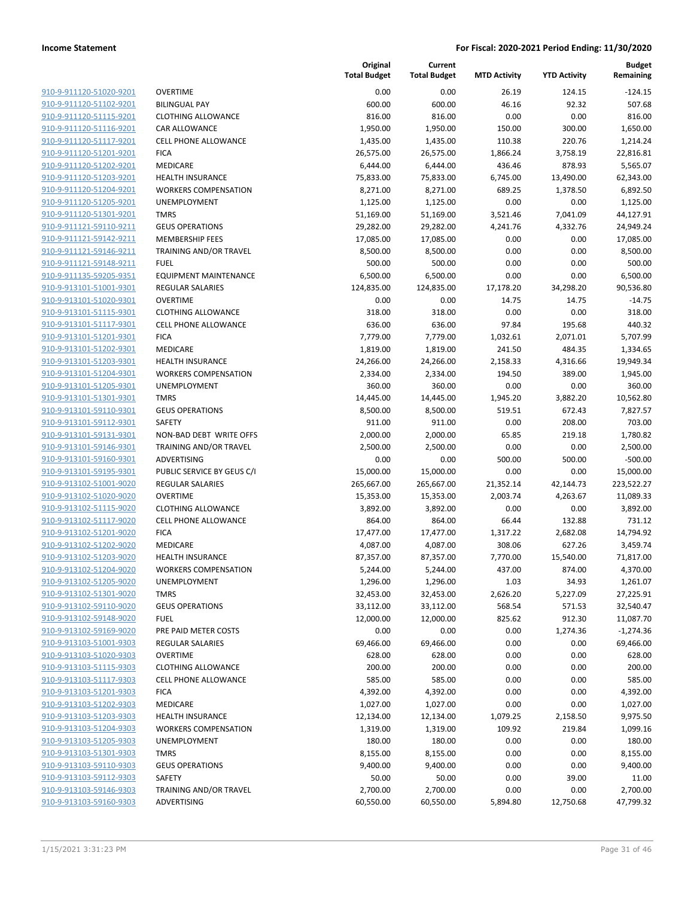| 910-9-911120-51020-9201        |
|--------------------------------|
| 910-9-911120-51102-9201        |
| 910-9-911120-51115-9201        |
| <u>910-9-911120-51116-9201</u> |
| 910-9-911120-51117-9201        |
| 910-9-911120-51201-9201        |
| 910-9-911120-51202-9201        |
| 910-9-911120-51203-9201        |
| 910-9-911120-51204-9201        |
| 910-9-911120-51205-9201        |
| 910-9-911120-51301-9201        |
| 910-9-911121-59110-9211        |
| 910-9-911121-59142-9211        |
|                                |
| <u>910-9-911121-59146-9211</u> |
| 910-9-911121-59148-9211        |
| 910-9-911135-59205-9351        |
| 910-9-913101-51001-9301        |
| 910-9-913101-51020-9301        |
| <u>910-9-913101-51115-9301</u> |
| 910-9-913101-51117-9301        |
| 910-9-913101-51201-<br>-9301   |
| 910-9-913101-51202-9301        |
| 910-9-913101-51203-9301        |
| <u>910-9-913101-51204-9301</u> |
| 910-9-913101-51205-9301        |
| 910-9-913101-51301-9301        |
| 910-9-913101-59110-9301        |
| 910-9-913101-59112-9301        |
| <u>910-9-913101-59131-9301</u> |
| 910-9-913101-59146-9301        |
| 910-9-913101-59160-9301        |
| 910-9-913101-59195-9301        |
| 910-9-913102-51001-9020        |
| <u>910-9-913102-51020-9020</u> |
| 910-9-913102-51115-9020        |
| 910-9-913102-51117-9020        |
|                                |
| 910-9-913102-51201-9020        |
| 910-9-913102-51202-9020        |
| 910-9-913102-51203-9020        |
| 910-9-913102-51204-9020        |
| 910-9-913102-51205-9020        |
| 910-9-913102-51301-9020        |
| 910-9-913102-59110-9020        |
| <u>910-9-913102-59148-9020</u> |
| 910-9-913102-59169-9020        |
| 910-9-913103-51001-9303        |
| 910-9-913103-51020-9303        |
| <u>910-9-913103-51115-9303</u> |
| <u>910-9-913103-51117-9303</u> |
| <u>910-9-913103-51201-9303</u> |
| 910-9-913103-51202-9303        |
| 910-9-913103-51203-9303        |
| <u>910-9-913103-51204-9303</u> |
| <u>910-9-913103-51205-9303</u> |
| <u>910-9-913103-51301-9303</u> |
| 910-9-913103-59110-9303        |
|                                |
| 910-9-913103-59112-9303        |
| <u>910-9-913103-59146-9303</u> |
| <u>910-9-913103-59160-9303</u> |

|                                                    |                                                          | Original<br><b>Total Budget</b> | Current<br><b>Total Budget</b> | <b>MTD Activity</b> | <b>YTD Activity</b> | <b>Budget</b><br>Remaining |
|----------------------------------------------------|----------------------------------------------------------|---------------------------------|--------------------------------|---------------------|---------------------|----------------------------|
| 910-9-911120-51020-9201                            | <b>OVERTIME</b>                                          | 0.00                            | 0.00                           | 26.19               | 124.15              | $-124.15$                  |
| 910-9-911120-51102-9201                            | <b>BILINGUAL PAY</b>                                     | 600.00                          | 600.00                         | 46.16               | 92.32               | 507.68                     |
| 910-9-911120-51115-9201                            | <b>CLOTHING ALLOWANCE</b>                                | 816.00                          | 816.00                         | 0.00                | 0.00                | 816.00                     |
| 910-9-911120-51116-9201                            | <b>CAR ALLOWANCE</b>                                     | 1,950.00                        | 1,950.00                       | 150.00              | 300.00              | 1,650.00                   |
| 910-9-911120-51117-9201                            | <b>CELL PHONE ALLOWANCE</b>                              | 1,435.00                        | 1,435.00                       | 110.38              | 220.76              | 1,214.24                   |
| 910-9-911120-51201-9201                            | <b>FICA</b>                                              | 26,575.00                       | 26,575.00                      | 1,866.24            | 3,758.19            | 22,816.81                  |
| 910-9-911120-51202-9201                            | MEDICARE                                                 | 6,444.00                        | 6,444.00                       | 436.46              | 878.93              | 5,565.07                   |
| 910-9-911120-51203-9201                            | <b>HEALTH INSURANCE</b>                                  | 75,833.00                       | 75,833.00                      | 6,745.00            | 13,490.00           | 62,343.00                  |
| 910-9-911120-51204-9201                            | <b>WORKERS COMPENSATION</b>                              | 8,271.00                        | 8,271.00                       | 689.25              | 1,378.50            | 6,892.50                   |
| 910-9-911120-51205-9201                            | <b>UNEMPLOYMENT</b>                                      | 1,125.00                        | 1,125.00                       | 0.00                | 0.00                | 1,125.00                   |
| 910-9-911120-51301-9201                            | <b>TMRS</b>                                              | 51,169.00                       | 51,169.00                      | 3,521.46            | 7,041.09            | 44,127.91                  |
| 910-9-911121-59110-9211                            | <b>GEUS OPERATIONS</b>                                   | 29,282.00                       | 29,282.00                      | 4,241.76            | 4,332.76            | 24,949.24                  |
| 910-9-911121-59142-9211                            | <b>MEMBERSHIP FEES</b>                                   | 17,085.00                       | 17,085.00                      | 0.00                | 0.00                | 17,085.00                  |
| 910-9-911121-59146-9211                            | TRAINING AND/OR TRAVEL                                   | 8,500.00                        | 8,500.00                       | 0.00                | 0.00                | 8,500.00                   |
| 910-9-911121-59148-9211                            | <b>FUEL</b>                                              | 500.00                          | 500.00                         | 0.00                | 0.00                | 500.00                     |
| 910-9-911135-59205-9351                            | <b>EQUIPMENT MAINTENANCE</b>                             | 6,500.00                        | 6,500.00                       | 0.00                | 0.00                | 6,500.00                   |
| 910-9-913101-51001-9301<br>910-9-913101-51020-9301 | <b>REGULAR SALARIES</b><br><b>OVERTIME</b>               | 124,835.00<br>0.00              | 124,835.00<br>0.00             | 17,178.20<br>14.75  | 34,298.20<br>14.75  | 90,536.80<br>$-14.75$      |
| 910-9-913101-51115-9301                            | <b>CLOTHING ALLOWANCE</b>                                | 318.00                          | 318.00                         | 0.00                | 0.00                | 318.00                     |
| 910-9-913101-51117-9301                            | <b>CELL PHONE ALLOWANCE</b>                              | 636.00                          | 636.00                         | 97.84               | 195.68              | 440.32                     |
| 910-9-913101-51201-9301                            | <b>FICA</b>                                              | 7,779.00                        | 7,779.00                       | 1,032.61            | 2,071.01            | 5,707.99                   |
| 910-9-913101-51202-9301                            | MEDICARE                                                 | 1,819.00                        | 1,819.00                       | 241.50              | 484.35              | 1,334.65                   |
| 910-9-913101-51203-9301                            | <b>HEALTH INSURANCE</b>                                  | 24,266.00                       | 24,266.00                      | 2,158.33            | 4,316.66            | 19,949.34                  |
| 910-9-913101-51204-9301                            | <b>WORKERS COMPENSATION</b>                              | 2,334.00                        | 2,334.00                       | 194.50              | 389.00              | 1,945.00                   |
| 910-9-913101-51205-9301                            | <b>UNEMPLOYMENT</b>                                      | 360.00                          | 360.00                         | 0.00                | 0.00                | 360.00                     |
| 910-9-913101-51301-9301                            | <b>TMRS</b>                                              | 14,445.00                       | 14,445.00                      | 1,945.20            | 3,882.20            | 10,562.80                  |
| 910-9-913101-59110-9301                            | <b>GEUS OPERATIONS</b>                                   | 8,500.00                        | 8,500.00                       | 519.51              | 672.43              | 7,827.57                   |
| 910-9-913101-59112-9301                            | <b>SAFETY</b>                                            | 911.00                          | 911.00                         | 0.00                | 208.00              | 703.00                     |
| 910-9-913101-59131-9301                            | NON-BAD DEBT WRITE OFFS                                  | 2,000.00                        | 2,000.00                       | 65.85               | 219.18              | 1,780.82                   |
| 910-9-913101-59146-9301                            | TRAINING AND/OR TRAVEL                                   | 2,500.00                        | 2,500.00                       | 0.00                | 0.00                | 2,500.00                   |
| 910-9-913101-59160-9301                            | ADVERTISING                                              | 0.00                            | 0.00                           | 500.00              | 500.00              | $-500.00$                  |
| 910-9-913101-59195-9301                            | PUBLIC SERVICE BY GEUS C/I                               | 15,000.00                       | 15,000.00                      | 0.00                | 0.00                | 15,000.00                  |
| 910-9-913102-51001-9020                            | <b>REGULAR SALARIES</b>                                  | 265,667.00                      | 265,667.00                     | 21,352.14           | 42,144.73           | 223,522.27                 |
| 910-9-913102-51020-9020                            | <b>OVERTIME</b>                                          | 15,353.00                       | 15,353.00                      | 2,003.74            | 4,263.67            | 11,089.33                  |
| 910-9-913102-51115-9020                            | <b>CLOTHING ALLOWANCE</b>                                | 3,892.00                        | 3,892.00                       | 0.00                | 0.00                | 3,892.00                   |
| 910-9-913102-51117-9020                            | <b>CELL PHONE ALLOWANCE</b>                              | 864.00                          | 864.00                         | 66.44               | 132.88              | 731.12                     |
| 910-9-913102-51201-9020                            | <b>FICA</b>                                              | 17,477.00                       | 17,477.00                      | 1,317.22            | 2,682.08            | 14,794.92                  |
| 910-9-913102-51202-9020                            | MEDICARE                                                 | 4,087.00                        | 4,087.00                       | 308.06              | 627.26              | 3,459.74                   |
| 910-9-913102-51203-9020                            | <b>HEALTH INSURANCE</b>                                  | 87,357.00                       | 87,357.00                      | 7,770.00            | 15,540.00           | 71,817.00                  |
| 910-9-913102-51204-9020                            | <b>WORKERS COMPENSATION</b>                              | 5,244.00                        | 5,244.00                       | 437.00              | 874.00              | 4,370.00                   |
| 910-9-913102-51205-9020                            | UNEMPLOYMENT                                             | 1,296.00                        | 1,296.00                       | 1.03                | 34.93               | 1,261.07                   |
| 910-9-913102-51301-9020                            | <b>TMRS</b>                                              | 32,453.00                       | 32,453.00                      | 2,626.20            | 5,227.09            | 27,225.91                  |
| 910-9-913102-59110-9020                            | <b>GEUS OPERATIONS</b>                                   | 33,112.00                       | 33,112.00                      | 568.54              | 571.53              | 32,540.47                  |
| 910-9-913102-59148-9020                            | <b>FUEL</b>                                              | 12,000.00                       | 12,000.00                      | 825.62              | 912.30              | 11,087.70                  |
| 910-9-913102-59169-9020                            | PRE PAID METER COSTS                                     | 0.00                            | 0.00                           | 0.00                | 1,274.36            | $-1,274.36$                |
| 910-9-913103-51001-9303<br>910-9-913103-51020-9303 | <b>REGULAR SALARIES</b>                                  | 69,466.00                       | 69,466.00                      | 0.00                | 0.00                | 69,466.00                  |
| 910-9-913103-51115-9303                            | <b>OVERTIME</b>                                          | 628.00                          | 628.00                         | 0.00                | 0.00                | 628.00                     |
| 910-9-913103-51117-9303                            | <b>CLOTHING ALLOWANCE</b><br><b>CELL PHONE ALLOWANCE</b> | 200.00<br>585.00                | 200.00<br>585.00               | 0.00                | 0.00                | 200.00<br>585.00           |
| 910-9-913103-51201-9303                            | <b>FICA</b>                                              | 4,392.00                        | 4,392.00                       | 0.00<br>0.00        | 0.00<br>0.00        | 4,392.00                   |
| 910-9-913103-51202-9303                            | MEDICARE                                                 | 1,027.00                        | 1,027.00                       | 0.00                | 0.00                | 1,027.00                   |
| 910-9-913103-51203-9303                            | <b>HEALTH INSURANCE</b>                                  | 12,134.00                       | 12,134.00                      | 1,079.25            | 2,158.50            | 9,975.50                   |
| 910-9-913103-51204-9303                            | <b>WORKERS COMPENSATION</b>                              | 1,319.00                        | 1,319.00                       | 109.92              | 219.84              | 1,099.16                   |
| 910-9-913103-51205-9303                            | UNEMPLOYMENT                                             | 180.00                          | 180.00                         | 0.00                | 0.00                | 180.00                     |
| 910-9-913103-51301-9303                            | <b>TMRS</b>                                              | 8,155.00                        | 8,155.00                       | 0.00                | 0.00                | 8,155.00                   |
| 910-9-913103-59110-9303                            | <b>GEUS OPERATIONS</b>                                   | 9,400.00                        | 9,400.00                       | 0.00                | 0.00                | 9,400.00                   |
| 910-9-913103-59112-9303                            | SAFETY                                                   | 50.00                           | 50.00                          | 0.00                | 39.00               | 11.00                      |
| 910-9-913103-59146-9303                            | TRAINING AND/OR TRAVEL                                   | 2,700.00                        | 2,700.00                       | 0.00                | 0.00                | 2,700.00                   |
| 910-9-913103-59160-9303                            | ADVERTISING                                              | 60,550.00                       | 60,550.00                      | 5,894.80            | 12,750.68           | 47,799.32                  |
|                                                    |                                                          |                                 |                                |                     |                     |                            |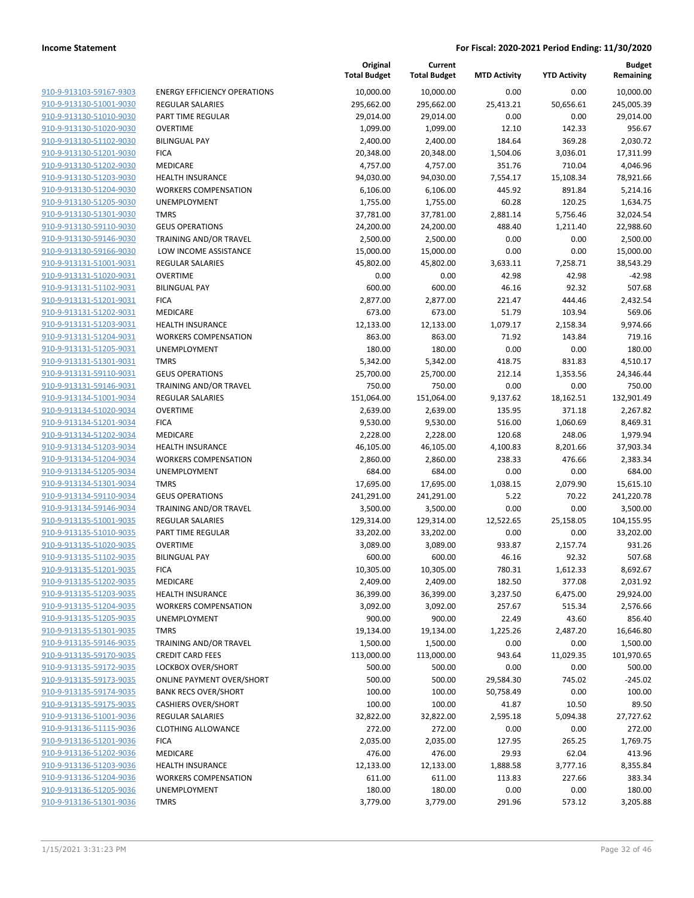| 910-9-913103-59167-9303                            |
|----------------------------------------------------|
| 910-9-913130-51001-9030                            |
| 910-9-913130-51010-9030                            |
| 910-9-913130-51020-9030                            |
| 910-9-913130-51102-9030                            |
| 910-9-913130-51201-9030                            |
| 910-9-913130-51202-9030                            |
| 910-9-913130-51203-9030                            |
| 910-9-913130-51204-9030                            |
| 910-9-913130-51205-9030                            |
| 910-9-913130-51301-9030                            |
| 910-9-913130-59110-9030                            |
| 910-9-913130-59146-9030                            |
| 910-9-913130-59166-9030                            |
| <u>910-9-913131-51001-9031</u>                     |
| 910-9-913131-51020-9031                            |
| 910-9-913131-51102-9031                            |
| 910-9-913131-51201-9031                            |
| 910-9-913131-51202-9031                            |
| 910-9-913131-51203-9031                            |
| 910-9-913131-51204-9031                            |
| 910-9-913131-51205-9031                            |
| 910-9-913131-51301-9031                            |
| 910-9-913131-59110-9031                            |
| <u>910-9-913131-59146-9031</u>                     |
| 910-9-913134-51001-9034                            |
| 910-9-913134-51020-9034                            |
| 910-9-913134-51201-9034                            |
| 910-9-913134-51202-9034                            |
| 910-9-913134-51203-9034                            |
| 910-9-913134-51204-9034<br>910-9-913134-51205-9034 |
| 910-9-913134-51301-9034                            |
| 910-9-913134-59110-9034                            |
| <u>910-9-913134-59146-9034</u>                     |
| 910-9-913135-51001-9035                            |
| 910-9-913135-51010-9035                            |
| 910-9-913135-51020-9035                            |
| 910-9-913135-51102-9035                            |
| 910-9-913135-51201-9035                            |
| 910-9-913135-51202-9035                            |
| 910-9-913135-51203-9035                            |
| 910-9-913135-51204-9035                            |
| 910-9-913135-51205-9035                            |
| <u>910-9-913135-51301-9035</u>                     |
| <u>910-9-913135-59146-9035</u>                     |
| 910-9-913135-59170-9035                            |
| 910-9-913135-59172-9035                            |
| <u>910-9-913135-59173-9035</u>                     |
| <u>910-9-913135-59174-9035</u>                     |
| <u>910-9-913135-59175-9035</u>                     |
| 910-9-913136-51001-9036                            |
| 910-9-913136-51115-9036                            |
| <u>910-9-913136-51201-9036</u>                     |
| <u>910-9-913136-51202-9036</u>                     |
| <u>910-9-913136-51203-9036</u>                     |
| 910-9-913136-51204-9036                            |
| 910-9-913136-51205-9036                            |
| 910-9-913136-51301-9036                            |
|                                                    |

|                                     | Tota            |
|-------------------------------------|-----------------|
| <b>ENERGY EFFICIENCY OPERATIONS</b> | $1\phantom{.0}$ |
| <b>REGULAR SALARIES</b>             | 29              |
| PART TIME REGULAR                   | 2               |
| <b>OVERTIME</b>                     |                 |
| <b>BILINGUAL PAY</b>                |                 |
| <b>FICA</b>                         | 2               |
| <b>MEDICARE</b>                     |                 |
| <b>HEALTH INSURANCE</b>             | 9               |
| <b>WORKERS COMPENSATION</b>         |                 |
| UNEMPLOYMENT                        |                 |
| <b>TMRS</b>                         | 3               |
| <b>GEUS OPERATIONS</b>              | 2               |
| <b>TRAINING AND/OR TRAVEL</b>       |                 |
| LOW INCOME ASSISTANCE               | 1               |
| <b>REGULAR SALARIES</b>             | 4               |
| <b>OVERTIME</b>                     |                 |
| <b>BILINGUAL PAY</b>                |                 |
| <b>FICA</b>                         |                 |
| <b>MEDICARE</b>                     |                 |
| <b>HEALTH INSURANCE</b>             | 1               |
| <b>WORKERS COMPENSATION</b>         |                 |
| UNEMPLOYMENT<br><b>TMRS</b>         |                 |
| <b>GEUS OPERATIONS</b>              | 2               |
| <b>TRAINING AND/OR TRAVEL</b>       |                 |
| <b>REGULAR SALARIES</b>             | 15              |
| <b>OVERTIME</b>                     |                 |
| <b>FICA</b>                         |                 |
| <b>MEDICARE</b>                     |                 |
| <b>HEALTH INSURANCE</b>             | 4               |
| <b>WORKERS COMPENSATION</b>         |                 |
| <b>UNEMPLOYMENT</b>                 |                 |
| <b>TMRS</b>                         | 1               |
| <b>GEUS OPERATIONS</b>              | 24              |
| <b>TRAINING AND/OR TRAVEL</b>       |                 |
| <b>REGULAR SALARIES</b>             | 12              |
| PART TIME REGULAR                   | 3               |
| <b>OVERTIME</b>                     |                 |
| <b>BILINGUAL PAY</b>                |                 |
| <b>FICA</b>                         | $1\phantom{.0}$ |
| <b>MEDICARE</b>                     |                 |
| <b>HEALTH INSURANCE</b>             | 3               |
| <b>WORKERS COMPENSATION</b>         |                 |
| <b>UNEMPLOYMENT</b>                 |                 |
| <b>TMRS</b>                         | $1^{\circ}$     |
| TRAINING AND/OR TRAVEL              |                 |
| <b>CREDIT CARD FEES</b>             | 11              |
| LOCKBOX OVER/SHORT                  |                 |
| <b>ONLINE PAYMENT OVER/SHORT</b>    |                 |
| <b>BANK RECS OVER/SHORT</b>         |                 |
| <b>CASHIERS OVER/SHORT</b>          |                 |
| <b>REGULAR SALARIES</b>             | 3               |
| <b>CLOTHING ALLOWANCE</b>           |                 |
| <b>FICA</b>                         |                 |
| <b>MEDICARE</b>                     |                 |
| <b>HEALTH INSURANCE</b>             | 1               |
| <b>WORKERS COMPENSATION</b>         |                 |
| <b>UNEMPLOYMENT</b><br><b>TMRS</b>  |                 |
|                                     |                 |

|                                                    |                                         | Original<br><b>Total Budget</b> | Current<br><b>Total Budget</b> | <b>MTD Activity</b> | <b>YTD Activity</b> | <b>Budget</b><br>Remaining |
|----------------------------------------------------|-----------------------------------------|---------------------------------|--------------------------------|---------------------|---------------------|----------------------------|
| 910-9-913103-59167-9303                            | <b>ENERGY EFFICIENCY OPERATIONS</b>     | 10,000.00                       | 10,000.00                      | 0.00                | 0.00                | 10,000.00                  |
| 910-9-913130-51001-9030                            | <b>REGULAR SALARIES</b>                 | 295,662.00                      | 295,662.00                     | 25,413.21           | 50,656.61           | 245,005.39                 |
| 910-9-913130-51010-9030                            | PART TIME REGULAR                       | 29,014.00                       | 29,014.00                      | 0.00                | 0.00                | 29,014.00                  |
| 910-9-913130-51020-9030                            | <b>OVERTIME</b>                         | 1,099.00                        | 1,099.00                       | 12.10               | 142.33              | 956.67                     |
| 910-9-913130-51102-9030                            | <b>BILINGUAL PAY</b>                    | 2,400.00                        | 2,400.00                       | 184.64              | 369.28              | 2,030.72                   |
| 910-9-913130-51201-9030                            | <b>FICA</b>                             | 20,348.00                       | 20,348.00                      | 1,504.06            | 3,036.01            | 17,311.99                  |
| 910-9-913130-51202-9030                            | <b>MEDICARE</b>                         | 4,757.00                        | 4,757.00                       | 351.76              | 710.04              | 4,046.96                   |
| 910-9-913130-51203-9030                            | <b>HEALTH INSURANCE</b>                 | 94,030.00                       | 94,030.00                      | 7,554.17            | 15,108.34           | 78,921.66                  |
| 910-9-913130-51204-9030                            | <b>WORKERS COMPENSATION</b>             | 6,106.00                        | 6,106.00                       | 445.92              | 891.84              | 5,214.16                   |
| 910-9-913130-51205-9030                            | UNEMPLOYMENT                            | 1,755.00                        | 1,755.00                       | 60.28               | 120.25              | 1,634.75                   |
| 910-9-913130-51301-9030                            | <b>TMRS</b>                             | 37,781.00                       | 37,781.00                      | 2,881.14            | 5,756.46            | 32,024.54                  |
| 910-9-913130-59110-9030                            | <b>GEUS OPERATIONS</b>                  | 24,200.00                       | 24,200.00                      | 488.40              | 1,211.40            | 22,988.60                  |
| 910-9-913130-59146-9030                            | TRAINING AND/OR TRAVEL                  | 2,500.00                        | 2,500.00                       | 0.00                | 0.00                | 2,500.00                   |
| 910-9-913130-59166-9030                            | LOW INCOME ASSISTANCE                   | 15,000.00                       | 15,000.00                      | 0.00                | 0.00                | 15,000.00                  |
| 910-9-913131-51001-9031                            | <b>REGULAR SALARIES</b>                 | 45,802.00                       | 45,802.00                      | 3,633.11            | 7,258.71            | 38,543.29                  |
| 910-9-913131-51020-9031<br>910-9-913131-51102-9031 | <b>OVERTIME</b><br><b>BILINGUAL PAY</b> | 0.00<br>600.00                  | 0.00<br>600.00                 | 42.98<br>46.16      | 42.98<br>92.32      | $-42.98$<br>507.68         |
| 910-9-913131-51201-9031                            | <b>FICA</b>                             | 2,877.00                        | 2,877.00                       | 221.47              | 444.46              | 2,432.54                   |
| 910-9-913131-51202-9031                            | <b>MEDICARE</b>                         | 673.00                          | 673.00                         | 51.79               | 103.94              | 569.06                     |
| 910-9-913131-51203-9031                            | <b>HEALTH INSURANCE</b>                 | 12,133.00                       | 12,133.00                      | 1,079.17            | 2,158.34            | 9,974.66                   |
| 910-9-913131-51204-9031                            | <b>WORKERS COMPENSATION</b>             | 863.00                          | 863.00                         | 71.92               | 143.84              | 719.16                     |
| 910-9-913131-51205-9031                            | UNEMPLOYMENT                            | 180.00                          | 180.00                         | 0.00                | 0.00                | 180.00                     |
| 910-9-913131-51301-9031                            | <b>TMRS</b>                             | 5,342.00                        | 5,342.00                       | 418.75              | 831.83              | 4,510.17                   |
| 910-9-913131-59110-9031                            | <b>GEUS OPERATIONS</b>                  | 25,700.00                       | 25,700.00                      | 212.14              | 1,353.56            | 24,346.44                  |
| 910-9-913131-59146-9031                            | TRAINING AND/OR TRAVEL                  | 750.00                          | 750.00                         | 0.00                | 0.00                | 750.00                     |
| 910-9-913134-51001-9034                            | <b>REGULAR SALARIES</b>                 | 151,064.00                      | 151,064.00                     | 9,137.62            | 18,162.51           | 132,901.49                 |
| 910-9-913134-51020-9034                            | <b>OVERTIME</b>                         | 2,639.00                        | 2,639.00                       | 135.95              | 371.18              | 2,267.82                   |
| 910-9-913134-51201-9034                            | <b>FICA</b>                             | 9,530.00                        | 9,530.00                       | 516.00              | 1,060.69            | 8,469.31                   |
| 910-9-913134-51202-9034                            | <b>MEDICARE</b>                         | 2,228.00                        | 2,228.00                       | 120.68              | 248.06              | 1,979.94                   |
| 910-9-913134-51203-9034                            | <b>HEALTH INSURANCE</b>                 | 46,105.00                       | 46,105.00                      | 4,100.83            | 8,201.66            | 37,903.34                  |
| 910-9-913134-51204-9034                            | <b>WORKERS COMPENSATION</b>             | 2,860.00                        | 2,860.00                       | 238.33              | 476.66              | 2,383.34                   |
| 910-9-913134-51205-9034                            | UNEMPLOYMENT                            | 684.00                          | 684.00                         | 0.00                | 0.00                | 684.00                     |
| 910-9-913134-51301-9034                            | <b>TMRS</b>                             | 17,695.00                       | 17,695.00                      | 1,038.15            | 2,079.90            | 15,615.10                  |
| 910-9-913134-59110-9034                            | <b>GEUS OPERATIONS</b>                  | 241,291.00                      | 241,291.00                     | 5.22                | 70.22               | 241,220.78                 |
| 910-9-913134-59146-9034                            | TRAINING AND/OR TRAVEL                  | 3,500.00                        | 3,500.00                       | 0.00                | 0.00                | 3,500.00                   |
| 910-9-913135-51001-9035                            | <b>REGULAR SALARIES</b>                 | 129,314.00                      | 129,314.00                     | 12,522.65           | 25,158.05           | 104,155.95                 |
| 910-9-913135-51010-9035                            | PART TIME REGULAR                       | 33,202.00                       | 33,202.00                      | 0.00                | 0.00                | 33,202.00                  |
| 910-9-913135-51020-9035                            | <b>OVERTIME</b>                         | 3,089.00                        | 3,089.00                       | 933.87              | 2,157.74            | 931.26                     |
| 910-9-913135-51102-9035                            | <b>BILINGUAL PAY</b>                    | 600.00                          | 600.00                         | 46.16               | 92.32               | 507.68                     |
| 910-9-913135-51201-9035                            | <b>FICA</b>                             | 10,305.00                       | 10,305.00                      | 780.31              | 1,612.33            | 8,692.67                   |
| 910-9-913135-51202-9035                            | <b>MEDICARE</b>                         | 2,409.00                        | 2,409.00                       | 182.50              | 377.08              | 2,031.92                   |
| 910-9-913135-51203-9035                            | <b>HEALTH INSURANCE</b>                 | 36,399.00                       | 36,399.00                      | 3,237.50            | 6,475.00            | 29,924.00                  |
| 910-9-913135-51204-9035                            | <b>WORKERS COMPENSATION</b>             | 3,092.00                        | 3,092.00                       | 257.67              | 515.34              | 2,576.66                   |
| 910-9-913135-51205-9035                            | UNEMPLOYMENT                            | 900.00                          | 900.00                         | 22.49               | 43.60               | 856.40                     |
| 910-9-913135-51301-9035                            | <b>TMRS</b>                             | 19,134.00                       | 19,134.00                      | 1,225.26            | 2,487.20            | 16,646.80                  |
| 910-9-913135-59146-9035                            | TRAINING AND/OR TRAVEL                  | 1,500.00                        | 1,500.00                       | 0.00                | 0.00                | 1,500.00                   |
| 910-9-913135-59170-9035                            | <b>CREDIT CARD FEES</b>                 | 113,000.00                      | 113,000.00                     | 943.64              | 11,029.35           | 101,970.65                 |
| 910-9-913135-59172-9035                            | LOCKBOX OVER/SHORT                      | 500.00                          | 500.00                         | 0.00                | 0.00                | 500.00                     |
| 910-9-913135-59173-9035                            | <b>ONLINE PAYMENT OVER/SHORT</b>        | 500.00                          | 500.00                         | 29,584.30           | 745.02              | $-245.02$                  |
| 910-9-913135-59174-9035                            | <b>BANK RECS OVER/SHORT</b>             | 100.00                          | 100.00                         | 50,758.49           | 0.00                | 100.00                     |
| 910-9-913135-59175-9035                            | <b>CASHIERS OVER/SHORT</b>              | 100.00                          | 100.00                         | 41.87               | 10.50               | 89.50                      |
| 910-9-913136-51001-9036                            | <b>REGULAR SALARIES</b>                 | 32,822.00                       | 32,822.00                      | 2,595.18            | 5,094.38            | 27,727.62                  |
| 910-9-913136-51115-9036                            | <b>CLOTHING ALLOWANCE</b>               | 272.00                          | 272.00                         | 0.00                | 0.00                | 272.00                     |
| 910-9-913136-51201-9036                            | <b>FICA</b>                             | 2,035.00                        | 2,035.00                       | 127.95              | 265.25              | 1,769.75                   |
| 910-9-913136-51202-9036                            | <b>MEDICARE</b>                         | 476.00                          | 476.00                         | 29.93               | 62.04               | 413.96                     |
| 910-9-913136-51203-9036                            | <b>HEALTH INSURANCE</b>                 | 12,133.00                       | 12,133.00                      | 1,888.58            | 3,777.16            | 8,355.84                   |
| 910-9-913136-51204-9036                            | <b>WORKERS COMPENSATION</b>             | 611.00                          | 611.00                         | 113.83              | 227.66              | 383.34                     |
| 910-9-913136-51205-9036                            | UNEMPLOYMENT                            | 180.00                          | 180.00                         | 0.00                | 0.00                | 180.00                     |
| 910-9-913136-51301-9036                            | <b>TMRS</b>                             | 3,779.00                        | 3,779.00                       | 291.96              | 573.12              | 3,205.88                   |
|                                                    |                                         |                                 |                                |                     |                     |                            |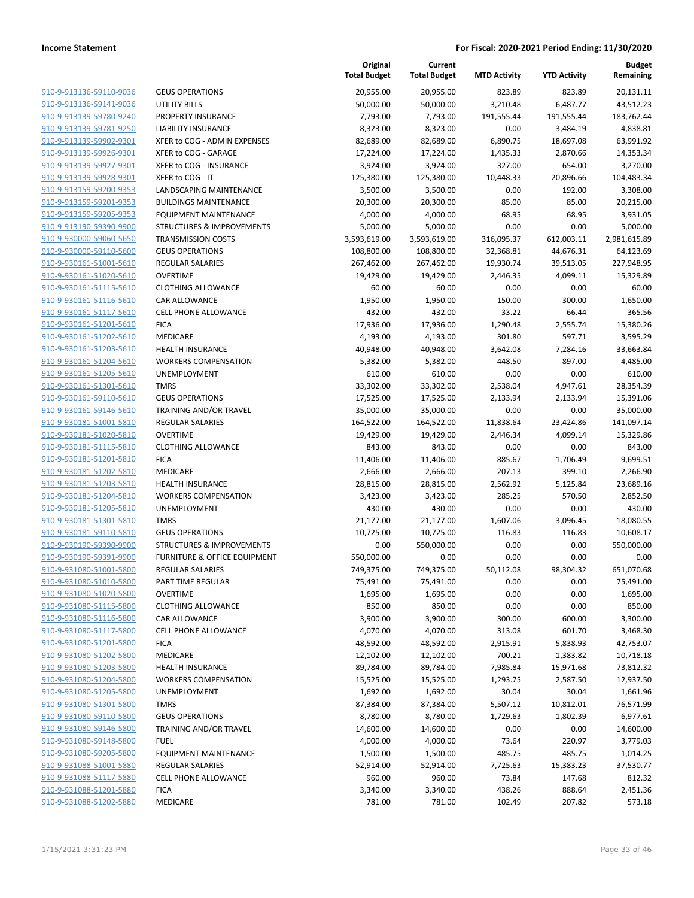|                         |                                      | Original<br><b>Total Budget</b> | Current<br><b>Total Budget</b> | <b>MTD Activity</b> | <b>YTD Activity</b> | <b>Budget</b><br>Remaining |
|-------------------------|--------------------------------------|---------------------------------|--------------------------------|---------------------|---------------------|----------------------------|
| 910-9-913136-59110-9036 | <b>GEUS OPERATIONS</b>               | 20,955.00                       | 20,955.00                      | 823.89              | 823.89              | 20,131.11                  |
| 910-9-913136-59141-9036 | <b>UTILITY BILLS</b>                 | 50,000.00                       | 50,000.00                      | 3,210.48            | 6,487.77            | 43,512.23                  |
| 910-9-913139-59780-9240 | PROPERTY INSURANCE                   | 7,793.00                        | 7,793.00                       | 191,555.44          | 191,555.44          | $-183,762.44$              |
| 910-9-913139-59781-9250 | <b>LIABILITY INSURANCE</b>           | 8,323.00                        | 8,323.00                       | 0.00                | 3,484.19            | 4,838.81                   |
| 910-9-913139-59902-9301 | XFER to COG - ADMIN EXPENSES         | 82,689.00                       | 82,689.00                      | 6,890.75            | 18,697.08           | 63,991.92                  |
| 910-9-913139-59926-9301 | XFER to COG - GARAGE                 | 17,224.00                       | 17,224.00                      | 1,435.33            | 2,870.66            | 14,353.34                  |
| 910-9-913139-59927-9301 | XFER to COG - INSURANCE              | 3,924.00                        | 3,924.00                       | 327.00              | 654.00              | 3,270.00                   |
| 910-9-913139-59928-9301 | XFER to COG - IT                     | 125,380.00                      | 125,380.00                     | 10,448.33           | 20,896.66           | 104,483.34                 |
| 910-9-913159-59200-9353 | LANDSCAPING MAINTENANCE              | 3,500.00                        | 3,500.00                       | 0.00                | 192.00              | 3,308.00                   |
| 910-9-913159-59201-9353 | <b>BUILDINGS MAINTENANCE</b>         | 20,300.00                       | 20,300.00                      | 85.00               | 85.00               | 20,215.00                  |
| 910-9-913159-59205-9353 | <b>EQUIPMENT MAINTENANCE</b>         | 4,000.00                        | 4,000.00                       | 68.95               | 68.95               | 3,931.05                   |
| 910-9-913190-59390-9900 | <b>STRUCTURES &amp; IMPROVEMENTS</b> | 5,000.00                        | 5,000.00                       | 0.00                | 0.00                | 5,000.00                   |
| 910-9-930000-59060-5650 | <b>TRANSMISSION COSTS</b>            | 3,593,619.00                    | 3,593,619.00                   | 316,095.37          | 612,003.11          | 2,981,615.89               |
| 910-9-930000-59110-5600 | <b>GEUS OPERATIONS</b>               | 108,800.00                      | 108,800.00                     | 32,368.81           | 44,676.31           | 64,123.69                  |
| 910-9-930161-51001-5610 | REGULAR SALARIES                     | 267,462.00                      | 267,462.00                     | 19,930.74           | 39,513.05           | 227,948.95                 |
| 910-9-930161-51020-5610 | <b>OVERTIME</b>                      | 19,429.00                       | 19,429.00                      | 2,446.35            | 4,099.11            | 15,329.89                  |
| 910-9-930161-51115-5610 | <b>CLOTHING ALLOWANCE</b>            | 60.00                           | 60.00                          | 0.00                | 0.00                | 60.00                      |
| 910-9-930161-51116-5610 | CAR ALLOWANCE                        | 1,950.00                        | 1,950.00                       | 150.00              | 300.00              | 1,650.00                   |
| 910-9-930161-51117-5610 | <b>CELL PHONE ALLOWANCE</b>          | 432.00                          | 432.00                         | 33.22               | 66.44               | 365.56                     |
| 910-9-930161-51201-5610 | <b>FICA</b>                          | 17,936.00                       | 17,936.00                      | 1,290.48            | 2,555.74            | 15,380.26                  |
| 910-9-930161-51202-5610 | MEDICARE                             | 4,193.00                        | 4,193.00                       | 301.80              | 597.71              | 3,595.29                   |
| 910-9-930161-51203-5610 | <b>HEALTH INSURANCE</b>              | 40,948.00                       | 40,948.00                      | 3,642.08            | 7,284.16            | 33,663.84                  |
| 910-9-930161-51204-5610 | <b>WORKERS COMPENSATION</b>          | 5,382.00                        | 5,382.00                       | 448.50              | 897.00              | 4,485.00                   |
| 910-9-930161-51205-5610 | UNEMPLOYMENT                         | 610.00                          | 610.00                         | 0.00                | 0.00                | 610.00                     |
| 910-9-930161-51301-5610 | <b>TMRS</b>                          | 33,302.00                       | 33,302.00                      | 2,538.04            | 4,947.61            | 28,354.39                  |
| 910-9-930161-59110-5610 | <b>GEUS OPERATIONS</b>               | 17,525.00                       | 17,525.00                      | 2,133.94            | 2,133.94            | 15,391.06                  |
| 910-9-930161-59146-5610 | TRAINING AND/OR TRAVEL               | 35,000.00                       | 35,000.00                      | 0.00                | 0.00                | 35,000.00                  |
| 910-9-930181-51001-5810 | <b>REGULAR SALARIES</b>              | 164,522.00                      | 164,522.00                     | 11,838.64           | 23,424.86           | 141,097.14                 |
| 910-9-930181-51020-5810 | <b>OVERTIME</b>                      | 19,429.00                       | 19,429.00                      | 2,446.34            | 4,099.14            | 15,329.86                  |
| 910-9-930181-51115-5810 | <b>CLOTHING ALLOWANCE</b>            | 843.00                          | 843.00                         | 0.00                | 0.00                | 843.00                     |
| 910-9-930181-51201-5810 | <b>FICA</b>                          | 11,406.00                       | 11,406.00                      | 885.67              | 1,706.49            | 9,699.51                   |
| 910-9-930181-51202-5810 | MEDICARE                             | 2,666.00                        | 2,666.00                       | 207.13              | 399.10              | 2,266.90                   |
| 910-9-930181-51203-5810 | <b>HEALTH INSURANCE</b>              | 28,815.00                       | 28,815.00                      | 2,562.92            | 5,125.84            | 23,689.16                  |
| 910-9-930181-51204-5810 | <b>WORKERS COMPENSATION</b>          | 3,423.00                        | 3,423.00                       | 285.25              | 570.50              | 2,852.50                   |
| 910-9-930181-51205-5810 | UNEMPLOYMENT                         | 430.00                          | 430.00                         | 0.00                | 0.00                | 430.00                     |
| 910-9-930181-51301-5810 | <b>TMRS</b>                          | 21,177.00                       | 21,177.00                      | 1,607.06            | 3,096.45            | 18,080.55                  |
| 910-9-930181-59110-5810 | <b>GEUS OPERATIONS</b>               | 10,725.00                       | 10,725.00                      | 116.83              | 116.83              | 10,608.17                  |
| 910-9-930190-59390-9900 | <b>STRUCTURES &amp; IMPROVEMENTS</b> | 0.00                            | 550,000.00                     | 0.00                | 0.00                | 550,000.00                 |
| 910-9-930190-59391-9900 | FURNITURE & OFFICE EQUIPMENT         | 550,000.00                      | 0.00                           | 0.00                | 0.00                | 0.00                       |
| 910-9-931080-51001-5800 | REGULAR SALARIES                     | 749,375.00                      | 749,375.00                     | 50,112.08           | 98,304.32           | 651,070.68                 |
| 910-9-931080-51010-5800 | PART TIME REGULAR                    | 75,491.00                       | 75,491.00                      | 0.00                | 0.00                | 75,491.00                  |
| 910-9-931080-51020-5800 | <b>OVERTIME</b>                      | 1,695.00                        | 1,695.00                       | 0.00                | 0.00                | 1,695.00                   |
| 910-9-931080-51115-5800 | <b>CLOTHING ALLOWANCE</b>            | 850.00                          | 850.00                         | 0.00                | 0.00                | 850.00                     |
| 910-9-931080-51116-5800 | CAR ALLOWANCE                        | 3,900.00                        | 3,900.00                       | 300.00              | 600.00              | 3,300.00                   |
| 910-9-931080-51117-5800 | CELL PHONE ALLOWANCE                 | 4,070.00                        | 4,070.00                       | 313.08              | 601.70              | 3,468.30                   |
| 910-9-931080-51201-5800 | <b>FICA</b>                          | 48,592.00                       | 48,592.00                      | 2,915.91            | 5,838.93            | 42,753.07                  |
| 910-9-931080-51202-5800 | MEDICARE                             | 12,102.00                       | 12,102.00                      | 700.21              | 1,383.82            | 10,718.18                  |
| 910-9-931080-51203-5800 | <b>HEALTH INSURANCE</b>              | 89,784.00                       | 89,784.00                      | 7,985.84            | 15,971.68           | 73,812.32                  |
| 910-9-931080-51204-5800 | <b>WORKERS COMPENSATION</b>          | 15,525.00                       | 15,525.00                      | 1,293.75            | 2,587.50            | 12,937.50                  |
| 910-9-931080-51205-5800 | UNEMPLOYMENT                         | 1,692.00                        | 1,692.00                       | 30.04               | 30.04               | 1,661.96                   |
| 910-9-931080-51301-5800 | <b>TMRS</b>                          | 87,384.00                       | 87,384.00                      | 5,507.12            | 10,812.01           | 76,571.99                  |
| 910-9-931080-59110-5800 | <b>GEUS OPERATIONS</b>               | 8,780.00                        | 8,780.00                       | 1,729.63            | 1,802.39            | 6,977.61                   |
| 910-9-931080-59146-5800 | TRAINING AND/OR TRAVEL               | 14,600.00                       | 14,600.00                      | 0.00                | 0.00                | 14,600.00                  |
| 910-9-931080-59148-5800 | <b>FUEL</b>                          | 4,000.00                        | 4,000.00                       | 73.64               | 220.97              | 3,779.03                   |
| 910-9-931080-59205-5800 | <b>EQUIPMENT MAINTENANCE</b>         | 1,500.00                        | 1,500.00                       | 485.75              | 485.75              | 1,014.25                   |
| 910-9-931088-51001-5880 | REGULAR SALARIES                     | 52,914.00                       | 52,914.00                      | 7,725.63            | 15,383.23           | 37,530.77                  |
| 910-9-931088-51117-5880 | <b>CELL PHONE ALLOWANCE</b>          | 960.00                          | 960.00                         | 73.84               | 147.68              | 812.32                     |
| 910-9-931088-51201-5880 | <b>FICA</b>                          | 3,340.00                        | 3,340.00                       | 438.26              | 888.64              | 2,451.36                   |
| 910-9-931088-51202-5880 | MEDICARE                             | 781.00                          | 781.00                         | 102.49              | 207.82              | 573.18                     |
|                         |                                      |                                 |                                |                     |                     |                            |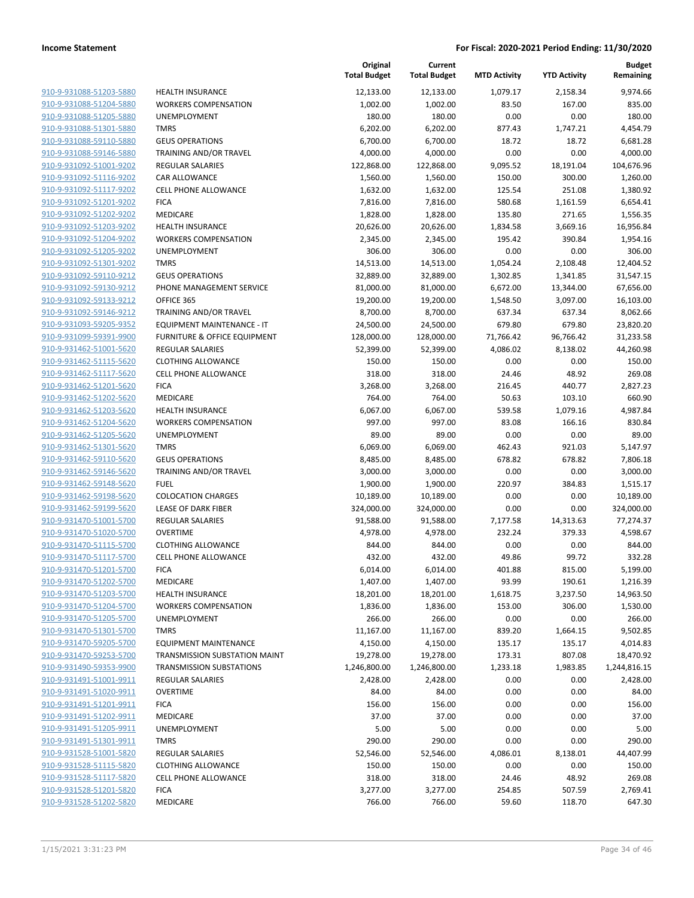| 910-9-931088-51203-5880        |
|--------------------------------|
| 910-9-931088-51204-5880        |
| 910-9-931088-51205-5880        |
| 910-9-931088-51301-5880        |
| 910-9-931088-59110-5880        |
| <u>910-9-931088-59146-5880</u> |
| 910-9-931092-51001-9202        |
| 910-9-931092-51116-9202        |
| 910-9-931092-51117-9202        |
| 910-9-931092-51201-9202        |
| 910-9-931092-51202-9202        |
| 910-9-931092-51203-9202        |
| 910-9-931092-51204-9202        |
| 910-9-931092-51205-9202        |
| 910-9-931092-51301-9202        |
| <u>910-9-931092-59110-9212</u> |
| 910-9-931092-59130-9212        |
| 910-9-931092-59133-9212        |
| 910-9-931092-59146-9212        |
| 910-9-931093-59205-9352        |
| 910-9-931099-59391-9900        |
| 910-9-931462-51001-5620        |
| 910-9-931462-51115-5620        |
| 910-9-931462-51117-5620        |
| 910-9-931462-51201-5620        |
| 910-9-931462-51202-5620        |
| 910-9-931462-51203-5620        |
| 910-9-931462-51204-5620        |
| 910-9-931462-51205-5620        |
| 910-9-931462-51301-5620        |
| <u>910-9-931462-59110-5620</u> |
| 910-9-931462-59146-5620        |
| 910-9-931462-59148-5620        |
| 910-9-931462-59198-5620        |
| 910-9-931462-59199-5620        |
| <u>910-9-931470-51001-5700</u> |
| 910-9-931470-51020-5700        |
| 910-9-931470-51115-5700        |
| 910-9-931470-51117-5700        |
| 910-9-931470-51201-5700        |
| 910-9-931470-51202-5700        |
| <u>910-9-931470-51203-5700</u> |
| 910-9-931470-51204-5700        |
| 910-9-931470-51205-5700        |
| 910-9-931470-51301-5700        |
| 910-9-931470-59205-5700        |
| 910-9-931470-59253-5700        |
| 910-9-931490-59353-9900        |
| 910-9-931491-51001-9911        |
| 910-9-931491-51020-9911        |
| 910-9-931491-51201-9911        |
| 910-9-931491-51202-9911        |
| 910-9-931491-51205-9911        |
| 910-9-931491-51301-9911        |
| 910-9-931528-51001-5820        |
| 910-9-931528-51115-5820        |
| 910-9-931528-51117-5820        |
| 910-9-931528-51201-5820        |
| 910-9-931528-51202-5820        |
|                                |

|                                                    |                                                            | Original<br><b>Total Budget</b> | Current<br><b>Total Budget</b> | <b>MTD Activity</b> | <b>YTD Activity</b> | <b>Budget</b><br>Remaining |
|----------------------------------------------------|------------------------------------------------------------|---------------------------------|--------------------------------|---------------------|---------------------|----------------------------|
| 910-9-931088-51203-5880                            | <b>HEALTH INSURANCE</b>                                    | 12,133.00                       | 12,133.00                      | 1,079.17            | 2,158.34            | 9,974.66                   |
| 910-9-931088-51204-5880                            | <b>WORKERS COMPENSATION</b>                                | 1,002.00                        | 1,002.00                       | 83.50               | 167.00              | 835.00                     |
| 910-9-931088-51205-5880                            | UNEMPLOYMENT                                               | 180.00                          | 180.00                         | 0.00                | 0.00                | 180.00                     |
| 910-9-931088-51301-5880                            | <b>TMRS</b>                                                | 6,202.00                        | 6,202.00                       | 877.43              | 1,747.21            | 4,454.79                   |
| 910-9-931088-59110-5880                            | <b>GEUS OPERATIONS</b>                                     | 6,700.00                        | 6,700.00                       | 18.72               | 18.72               | 6,681.28                   |
| 910-9-931088-59146-5880                            | TRAINING AND/OR TRAVEL                                     | 4,000.00                        | 4,000.00                       | 0.00                | 0.00                | 4,000.00                   |
| 910-9-931092-51001-9202                            | <b>REGULAR SALARIES</b>                                    | 122,868.00                      | 122,868.00                     | 9,095.52            | 18,191.04           | 104,676.96                 |
| 910-9-931092-51116-9202                            | <b>CAR ALLOWANCE</b>                                       | 1,560.00                        | 1,560.00                       | 150.00              | 300.00              | 1,260.00                   |
| 910-9-931092-51117-9202                            | CELL PHONE ALLOWANCE                                       | 1,632.00                        | 1,632.00                       | 125.54              | 251.08              | 1,380.92                   |
| 910-9-931092-51201-9202                            | <b>FICA</b>                                                | 7,816.00                        | 7,816.00                       | 580.68              | 1,161.59            | 6,654.41                   |
| 910-9-931092-51202-9202                            | <b>MEDICARE</b>                                            | 1,828.00                        | 1,828.00                       | 135.80              | 271.65              | 1,556.35                   |
| 910-9-931092-51203-9202                            | <b>HEALTH INSURANCE</b>                                    | 20,626.00                       | 20,626.00                      | 1,834.58            | 3,669.16            | 16,956.84                  |
| 910-9-931092-51204-9202                            | <b>WORKERS COMPENSATION</b>                                | 2,345.00                        | 2,345.00                       | 195.42              | 390.84              | 1,954.16                   |
| 910-9-931092-51205-9202                            | UNEMPLOYMENT                                               | 306.00                          | 306.00                         | 0.00                | 0.00                | 306.00                     |
| 910-9-931092-51301-9202                            | <b>TMRS</b>                                                | 14,513.00                       | 14,513.00                      | 1,054.24            | 2,108.48            | 12,404.52                  |
| 910-9-931092-59110-9212                            | <b>GEUS OPERATIONS</b>                                     | 32,889.00                       | 32,889.00                      | 1,302.85            | 1,341.85            | 31,547.15                  |
| 910-9-931092-59130-9212<br>910-9-931092-59133-9212 | PHONE MANAGEMENT SERVICE<br>OFFICE 365                     | 81,000.00                       | 81,000.00                      | 6,672.00            | 13,344.00           | 67,656.00                  |
| 910-9-931092-59146-9212                            | <b>TRAINING AND/OR TRAVEL</b>                              | 19,200.00<br>8,700.00           | 19,200.00<br>8,700.00          | 1,548.50<br>637.34  | 3,097.00            | 16,103.00<br>8,062.66      |
| 910-9-931093-59205-9352                            | EQUIPMENT MAINTENANCE - IT                                 | 24,500.00                       | 24,500.00                      | 679.80              | 637.34<br>679.80    | 23,820.20                  |
| 910-9-931099-59391-9900                            | FURNITURE & OFFICE EQUIPMENT                               | 128,000.00                      | 128,000.00                     | 71,766.42           | 96,766.42           | 31,233.58                  |
| 910-9-931462-51001-5620                            | <b>REGULAR SALARIES</b>                                    | 52,399.00                       | 52,399.00                      | 4,086.02            | 8,138.02            | 44,260.98                  |
| 910-9-931462-51115-5620                            | <b>CLOTHING ALLOWANCE</b>                                  | 150.00                          | 150.00                         | 0.00                | 0.00                | 150.00                     |
| 910-9-931462-51117-5620                            | CELL PHONE ALLOWANCE                                       | 318.00                          | 318.00                         | 24.46               | 48.92               | 269.08                     |
| 910-9-931462-51201-5620                            | <b>FICA</b>                                                | 3,268.00                        | 3,268.00                       | 216.45              | 440.77              | 2,827.23                   |
| 910-9-931462-51202-5620                            | <b>MEDICARE</b>                                            | 764.00                          | 764.00                         | 50.63               | 103.10              | 660.90                     |
| 910-9-931462-51203-5620                            | <b>HEALTH INSURANCE</b>                                    | 6,067.00                        | 6,067.00                       | 539.58              | 1,079.16            | 4,987.84                   |
| 910-9-931462-51204-5620                            | <b>WORKERS COMPENSATION</b>                                | 997.00                          | 997.00                         | 83.08               | 166.16              | 830.84                     |
| 910-9-931462-51205-5620                            | UNEMPLOYMENT                                               | 89.00                           | 89.00                          | 0.00                | 0.00                | 89.00                      |
| 910-9-931462-51301-5620                            | <b>TMRS</b>                                                | 6,069.00                        | 6,069.00                       | 462.43              | 921.03              | 5,147.97                   |
| 910-9-931462-59110-5620                            | <b>GEUS OPERATIONS</b>                                     | 8,485.00                        | 8,485.00                       | 678.82              | 678.82              | 7,806.18                   |
| 910-9-931462-59146-5620                            | TRAINING AND/OR TRAVEL                                     | 3,000.00                        | 3,000.00                       | 0.00                | 0.00                | 3,000.00                   |
| 910-9-931462-59148-5620                            | <b>FUEL</b>                                                | 1,900.00                        | 1,900.00                       | 220.97              | 384.83              | 1,515.17                   |
| 910-9-931462-59198-5620                            | <b>COLOCATION CHARGES</b>                                  | 10,189.00                       | 10,189.00                      | 0.00                | 0.00                | 10,189.00                  |
| 910-9-931462-59199-5620                            | LEASE OF DARK FIBER                                        | 324,000.00                      | 324,000.00                     | 0.00                | 0.00                | 324,000.00                 |
| 910-9-931470-51001-5700                            | <b>REGULAR SALARIES</b>                                    | 91,588.00                       | 91,588.00                      | 7,177.58            | 14,313.63           | 77,274.37                  |
| 910-9-931470-51020-5700                            | <b>OVERTIME</b>                                            | 4,978.00                        | 4,978.00                       | 232.24              | 379.33              | 4,598.67                   |
| 910-9-931470-51115-5700                            | <b>CLOTHING ALLOWANCE</b>                                  | 844.00                          | 844.00                         | 0.00                | 0.00                | 844.00                     |
| 910-9-931470-51117-5700                            | <b>CELL PHONE ALLOWANCE</b>                                | 432.00                          | 432.00                         | 49.86               | 99.72               | 332.28                     |
| 910-9-931470-51201-5700                            | <b>FICA</b>                                                | 6,014.00                        | 6,014.00                       | 401.88              | 815.00              | 5,199.00                   |
| 910-9-931470-51202-5700                            | MEDICARE                                                   | 1,407.00                        | 1,407.00                       | 93.99               | 190.61              | 1,216.39                   |
| 910-9-931470-51203-5700                            | <b>HEALTH INSURANCE</b>                                    | 18,201.00                       | 18,201.00                      | 1,618.75            | 3,237.50            | 14,963.50                  |
| 910-9-931470-51204-5700                            | <b>WORKERS COMPENSATION</b>                                | 1,836.00                        | 1,836.00                       | 153.00              | 306.00              | 1,530.00                   |
| 910-9-931470-51205-5700                            | UNEMPLOYMENT                                               | 266.00                          | 266.00                         | 0.00                | 0.00                | 266.00                     |
| 910-9-931470-51301-5700                            | <b>TMRS</b>                                                | 11,167.00                       | 11,167.00                      | 839.20              | 1,664.15            | 9,502.85                   |
| 910-9-931470-59205-5700<br>910-9-931470-59253-5700 | <b>EQUIPMENT MAINTENANCE</b>                               | 4,150.00                        | 4,150.00                       | 135.17              | 135.17              | 4,014.83                   |
|                                                    | TRANSMISSION SUBSTATION MAINT                              | 19,278.00<br>1,246,800.00       | 19,278.00                      | 173.31              | 807.08              | 18,470.92                  |
| 910-9-931490-59353-9900<br>910-9-931491-51001-9911 | <b>TRANSMISSION SUBSTATIONS</b><br><b>REGULAR SALARIES</b> | 2,428.00                        | 1,246,800.00<br>2,428.00       | 1,233.18<br>0.00    | 1,983.85<br>0.00    | 1,244,816.15<br>2,428.00   |
| 910-9-931491-51020-9911                            | <b>OVERTIME</b>                                            | 84.00                           | 84.00                          | 0.00                | 0.00                | 84.00                      |
| 910-9-931491-51201-9911                            | <b>FICA</b>                                                | 156.00                          | 156.00                         | 0.00                | 0.00                | 156.00                     |
| 910-9-931491-51202-9911                            | <b>MEDICARE</b>                                            | 37.00                           | 37.00                          | 0.00                | 0.00                | 37.00                      |
| 910-9-931491-51205-9911                            | UNEMPLOYMENT                                               | 5.00                            | 5.00                           | 0.00                | 0.00                | 5.00                       |
| 910-9-931491-51301-9911                            | <b>TMRS</b>                                                | 290.00                          | 290.00                         | 0.00                | 0.00                | 290.00                     |
| 910-9-931528-51001-5820                            | <b>REGULAR SALARIES</b>                                    | 52,546.00                       | 52,546.00                      | 4,086.01            | 8,138.01            | 44,407.99                  |
| 910-9-931528-51115-5820                            | <b>CLOTHING ALLOWANCE</b>                                  | 150.00                          | 150.00                         | 0.00                | 0.00                | 150.00                     |
| 910-9-931528-51117-5820                            | <b>CELL PHONE ALLOWANCE</b>                                | 318.00                          | 318.00                         | 24.46               | 48.92               | 269.08                     |
| 910-9-931528-51201-5820                            | <b>FICA</b>                                                | 3,277.00                        | 3,277.00                       | 254.85              | 507.59              | 2,769.41                   |
| 910-9-931528-51202-5820                            | <b>MEDICARE</b>                                            | 766.00                          | 766.00                         | 59.60               | 118.70              | 647.30                     |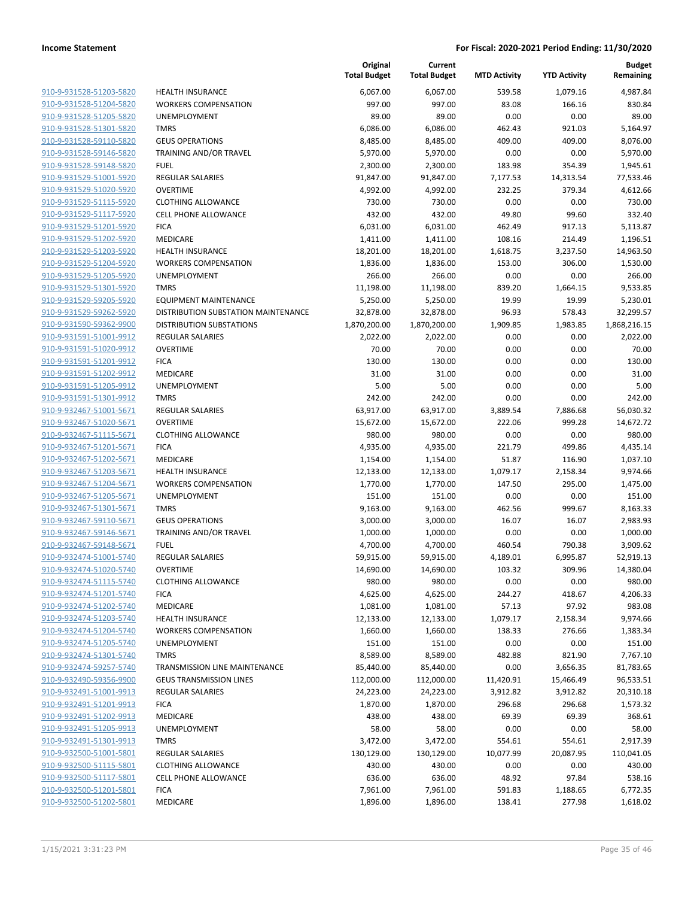| 910-9-931528-51203-5820                                   |
|-----------------------------------------------------------|
| 910-9-931528-51204-5820                                   |
| 910-9-931528-51205-5820                                   |
| <u>910-9-931528-51301-5820</u>                            |
| <u>910-9-931528-59110-5820</u>                            |
| 910-9-931528-59146-5820                                   |
| 910-9-931528-59148-5820                                   |
| 910-9-931529-51001-5920                                   |
| <u>910-9-931529-51020-5920</u>                            |
| 910-9-931529-51115-5920                                   |
| 910-9-931529-51117-5920                                   |
| 910-9-931529-51201-5920                                   |
| 910-9-931529-51202-5920                                   |
| <u>910-9-931529-51203-5920</u>                            |
| <u>910-9-931529-51204-5920</u>                            |
| 910-9-931529-51205-5920                                   |
| 910-9-931529-51301-5920                                   |
| 910-9-931529-59205-5920                                   |
| 910-9-931529-59262-5920                                   |
| 910-9-931590-59362-9900                                   |
| 910-9-931591-51001-9912                                   |
| 910-9-931591-51020-9912                                   |
| 910-9-931591-51201-9912                                   |
| <u>910-9-931591-51202-9912</u>                            |
| <u>910-9-931591-51205-9912</u>                            |
| 910-9-931591-51301-9912                                   |
| 910-9-932467-51001-5671                                   |
| 910-9-932467-51020-5671                                   |
| <u>910-9-932467-51115-5671</u>                            |
| 910-9-932467-51201-5671                                   |
| 910-9-932467-51202-5671                                   |
| 910-9-932467-51203-5671                                   |
| 910-9-932467-51204-5671                                   |
| 910-9-932467-51205-5671<br><u>910-9-932467-51301-5671</u> |
| 910-9-932467-59110-5671                                   |
| 910-9-932467-59146-5671                                   |
| 910-9-932467-59148-5671                                   |
| 910-9-932474-51001-5740                                   |
| 910-9-932474-51020-5740                                   |
| 910-9-932474-51115-5740                                   |
| 910-9-932474-51201-5740                                   |
| 910-9-932474-51202-5740                                   |
| 910-9-932474-51203-5740                                   |
| 910-9-932474-51204-5740                                   |
| 910-9-932474-51205-5740                                   |
| 910-9-932474-51301-5740                                   |
| 910-9-932474-59257-5740                                   |
| 910-9-932490-59356-9900                                   |
| 910-9-932491-51001-9913                                   |
| 910-9-932491-51201-9913                                   |
| 910-9-932491-51202-9913                                   |
| 910-9-932491-51205-9913                                   |
| <u>910-9-932491-51301-9913</u>                            |
| 910-9-932500-51001-5801                                   |
| 910-9-932500-51115-5801                                   |
| 910-9-932500-51117-5801                                   |
| 910-9-932500-51201-5801                                   |
| 910-9-932500-51202-5801                                   |
|                                                           |

|                         |                                      | Original<br><b>Total Budget</b> | Current<br><b>Total Budget</b> | <b>MTD Activity</b> | <b>YTD Activity</b> | <b>Budget</b><br>Remaining |
|-------------------------|--------------------------------------|---------------------------------|--------------------------------|---------------------|---------------------|----------------------------|
| 910-9-931528-51203-5820 | <b>HEALTH INSURANCE</b>              | 6,067.00                        | 6,067.00                       | 539.58              | 1,079.16            | 4,987.84                   |
| 910-9-931528-51204-5820 | <b>WORKERS COMPENSATION</b>          | 997.00                          | 997.00                         | 83.08               | 166.16              | 830.84                     |
| 910-9-931528-51205-5820 | <b>UNEMPLOYMENT</b>                  | 89.00                           | 89.00                          | 0.00                | 0.00                | 89.00                      |
| 910-9-931528-51301-5820 | <b>TMRS</b>                          | 6,086.00                        | 6,086.00                       | 462.43              | 921.03              | 5,164.97                   |
| 910-9-931528-59110-5820 | <b>GEUS OPERATIONS</b>               | 8,485.00                        | 8,485.00                       | 409.00              | 409.00              | 8,076.00                   |
| 910-9-931528-59146-5820 | TRAINING AND/OR TRAVEL               | 5,970.00                        | 5,970.00                       | 0.00                | 0.00                | 5,970.00                   |
| 910-9-931528-59148-5820 | <b>FUEL</b>                          | 2,300.00                        | 2,300.00                       | 183.98              | 354.39              | 1,945.61                   |
| 910-9-931529-51001-5920 | <b>REGULAR SALARIES</b>              | 91,847.00                       | 91,847.00                      | 7,177.53            | 14,313.54           | 77,533.46                  |
| 910-9-931529-51020-5920 | <b>OVERTIME</b>                      | 4,992.00                        | 4,992.00                       | 232.25              | 379.34              | 4,612.66                   |
| 910-9-931529-51115-5920 | <b>CLOTHING ALLOWANCE</b>            | 730.00                          | 730.00                         | 0.00                | 0.00                | 730.00                     |
| 910-9-931529-51117-5920 | <b>CELL PHONE ALLOWANCE</b>          | 432.00                          | 432.00                         | 49.80               | 99.60               | 332.40                     |
| 910-9-931529-51201-5920 | <b>FICA</b>                          | 6,031.00                        | 6,031.00                       | 462.49              | 917.13              | 5,113.87                   |
| 910-9-931529-51202-5920 | MEDICARE                             | 1,411.00                        | 1,411.00                       | 108.16              | 214.49              | 1,196.51                   |
| 910-9-931529-51203-5920 | <b>HEALTH INSURANCE</b>              | 18,201.00                       | 18,201.00                      | 1,618.75            | 3,237.50            | 14,963.50                  |
| 910-9-931529-51204-5920 | <b>WORKERS COMPENSATION</b>          | 1,836.00                        | 1,836.00                       | 153.00              | 306.00              | 1,530.00                   |
| 910-9-931529-51205-5920 | <b>UNEMPLOYMENT</b>                  | 266.00                          | 266.00                         | 0.00                | 0.00                | 266.00                     |
| 910-9-931529-51301-5920 | <b>TMRS</b>                          | 11,198.00                       | 11,198.00                      | 839.20              | 1,664.15            | 9,533.85                   |
| 910-9-931529-59205-5920 | <b>EQUIPMENT MAINTENANCE</b>         | 5,250.00                        | 5,250.00                       | 19.99               | 19.99               | 5,230.01                   |
| 910-9-931529-59262-5920 | DISTRIBUTION SUBSTATION MAINTENANCE  | 32,878.00                       | 32,878.00                      | 96.93               | 578.43              | 32,299.57                  |
| 910-9-931590-59362-9900 | <b>DISTRIBUTION SUBSTATIONS</b>      | 1,870,200.00                    | 1,870,200.00                   | 1,909.85            | 1,983.85            | 1,868,216.15               |
| 910-9-931591-51001-9912 | <b>REGULAR SALARIES</b>              | 2,022.00                        | 2,022.00                       | 0.00                | 0.00                | 2,022.00                   |
| 910-9-931591-51020-9912 | <b>OVERTIME</b>                      | 70.00                           | 70.00                          | 0.00                | 0.00                | 70.00                      |
| 910-9-931591-51201-9912 | <b>FICA</b>                          | 130.00                          | 130.00                         | 0.00                | 0.00                | 130.00                     |
| 910-9-931591-51202-9912 | MEDICARE                             | 31.00                           | 31.00                          | 0.00                | 0.00                | 31.00                      |
| 910-9-931591-51205-9912 | UNEMPLOYMENT                         | 5.00                            | 5.00                           | 0.00                | 0.00                | 5.00                       |
| 910-9-931591-51301-9912 | <b>TMRS</b>                          | 242.00                          | 242.00                         | 0.00                | 0.00                | 242.00                     |
| 910-9-932467-51001-5671 | REGULAR SALARIES                     | 63,917.00                       | 63,917.00                      | 3,889.54            | 7,886.68            | 56,030.32                  |
| 910-9-932467-51020-5671 | <b>OVERTIME</b>                      | 15,672.00                       | 15,672.00                      | 222.06              | 999.28              | 14,672.72                  |
| 910-9-932467-51115-5671 | <b>CLOTHING ALLOWANCE</b>            | 980.00                          | 980.00                         | 0.00                | 0.00                | 980.00                     |
| 910-9-932467-51201-5671 | <b>FICA</b>                          | 4,935.00                        | 4,935.00                       | 221.79              | 499.86              | 4,435.14                   |
| 910-9-932467-51202-5671 | MEDICARE                             | 1,154.00                        | 1,154.00                       | 51.87               | 116.90              | 1,037.10                   |
| 910-9-932467-51203-5671 | <b>HEALTH INSURANCE</b>              | 12,133.00                       | 12,133.00                      | 1,079.17            | 2,158.34            | 9,974.66                   |
| 910-9-932467-51204-5671 | <b>WORKERS COMPENSATION</b>          | 1,770.00                        | 1,770.00                       | 147.50              | 295.00              | 1,475.00                   |
| 910-9-932467-51205-5671 | <b>UNEMPLOYMENT</b>                  | 151.00                          | 151.00                         | 0.00                | 0.00                | 151.00                     |
| 910-9-932467-51301-5671 | <b>TMRS</b>                          | 9,163.00                        | 9,163.00                       | 462.56              | 999.67              | 8,163.33                   |
| 910-9-932467-59110-5671 | <b>GEUS OPERATIONS</b>               | 3,000.00                        | 3,000.00                       | 16.07               | 16.07               | 2,983.93                   |
| 910-9-932467-59146-5671 | <b>TRAINING AND/OR TRAVEL</b>        | 1,000.00                        | 1,000.00                       | 0.00                | 0.00                | 1,000.00                   |
| 910-9-932467-59148-5671 | <b>FUEL</b>                          | 4,700.00                        | 4,700.00                       | 460.54              | 790.38              | 3,909.62                   |
| 910-9-932474-51001-5740 | REGULAR SALARIES                     | 59,915.00                       | 59,915.00                      | 4,189.01            | 6,995.87            | 52,919.13                  |
| 910-9-932474-51020-5740 | OVERTIME                             | 14,690.00                       | 14,690.00                      | 103.32              | 309.96              | 14,380.04                  |
| 910-9-932474-51115-5740 | <b>CLOTHING ALLOWANCE</b>            | 980.00                          | 980.00                         | 0.00                | 0.00                | 980.00                     |
| 910-9-932474-51201-5740 | <b>FICA</b>                          | 4,625.00                        | 4,625.00                       | 244.27              | 418.67              | 4,206.33                   |
| 910-9-932474-51202-5740 | MEDICARE                             | 1,081.00                        | 1,081.00                       | 57.13               | 97.92               | 983.08                     |
| 910-9-932474-51203-5740 | <b>HEALTH INSURANCE</b>              | 12,133.00                       | 12,133.00                      | 1,079.17            | 2,158.34            | 9,974.66                   |
| 910-9-932474-51204-5740 | <b>WORKERS COMPENSATION</b>          | 1,660.00                        | 1,660.00                       | 138.33              | 276.66              | 1,383.34                   |
| 910-9-932474-51205-5740 | <b>UNEMPLOYMENT</b>                  | 151.00                          | 151.00                         | 0.00                | 0.00                | 151.00                     |
| 910-9-932474-51301-5740 | <b>TMRS</b>                          | 8,589.00                        | 8,589.00                       | 482.88              | 821.90              | 7,767.10                   |
| 910-9-932474-59257-5740 | <b>TRANSMISSION LINE MAINTENANCE</b> | 85,440.00                       | 85,440.00                      | 0.00                | 3,656.35            | 81,783.65                  |
| 910-9-932490-59356-9900 | <b>GEUS TRANSMISSION LINES</b>       | 112,000.00                      | 112,000.00                     | 11,420.91           | 15,466.49           | 96,533.51                  |
| 910-9-932491-51001-9913 | REGULAR SALARIES                     | 24,223.00                       | 24,223.00                      | 3,912.82            | 3,912.82            | 20,310.18                  |
| 910-9-932491-51201-9913 | <b>FICA</b>                          | 1,870.00                        | 1,870.00                       | 296.68              | 296.68              | 1,573.32                   |
| 910-9-932491-51202-9913 | MEDICARE                             | 438.00                          | 438.00                         | 69.39               | 69.39               | 368.61                     |
| 910-9-932491-51205-9913 | <b>UNEMPLOYMENT</b>                  | 58.00                           | 58.00                          | 0.00                | 0.00                | 58.00                      |
| 910-9-932491-51301-9913 | <b>TMRS</b>                          | 3,472.00                        | 3,472.00                       | 554.61              | 554.61              | 2,917.39                   |
| 910-9-932500-51001-5801 | REGULAR SALARIES                     | 130,129.00                      | 130,129.00                     | 10,077.99           | 20,087.95           | 110,041.05                 |
| 910-9-932500-51115-5801 | <b>CLOTHING ALLOWANCE</b>            | 430.00                          | 430.00                         | 0.00                | 0.00                | 430.00                     |
| 910-9-932500-51117-5801 | <b>CELL PHONE ALLOWANCE</b>          | 636.00                          | 636.00                         | 48.92               | 97.84               | 538.16                     |
| 910-9-932500-51201-5801 | <b>FICA</b>                          | 7,961.00                        | 7,961.00                       | 591.83              | 1,188.65            | 6,772.35                   |
| 910-9-932500-51202-5801 | MEDICARE                             | 1,896.00                        | 1,896.00                       | 138.41              | 277.98              | 1,618.02                   |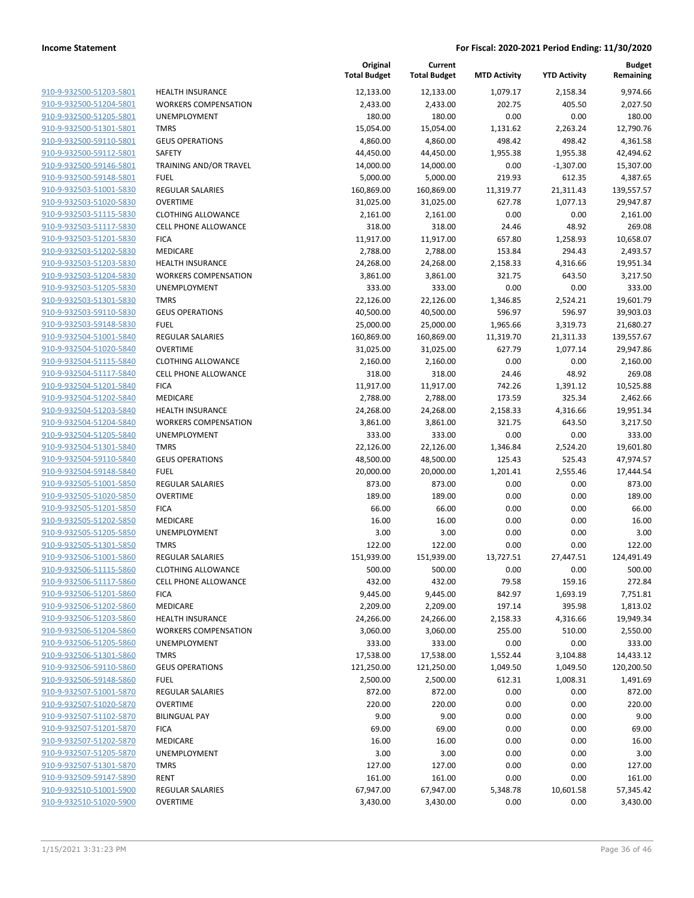|                                                    |                                | Original<br><b>Total Budget</b> | Current<br><b>Total Budget</b> | <b>MTD Activity</b> | <b>YTD Activity</b> | <b>Budget</b><br>Remaining |
|----------------------------------------------------|--------------------------------|---------------------------------|--------------------------------|---------------------|---------------------|----------------------------|
| 910-9-932500-51203-5801                            | <b>HEALTH INSURANCE</b>        | 12,133.00                       | 12,133.00                      | 1,079.17            | 2,158.34            | 9,974.66                   |
| 910-9-932500-51204-5801                            | <b>WORKERS COMPENSATION</b>    | 2,433.00                        | 2,433.00                       | 202.75              | 405.50              | 2,027.50                   |
| 910-9-932500-51205-5801                            | <b>UNEMPLOYMENT</b>            | 180.00                          | 180.00                         | 0.00                | 0.00                | 180.00                     |
| 910-9-932500-51301-5801                            | <b>TMRS</b>                    | 15,054.00                       | 15,054.00                      | 1,131.62            | 2,263.24            | 12,790.76                  |
| 910-9-932500-59110-5801                            | <b>GEUS OPERATIONS</b>         | 4,860.00                        | 4,860.00                       | 498.42              | 498.42              | 4,361.58                   |
| 910-9-932500-59112-5801                            | SAFETY                         | 44,450.00                       | 44,450.00                      | 1,955.38            | 1,955.38            | 42,494.62                  |
| 910-9-932500-59146-5801                            | TRAINING AND/OR TRAVEL         | 14,000.00                       | 14,000.00                      | 0.00                | $-1,307.00$         | 15,307.00                  |
| 910-9-932500-59148-5801                            | <b>FUEL</b>                    | 5,000.00                        | 5,000.00                       | 219.93              | 612.35              | 4,387.65                   |
| 910-9-932503-51001-5830                            | <b>REGULAR SALARIES</b>        | 160,869.00                      | 160,869.00                     | 11,319.77           | 21,311.43           | 139,557.57                 |
| 910-9-932503-51020-5830                            | <b>OVERTIME</b>                | 31,025.00                       | 31,025.00                      | 627.78              | 1,077.13            | 29,947.87                  |
| 910-9-932503-51115-5830                            | <b>CLOTHING ALLOWANCE</b>      | 2,161.00                        | 2,161.00                       | 0.00                | 0.00                | 2,161.00                   |
| 910-9-932503-51117-5830                            | <b>CELL PHONE ALLOWANCE</b>    | 318.00                          | 318.00                         | 24.46               | 48.92               | 269.08                     |
| 910-9-932503-51201-5830                            | <b>FICA</b>                    | 11,917.00                       | 11,917.00                      | 657.80              | 1,258.93            | 10,658.07                  |
| 910-9-932503-51202-5830                            | MEDICARE                       | 2,788.00                        | 2,788.00                       | 153.84              | 294.43              | 2,493.57                   |
| 910-9-932503-51203-5830                            | <b>HEALTH INSURANCE</b>        | 24,268.00                       | 24,268.00                      | 2,158.33            | 4,316.66            | 19,951.34                  |
| 910-9-932503-51204-5830                            | <b>WORKERS COMPENSATION</b>    | 3,861.00                        | 3,861.00                       | 321.75              | 643.50              | 3,217.50                   |
| 910-9-932503-51205-5830                            | <b>UNEMPLOYMENT</b>            | 333.00                          | 333.00                         | 0.00                | 0.00                | 333.00                     |
| 910-9-932503-51301-5830                            | <b>TMRS</b>                    | 22,126.00                       | 22,126.00                      | 1,346.85            | 2,524.21            | 19,601.79                  |
| 910-9-932503-59110-5830                            | <b>GEUS OPERATIONS</b>         | 40,500.00                       | 40,500.00                      | 596.97              | 596.97              | 39,903.03                  |
| 910-9-932503-59148-5830                            | <b>FUEL</b>                    | 25,000.00                       | 25,000.00                      | 1,965.66            | 3,319.73            | 21,680.27                  |
| 910-9-932504-51001-5840                            | <b>REGULAR SALARIES</b>        | 160,869.00                      | 160,869.00                     | 11,319.70           | 21,311.33           | 139,557.67                 |
| 910-9-932504-51020-5840                            | <b>OVERTIME</b>                | 31,025.00                       | 31,025.00                      | 627.79              | 1,077.14            | 29,947.86                  |
| 910-9-932504-51115-5840                            | <b>CLOTHING ALLOWANCE</b>      | 2,160.00                        | 2,160.00                       | 0.00                | 0.00                | 2,160.00                   |
| 910-9-932504-51117-5840                            | <b>CELL PHONE ALLOWANCE</b>    | 318.00                          | 318.00                         | 24.46               | 48.92               | 269.08                     |
| 910-9-932504-51201-5840                            | <b>FICA</b><br><b>MEDICARE</b> | 11,917.00                       | 11,917.00                      | 742.26<br>173.59    | 1,391.12            | 10,525.88                  |
| 910-9-932504-51202-5840<br>910-9-932504-51203-5840 | <b>HEALTH INSURANCE</b>        | 2,788.00                        | 2,788.00                       |                     | 325.34              | 2,462.66                   |
| 910-9-932504-51204-5840                            | <b>WORKERS COMPENSATION</b>    | 24,268.00                       | 24,268.00                      | 2,158.33            | 4,316.66            | 19,951.34                  |
| 910-9-932504-51205-5840                            | <b>UNEMPLOYMENT</b>            | 3,861.00<br>333.00              | 3,861.00<br>333.00             | 321.75<br>0.00      | 643.50<br>0.00      | 3,217.50<br>333.00         |
| 910-9-932504-51301-5840                            | <b>TMRS</b>                    | 22,126.00                       | 22,126.00                      | 1,346.84            | 2,524.20            | 19,601.80                  |
| 910-9-932504-59110-5840                            | <b>GEUS OPERATIONS</b>         | 48,500.00                       | 48,500.00                      | 125.43              | 525.43              | 47,974.57                  |
| 910-9-932504-59148-5840                            | <b>FUEL</b>                    | 20,000.00                       | 20,000.00                      | 1,201.41            | 2,555.46            | 17,444.54                  |
| 910-9-932505-51001-5850                            | <b>REGULAR SALARIES</b>        | 873.00                          | 873.00                         | 0.00                | 0.00                | 873.00                     |
| 910-9-932505-51020-5850                            | <b>OVERTIME</b>                | 189.00                          | 189.00                         | 0.00                | 0.00                | 189.00                     |
| 910-9-932505-51201-5850                            | <b>FICA</b>                    | 66.00                           | 66.00                          | 0.00                | 0.00                | 66.00                      |
| 910-9-932505-51202-5850                            | MEDICARE                       | 16.00                           | 16.00                          | 0.00                | 0.00                | 16.00                      |
| 910-9-932505-51205-5850                            | <b>UNEMPLOYMENT</b>            | 3.00                            | 3.00                           | 0.00                | 0.00                | 3.00                       |
| 910-9-932505-51301-5850                            | <b>TMRS</b>                    | 122.00                          | 122.00                         | 0.00                | 0.00                | 122.00                     |
| 910-9-932506-51001-5860                            | <b>REGULAR SALARIES</b>        | 151,939.00                      | 151,939.00                     | 13,727.51           | 27,447.51           | 124,491.49                 |
| 910-9-932506-51115-5860                            | <b>CLOTHING ALLOWANCE</b>      | 500.00                          | 500.00                         | 0.00                | 0.00                | 500.00                     |
| 910-9-932506-51117-5860                            | <b>CELL PHONE ALLOWANCE</b>    | 432.00                          | 432.00                         | 79.58               | 159.16              | 272.84                     |
| 910-9-932506-51201-5860                            | <b>FICA</b>                    | 9,445.00                        | 9,445.00                       | 842.97              | 1,693.19            | 7,751.81                   |
| 910-9-932506-51202-5860                            | MEDICARE                       | 2,209.00                        | 2,209.00                       | 197.14              | 395.98              | 1,813.02                   |
| 910-9-932506-51203-5860                            | <b>HEALTH INSURANCE</b>        | 24,266.00                       | 24,266.00                      | 2,158.33            | 4,316.66            | 19,949.34                  |
| 910-9-932506-51204-5860                            | <b>WORKERS COMPENSATION</b>    | 3,060.00                        | 3,060.00                       | 255.00              | 510.00              | 2,550.00                   |
| 910-9-932506-51205-5860                            | UNEMPLOYMENT                   | 333.00                          | 333.00                         | 0.00                | 0.00                | 333.00                     |
| 910-9-932506-51301-5860                            | <b>TMRS</b>                    | 17,538.00                       | 17,538.00                      | 1,552.44            | 3,104.88            | 14,433.12                  |
| 910-9-932506-59110-5860                            | <b>GEUS OPERATIONS</b>         | 121,250.00                      | 121,250.00                     | 1,049.50            | 1,049.50            | 120,200.50                 |
| 910-9-932506-59148-5860                            | <b>FUEL</b>                    | 2,500.00                        | 2,500.00                       | 612.31              | 1,008.31            | 1,491.69                   |
| 910-9-932507-51001-5870                            | <b>REGULAR SALARIES</b>        | 872.00                          | 872.00                         | 0.00                | 0.00                | 872.00                     |
| 910-9-932507-51020-5870                            | <b>OVERTIME</b>                | 220.00                          | 220.00                         | 0.00                | 0.00                | 220.00                     |
| 910-9-932507-51102-5870                            | <b>BILINGUAL PAY</b>           | 9.00                            | 9.00                           | 0.00                | 0.00                | 9.00                       |
| 910-9-932507-51201-5870                            | <b>FICA</b>                    | 69.00                           | 69.00                          | 0.00                | 0.00                | 69.00                      |
| 910-9-932507-51202-5870                            | MEDICARE                       | 16.00                           | 16.00                          | 0.00                | 0.00                | 16.00                      |
| 910-9-932507-51205-5870                            | <b>UNEMPLOYMENT</b>            | 3.00                            | 3.00                           | 0.00                | 0.00                | 3.00                       |
| 910-9-932507-51301-5870                            | <b>TMRS</b>                    | 127.00                          | 127.00                         | 0.00                | 0.00                | 127.00                     |
| 910-9-932509-59147-5890                            | <b>RENT</b>                    | 161.00                          | 161.00                         | 0.00                | 0.00                | 161.00                     |
| 910-9-932510-51001-5900                            | <b>REGULAR SALARIES</b>        | 67,947.00                       | 67,947.00                      | 5,348.78            | 10,601.58           | 57,345.42                  |
| 910-9-932510-51020-5900                            | <b>OVERTIME</b>                | 3,430.00                        | 3,430.00                       | 0.00                | 0.00                | 3,430.00                   |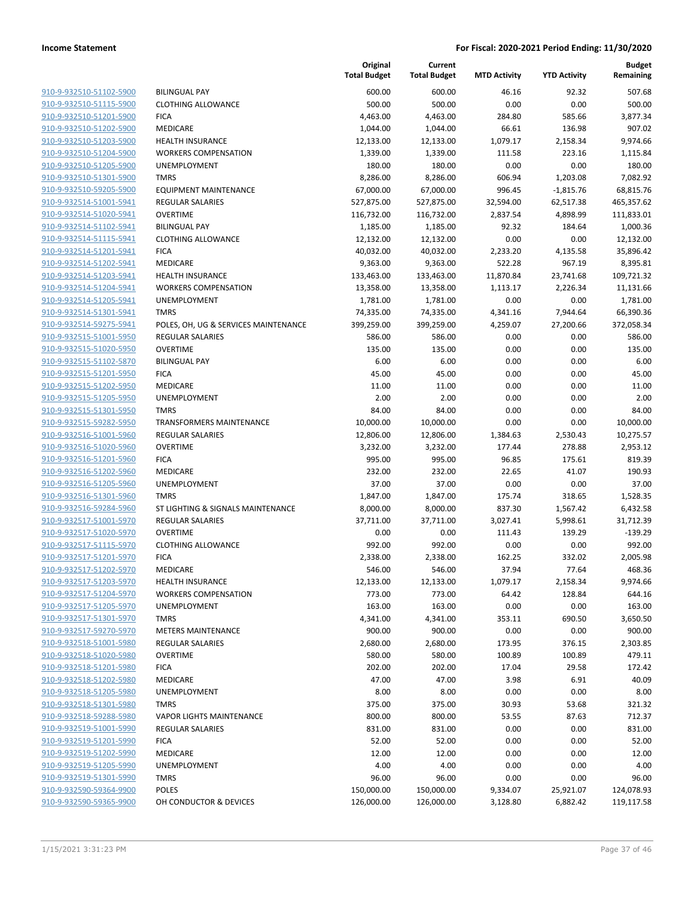| 910-9-932510-51102-5900                            |
|----------------------------------------------------|
| 910-9-932510-51115-5900                            |
| 910-9-932510-51201-5900                            |
| 910-9-932510-51202-5900                            |
| 910-9-932510-51203-5900                            |
| <u>910-9-932510-51204-5900</u>                     |
| 910-9-932510-51205-5900                            |
| 910-9-932510-51301-5900                            |
| 910-9-932510-59205-5900                            |
| 910-9-932514-51001-5941                            |
| <u>910-9-932514-51020-5941</u>                     |
| 910-9-932514-51102-5941                            |
| 910-9-932514-51115-5941                            |
| 910-9-932514-51201-5941                            |
| 910-9-932514-51202-5941                            |
| <u>910-9-932514-51203-5941</u>                     |
| 910-9-932514-51204-5941                            |
| 910-9-932514-51205-5941                            |
| 910-9-932514-51301-5941                            |
| 910-9-932514-59275-5941                            |
| 910-9-932515-51001-5950                            |
| 910-9-932515-51020-5950                            |
| 910-9-932515-51102-5870                            |
| 910-9-932515-51201-5950                            |
| <u>910-9-932515-51202-5950</u>                     |
| 910-9-932515-51205-5950                            |
| 910-9-932515-51301-5950                            |
| 910-9-932515-59282-5950                            |
| 910-9-932516-51001-5960                            |
| 910-9-932516-51020-5960                            |
| 910-9-932516-51201-5960                            |
|                                                    |
| 910-9-932516-51202-5960                            |
| 910-9-932516-51205-5960<br>910-9-932516-51301-5960 |
|                                                    |
| 910-9-932516-59284-5960                            |
| 910-9-932517-51001-5970                            |
| 910-9-932517-51020-5970                            |
| 910-9-932517-51115-5970                            |
| 910-9-932517-51201-5970                            |
| 910-9-932517-51202-5970                            |
| 910-9-932517-51203-5970                            |
| 910-9-932517-51204-5970                            |
| 910-9-932517-51205-5970                            |
| 910-9-932517-51301-5970                            |
| 910-9-932517-59270-5970                            |
| 910-9-932518-51001-5980                            |
| 910-9-932518-51020-5980                            |
| 910-9-932518-51201-5980                            |
| 910-9-932518-51202-5980                            |
| 910-9-932518-51205-5980                            |
| 910-9-932518-51301-5980                            |
| 910-9-932518-59288-5980                            |
| 910-9-932519-51001-5990                            |
| 910-9-932519-51201-5990                            |
| <u>910-9-932519-51202-5990</u>                     |
| 910-9-932519-51205-5990                            |
| 910-9-932519-51301-5990                            |
| 910-9-932590-59364-9900                            |
| 910-9-932590-59365-9900                            |
|                                                    |

|                         |                                      | Original<br><b>Total Budget</b> | Current<br><b>Total Budget</b> | <b>MTD Activity</b> | <b>YTD Activity</b> | <b>Budget</b><br>Remaining |
|-------------------------|--------------------------------------|---------------------------------|--------------------------------|---------------------|---------------------|----------------------------|
| 910-9-932510-51102-5900 | <b>BILINGUAL PAY</b>                 | 600.00                          | 600.00                         | 46.16               | 92.32               | 507.68                     |
| 910-9-932510-51115-5900 | <b>CLOTHING ALLOWANCE</b>            | 500.00                          | 500.00                         | 0.00                | 0.00                | 500.00                     |
| 910-9-932510-51201-5900 | <b>FICA</b>                          | 4,463.00                        | 4,463.00                       | 284.80              | 585.66              | 3,877.34                   |
| 910-9-932510-51202-5900 | <b>MEDICARE</b>                      | 1,044.00                        | 1,044.00                       | 66.61               | 136.98              | 907.02                     |
| 910-9-932510-51203-5900 | HEALTH INSURANCE                     | 12,133.00                       | 12,133.00                      | 1,079.17            | 2,158.34            | 9,974.66                   |
| 910-9-932510-51204-5900 | <b>WORKERS COMPENSATION</b>          | 1,339.00                        | 1,339.00                       | 111.58              | 223.16              | 1,115.84                   |
| 910-9-932510-51205-5900 | <b>UNEMPLOYMENT</b>                  | 180.00                          | 180.00                         | 0.00                | 0.00                | 180.00                     |
| 910-9-932510-51301-5900 | <b>TMRS</b>                          | 8,286.00                        | 8,286.00                       | 606.94              | 1,203.08            | 7,082.92                   |
| 910-9-932510-59205-5900 | <b>EQUIPMENT MAINTENANCE</b>         | 67,000.00                       | 67,000.00                      | 996.45              | $-1,815.76$         | 68,815.76                  |
| 910-9-932514-51001-5941 | <b>REGULAR SALARIES</b>              | 527,875.00                      | 527,875.00                     | 32,594.00           | 62,517.38           | 465,357.62                 |
| 910-9-932514-51020-5941 | <b>OVERTIME</b>                      | 116,732.00                      | 116,732.00                     | 2,837.54            | 4,898.99            | 111,833.01                 |
| 910-9-932514-51102-5941 | <b>BILINGUAL PAY</b>                 | 1,185.00                        | 1,185.00                       | 92.32               | 184.64              | 1,000.36                   |
| 910-9-932514-51115-5941 | <b>CLOTHING ALLOWANCE</b>            | 12,132.00                       | 12,132.00                      | 0.00                | 0.00                | 12,132.00                  |
| 910-9-932514-51201-5941 | <b>FICA</b>                          | 40,032.00                       | 40,032.00                      | 2,233.20            | 4,135.58            | 35,896.42                  |
| 910-9-932514-51202-5941 | MEDICARE                             | 9,363.00                        | 9,363.00                       | 522.28              | 967.19              | 8,395.81                   |
| 910-9-932514-51203-5941 | <b>HEALTH INSURANCE</b>              | 133,463.00                      | 133,463.00                     | 11,870.84           | 23,741.68           | 109,721.32                 |
| 910-9-932514-51204-5941 | <b>WORKERS COMPENSATION</b>          | 13,358.00                       | 13,358.00                      | 1,113.17            | 2,226.34            | 11,131.66                  |
| 910-9-932514-51205-5941 | <b>UNEMPLOYMENT</b>                  | 1,781.00                        | 1,781.00                       | 0.00                | 0.00                | 1,781.00                   |
| 910-9-932514-51301-5941 | <b>TMRS</b>                          | 74,335.00                       | 74,335.00                      | 4,341.16            | 7,944.64            | 66,390.36                  |
| 910-9-932514-59275-5941 | POLES, OH, UG & SERVICES MAINTENANCE | 399,259.00                      | 399,259.00                     | 4,259.07            | 27,200.66           | 372,058.34                 |
| 910-9-932515-51001-5950 | <b>REGULAR SALARIES</b>              | 586.00                          | 586.00                         | 0.00                | 0.00                | 586.00                     |
| 910-9-932515-51020-5950 | <b>OVERTIME</b>                      | 135.00                          | 135.00                         | 0.00                | 0.00                | 135.00                     |
| 910-9-932515-51102-5870 | <b>BILINGUAL PAY</b>                 | 6.00                            | 6.00                           | 0.00                | 0.00                | 6.00                       |
| 910-9-932515-51201-5950 | <b>FICA</b>                          | 45.00                           | 45.00                          | 0.00                | 0.00                | 45.00                      |
| 910-9-932515-51202-5950 | MEDICARE                             | 11.00                           | 11.00                          | 0.00                | 0.00                | 11.00                      |
| 910-9-932515-51205-5950 | <b>UNEMPLOYMENT</b>                  | 2.00                            | 2.00                           | 0.00                | 0.00                | 2.00                       |
| 910-9-932515-51301-5950 | <b>TMRS</b>                          | 84.00                           | 84.00                          | 0.00                | 0.00                | 84.00                      |
| 910-9-932515-59282-5950 | <b>TRANSFORMERS MAINTENANCE</b>      | 10,000.00                       | 10,000.00                      | 0.00                | 0.00                | 10,000.00                  |
| 910-9-932516-51001-5960 | <b>REGULAR SALARIES</b>              | 12,806.00                       | 12,806.00                      | 1,384.63            | 2,530.43            | 10,275.57                  |
| 910-9-932516-51020-5960 | <b>OVERTIME</b>                      | 3,232.00                        | 3,232.00                       | 177.44              | 278.88              | 2,953.12                   |
| 910-9-932516-51201-5960 | <b>FICA</b>                          | 995.00                          | 995.00                         | 96.85               | 175.61              | 819.39                     |
| 910-9-932516-51202-5960 | MEDICARE                             | 232.00                          | 232.00                         | 22.65               | 41.07               | 190.93                     |
| 910-9-932516-51205-5960 | <b>UNEMPLOYMENT</b>                  | 37.00                           | 37.00                          | 0.00                | 0.00                | 37.00                      |
| 910-9-932516-51301-5960 | <b>TMRS</b>                          | 1,847.00                        | 1,847.00                       | 175.74              | 318.65              | 1,528.35                   |
| 910-9-932516-59284-5960 | ST LIGHTING & SIGNALS MAINTENANCE    | 8,000.00                        | 8,000.00                       | 837.30              | 1,567.42            | 6,432.58                   |
| 910-9-932517-51001-5970 | <b>REGULAR SALARIES</b>              | 37,711.00                       | 37,711.00                      | 3,027.41            | 5,998.61            | 31,712.39                  |
| 910-9-932517-51020-5970 | <b>OVERTIME</b>                      | 0.00                            | 0.00                           | 111.43              | 139.29              | $-139.29$                  |
| 910-9-932517-51115-5970 | <b>CLOTHING ALLOWANCE</b>            | 992.00                          | 992.00                         | 0.00                | 0.00                | 992.00                     |
| 910-9-932517-51201-5970 | <b>FICA</b>                          | 2,338.00                        | 2,338.00                       | 162.25              | 332.02              | 2,005.98                   |
| 910-9-932517-51202-5970 | MEDICARE                             | 546.00                          | 546.00                         | 37.94               | 77.64               | 468.36                     |
| 910-9-932517-51203-5970 | <b>HEALTH INSURANCE</b>              | 12,133.00                       | 12,133.00                      | 1,079.17            | 2,158.34            | 9,974.66                   |
| 910-9-932517-51204-5970 | <b>WORKERS COMPENSATION</b>          | 773.00                          | 773.00                         | 64.42               | 128.84              | 644.16                     |
| 910-9-932517-51205-5970 | <b>UNEMPLOYMENT</b>                  | 163.00                          | 163.00                         | 0.00                | 0.00                | 163.00                     |
| 910-9-932517-51301-5970 | <b>TMRS</b>                          | 4,341.00                        | 4,341.00                       | 353.11              | 690.50              | 3,650.50                   |
| 910-9-932517-59270-5970 | <b>METERS MAINTENANCE</b>            | 900.00                          | 900.00                         | 0.00                | 0.00                | 900.00                     |
| 910-9-932518-51001-5980 | <b>REGULAR SALARIES</b>              | 2,680.00                        | 2,680.00                       | 173.95              | 376.15              | 2,303.85                   |
| 910-9-932518-51020-5980 | <b>OVERTIME</b>                      | 580.00                          | 580.00                         | 100.89              | 100.89              | 479.11                     |
| 910-9-932518-51201-5980 | <b>FICA</b>                          | 202.00                          | 202.00                         | 17.04               | 29.58               | 172.42                     |
| 910-9-932518-51202-5980 | <b>MEDICARE</b>                      | 47.00                           | 47.00                          | 3.98                | 6.91                | 40.09                      |
| 910-9-932518-51205-5980 | UNEMPLOYMENT                         | 8.00                            | 8.00                           | 0.00                | 0.00                | 8.00                       |
| 910-9-932518-51301-5980 | <b>TMRS</b>                          | 375.00                          | 375.00                         | 30.93               | 53.68               | 321.32                     |
| 910-9-932518-59288-5980 | <b>VAPOR LIGHTS MAINTENANCE</b>      | 800.00                          | 800.00                         | 53.55               | 87.63               | 712.37                     |
| 910-9-932519-51001-5990 | <b>REGULAR SALARIES</b>              | 831.00                          | 831.00                         | 0.00                | 0.00                | 831.00                     |
| 910-9-932519-51201-5990 | <b>FICA</b>                          | 52.00                           | 52.00                          | 0.00                | 0.00                | 52.00                      |
| 910-9-932519-51202-5990 | MEDICARE                             | 12.00                           | 12.00                          | 0.00                | 0.00                | 12.00                      |
| 910-9-932519-51205-5990 | <b>UNEMPLOYMENT</b>                  | 4.00                            | 4.00                           | 0.00                | 0.00                | 4.00                       |
| 910-9-932519-51301-5990 | <b>TMRS</b>                          | 96.00                           | 96.00                          | 0.00                | 0.00                | 96.00                      |
| 910-9-932590-59364-9900 | <b>POLES</b>                         | 150,000.00                      | 150,000.00                     | 9,334.07            | 25,921.07           | 124,078.93                 |
| 910-9-932590-59365-9900 | OH CONDUCTOR & DEVICES               | 126,000.00                      | 126,000.00                     | 3,128.80            | 6,882.42            | 119,117.58                 |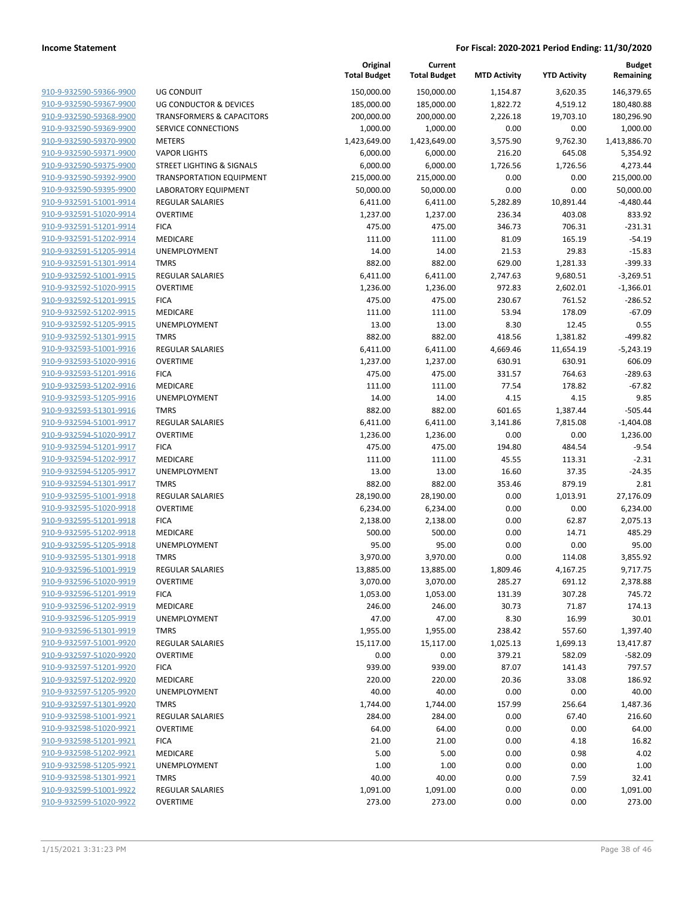|                         |                                      | Original<br><b>Total Budget</b> | Current<br><b>Total Budget</b> | <b>MTD Activity</b> | <b>YTD Activity</b> | <b>Budget</b><br>Remaining |
|-------------------------|--------------------------------------|---------------------------------|--------------------------------|---------------------|---------------------|----------------------------|
| 910-9-932590-59366-9900 | <b>UG CONDUIT</b>                    | 150,000.00                      | 150,000.00                     | 1,154.87            | 3,620.35            | 146,379.65                 |
| 910-9-932590-59367-9900 | <b>UG CONDUCTOR &amp; DEVICES</b>    | 185,000.00                      | 185,000.00                     | 1,822.72            | 4,519.12            | 180,480.88                 |
| 910-9-932590-59368-9900 | <b>TRANSFORMERS &amp; CAPACITORS</b> | 200,000.00                      | 200,000.00                     | 2,226.18            | 19,703.10           | 180,296.90                 |
| 910-9-932590-59369-9900 | SERVICE CONNECTIONS                  | 1,000.00                        | 1,000.00                       | 0.00                | 0.00                | 1,000.00                   |
| 910-9-932590-59370-9900 | <b>METERS</b>                        | 1,423,649.00                    | 1,423,649.00                   | 3,575.90            | 9,762.30            | 1,413,886.70               |
| 910-9-932590-59371-9900 | <b>VAPOR LIGHTS</b>                  | 6,000.00                        | 6,000.00                       | 216.20              | 645.08              | 5,354.92                   |
| 910-9-932590-59375-9900 | <b>STREET LIGHTING &amp; SIGNALS</b> | 6,000.00                        | 6,000.00                       | 1,726.56            | 1,726.56            | 4,273.44                   |
| 910-9-932590-59392-9900 | <b>TRANSPORTATION EQUIPMENT</b>      | 215,000.00                      | 215,000.00                     | 0.00                | 0.00                | 215,000.00                 |
| 910-9-932590-59395-9900 | <b>LABORATORY EQUIPMENT</b>          | 50,000.00                       | 50,000.00                      | 0.00                | 0.00                | 50,000.00                  |
| 910-9-932591-51001-9914 | <b>REGULAR SALARIES</b>              | 6,411.00                        | 6,411.00                       | 5,282.89            | 10,891.44           | $-4,480.44$                |
| 910-9-932591-51020-9914 | <b>OVERTIME</b>                      | 1,237.00                        | 1,237.00                       | 236.34              | 403.08              | 833.92                     |
| 910-9-932591-51201-9914 | <b>FICA</b>                          | 475.00                          | 475.00                         | 346.73              | 706.31              | $-231.31$                  |
| 910-9-932591-51202-9914 | MEDICARE                             | 111.00                          | 111.00                         | 81.09               | 165.19              | $-54.19$                   |
| 910-9-932591-51205-9914 | <b>UNEMPLOYMENT</b>                  | 14.00                           | 14.00                          | 21.53               | 29.83               | $-15.83$                   |
| 910-9-932591-51301-9914 | <b>TMRS</b>                          | 882.00                          | 882.00                         | 629.00              | 1,281.33            | $-399.33$                  |
| 910-9-932592-51001-9915 | REGULAR SALARIES                     | 6,411.00                        | 6,411.00                       | 2,747.63            | 9,680.51            | $-3,269.51$                |
| 910-9-932592-51020-9915 | <b>OVERTIME</b>                      | 1,236.00                        | 1,236.00                       | 972.83              | 2,602.01            | $-1,366.01$                |
| 910-9-932592-51201-9915 | <b>FICA</b>                          | 475.00                          | 475.00                         | 230.67              | 761.52              | $-286.52$                  |
| 910-9-932592-51202-9915 | MEDICARE                             | 111.00                          | 111.00                         | 53.94               | 178.09              | $-67.09$                   |
| 910-9-932592-51205-9915 | UNEMPLOYMENT                         | 13.00                           | 13.00                          | 8.30                | 12.45               | 0.55                       |
| 910-9-932592-51301-9915 | <b>TMRS</b>                          | 882.00                          | 882.00                         | 418.56              | 1,381.82            | $-499.82$                  |
| 910-9-932593-51001-9916 | REGULAR SALARIES                     | 6,411.00                        | 6,411.00                       | 4,669.46            | 11,654.19           | $-5,243.19$                |
| 910-9-932593-51020-9916 | <b>OVERTIME</b>                      | 1,237.00                        | 1,237.00                       | 630.91              | 630.91              | 606.09                     |
| 910-9-932593-51201-9916 | <b>FICA</b>                          | 475.00                          | 475.00                         | 331.57              | 764.63              | $-289.63$                  |
| 910-9-932593-51202-9916 | MEDICARE                             | 111.00                          | 111.00                         | 77.54               | 178.82              | $-67.82$                   |
| 910-9-932593-51205-9916 | <b>UNEMPLOYMENT</b>                  | 14.00                           | 14.00                          | 4.15                | 4.15                | 9.85                       |
| 910-9-932593-51301-9916 | <b>TMRS</b>                          | 882.00                          | 882.00                         | 601.65              | 1,387.44            | $-505.44$                  |
| 910-9-932594-51001-9917 | REGULAR SALARIES                     | 6,411.00                        | 6,411.00                       | 3,141.86            | 7,815.08            | $-1,404.08$                |
| 910-9-932594-51020-9917 | <b>OVERTIME</b>                      | 1,236.00                        | 1,236.00                       | 0.00                | 0.00                | 1,236.00                   |
| 910-9-932594-51201-9917 | <b>FICA</b>                          | 475.00                          | 475.00                         | 194.80              | 484.54              | $-9.54$                    |
| 910-9-932594-51202-9917 | MEDICARE                             | 111.00                          | 111.00                         | 45.55               | 113.31              | $-2.31$                    |
| 910-9-932594-51205-9917 | UNEMPLOYMENT                         | 13.00                           | 13.00                          | 16.60               | 37.35               | $-24.35$                   |
| 910-9-932594-51301-9917 | <b>TMRS</b>                          | 882.00                          | 882.00                         | 353.46              | 879.19              | 2.81                       |
| 910-9-932595-51001-9918 | <b>REGULAR SALARIES</b>              | 28,190.00                       | 28,190.00                      | 0.00                | 1,013.91            | 27,176.09                  |
| 910-9-932595-51020-9918 | <b>OVERTIME</b>                      | 6,234.00                        | 6,234.00                       | 0.00                | 0.00                | 6,234.00                   |
| 910-9-932595-51201-9918 | <b>FICA</b>                          | 2,138.00                        | 2,138.00                       | 0.00                | 62.87               | 2,075.13                   |
| 910-9-932595-51202-9918 | MEDICARE                             | 500.00                          | 500.00                         | 0.00                | 14.71               | 485.29                     |
| 910-9-932595-51205-9918 | <b>UNEMPLOYMENT</b>                  | 95.00                           | 95.00                          | 0.00                | 0.00                | 95.00                      |
| 910-9-932595-51301-9918 | <b>TMRS</b>                          | 3,970.00                        | 3,970.00                       | 0.00                | 114.08              | 3,855.92                   |
| 910-9-932596-51001-9919 | <b>REGULAR SALARIES</b>              | 13,885.00                       | 13,885.00                      | 1,809.46            | 4,167.25            | 9,717.75                   |
| 910-9-932596-51020-9919 | <b>OVERTIME</b>                      | 3,070.00                        | 3,070.00                       | 285.27              | 691.12              | 2,378.88                   |
| 910-9-932596-51201-9919 | <b>FICA</b>                          | 1,053.00                        | 1,053.00                       | 131.39              | 307.28              | 745.72                     |
| 910-9-932596-51202-9919 | MEDICARE                             | 246.00                          | 246.00                         | 30.73               | 71.87               | 174.13                     |
| 910-9-932596-51205-9919 | <b>UNEMPLOYMENT</b>                  | 47.00                           | 47.00                          | 8.30                | 16.99               | 30.01                      |
| 910-9-932596-51301-9919 | TMRS                                 | 1,955.00                        | 1,955.00                       | 238.42              | 557.60              | 1,397.40                   |
| 910-9-932597-51001-9920 | <b>REGULAR SALARIES</b>              | 15,117.00                       | 15,117.00                      | 1,025.13            | 1,699.13            | 13,417.87                  |
| 910-9-932597-51020-9920 | <b>OVERTIME</b>                      | 0.00                            | 0.00                           | 379.21              | 582.09              | $-582.09$                  |
| 910-9-932597-51201-9920 | <b>FICA</b>                          | 939.00                          | 939.00                         | 87.07               | 141.43              | 797.57                     |
| 910-9-932597-51202-9920 | MEDICARE                             | 220.00                          | 220.00                         | 20.36               | 33.08               | 186.92                     |
| 910-9-932597-51205-9920 | <b>UNEMPLOYMENT</b>                  | 40.00                           | 40.00                          | 0.00                | 0.00                | 40.00                      |
| 910-9-932597-51301-9920 | TMRS                                 | 1,744.00                        | 1,744.00                       | 157.99              | 256.64              | 1,487.36                   |
| 910-9-932598-51001-9921 | <b>REGULAR SALARIES</b>              | 284.00                          | 284.00                         | 0.00                | 67.40               | 216.60                     |
| 910-9-932598-51020-9921 | <b>OVERTIME</b>                      | 64.00                           | 64.00                          | 0.00                | 0.00                | 64.00                      |
| 910-9-932598-51201-9921 | <b>FICA</b>                          | 21.00                           | 21.00                          | 0.00                | 4.18                | 16.82                      |
| 910-9-932598-51202-9921 | MEDICARE                             | 5.00                            | 5.00                           | 0.00                | 0.98                | 4.02                       |
| 910-9-932598-51205-9921 | UNEMPLOYMENT                         | 1.00                            | 1.00                           | 0.00                | 0.00                | 1.00                       |
| 910-9-932598-51301-9921 | <b>TMRS</b>                          | 40.00                           | 40.00                          | 0.00                | 7.59                | 32.41                      |
| 910-9-932599-51001-9922 | <b>REGULAR SALARIES</b>              | 1,091.00                        | 1,091.00                       | 0.00                | 0.00                | 1,091.00                   |
| 910-9-932599-51020-9922 | <b>OVERTIME</b>                      | 273.00                          | 273.00                         | 0.00                | 0.00                | 273.00                     |
|                         |                                      |                                 |                                |                     |                     |                            |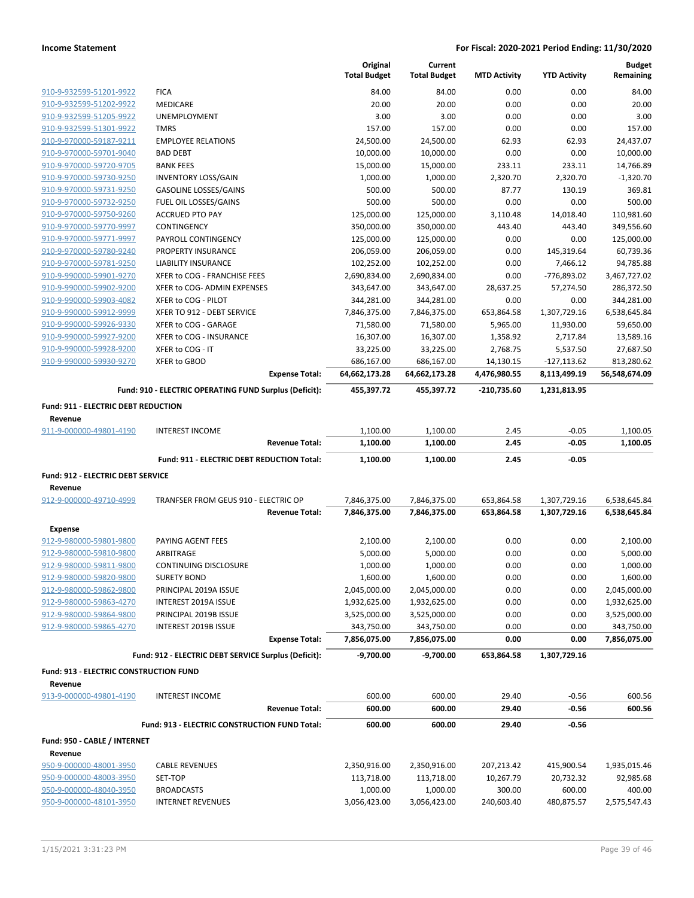|                                                    |                                                             | Original<br><b>Total Budget</b> | Current<br><b>Total Budget</b> | <b>MTD Activity</b> | <b>YTD Activity</b>      | <b>Budget</b><br>Remaining |
|----------------------------------------------------|-------------------------------------------------------------|---------------------------------|--------------------------------|---------------------|--------------------------|----------------------------|
| 910-9-932599-51201-9922                            | <b>FICA</b>                                                 | 84.00                           | 84.00                          | 0.00                | 0.00                     | 84.00                      |
| 910-9-932599-51202-9922                            | <b>MEDICARE</b>                                             | 20.00                           | 20.00                          | 0.00                | 0.00                     | 20.00                      |
| 910-9-932599-51205-9922                            | <b>UNEMPLOYMENT</b>                                         | 3.00                            | 3.00                           | 0.00                | 0.00                     | 3.00                       |
| 910-9-932599-51301-9922                            | <b>TMRS</b>                                                 | 157.00                          | 157.00                         | 0.00                | 0.00                     | 157.00                     |
| 910-9-970000-59187-9211                            | <b>EMPLOYEE RELATIONS</b>                                   | 24,500.00                       | 24,500.00                      | 62.93               | 62.93                    | 24,437.07                  |
| 910-9-970000-59701-9040                            | <b>BAD DEBT</b>                                             | 10,000.00                       | 10,000.00                      | 0.00                | 0.00                     | 10,000.00                  |
| 910-9-970000-59720-9705                            | <b>BANK FEES</b>                                            | 15,000.00                       | 15,000.00                      | 233.11              | 233.11                   | 14,766.89                  |
| 910-9-970000-59730-9250                            | <b>INVENTORY LOSS/GAIN</b>                                  | 1,000.00                        | 1,000.00                       | 2,320.70            | 2,320.70                 | $-1,320.70$                |
| 910-9-970000-59731-9250                            | <b>GASOLINE LOSSES/GAINS</b>                                | 500.00                          | 500.00                         | 87.77               | 130.19                   | 369.81                     |
| 910-9-970000-59732-9250                            | FUEL OIL LOSSES/GAINS                                       | 500.00                          | 500.00                         | 0.00                | 0.00                     | 500.00                     |
| 910-9-970000-59750-9260                            | <b>ACCRUED PTO PAY</b>                                      | 125,000.00                      | 125,000.00                     | 3,110.48            | 14,018.40                | 110,981.60                 |
| 910-9-970000-59770-9997                            | CONTINGENCY                                                 | 350,000.00                      | 350,000.00                     | 443.40              | 443.40                   | 349,556.60                 |
| 910-9-970000-59771-9997                            | PAYROLL CONTINGENCY                                         | 125,000.00                      | 125,000.00                     | 0.00                | 0.00                     | 125,000.00                 |
| 910-9-970000-59780-9240                            | PROPERTY INSURANCE                                          | 206,059.00                      | 206,059.00                     | 0.00                | 145,319.64               | 60,739.36                  |
| 910-9-970000-59781-9250                            | <b>LIABILITY INSURANCE</b>                                  | 102,252.00                      | 102,252.00                     | 0.00                | 7,466.12                 | 94,785.88                  |
| 910-9-990000-59901-9270<br>910-9-990000-59902-9200 | XFER to COG - FRANCHISE FEES<br>XFER to COG- ADMIN EXPENSES | 2,690,834.00<br>343,647.00      | 2,690,834.00<br>343,647.00     | 0.00<br>28,637.25   | -776,893.02<br>57,274.50 | 3,467,727.02<br>286,372.50 |
| 910-9-990000-59903-4082                            | XFER to COG - PILOT                                         | 344,281.00                      | 344,281.00                     | 0.00                | 0.00                     | 344,281.00                 |
| 910-9-990000-59912-9999                            | XFER TO 912 - DEBT SERVICE                                  | 7,846,375.00                    | 7,846,375.00                   | 653,864.58          | 1,307,729.16             | 6,538,645.84               |
| 910-9-990000-59926-9330                            | XFER to COG - GARAGE                                        | 71,580.00                       | 71,580.00                      | 5,965.00            | 11,930.00                | 59,650.00                  |
| 910-9-990000-59927-9200                            | XFER to COG - INSURANCE                                     | 16,307.00                       | 16,307.00                      | 1,358.92            | 2,717.84                 | 13,589.16                  |
| 910-9-990000-59928-9200                            | XFER to COG - IT                                            | 33,225.00                       | 33,225.00                      | 2,768.75            | 5,537.50                 | 27,687.50                  |
| 910-9-990000-59930-9270                            | XFER to GBOD                                                | 686,167.00                      | 686,167.00                     | 14,130.15           | $-127,113.62$            | 813,280.62                 |
|                                                    | <b>Expense Total:</b>                                       | 64,662,173.28                   | 64,662,173.28                  | 4,476,980.55        | 8,113,499.19             | 56,548,674.09              |
|                                                    | Fund: 910 - ELECTRIC OPERATING FUND Surplus (Deficit):      | 455,397.72                      | 455,397.72                     | -210,735.60         | 1,231,813.95             |                            |
| Fund: 911 - ELECTRIC DEBT REDUCTION                |                                                             |                                 |                                |                     |                          |                            |
| Revenue                                            |                                                             |                                 |                                |                     |                          |                            |
| 911-9-000000-49801-4190                            | <b>INTEREST INCOME</b>                                      | 1,100.00                        | 1,100.00                       | 2.45                | $-0.05$                  | 1,100.05                   |
|                                                    | <b>Revenue Total:</b>                                       | 1,100.00                        | 1,100.00                       | 2.45                | $-0.05$                  | 1,100.05                   |
|                                                    | Fund: 911 - ELECTRIC DEBT REDUCTION Total:                  | 1,100.00                        | 1,100.00                       | 2.45                | $-0.05$                  |                            |
|                                                    |                                                             |                                 |                                |                     |                          |                            |
| Fund: 912 - ELECTRIC DEBT SERVICE<br>Revenue       |                                                             |                                 |                                |                     |                          |                            |
| 912-9-000000-49710-4999                            | TRANFSER FROM GEUS 910 - ELECTRIC OP                        | 7,846,375.00                    | 7,846,375.00                   | 653,864.58          | 1,307,729.16             | 6,538,645.84               |
|                                                    | <b>Revenue Total:</b>                                       | 7,846,375.00                    | 7,846,375.00                   | 653,864.58          | 1,307,729.16             | 6,538,645.84               |
| <b>Expense</b>                                     |                                                             |                                 |                                |                     |                          |                            |
| 912-9-980000-59801-9800                            | PAYING AGENT FEES                                           | 2,100.00                        | 2,100.00                       | 0.00                | 0.00                     | 2,100.00                   |
| 912-9-980000-59810-9800                            | ARBITRAGE                                                   | 5,000.00                        | 5,000.00                       | 0.00                | 0.00                     | 5,000.00                   |
| 912-9-980000-59811-9800                            | CONTINUING DISCLOSURE                                       | 1,000.00                        | 1,000.00                       | 0.00                | 0.00                     | 1,000.00                   |
| 912-9-980000-59820-9800                            | <b>SURETY BOND</b>                                          | 1,600.00                        | 1,600.00                       | 0.00                | 0.00                     | 1,600.00                   |
| 912-9-980000-59862-9800                            | PRINCIPAL 2019A ISSUE                                       | 2,045,000.00                    | 2,045,000.00                   | 0.00                | 0.00                     | 2,045,000.00               |
| 912-9-980000-59863-4270                            | INTEREST 2019A ISSUE                                        | 1,932,625.00                    | 1,932,625.00                   | 0.00                | 0.00                     | 1,932,625.00               |
| 912-9-980000-59864-9800                            | PRINCIPAL 2019B ISSUE                                       | 3,525,000.00                    | 3,525,000.00                   | 0.00                | 0.00                     | 3,525,000.00               |
| 912-9-980000-59865-4270                            | INTEREST 2019B ISSUE                                        | 343,750.00                      | 343,750.00                     | 0.00                | 0.00                     | 343,750.00                 |
|                                                    | <b>Expense Total:</b>                                       | 7,856,075.00                    | 7,856,075.00                   | 0.00                | 0.00                     | 7,856,075.00               |
|                                                    | Fund: 912 - ELECTRIC DEBT SERVICE Surplus (Deficit):        | $-9,700.00$                     | $-9,700.00$                    | 653,864.58          | 1,307,729.16             |                            |
| Fund: 913 - ELECTRIC CONSTRUCTION FUND             |                                                             |                                 |                                |                     |                          |                            |
| Revenue                                            |                                                             |                                 |                                |                     |                          |                            |
| 913-9-000000-49801-4190                            | <b>INTEREST INCOME</b>                                      | 600.00                          | 600.00                         | 29.40               | $-0.56$                  | 600.56                     |
|                                                    | <b>Revenue Total:</b>                                       | 600.00                          | 600.00                         | 29.40               | $-0.56$                  | 600.56                     |
|                                                    | Fund: 913 - ELECTRIC CONSTRUCTION FUND Total:               | 600.00                          | 600.00                         | 29.40               | $-0.56$                  |                            |
| Fund: 950 - CABLE / INTERNET<br>Revenue            |                                                             |                                 |                                |                     |                          |                            |
| 950-9-000000-48001-3950                            | <b>CABLE REVENUES</b>                                       | 2,350,916.00                    | 2,350,916.00                   | 207,213.42          | 415,900.54               | 1,935,015.46               |
| 950-9-000000-48003-3950                            | SET-TOP                                                     | 113,718.00                      | 113,718.00                     | 10,267.79           | 20,732.32                | 92,985.68                  |
| 950-9-000000-48040-3950                            | <b>BROADCASTS</b>                                           | 1,000.00                        | 1,000.00                       | 300.00              | 600.00                   | 400.00                     |
| 950-9-000000-48101-3950                            | <b>INTERNET REVENUES</b>                                    | 3,056,423.00                    | 3,056,423.00                   | 240,603.40          | 480,875.57               | 2,575,547.43               |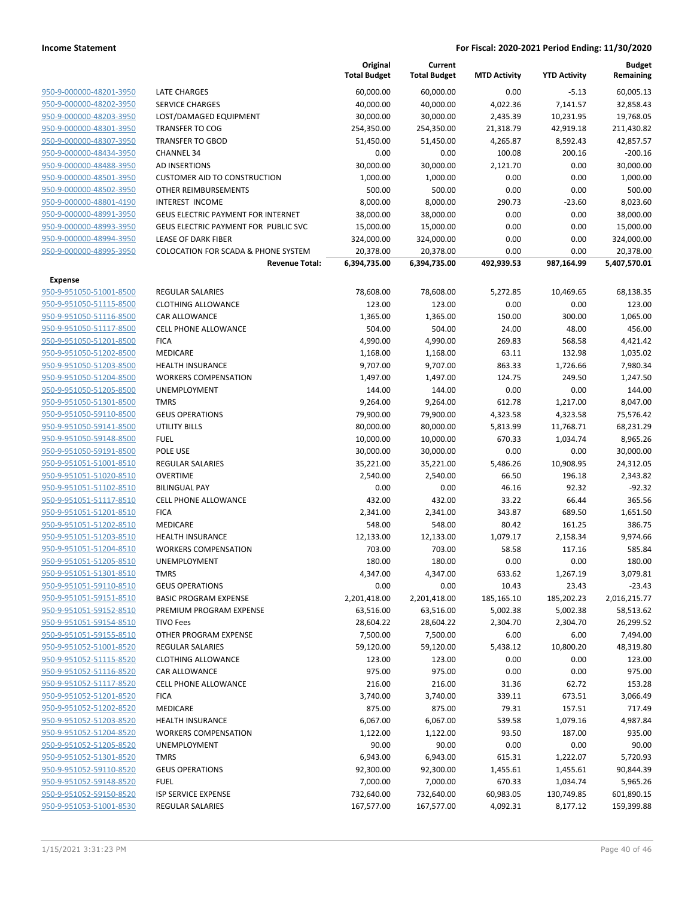|                                                    |                                                | Original<br><b>Total Budget</b> | Current<br><b>Total Budget</b> | <b>MTD Activity</b> | <b>YTD Activity</b> | <b>Budget</b><br>Remaining |
|----------------------------------------------------|------------------------------------------------|---------------------------------|--------------------------------|---------------------|---------------------|----------------------------|
| 950-9-000000-48201-3950                            | <b>LATE CHARGES</b>                            | 60,000.00                       | 60,000.00                      | 0.00                | $-5.13$             | 60,005.13                  |
| 950-9-000000-48202-3950                            | <b>SERVICE CHARGES</b>                         | 40,000.00                       | 40,000.00                      | 4,022.36            | 7,141.57            | 32,858.43                  |
| 950-9-000000-48203-3950                            | LOST/DAMAGED EQUIPMENT                         | 30,000.00                       | 30,000.00                      | 2,435.39            | 10,231.95           | 19,768.05                  |
| 950-9-000000-48301-3950                            | <b>TRANSFER TO COG</b>                         | 254,350.00                      | 254,350.00                     | 21,318.79           | 42,919.18           | 211,430.82                 |
| 950-9-000000-48307-3950                            | <b>TRANSFER TO GBOD</b>                        | 51,450.00                       | 51,450.00                      | 4,265.87            | 8,592.43            | 42,857.57                  |
| 950-9-000000-48434-3950                            | <b>CHANNEL 34</b>                              | 0.00                            | 0.00                           | 100.08              | 200.16              | $-200.16$                  |
| 950-9-000000-48488-3950                            | AD INSERTIONS                                  | 30,000.00                       | 30,000.00                      | 2,121.70            | 0.00                | 30,000.00                  |
| 950-9-000000-48501-3950                            | <b>CUSTOMER AID TO CONSTRUCTION</b>            | 1,000.00                        | 1,000.00                       | 0.00                | 0.00                | 1,000.00                   |
| 950-9-000000-48502-3950                            | <b>OTHER REIMBURSEMENTS</b>                    | 500.00                          | 500.00                         | 0.00                | 0.00                | 500.00                     |
| 950-9-000000-48801-4190                            | <b>INTEREST INCOME</b>                         | 8,000.00                        | 8,000.00                       | 290.73              | $-23.60$            | 8,023.60                   |
| 950-9-000000-48991-3950                            | GEUS ELECTRIC PAYMENT FOR INTERNET             | 38,000.00                       | 38,000.00                      | 0.00                | 0.00                | 38,000.00                  |
| 950-9-000000-48993-3950                            | GEUS ELECTRIC PAYMENT FOR PUBLIC SVC           | 15,000.00                       | 15,000.00                      | 0.00                | 0.00                | 15,000.00                  |
| 950-9-000000-48994-3950                            | <b>LEASE OF DARK FIBER</b>                     | 324,000.00                      | 324,000.00                     | 0.00                | 0.00                | 324,000.00                 |
| 950-9-000000-48995-3950                            | <b>COLOCATION FOR SCADA &amp; PHONE SYSTEM</b> | 20,378.00                       | 20,378.00                      | 0.00                | 0.00                | 20,378.00                  |
|                                                    | <b>Revenue Total:</b>                          | 6,394,735.00                    | 6,394,735.00                   | 492,939.53          | 987,164.99          | 5,407,570.01               |
| <b>Expense</b>                                     |                                                |                                 |                                |                     |                     |                            |
| 950-9-951050-51001-8500                            | <b>REGULAR SALARIES</b>                        | 78,608.00                       | 78,608.00                      | 5,272.85            | 10,469.65           | 68,138.35                  |
| 950-9-951050-51115-8500                            | <b>CLOTHING ALLOWANCE</b>                      | 123.00                          | 123.00                         | 0.00                | 0.00                | 123.00                     |
| 950-9-951050-51116-8500                            | CAR ALLOWANCE                                  | 1,365.00                        | 1,365.00                       | 150.00              | 300.00              | 1,065.00                   |
| 950-9-951050-51117-8500                            | <b>CELL PHONE ALLOWANCE</b>                    | 504.00                          | 504.00                         | 24.00               | 48.00               | 456.00                     |
| 950-9-951050-51201-8500                            | <b>FICA</b>                                    | 4,990.00                        | 4,990.00                       | 269.83              | 568.58              | 4,421.42                   |
| 950-9-951050-51202-8500                            | MEDICARE<br><b>HEALTH INSURANCE</b>            | 1,168.00                        | 1,168.00                       | 63.11               | 132.98              | 1,035.02<br>7,980.34       |
| 950-9-951050-51203-8500<br>950-9-951050-51204-8500 | <b>WORKERS COMPENSATION</b>                    | 9,707.00                        | 9,707.00                       | 863.33<br>124.75    | 1,726.66<br>249.50  |                            |
|                                                    | <b>UNEMPLOYMENT</b>                            | 1,497.00                        | 1,497.00                       | 0.00                | 0.00                | 1,247.50<br>144.00         |
| 950-9-951050-51205-8500<br>950-9-951050-51301-8500 | <b>TMRS</b>                                    | 144.00<br>9,264.00              | 144.00<br>9,264.00             | 612.78              | 1,217.00            | 8,047.00                   |
| 950-9-951050-59110-8500                            | <b>GEUS OPERATIONS</b>                         | 79,900.00                       | 79,900.00                      | 4,323.58            | 4,323.58            | 75,576.42                  |
| 950-9-951050-59141-8500                            | <b>UTILITY BILLS</b>                           | 80,000.00                       | 80,000.00                      | 5,813.99            | 11,768.71           | 68,231.29                  |
| 950-9-951050-59148-8500                            | <b>FUEL</b>                                    | 10,000.00                       | 10,000.00                      | 670.33              | 1,034.74            | 8,965.26                   |
| 950-9-951050-59191-8500                            | POLE USE                                       | 30,000.00                       | 30,000.00                      | 0.00                | 0.00                | 30,000.00                  |
| 950-9-951051-51001-8510                            | REGULAR SALARIES                               | 35,221.00                       | 35,221.00                      | 5,486.26            | 10,908.95           | 24,312.05                  |
| 950-9-951051-51020-8510                            | <b>OVERTIME</b>                                | 2,540.00                        | 2,540.00                       | 66.50               | 196.18              | 2,343.82                   |
| 950-9-951051-51102-8510                            | <b>BILINGUAL PAY</b>                           | 0.00                            | 0.00                           | 46.16               | 92.32               | $-92.32$                   |
| 950-9-951051-51117-8510                            | <b>CELL PHONE ALLOWANCE</b>                    | 432.00                          | 432.00                         | 33.22               | 66.44               | 365.56                     |
| 950-9-951051-51201-8510                            | <b>FICA</b>                                    | 2,341.00                        | 2,341.00                       | 343.87              | 689.50              | 1,651.50                   |
| 950-9-951051-51202-8510                            | MEDICARE                                       | 548.00                          | 548.00                         | 80.42               | 161.25              | 386.75                     |
| 950-9-951051-51203-8510                            | <b>HEALTH INSURANCE</b>                        | 12,133.00                       | 12,133.00                      | 1,079.17            | 2,158.34            | 9,974.66                   |
| 950-9-951051-51204-8510                            | <b>WORKERS COMPENSATION</b>                    | 703.00                          | 703.00                         | 58.58               | 117.16              | 585.84                     |
| 950-9-951051-51205-8510                            | UNEMPLOYMENT                                   | 180.00                          | 180.00                         | 0.00                | 0.00                | 180.00                     |
| 950-9-951051-51301-8510                            | <b>TMRS</b>                                    | 4,347.00                        | 4,347.00                       | 633.62              | 1,267.19            | 3,079.81                   |
| 950-9-951051-59110-8510                            | <b>GEUS OPERATIONS</b>                         | 0.00                            | 0.00                           | 10.43               | 23.43               | $-23.43$                   |
| 950-9-951051-59151-8510                            | <b>BASIC PROGRAM EXPENSE</b>                   | 2,201,418.00                    | 2,201,418.00                   | 185,165.10          | 185,202.23          | 2,016,215.77               |
| 950-9-951051-59152-8510                            | PREMIUM PROGRAM EXPENSE                        | 63,516.00                       | 63,516.00                      | 5,002.38            | 5,002.38            | 58,513.62                  |
| 950-9-951051-59154-8510                            | <b>TIVO Fees</b>                               | 28,604.22                       | 28,604.22                      | 2,304.70            | 2,304.70            | 26,299.52                  |
| 950-9-951051-59155-8510                            | OTHER PROGRAM EXPENSE                          | 7,500.00                        | 7,500.00                       | 6.00                | 6.00                | 7,494.00                   |
| 950-9-951052-51001-8520                            | REGULAR SALARIES                               | 59,120.00                       | 59,120.00                      | 5,438.12            | 10,800.20           | 48,319.80                  |
| 950-9-951052-51115-8520                            | <b>CLOTHING ALLOWANCE</b>                      | 123.00                          | 123.00                         | 0.00                | 0.00                | 123.00                     |
| 950-9-951052-51116-8520                            | CAR ALLOWANCE                                  | 975.00                          | 975.00                         | 0.00                | 0.00                | 975.00                     |
| 950-9-951052-51117-8520                            | <b>CELL PHONE ALLOWANCE</b>                    | 216.00                          | 216.00                         | 31.36               | 62.72               | 153.28                     |
| 950-9-951052-51201-8520                            | <b>FICA</b>                                    | 3,740.00                        | 3,740.00                       | 339.11              | 673.51              | 3,066.49                   |
| 950-9-951052-51202-8520                            | MEDICARE                                       | 875.00                          | 875.00                         | 79.31               | 157.51              | 717.49                     |
| 950-9-951052-51203-8520                            | <b>HEALTH INSURANCE</b>                        | 6,067.00                        | 6,067.00                       | 539.58              | 1,079.16            | 4,987.84                   |
| 950-9-951052-51204-8520                            | <b>WORKERS COMPENSATION</b>                    | 1,122.00                        | 1,122.00                       | 93.50               | 187.00              | 935.00                     |
| 950-9-951052-51205-8520                            | <b>UNEMPLOYMENT</b>                            | 90.00                           | 90.00                          | 0.00                | 0.00                | 90.00                      |
| 950-9-951052-51301-8520                            | <b>TMRS</b>                                    | 6,943.00                        | 6,943.00                       | 615.31              | 1,222.07            | 5,720.93                   |
| 950-9-951052-59110-8520                            | <b>GEUS OPERATIONS</b>                         | 92,300.00                       | 92,300.00                      | 1,455.61            | 1,455.61            | 90,844.39                  |
| 950-9-951052-59148-8520                            | <b>FUEL</b>                                    | 7,000.00                        | 7,000.00                       | 670.33              | 1,034.74            | 5,965.26                   |
| 950-9-951052-59150-8520                            | ISP SERVICE EXPENSE                            | 732,640.00                      | 732,640.00                     | 60,983.05           | 130,749.85          | 601,890.15                 |
| 950-9-951053-51001-8530                            | REGULAR SALARIES                               | 167,577.00                      | 167,577.00                     | 4,092.31            | 8,177.12            | 159,399.88                 |
|                                                    |                                                |                                 |                                |                     |                     |                            |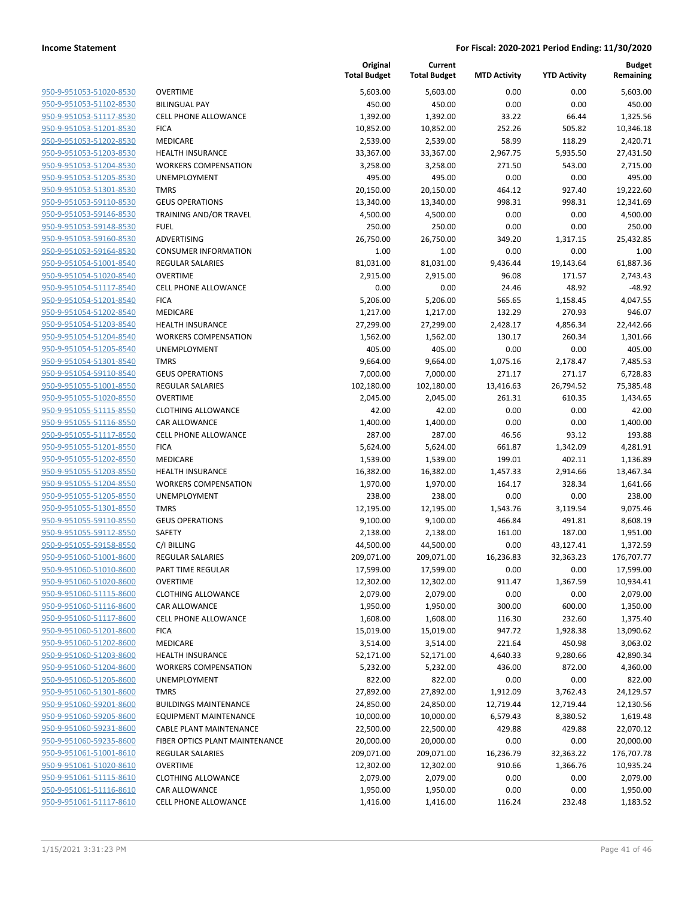**Current**

**Original**

|                                                    |                                 | Original<br><b>Total Budget</b> | Current<br><b>Total Budget</b> | <b>MTD Activity</b> | <b>YTD Activity</b>    | Budget<br>Remaining    |
|----------------------------------------------------|---------------------------------|---------------------------------|--------------------------------|---------------------|------------------------|------------------------|
| 950-9-951053-51020-8530                            | <b>OVERTIME</b>                 | 5,603.00                        | 5,603.00                       | 0.00                | 0.00                   | 5,603.00               |
| 950-9-951053-51102-8530                            | <b>BILINGUAL PAY</b>            | 450.00                          | 450.00                         | 0.00                | 0.00                   | 450.00                 |
| 950-9-951053-51117-8530                            | <b>CELL PHONE ALLOWANCE</b>     | 1,392.00                        | 1,392.00                       | 33.22               | 66.44                  | 1,325.56               |
| 950-9-951053-51201-8530                            | <b>FICA</b>                     | 10,852.00                       | 10,852.00                      | 252.26              | 505.82                 | 10,346.18              |
| 950-9-951053-51202-8530                            | MEDICARE                        | 2,539.00                        | 2,539.00                       | 58.99               | 118.29                 | 2,420.71               |
| 950-9-951053-51203-8530                            | <b>HEALTH INSURANCE</b>         | 33,367.00                       | 33,367.00                      | 2,967.75            | 5,935.50               | 27,431.50              |
| 950-9-951053-51204-8530                            | <b>WORKERS COMPENSATION</b>     | 3,258.00                        | 3,258.00                       | 271.50              | 543.00                 | 2,715.00               |
| 950-9-951053-51205-8530                            | UNEMPLOYMENT                    | 495.00                          | 495.00                         | 0.00                | 0.00                   | 495.00                 |
| 950-9-951053-51301-8530                            | <b>TMRS</b>                     | 20,150.00                       | 20,150.00                      | 464.12              | 927.40                 | 19,222.60              |
| 950-9-951053-59110-8530                            | <b>GEUS OPERATIONS</b>          | 13,340.00                       | 13,340.00                      | 998.31              | 998.31                 | 12,341.69              |
| 950-9-951053-59146-8530                            | TRAINING AND/OR TRAVEL          | 4,500.00                        | 4,500.00                       | 0.00                | 0.00                   | 4,500.00               |
| 950-9-951053-59148-8530                            | <b>FUEL</b>                     | 250.00                          | 250.00                         | 0.00                | 0.00                   | 250.00                 |
| 950-9-951053-59160-8530                            | ADVERTISING                     | 26,750.00                       | 26,750.00                      | 349.20              | 1,317.15               | 25,432.85              |
| 950-9-951053-59164-8530                            | <b>CONSUMER INFORMATION</b>     | 1.00                            | 1.00                           | 0.00                | 0.00                   | 1.00                   |
| 950-9-951054-51001-8540                            | <b>REGULAR SALARIES</b>         | 81,031.00                       | 81,031.00                      | 9,436.44            | 19,143.64              | 61,887.36              |
| 950-9-951054-51020-8540                            | <b>OVERTIME</b>                 | 2,915.00                        | 2,915.00                       | 96.08               | 171.57                 | 2,743.43               |
| 950-9-951054-51117-8540                            | <b>CELL PHONE ALLOWANCE</b>     | 0.00                            | 0.00                           | 24.46               | 48.92                  | $-48.92$               |
| 950-9-951054-51201-8540                            | <b>FICA</b>                     | 5,206.00                        | 5,206.00                       | 565.65              | 1,158.45               | 4,047.55               |
| 950-9-951054-51202-8540                            | <b>MEDICARE</b>                 | 1,217.00                        | 1,217.00                       | 132.29              | 270.93                 | 946.07                 |
| 950-9-951054-51203-8540                            | <b>HEALTH INSURANCE</b>         | 27,299.00                       | 27,299.00                      | 2,428.17            | 4,856.34               | 22,442.66              |
| 950-9-951054-51204-8540                            | <b>WORKERS COMPENSATION</b>     | 1,562.00                        | 1,562.00                       | 130.17              | 260.34                 | 1,301.66               |
| 950-9-951054-51205-8540                            | <b>UNEMPLOYMENT</b>             | 405.00                          | 405.00                         | 0.00                | 0.00                   | 405.00                 |
| 950-9-951054-51301-8540                            | <b>TMRS</b>                     | 9,664.00                        | 9,664.00                       | 1,075.16            | 2,178.47               | 7,485.53               |
| 950-9-951054-59110-8540                            | <b>GEUS OPERATIONS</b>          | 7,000.00                        | 7,000.00                       | 271.17              | 271.17                 | 6,728.83               |
| 950-9-951055-51001-8550                            | <b>REGULAR SALARIES</b>         | 102,180.00                      | 102,180.00                     | 13,416.63           | 26,794.52              | 75,385.48              |
| 950-9-951055-51020-8550                            | <b>OVERTIME</b>                 | 2,045.00                        | 2,045.00                       | 261.31              | 610.35                 | 1,434.65               |
| 950-9-951055-51115-8550                            | <b>CLOTHING ALLOWANCE</b>       | 42.00                           | 42.00                          | 0.00                | 0.00                   | 42.00                  |
| 950-9-951055-51116-8550                            | CAR ALLOWANCE                   | 1,400.00                        | 1,400.00                       | 0.00                | 0.00                   | 1,400.00               |
| 950-9-951055-51117-8550                            | <b>CELL PHONE ALLOWANCE</b>     | 287.00                          | 287.00                         | 46.56               | 93.12                  | 193.88                 |
| 950-9-951055-51201-8550                            | <b>FICA</b>                     | 5,624.00                        | 5,624.00                       | 661.87              | 1,342.09               | 4,281.91               |
| 950-9-951055-51202-8550                            | MEDICARE                        | 1,539.00                        | 1,539.00                       | 199.01              | 402.11                 | 1,136.89               |
| 950-9-951055-51203-8550                            | <b>HEALTH INSURANCE</b>         | 16,382.00                       | 16,382.00                      | 1,457.33            | 2,914.66               | 13,467.34              |
| 950-9-951055-51204-8550                            | <b>WORKERS COMPENSATION</b>     | 1,970.00                        | 1,970.00                       | 164.17              | 328.34                 | 1,641.66               |
| 950-9-951055-51205-8550                            | UNEMPLOYMENT                    | 238.00                          | 238.00                         | 0.00                | 0.00                   | 238.00                 |
| 950-9-951055-51301-8550                            | <b>TMRS</b>                     | 12,195.00                       | 12,195.00                      | 1,543.76            | 3,119.54               | 9,075.46               |
| 950-9-951055-59110-8550                            | <b>GEUS OPERATIONS</b>          | 9,100.00                        | 9,100.00                       | 466.84              | 491.81                 | 8,608.19               |
| 950-9-951055-59112-8550<br>950-9-951055-59158-8550 | SAFETY                          | 2,138.00                        | 2,138.00                       | 161.00              | 187.00                 | 1,951.00               |
| 950-9-951060-51001-8600                            | C/I BILLING<br>REGULAR SALARIES | 44,500.00<br>209,071.00         | 44,500.00<br>209,071.00        | 0.00<br>16,236.83   | 43,127.41<br>32,363.23 | 1,372.59<br>176,707.77 |
| 950-9-951060-51010-8600                            | PART TIME REGULAR               | 17,599.00                       | 17,599.00                      | 0.00                | 0.00                   | 17,599.00              |
| 950-9-951060-51020-8600                            | <b>OVERTIME</b>                 | 12,302.00                       | 12,302.00                      | 911.47              | 1,367.59               | 10,934.41              |
| 950-9-951060-51115-8600                            | <b>CLOTHING ALLOWANCE</b>       | 2,079.00                        | 2,079.00                       | 0.00                | 0.00                   | 2,079.00               |
| 950-9-951060-51116-8600                            | CAR ALLOWANCE                   | 1,950.00                        | 1,950.00                       | 300.00              | 600.00                 | 1,350.00               |
| 950-9-951060-51117-8600                            | CELL PHONE ALLOWANCE            | 1,608.00                        | 1,608.00                       | 116.30              | 232.60                 | 1,375.40               |
| 950-9-951060-51201-8600                            | <b>FICA</b>                     | 15,019.00                       | 15,019.00                      | 947.72              | 1,928.38               | 13,090.62              |
| 950-9-951060-51202-8600                            | MEDICARE                        | 3,514.00                        | 3,514.00                       | 221.64              | 450.98                 | 3,063.02               |
| 950-9-951060-51203-8600                            | <b>HEALTH INSURANCE</b>         | 52,171.00                       | 52,171.00                      | 4,640.33            | 9,280.66               | 42,890.34              |
| 950-9-951060-51204-8600                            | <b>WORKERS COMPENSATION</b>     | 5,232.00                        | 5,232.00                       | 436.00              | 872.00                 | 4,360.00               |
| 950-9-951060-51205-8600                            | UNEMPLOYMENT                    | 822.00                          | 822.00                         | 0.00                | 0.00                   | 822.00                 |
| 950-9-951060-51301-8600                            | <b>TMRS</b>                     | 27,892.00                       | 27,892.00                      | 1,912.09            | 3,762.43               | 24,129.57              |
| 950-9-951060-59201-8600                            | <b>BUILDINGS MAINTENANCE</b>    | 24,850.00                       | 24,850.00                      | 12,719.44           | 12,719.44              | 12,130.56              |
| 950-9-951060-59205-8600                            | <b>EQUIPMENT MAINTENANCE</b>    | 10,000.00                       | 10,000.00                      | 6,579.43            | 8,380.52               | 1,619.48               |
| 950-9-951060-59231-8600                            | <b>CABLE PLANT MAINTENANCE</b>  | 22,500.00                       | 22,500.00                      | 429.88              | 429.88                 | 22,070.12              |
| 950-9-951060-59235-8600                            | FIBER OPTICS PLANT MAINTENANCE  | 20,000.00                       | 20,000.00                      | 0.00                | 0.00                   | 20,000.00              |
| 950-9-951061-51001-8610                            | REGULAR SALARIES                | 209,071.00                      | 209,071.00                     | 16,236.79           | 32,363.22              | 176,707.78             |
| 950-9-951061-51020-8610                            | <b>OVERTIME</b>                 | 12,302.00                       | 12,302.00                      | 910.66              | 1,366.76               | 10,935.24              |
| 950-9-951061-51115-8610                            | <b>CLOTHING ALLOWANCE</b>       | 2,079.00                        | 2,079.00                       | 0.00                | 0.00                   | 2,079.00               |
| 950-9-951061-51116-8610                            | CAR ALLOWANCE                   | 1,950.00                        | 1,950.00                       | 0.00                | 0.00                   | 1,950.00               |
| 950-9-951061-51117-8610                            | CELL PHONE ALLOWANCE            | 1,416.00                        | 1,416.00                       | 116.24              | 232.48                 | 1,183.52               |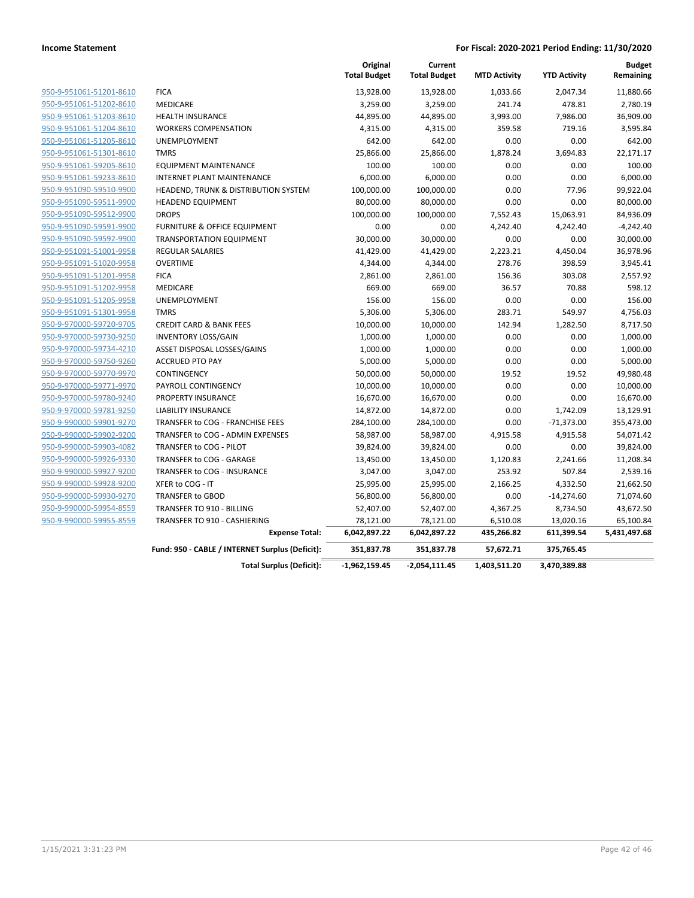|                         |                                                 | Original<br><b>Total Budget</b> | Current<br><b>Total Budget</b> | <b>MTD Activity</b> | <b>YTD Activity</b> | <b>Budget</b><br>Remaining |
|-------------------------|-------------------------------------------------|---------------------------------|--------------------------------|---------------------|---------------------|----------------------------|
| 950-9-951061-51201-8610 | <b>FICA</b>                                     | 13,928.00                       | 13,928.00                      | 1,033.66            | 2,047.34            | 11,880.66                  |
| 950-9-951061-51202-8610 | MEDICARE                                        | 3,259.00                        | 3,259.00                       | 241.74              | 478.81              | 2,780.19                   |
| 950-9-951061-51203-8610 | <b>HEALTH INSURANCE</b>                         | 44,895.00                       | 44,895.00                      | 3,993.00            | 7,986.00            | 36,909.00                  |
| 950-9-951061-51204-8610 | <b>WORKERS COMPENSATION</b>                     | 4,315.00                        | 4,315.00                       | 359.58              | 719.16              | 3,595.84                   |
| 950-9-951061-51205-8610 | <b>UNEMPLOYMENT</b>                             | 642.00                          | 642.00                         | 0.00                | 0.00                | 642.00                     |
| 950-9-951061-51301-8610 | <b>TMRS</b>                                     | 25,866.00                       | 25,866.00                      | 1,878.24            | 3,694.83            | 22,171.17                  |
| 950-9-951061-59205-8610 | <b>EQUIPMENT MAINTENANCE</b>                    | 100.00                          | 100.00                         | 0.00                | 0.00                | 100.00                     |
| 950-9-951061-59233-8610 | <b>INTERNET PLANT MAINTENANCE</b>               | 6,000.00                        | 6,000.00                       | 0.00                | 0.00                | 6,000.00                   |
| 950-9-951090-59510-9900 | HEADEND, TRUNK & DISTRIBUTION SYSTEM            | 100,000.00                      | 100,000.00                     | 0.00                | 77.96               | 99,922.04                  |
| 950-9-951090-59511-9900 | <b>HEADEND EQUIPMENT</b>                        | 80,000.00                       | 80,000.00                      | 0.00                | 0.00                | 80,000.00                  |
| 950-9-951090-59512-9900 | <b>DROPS</b>                                    | 100,000.00                      | 100,000.00                     | 7,552.43            | 15,063.91           | 84,936.09                  |
| 950-9-951090-59591-9900 | <b>FURNITURE &amp; OFFICE EQUIPMENT</b>         | 0.00                            | 0.00                           | 4,242.40            | 4,242.40            | $-4,242.40$                |
| 950-9-951090-59592-9900 | <b>TRANSPORTATION EQUIPMENT</b>                 | 30,000.00                       | 30,000.00                      | 0.00                | 0.00                | 30,000.00                  |
| 950-9-951091-51001-9958 | <b>REGULAR SALARIES</b>                         | 41,429.00                       | 41,429.00                      | 2,223.21            | 4,450.04            | 36,978.96                  |
| 950-9-951091-51020-9958 | <b>OVERTIME</b>                                 | 4,344.00                        | 4,344.00                       | 278.76              | 398.59              | 3,945.41                   |
| 950-9-951091-51201-9958 | <b>FICA</b>                                     | 2,861.00                        | 2,861.00                       | 156.36              | 303.08              | 2,557.92                   |
| 950-9-951091-51202-9958 | <b>MEDICARE</b>                                 | 669.00                          | 669.00                         | 36.57               | 70.88               | 598.12                     |
| 950-9-951091-51205-9958 | <b>UNEMPLOYMENT</b>                             | 156.00                          | 156.00                         | 0.00                | 0.00                | 156.00                     |
| 950-9-951091-51301-9958 | <b>TMRS</b>                                     | 5,306.00                        | 5,306.00                       | 283.71              | 549.97              | 4,756.03                   |
| 950-9-970000-59720-9705 | <b>CREDIT CARD &amp; BANK FEES</b>              | 10,000.00                       | 10,000.00                      | 142.94              | 1,282.50            | 8,717.50                   |
| 950-9-970000-59730-9250 | <b>INVENTORY LOSS/GAIN</b>                      | 1,000.00                        | 1,000.00                       | 0.00                | 0.00                | 1,000.00                   |
| 950-9-970000-59734-4210 | ASSET DISPOSAL LOSSES/GAINS                     | 1,000.00                        | 1,000.00                       | 0.00                | 0.00                | 1,000.00                   |
| 950-9-970000-59750-9260 | <b>ACCRUED PTO PAY</b>                          | 5,000.00                        | 5,000.00                       | 0.00                | 0.00                | 5,000.00                   |
| 950-9-970000-59770-9970 | <b>CONTINGENCY</b>                              | 50,000.00                       | 50,000.00                      | 19.52               | 19.52               | 49,980.48                  |
| 950-9-970000-59771-9970 | PAYROLL CONTINGENCY                             | 10,000.00                       | 10,000.00                      | 0.00                | 0.00                | 10,000.00                  |
| 950-9-970000-59780-9240 | PROPERTY INSURANCE                              | 16,670.00                       | 16,670.00                      | 0.00                | 0.00                | 16,670.00                  |
| 950-9-970000-59781-9250 | <b>LIABILITY INSURANCE</b>                      | 14,872.00                       | 14,872.00                      | 0.00                | 1,742.09            | 13,129.91                  |
| 950-9-990000-59901-9270 | TRANSFER to COG - FRANCHISE FEES                | 284,100.00                      | 284,100.00                     | 0.00                | $-71,373.00$        | 355,473.00                 |
| 950-9-990000-59902-9200 | TRANSFER to COG - ADMIN EXPENSES                | 58,987.00                       | 58,987.00                      | 4,915.58            | 4,915.58            | 54,071.42                  |
| 950-9-990000-59903-4082 | TRANSFER to COG - PILOT                         | 39,824.00                       | 39,824.00                      | 0.00                | 0.00                | 39,824.00                  |
| 950-9-990000-59926-9330 | TRANSFER to COG - GARAGE                        | 13,450.00                       | 13,450.00                      | 1,120.83            | 2,241.66            | 11,208.34                  |
| 950-9-990000-59927-9200 | TRANSFER to COG - INSURANCE                     | 3,047.00                        | 3,047.00                       | 253.92              | 507.84              | 2,539.16                   |
| 950-9-990000-59928-9200 | XFER to COG - IT                                | 25,995.00                       | 25,995.00                      | 2,166.25            | 4,332.50            | 21,662.50                  |
| 950-9-990000-59930-9270 | <b>TRANSFER to GBOD</b>                         | 56,800.00                       | 56,800.00                      | 0.00                | $-14,274.60$        | 71,074.60                  |
| 950-9-990000-59954-8559 | TRANSFER TO 910 - BILLING                       | 52,407.00                       | 52,407.00                      | 4,367.25            | 8,734.50            | 43,672.50                  |
| 950-9-990000-59955-8559 | TRANSFER TO 910 - CASHIERING                    | 78,121.00                       | 78,121.00                      | 6,510.08            | 13,020.16           | 65,100.84                  |
|                         | <b>Expense Total:</b>                           | 6,042,897.22                    | 6,042,897.22                   | 435,266.82          | 611,399.54          | 5,431,497.68               |
|                         | Fund: 950 - CABLE / INTERNET Surplus (Deficit): | 351,837.78                      | 351,837.78                     | 57,672.71           | 375,765.45          |                            |
|                         | <b>Total Surplus (Deficit):</b>                 | $-1,962,159.45$                 | $-2,054,111.45$                | 1,403,511.20        | 3,470,389.88        |                            |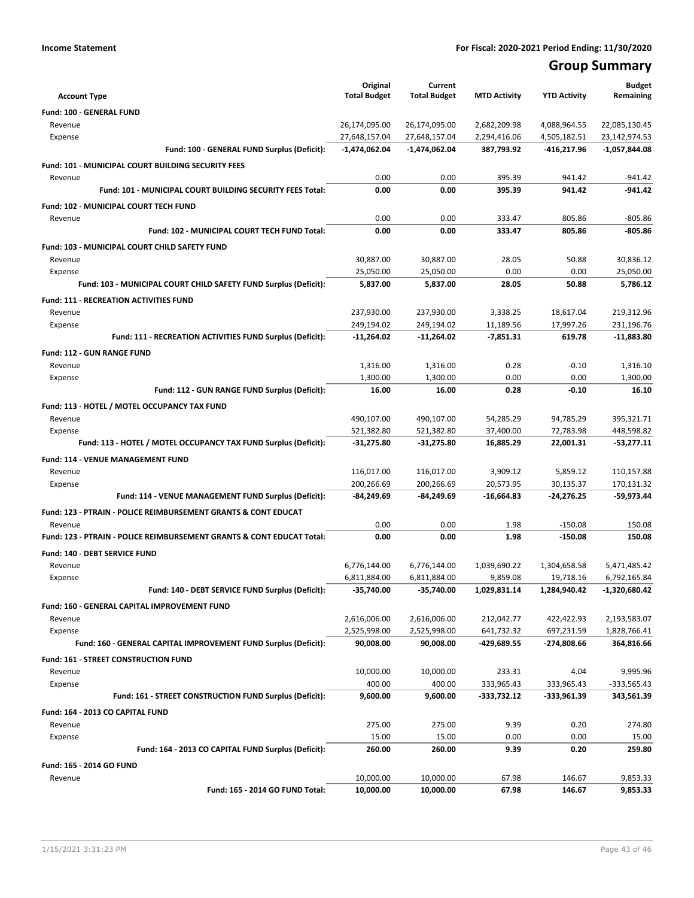# **Group Summary**

| <b>Account Type</b> |                                                                           | Original<br><b>Total Budget</b> | Current<br><b>Total Budget</b> | <b>MTD Activity</b>       | <b>YTD Activity</b>         | <b>Budget</b><br>Remaining |
|---------------------|---------------------------------------------------------------------------|---------------------------------|--------------------------------|---------------------------|-----------------------------|----------------------------|
|                     | Fund: 100 - GENERAL FUND                                                  |                                 |                                |                           |                             |                            |
| Revenue             |                                                                           | 26,174,095.00                   | 26,174,095.00                  | 2,682,209.98              | 4,088,964.55                | 22,085,130.45              |
| Expense             |                                                                           | 27,648,157.04                   | 27,648,157.04                  | 2,294,416.06              | 4,505,182.51                | 23,142,974.53              |
|                     | Fund: 100 - GENERAL FUND Surplus (Deficit):                               | $-1,474,062.04$                 | $-1,474,062.04$                | 387,793.92                | -416,217.96                 | $-1,057,844.08$            |
|                     | Fund: 101 - MUNICIPAL COURT BUILDING SECURITY FEES                        |                                 |                                |                           |                             |                            |
| Revenue             |                                                                           | 0.00                            | 0.00                           | 395.39                    | 941.42                      | $-941.42$                  |
|                     | Fund: 101 - MUNICIPAL COURT BUILDING SECURITY FEES Total:                 | 0.00                            | 0.00                           | 395.39                    | 941.42                      | $-941.42$                  |
|                     | <b>Fund: 102 - MUNICIPAL COURT TECH FUND</b>                              |                                 |                                |                           |                             |                            |
| Revenue             |                                                                           | 0.00                            | 0.00                           | 333.47                    | 805.86                      | $-805.86$                  |
|                     | Fund: 102 - MUNICIPAL COURT TECH FUND Total:                              | 0.00                            | 0.00                           | 333.47                    | 805.86                      | $-805.86$                  |
|                     | Fund: 103 - MUNICIPAL COURT CHILD SAFETY FUND                             |                                 |                                |                           |                             |                            |
| Revenue             |                                                                           | 30,887.00                       | 30,887.00                      | 28.05                     | 50.88                       | 30,836.12                  |
| Expense             |                                                                           | 25,050.00                       | 25,050.00                      | 0.00                      | 0.00                        | 25,050.00                  |
|                     | Fund: 103 - MUNICIPAL COURT CHILD SAFETY FUND Surplus (Deficit):          | 5,837.00                        | 5,837.00                       | 28.05                     | 50.88                       | 5,786.12                   |
|                     | <b>Fund: 111 - RECREATION ACTIVITIES FUND</b>                             |                                 |                                |                           |                             |                            |
| Revenue             |                                                                           | 237,930.00                      | 237,930.00                     | 3,338.25                  | 18,617.04                   | 219,312.96                 |
| Expense             |                                                                           | 249,194.02                      | 249,194.02                     | 11,189.56                 | 17,997.26                   | 231,196.76                 |
|                     | Fund: 111 - RECREATION ACTIVITIES FUND Surplus (Deficit):                 | -11,264.02                      | $-11,264.02$                   | $-7,851.31$               | 619.78                      | $-11,883.80$               |
|                     | Fund: 112 - GUN RANGE FUND                                                |                                 |                                |                           |                             |                            |
| Revenue             |                                                                           | 1,316.00                        | 1,316.00                       | 0.28                      | $-0.10$                     | 1,316.10                   |
| Expense             |                                                                           | 1,300.00                        | 1,300.00                       | 0.00                      | 0.00                        | 1,300.00                   |
|                     | Fund: 112 - GUN RANGE FUND Surplus (Deficit):                             | 16.00                           | 16.00                          | 0.28                      | $-0.10$                     | 16.10                      |
|                     | Fund: 113 - HOTEL / MOTEL OCCUPANCY TAX FUND                              |                                 |                                |                           |                             |                            |
| Revenue             |                                                                           | 490,107.00                      | 490,107.00                     | 54,285.29                 | 94,785.29                   | 395,321.71                 |
| Expense             |                                                                           | 521,382.80                      | 521,382.80                     | 37,400.00                 | 72,783.98                   | 448,598.82                 |
|                     | Fund: 113 - HOTEL / MOTEL OCCUPANCY TAX FUND Surplus (Deficit):           | -31,275.80                      | -31,275.80                     | 16,885.29                 | 22,001.31                   | $-53,277.11$               |
|                     | <b>Fund: 114 - VENUE MANAGEMENT FUND</b>                                  |                                 |                                |                           |                             |                            |
| Revenue             |                                                                           | 116,017.00                      | 116,017.00                     | 3,909.12                  | 5,859.12                    | 110,157.88                 |
| Expense             |                                                                           | 200,266.69                      | 200,266.69                     | 20,573.95                 | 30,135.37                   | 170,131.32                 |
|                     | Fund: 114 - VENUE MANAGEMENT FUND Surplus (Deficit):                      | -84,249.69                      | -84,249.69                     | $-16,664.83$              | -24,276.25                  | -59,973.44                 |
|                     | <b>Fund: 123 - PTRAIN - POLICE REIMBURSEMENT GRANTS &amp; CONT EDUCAT</b> |                                 |                                |                           |                             |                            |
| Revenue             |                                                                           | 0.00                            | 0.00                           | 1.98                      | $-150.08$                   | 150.08                     |
|                     | Fund: 123 - PTRAIN - POLICE REIMBURSEMENT GRANTS & CONT EDUCAT Total:     | 0.00                            | 0.00                           | 1.98                      | $-150.08$                   | 150.08                     |
|                     | Fund: 140 - DEBT SERVICE FUND                                             |                                 |                                |                           |                             |                            |
| Revenue             |                                                                           | 6,776,144.00                    | 6,776,144.00                   | 1,039,690.22              | 1,304,658.58                | 5,471,485.42               |
| Expense             |                                                                           | 6,811,884.00                    | 6,811,884.00                   | 9,859.08                  | 19,718.16                   | 6,792,165.84               |
|                     | Fund: 140 - DEBT SERVICE FUND Surplus (Deficit):                          | -35,740.00                      | -35,740.00                     | 1,029,831.14              | 1,284,940.42                | -1,320,680.42              |
|                     | Fund: 160 - GENERAL CAPITAL IMPROVEMENT FUND                              |                                 |                                |                           |                             |                            |
| Revenue             |                                                                           | 2,616,006.00                    | 2,616,006.00                   | 212,042.77                | 422,422.93                  | 2,193,583.07               |
| Expense             | Fund: 160 - GENERAL CAPITAL IMPROVEMENT FUND Surplus (Deficit):           | 2,525,998.00<br>90,008.00       | 2,525,998.00<br>90,008.00      | 641,732.32<br>-429,689.55 | 697,231.59<br>-274,808.66   | 1,828,766.41<br>364,816.66 |
|                     |                                                                           |                                 |                                |                           |                             |                            |
|                     | Fund: 161 - STREET CONSTRUCTION FUND                                      |                                 |                                |                           |                             |                            |
| Revenue             |                                                                           | 10,000.00                       | 10,000.00                      | 233.31                    | 4.04                        | 9,995.96                   |
| Expense             | Fund: 161 - STREET CONSTRUCTION FUND Surplus (Deficit):                   | 400.00<br>9,600.00              | 400.00<br>9,600.00             | 333,965.43<br>-333,732.12 | 333,965.43<br>$-333,961.39$ | -333,565.43<br>343,561.39  |
|                     |                                                                           |                                 |                                |                           |                             |                            |
|                     | Fund: 164 - 2013 CO CAPITAL FUND                                          |                                 |                                |                           |                             |                            |
| Revenue             |                                                                           | 275.00<br>15.00                 | 275.00<br>15.00                | 9.39<br>0.00              | 0.20<br>0.00                | 274.80<br>15.00            |
| Expense             | Fund: 164 - 2013 CO CAPITAL FUND Surplus (Deficit):                       | 260.00                          | 260.00                         | 9.39                      | 0.20                        | 259.80                     |
|                     |                                                                           |                                 |                                |                           |                             |                            |
|                     | Fund: 165 - 2014 GO FUND                                                  | 10,000.00                       | 10,000.00                      | 67.98                     | 146.67                      | 9,853.33                   |
| Revenue             | Fund: 165 - 2014 GO FUND Total:                                           | 10,000.00                       | 10,000.00                      | 67.98                     | 146.67                      | 9,853.33                   |
|                     |                                                                           |                                 |                                |                           |                             |                            |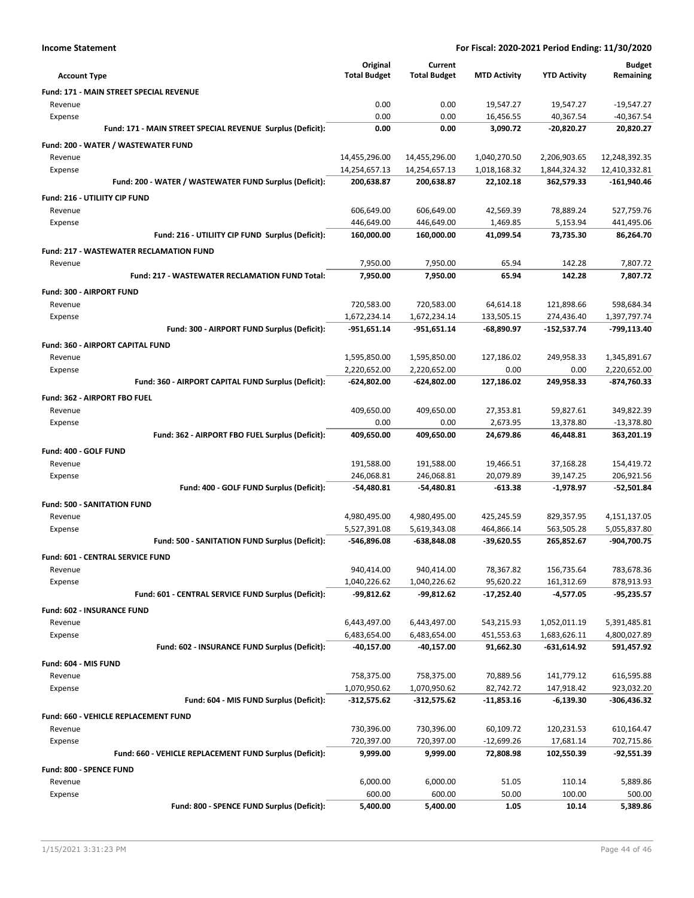| <b>Income Statement</b>                                    | For Fiscal: 2020-2021 Period Ending: 11/30/2020 |                              |                          |                             |                              |
|------------------------------------------------------------|-------------------------------------------------|------------------------------|--------------------------|-----------------------------|------------------------------|
|                                                            | Original                                        | Current                      |                          |                             | <b>Budget</b>                |
| <b>Account Type</b>                                        | <b>Total Budget</b>                             | <b>Total Budget</b>          | <b>MTD Activity</b>      | <b>YTD Activity</b>         | Remaining                    |
| Fund: 171 - MAIN STREET SPECIAL REVENUE                    |                                                 |                              |                          |                             |                              |
| Revenue                                                    | 0.00                                            | 0.00                         | 19,547.27                | 19,547.27                   | $-19,547.27$                 |
| Expense                                                    | 0.00                                            | 0.00                         | 16,456.55                | 40,367.54                   | $-40,367.54$                 |
| Fund: 171 - MAIN STREET SPECIAL REVENUE Surplus (Deficit): | 0.00                                            | 0.00                         | 3,090.72                 | -20,820.27                  | 20,820.27                    |
| Fund: 200 - WATER / WASTEWATER FUND                        |                                                 |                              |                          |                             |                              |
| Revenue                                                    | 14,455,296.00                                   | 14,455,296.00                | 1,040,270.50             | 2,206,903.65                | 12,248,392.35                |
| Expense                                                    | 14,254,657.13                                   | 14,254,657.13                | 1,018,168.32             | 1,844,324.32                | 12,410,332.81                |
| Fund: 200 - WATER / WASTEWATER FUND Surplus (Deficit):     | 200,638.87                                      | 200,638.87                   | 22,102.18                | 362,579.33                  | $-161,940.46$                |
| Fund: 216 - UTILIITY CIP FUND                              |                                                 |                              |                          |                             |                              |
| Revenue                                                    | 606,649.00                                      | 606,649.00                   | 42,569.39                | 78,889.24                   | 527,759.76                   |
| Expense                                                    | 446,649.00                                      | 446,649.00                   | 1,469.85                 | 5,153.94                    | 441,495.06                   |
| Fund: 216 - UTILIITY CIP FUND Surplus (Deficit):           | 160,000.00                                      | 160,000.00                   | 41,099.54                | 73,735.30                   | 86,264.70                    |
| <b>Fund: 217 - WASTEWATER RECLAMATION FUND</b>             |                                                 |                              |                          |                             |                              |
| Revenue                                                    | 7,950.00<br>7.950.00                            | 7,950.00                     | 65.94                    | 142.28                      | 7,807.72                     |
| Fund: 217 - WASTEWATER RECLAMATION FUND Total:             |                                                 | 7,950.00                     | 65.94                    | 142.28                      | 7,807.72                     |
| Fund: 300 - AIRPORT FUND                                   |                                                 |                              |                          |                             |                              |
| Revenue                                                    | 720,583.00                                      | 720,583.00                   | 64,614.18                | 121,898.66                  | 598,684.34                   |
| Expense<br>Fund: 300 - AIRPORT FUND Surplus (Deficit):     | 1,672,234.14<br>-951,651.14                     | 1,672,234.14<br>-951,651.14  | 133,505.15<br>-68,890.97 | 274,436.40<br>$-152,537.74$ | 1,397,797.74<br>-799,113.40  |
|                                                            |                                                 |                              |                          |                             |                              |
| <b>Fund: 360 - AIRPORT CAPITAL FUND</b>                    |                                                 |                              |                          |                             |                              |
| Revenue<br>Expense                                         | 1,595,850.00<br>2,220,652.00                    | 1,595,850.00<br>2,220,652.00 | 127,186.02<br>0.00       | 249,958.33<br>0.00          | 1,345,891.67<br>2,220,652.00 |
| Fund: 360 - AIRPORT CAPITAL FUND Surplus (Deficit):        | -624,802.00                                     | -624,802.00                  | 127,186.02               | 249,958.33                  | -874,760.33                  |
|                                                            |                                                 |                              |                          |                             |                              |
| Fund: 362 - AIRPORT FBO FUEL<br>Revenue                    | 409,650.00                                      | 409,650.00                   | 27,353.81                | 59,827.61                   | 349,822.39                   |
| Expense                                                    | 0.00                                            | 0.00                         | 2,673.95                 | 13,378.80                   | $-13,378.80$                 |
| Fund: 362 - AIRPORT FBO FUEL Surplus (Deficit):            | 409,650.00                                      | 409,650.00                   | 24,679.86                | 46,448.81                   | 363,201.19                   |
| Fund: 400 - GOLF FUND                                      |                                                 |                              |                          |                             |                              |
| Revenue                                                    | 191,588.00                                      | 191,588.00                   | 19,466.51                | 37,168.28                   | 154,419.72                   |
| Expense                                                    | 246,068.81                                      | 246,068.81                   | 20,079.89                | 39,147.25                   | 206,921.56                   |
| Fund: 400 - GOLF FUND Surplus (Deficit):                   | -54,480.81                                      | -54,480.81                   | $-613.38$                | $-1,978.97$                 | $-52,501.84$                 |
| <b>Fund: 500 - SANITATION FUND</b>                         |                                                 |                              |                          |                             |                              |
| Revenue                                                    | 4,980,495.00                                    | 4,980,495.00                 | 425,245.59               | 829,357.95                  | 4,151,137.05                 |
| Expense                                                    | 5,527,391.08                                    | 5,619,343.08                 | 464,866.14               | 563,505.28                  | 5,055,837.80                 |
| Fund: 500 - SANITATION FUND Surplus (Deficit):             | -546,896.08                                     | -638,848.08                  | $-39,620.55$             | 265,852.67                  | -904,700.75                  |
| <b>Fund: 601 - CENTRAL SERVICE FUND</b>                    |                                                 |                              |                          |                             |                              |
| Revenue                                                    | 940,414.00                                      | 940,414.00                   | 78,367.82                | 156,735.64                  | 783,678.36                   |
| Expense                                                    | 1,040,226.62                                    | 1,040,226.62                 | 95,620.22                | 161,312.69                  | 878,913.93                   |
| Fund: 601 - CENTRAL SERVICE FUND Surplus (Deficit):        | -99,812.62                                      | -99,812.62                   | $-17,252.40$             | $-4,577.05$                 | $-95,235.57$                 |
| Fund: 602 - INSURANCE FUND                                 |                                                 |                              |                          |                             |                              |
| Revenue                                                    | 6,443,497.00                                    | 6,443,497.00                 | 543,215.93               | 1,052,011.19                | 5,391,485.81                 |
| Expense                                                    | 6,483,654.00                                    | 6,483,654.00                 | 451,553.63               | 1,683,626.11                | 4,800,027.89                 |
| Fund: 602 - INSURANCE FUND Surplus (Deficit):              | $-40,157.00$                                    | -40,157.00                   | 91,662.30                | $-631,614.92$               | 591,457.92                   |
| Fund: 604 - MIS FUND                                       |                                                 |                              |                          |                             |                              |
| Revenue                                                    | 758,375.00                                      | 758,375.00                   | 70,889.56                | 141,779.12                  | 616,595.88                   |
| Expense                                                    | 1,070,950.62                                    | 1,070,950.62                 | 82,742.72                | 147,918.42                  | 923,032.20                   |
| Fund: 604 - MIS FUND Surplus (Deficit):                    | $-312,575.62$                                   | -312,575.62                  | $-11,853.16$             | $-6,139.30$                 | -306,436.32                  |
| Fund: 660 - VEHICLE REPLACEMENT FUND                       |                                                 |                              |                          |                             |                              |
| Revenue                                                    | 730,396.00                                      | 730,396.00                   | 60,109.72                | 120,231.53                  | 610,164.47                   |
| Expense                                                    | 720,397.00                                      | 720,397.00                   | -12,699.26               | 17,681.14                   | 702,715.86                   |
| Fund: 660 - VEHICLE REPLACEMENT FUND Surplus (Deficit):    | 9,999.00                                        | 9,999.00                     | 72,808.98                | 102,550.39                  | $-92,551.39$                 |
| Fund: 800 - SPENCE FUND                                    |                                                 |                              |                          |                             |                              |
| Revenue                                                    | 6,000.00                                        | 6,000.00                     | 51.05                    | 110.14                      | 5,889.86                     |
| Expense<br>Fund: 800 - SPENCE FUND Surplus (Deficit):      | 600.00<br>5,400.00                              | 600.00<br>5,400.00           | 50.00<br>1.05            | 100.00<br>10.14             | 500.00<br>5,389.86           |
|                                                            |                                                 |                              |                          |                             |                              |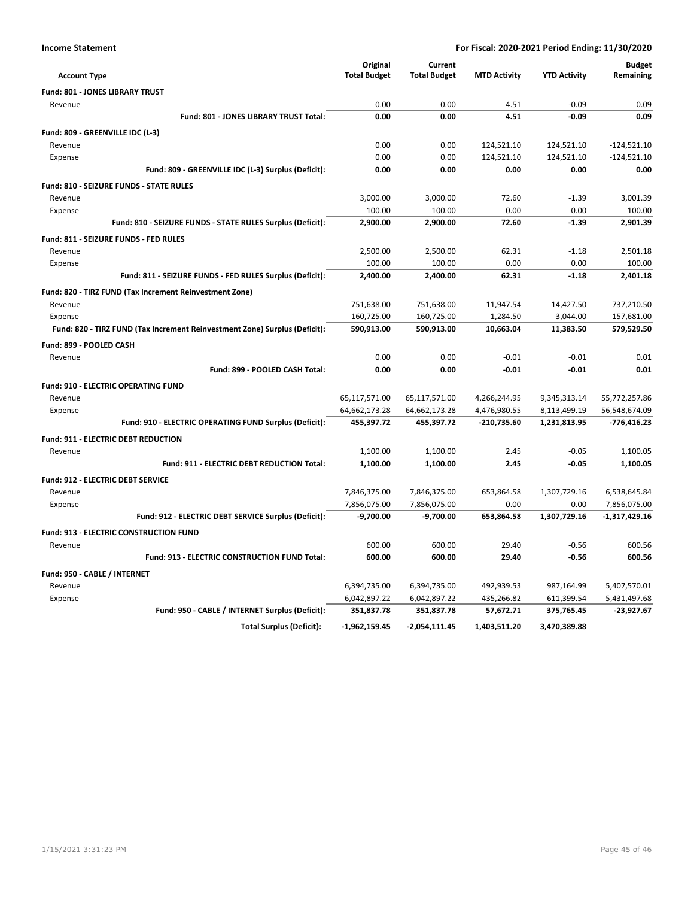| <b>Account Type</b>                                                        | Original<br><b>Total Budget</b> | Current<br><b>Total Budget</b> | <b>MTD Activity</b> | <b>YTD Activity</b> | <b>Budget</b><br>Remaining |
|----------------------------------------------------------------------------|---------------------------------|--------------------------------|---------------------|---------------------|----------------------------|
| <b>Fund: 801 - JONES LIBRARY TRUST</b>                                     |                                 |                                |                     |                     |                            |
| Revenue                                                                    | 0.00                            | 0.00                           | 4.51                | $-0.09$             | 0.09                       |
| Fund: 801 - JONES LIBRARY TRUST Total:                                     | 0.00                            | 0.00                           | 4.51                | $-0.09$             | 0.09                       |
| Fund: 809 - GREENVILLE IDC (L-3)                                           |                                 |                                |                     |                     |                            |
| Revenue                                                                    | 0.00                            | 0.00                           | 124,521.10          | 124,521.10          | $-124,521.10$              |
| Expense                                                                    | 0.00                            | 0.00                           | 124,521.10          | 124,521.10          | $-124,521.10$              |
| Fund: 809 - GREENVILLE IDC (L-3) Surplus (Deficit):                        | 0.00                            | 0.00                           | 0.00                | 0.00                | 0.00                       |
| Fund: 810 - SEIZURE FUNDS - STATE RULES                                    |                                 |                                |                     |                     |                            |
| Revenue                                                                    | 3,000.00                        | 3,000.00                       | 72.60               | $-1.39$             | 3.001.39                   |
| Expense                                                                    | 100.00                          | 100.00                         | 0.00                | 0.00                | 100.00                     |
| Fund: 810 - SEIZURE FUNDS - STATE RULES Surplus (Deficit):                 | 2,900.00                        | 2,900.00                       | 72.60               | $-1.39$             | 2,901.39                   |
| Fund: 811 - SEIZURE FUNDS - FED RULES                                      |                                 |                                |                     |                     |                            |
| Revenue                                                                    | 2,500.00                        | 2,500.00                       | 62.31               | $-1.18$             | 2,501.18                   |
| Expense                                                                    | 100.00                          | 100.00                         | 0.00                | 0.00                | 100.00                     |
| Fund: 811 - SEIZURE FUNDS - FED RULES Surplus (Deficit):                   | 2,400.00                        | 2,400.00                       | 62.31               | $-1.18$             | 2,401.18                   |
| Fund: 820 - TIRZ FUND (Tax Increment Reinvestment Zone)                    |                                 |                                |                     |                     |                            |
| Revenue                                                                    | 751,638.00                      | 751,638.00                     | 11,947.54           | 14,427.50           | 737,210.50                 |
| Expense                                                                    | 160,725.00                      | 160,725.00                     | 1,284.50            | 3,044.00            | 157,681.00                 |
| Fund: 820 - TIRZ FUND (Tax Increment Reinvestment Zone) Surplus (Deficit): | 590,913.00                      | 590,913.00                     | 10,663.04           | 11,383.50           | 579,529.50                 |
| Fund: 899 - POOLED CASH                                                    |                                 |                                |                     |                     |                            |
| Revenue                                                                    | 0.00                            | 0.00                           | $-0.01$             | $-0.01$             | 0.01                       |
| Fund: 899 - POOLED CASH Total:                                             | 0.00                            | 0.00                           | $-0.01$             | $-0.01$             | 0.01                       |
| <b>Fund: 910 - ELECTRIC OPERATING FUND</b>                                 |                                 |                                |                     |                     |                            |
| Revenue                                                                    | 65,117,571.00                   | 65,117,571.00                  | 4,266,244.95        | 9,345,313.14        | 55,772,257.86              |
| Expense                                                                    | 64,662,173.28                   | 64,662,173.28                  | 4,476,980.55        | 8,113,499.19        | 56,548,674.09              |
| Fund: 910 - ELECTRIC OPERATING FUND Surplus (Deficit):                     | 455,397.72                      | 455,397.72                     | $-210,735.60$       | 1,231,813.95        | $-776,416.23$              |
| <b>Fund: 911 - ELECTRIC DEBT REDUCTION</b>                                 |                                 |                                |                     |                     |                            |
| Revenue                                                                    | 1,100.00                        | 1,100.00                       | 2.45                | $-0.05$             | 1.100.05                   |
| Fund: 911 - ELECTRIC DEBT REDUCTION Total:                                 | 1,100.00                        | 1,100.00                       | 2.45                | $-0.05$             | 1,100.05                   |
| Fund: 912 - ELECTRIC DEBT SERVICE                                          |                                 |                                |                     |                     |                            |
| Revenue                                                                    | 7,846,375.00                    | 7,846,375.00                   | 653,864.58          | 1,307,729.16        | 6,538,645.84               |
| Expense                                                                    | 7,856,075.00                    | 7,856,075.00                   | 0.00                | 0.00                | 7,856,075.00               |
| Fund: 912 - ELECTRIC DEBT SERVICE Surplus (Deficit):                       | $-9,700.00$                     | $-9,700.00$                    | 653,864.58          | 1,307,729.16        | $-1,317,429.16$            |
| <b>Fund: 913 - ELECTRIC CONSTRUCTION FUND</b>                              |                                 |                                |                     |                     |                            |
| Revenue                                                                    | 600.00                          | 600.00                         | 29.40               | $-0.56$             | 600.56                     |
| Fund: 913 - ELECTRIC CONSTRUCTION FUND Total:                              | 600.00                          | 600.00                         | 29.40               | $-0.56$             | 600.56                     |
| Fund: 950 - CABLE / INTERNET                                               |                                 |                                |                     |                     |                            |
| Revenue                                                                    | 6,394,735.00                    | 6,394,735.00                   | 492,939.53          | 987,164.99          | 5,407,570.01               |
| Expense                                                                    | 6,042,897.22                    | 6,042,897.22                   | 435,266.82          | 611,399.54          | 5,431,497.68               |
| Fund: 950 - CABLE / INTERNET Surplus (Deficit):                            | 351,837.78                      | 351,837.78                     | 57,672.71           | 375,765.45          | $-23,927.67$               |
| <b>Total Surplus (Deficit):</b>                                            | $-1,962,159.45$                 | $-2,054,111.45$                | 1,403,511.20        | 3,470,389.88        |                            |